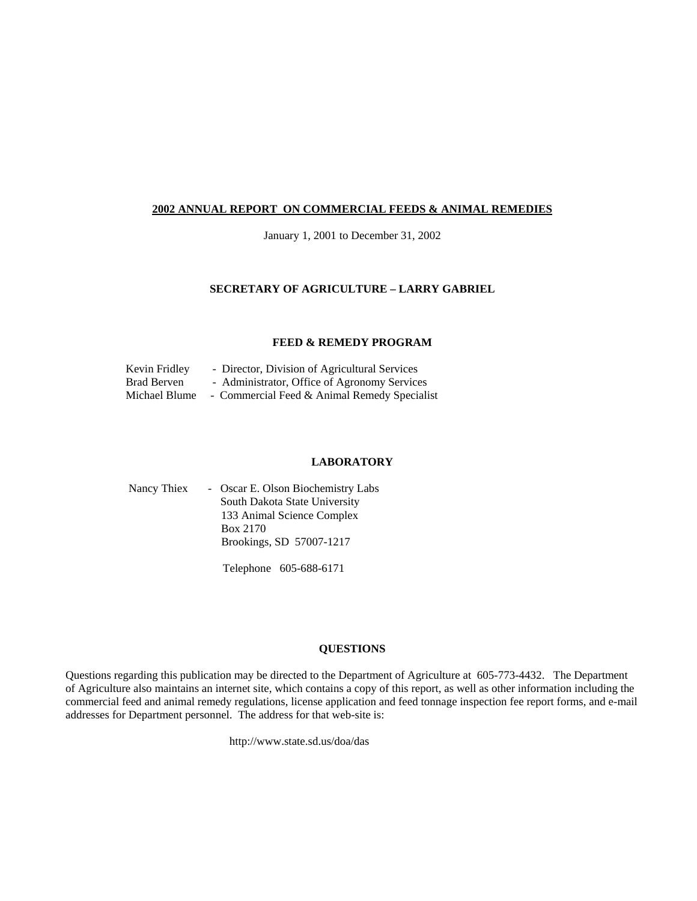#### **2002 ANNUAL REPORT ON COMMERCIAL FEEDS & ANIMAL REMEDIES**

January 1, 2001 to December 31, 2002

#### **SECRETARY OF AGRICULTURE – LARRY GABRIEL**

#### **FEED & REMEDY PROGRAM**

| Kevin Fridley | - Director, Division of Agricultural Services |
|---------------|-----------------------------------------------|
| Brad Berven   | - Administrator, Office of Agronomy Services  |
| Michael Blume | - Commercial Feed & Animal Remedy Specialist  |

#### **LABORATORY**

| Nancy Thiex | - Oscar E. Olson Biochemistry Labs |
|-------------|------------------------------------|
|             | South Dakota State University      |
|             | 133 Animal Science Complex         |
|             | Box 2170                           |
|             | Brookings, SD 57007-1217           |
|             |                                    |

Telephone 605-688-6171

#### **QUESTIONS**

Questions regarding this publication may be directed to the Department of Agriculture at 605-773-4432. The Department of Agriculture also maintains an internet site, which contains a copy of this report, as well as other information including the commercial feed and animal remedy regulations, license application and feed tonnage inspection fee report forms, and e-mail addresses for Department personnel. The address for that web-site is:

http://www.state.sd.us/doa/das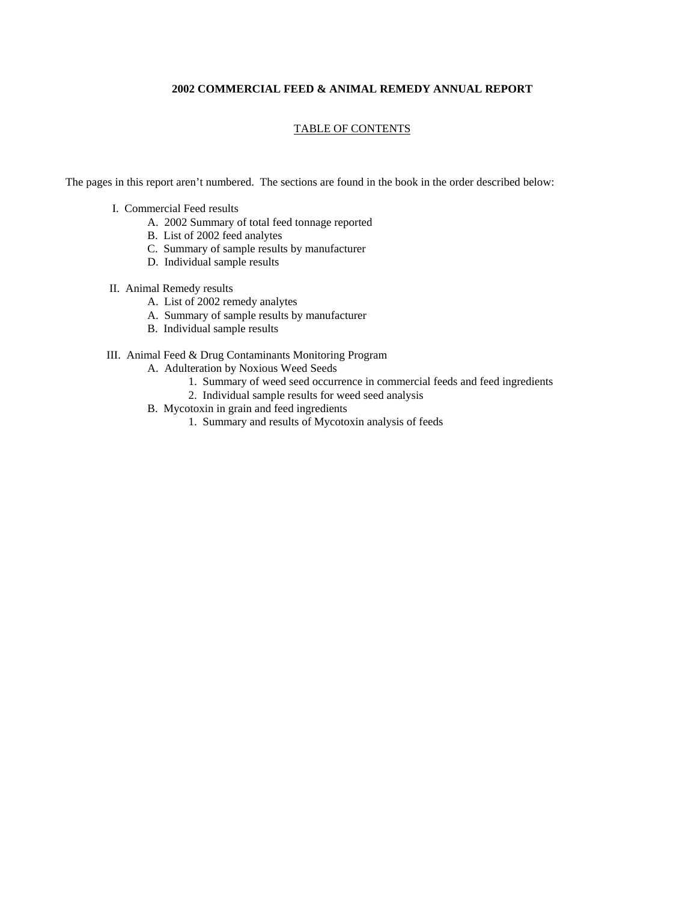#### **2002 COMMERCIAL FEED & ANIMAL REMEDY ANNUAL REPORT**

#### TABLE OF CONTENTS

The pages in this report aren't numbered. The sections are found in the book in the order described below:

- I. Commercial Feed results
	- A. 2002 Summary of total feed tonnage reported
	- B. List of 2002 feed analytes
	- C. Summary of sample results by manufacturer
	- D. Individual sample results

#### II. Animal Remedy results

- A. List of 2002 remedy analytes
- A. Summary of sample results by manufacturer
- B. Individual sample results

#### III. Animal Feed & Drug Contaminants Monitoring Program

- A. Adulteration by Noxious Weed Seeds
	- 1. Summary of weed seed occurrence in commercial feeds and feed ingredients
	- 2. Individual sample results for weed seed analysis
- B. Mycotoxin in grain and feed ingredients
	- 1. Summary and results of Mycotoxin analysis of feeds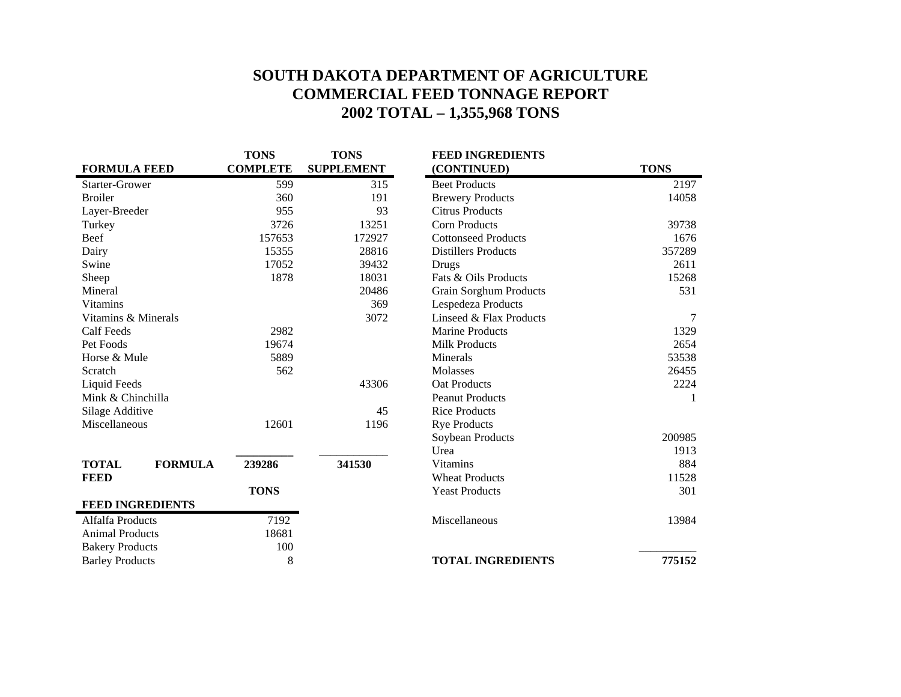# **SOUTH DAKOTA DEPARTMENT OF AGRICULTURE COMMERCIAL FEED TONNAGE REPORT 2002 TOTAL – 1,355,968 TONS**

|                         |                | <b>TONS</b>     | <b>TONS</b>       | <b>FEED INGREDIENTS</b>       |             |
|-------------------------|----------------|-----------------|-------------------|-------------------------------|-------------|
| <b>FORMULA FEED</b>     |                | <b>COMPLETE</b> | <b>SUPPLEMENT</b> | (CONTINUED)                   | <b>TONS</b> |
| Starter-Grower          |                | 599             | 315               | <b>Beet Products</b>          | 2197        |
| <b>Broiler</b>          |                | 360             | 191               | <b>Brewery Products</b>       | 14058       |
| Layer-Breeder           |                | 955             | 93                | <b>Citrus Products</b>        |             |
| Turkey                  |                | 3726            | 13251             | <b>Corn Products</b>          | 39738       |
| <b>Beef</b>             |                | 157653          | 172927            | <b>Cottonseed Products</b>    | 1676        |
| Dairy                   |                | 15355           | 28816             | <b>Distillers Products</b>    | 357289      |
| Swine                   |                | 17052           | 39432             | Drugs                         | 2611        |
| Sheep                   |                | 1878            | 18031             | Fats & Oils Products          | 15268       |
| Mineral                 |                |                 | 20486             | <b>Grain Sorghum Products</b> | 531         |
| <b>Vitamins</b>         |                |                 | 369               | Lespedeza Products            |             |
| Vitamins & Minerals     |                |                 | 3072              | Linseed & Flax Products       | 7           |
| <b>Calf Feeds</b>       |                | 2982            |                   | <b>Marine Products</b>        | 1329        |
| Pet Foods               |                | 19674           |                   | <b>Milk Products</b>          | 2654        |
| Horse & Mule            |                | 5889            |                   | Minerals                      | 53538       |
| Scratch                 |                | 562             |                   | <b>Molasses</b>               | 26455       |
| <b>Liquid Feeds</b>     |                |                 | 43306             | <b>Oat Products</b>           | 2224        |
| Mink & Chinchilla       |                |                 |                   | <b>Peanut Products</b>        |             |
| Silage Additive         |                |                 | 45                | <b>Rice Products</b>          |             |
| Miscellaneous           |                | 12601           | 1196              | <b>Rye Products</b>           |             |
|                         |                |                 |                   | Soybean Products              | 200985      |
|                         |                |                 |                   | Urea                          | 1913        |
| <b>TOTAL</b>            | <b>FORMULA</b> | 239286          | 341530            | <b>Vitamins</b>               | 884         |
| <b>FEED</b>             |                |                 |                   | <b>Wheat Products</b>         | 11528       |
|                         |                | <b>TONS</b>     |                   | <b>Yeast Products</b>         | 301         |
| <b>FEED INGREDIENTS</b> |                |                 |                   |                               |             |
| Alfalfa Products        |                | 7192            |                   | Miscellaneous                 | 13984       |
| <b>Animal Products</b>  |                | 18681           |                   |                               |             |
| <b>Bakery Products</b>  |                | 100             |                   |                               |             |
| <b>Barley Products</b>  |                | 8               |                   | <b>TOTAL INGREDIENTS</b>      | 775152      |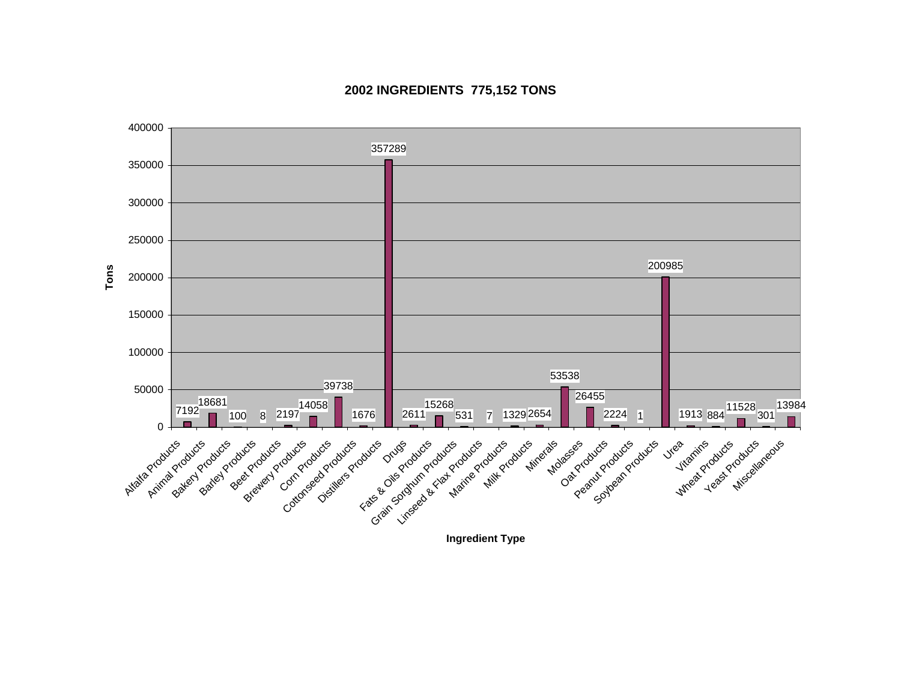

### **2002 INGREDIENTS 775,152 TONS**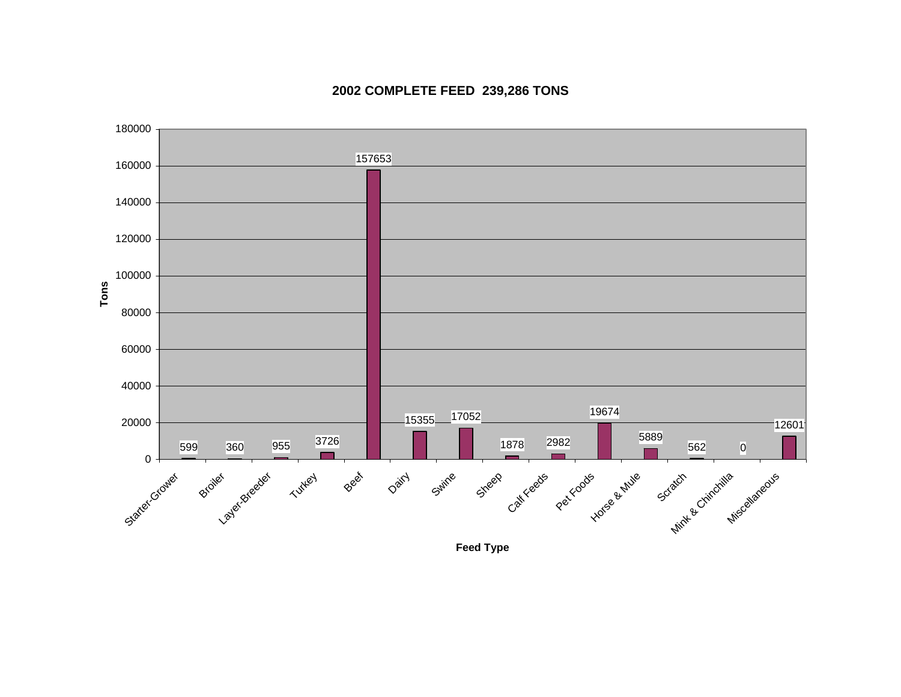

# **2002 COMPLETE FEED 239,286 TONS**

**Feed Type**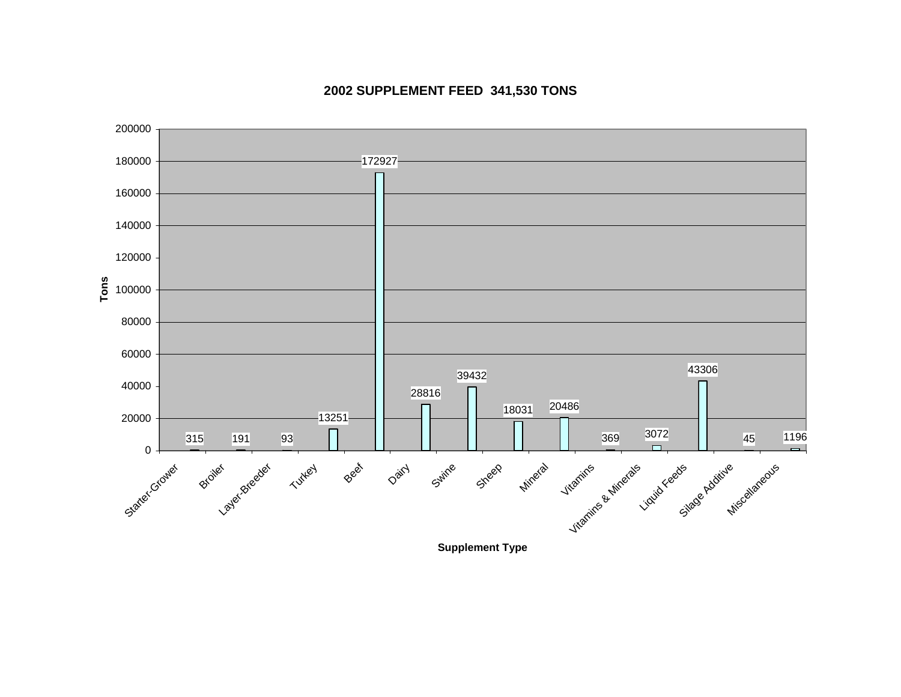

# **2002 SUPPLEMENT FEED 341,530 TONS**

**Supplement Type**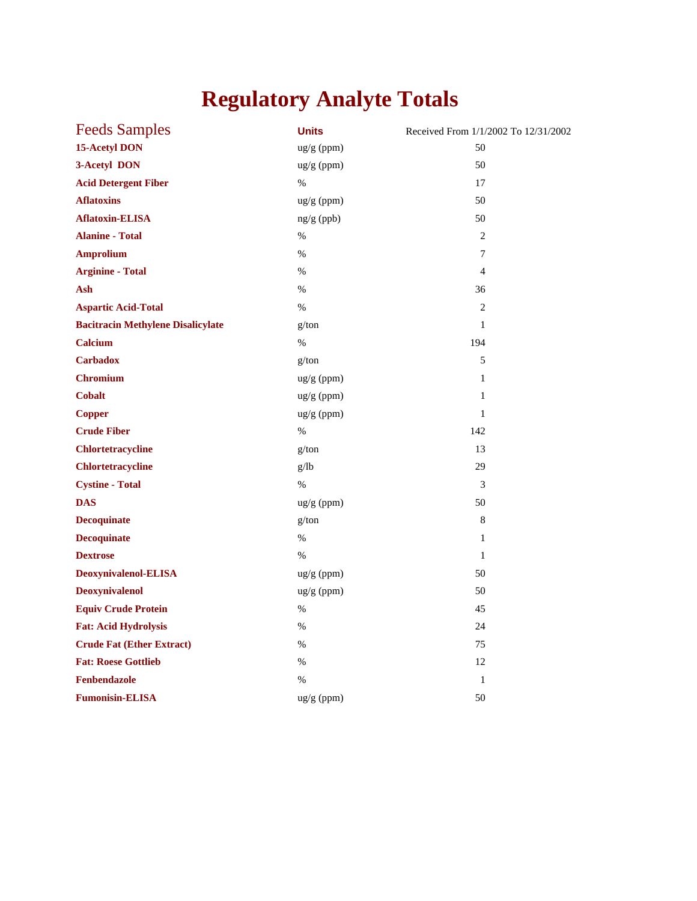# **Regulatory Analyte Totals**

| <b>Feeds Samples</b>                     | <b>Units</b> | Received From 1/1/2002 To 12/31/2002 |
|------------------------------------------|--------------|--------------------------------------|
| <b>15-Acetyl DON</b>                     | ug/g (ppm)   | 50                                   |
| 3-Acetyl DON                             | ug/g (ppm)   | 50                                   |
| <b>Acid Detergent Fiber</b>              | $\%$         | 17                                   |
| <b>Aflatoxins</b>                        | ug/g (ppm)   | 50                                   |
| <b>Aflatoxin-ELISA</b>                   | ng/g (ppb)   | 50                                   |
| <b>Alanine - Total</b>                   | $\%$         | $\overline{2}$                       |
| <b>Amprolium</b>                         | $\%$         | 7                                    |
| <b>Arginine - Total</b>                  | $\%$         | $\overline{4}$                       |
| Ash                                      | %            | 36                                   |
| <b>Aspartic Acid-Total</b>               | $\%$         | $\overline{c}$                       |
| <b>Bacitracin Methylene Disalicylate</b> | g/ton        | $\mathbf{1}$                         |
| <b>Calcium</b>                           | $\%$         | 194                                  |
| <b>Carbadox</b>                          | g/ton        | 5                                    |
| <b>Chromium</b>                          | ug/g (ppm)   | $\mathbf{1}$                         |
| <b>Cobalt</b>                            | ug/g (ppm)   | $\mathbf{1}$                         |
| <b>Copper</b>                            | ug/g (ppm)   | $\mathbf{1}$                         |
| <b>Crude Fiber</b>                       | $\%$         | 142                                  |
| <b>Chlortetracycline</b>                 | g/ton        | 13                                   |
| <b>Chlortetracycline</b>                 | g/lb         | 29                                   |
| <b>Cystine - Total</b>                   | $\%$         | 3                                    |
| <b>DAS</b>                               | ug/g (ppm)   | 50                                   |
| <b>Decoquinate</b>                       | g/ton        | 8                                    |
| <b>Decoquinate</b>                       | $\%$         | $\mathbf{1}$                         |
| <b>Dextrose</b>                          | $\%$         | $\mathbf{1}$                         |
| Deoxynivalenol-ELISA                     | ug/g (ppm)   | 50                                   |
| <b>Deoxynivalenol</b>                    | ug/g (ppm)   | 50                                   |
| <b>Equiv Crude Protein</b>               | %            | 45                                   |
| <b>Fat: Acid Hydrolysis</b>              | $\%$         | 24                                   |
| <b>Crude Fat (Ether Extract)</b>         | %            | 75                                   |
| <b>Fat: Roese Gottlieb</b>               | %            | 12                                   |
| Fenbendazole                             | $\%$         | $\mathbf{1}$                         |
| <b>Fumonisin-ELISA</b>                   | ug/g (ppm)   | 50                                   |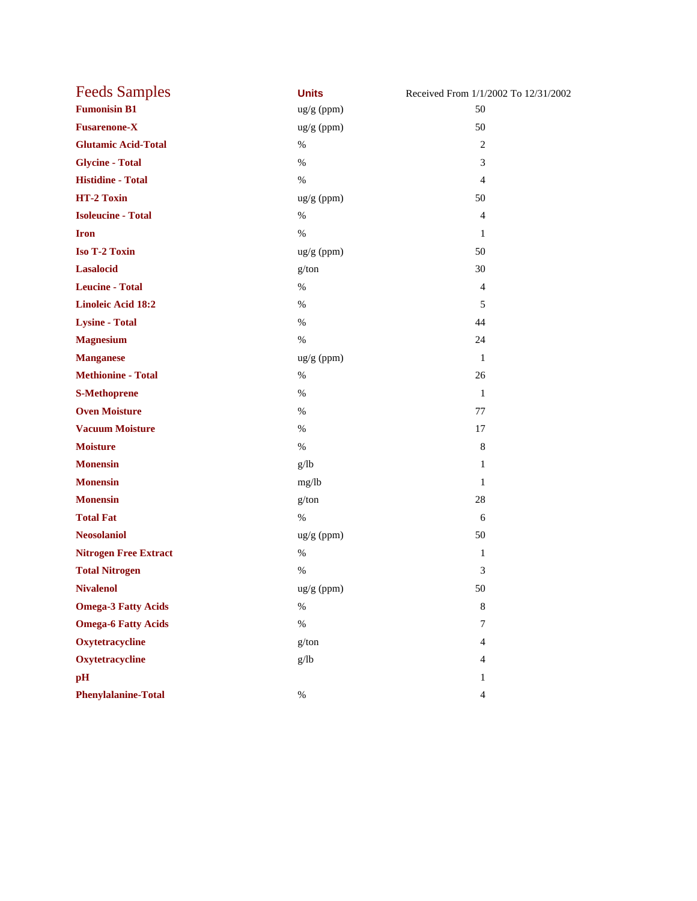| <b>Feeds Samples</b>         | <b>Units</b> | Received From 1/1/2002 To 12/31/2002 |
|------------------------------|--------------|--------------------------------------|
| <b>Fumonisin B1</b>          | ug/g (ppm)   | 50                                   |
| <b>Fusarenone-X</b>          | ug/g (ppm)   | 50                                   |
| <b>Glutamic Acid-Total</b>   | $\%$         | 2                                    |
| <b>Glycine - Total</b>       | $\%$         | 3                                    |
| <b>Histidine - Total</b>     | $\%$         | $\overline{4}$                       |
| HT-2 Toxin                   | ug/g (ppm)   | 50                                   |
| <b>Isoleucine - Total</b>    | $\%$         | $\overline{4}$                       |
| <b>Iron</b>                  | $\%$         | $\mathbf{1}$                         |
| Iso T-2 Toxin                | ug/g (ppm)   | 50                                   |
| <b>Lasalocid</b>             | g/ton        | 30                                   |
| <b>Leucine - Total</b>       | $\%$         | $\overline{4}$                       |
| <b>Linoleic Acid 18:2</b>    | $\%$         | 5                                    |
| <b>Lysine - Total</b>        | $\%$         | 44                                   |
| <b>Magnesium</b>             | $\%$         | 24                                   |
| <b>Manganese</b>             | $ug/g$ (ppm) | $\mathbf{1}$                         |
| <b>Methionine - Total</b>    | $\%$         | 26                                   |
| <b>S-Methoprene</b>          | $\%$         | -1                                   |
| <b>Oven Moisture</b>         | $\%$         | 77                                   |
| <b>Vacuum Moisture</b>       | $\%$         | 17                                   |
| <b>Moisture</b>              | $\%$         | 8                                    |
| <b>Monensin</b>              | g/lb         | 1                                    |
| <b>Monensin</b>              | mg/lb        | $\mathbf{1}$                         |
| <b>Monensin</b>              | g/ton        | 28                                   |
| <b>Total Fat</b>             | $\%$         | 6                                    |
| <b>Neosolaniol</b>           | ug/g (ppm)   | 50                                   |
| <b>Nitrogen Free Extract</b> | $\%$         | $\mathbf{1}$                         |
| <b>Total Nitrogen</b>        | $\%$         | 3                                    |
| <b>Nivalenol</b>             | ug/g (ppm)   | 50                                   |
| <b>Omega-3 Fatty Acids</b>   | $\%$         | $\,8\,$                              |
| <b>Omega-6 Fatty Acids</b>   | $\%$         | $7\phantom{.0}$                      |
| Oxytetracycline              | g/ton        | $\overline{4}$                       |
| Oxytetracycline              | g/lb         | 4                                    |
| pH                           |              | $\mathbf{1}$                         |
| <b>Phenylalanine-Total</b>   | $\%$         | $\overline{4}$                       |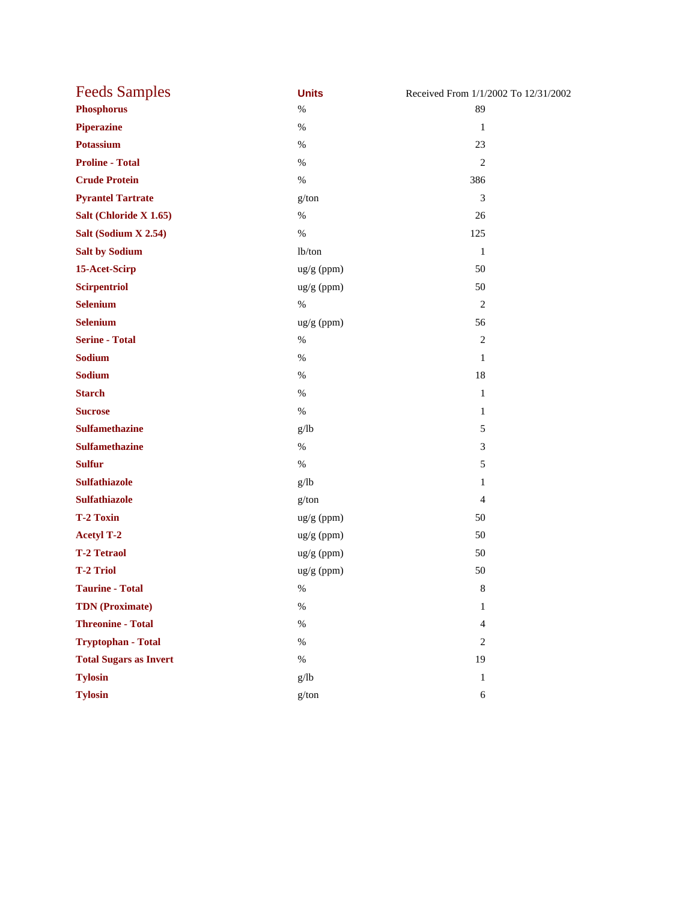| <b>Feeds Samples</b>          | <b>Units</b> | Received From 1/1/2002 To 12/31/2002 |
|-------------------------------|--------------|--------------------------------------|
| <b>Phosphorus</b>             | $\%$         | 89                                   |
| <b>Piperazine</b>             | $\%$         | $\mathbf{1}$                         |
| <b>Potassium</b>              | $\%$         | 23                                   |
| <b>Proline - Total</b>        | $\%$         | $\mathfrak{2}$                       |
| <b>Crude Protein</b>          | $\%$         | 386                                  |
| <b>Pyrantel Tartrate</b>      | g/ton        | 3                                    |
| Salt (Chloride X 1.65)        | $\%$         | 26                                   |
| Salt (Sodium X 2.54)          | $\%$         | 125                                  |
| <b>Salt by Sodium</b>         | lb/ton       | $\mathbf{1}$                         |
| 15-Acet-Scirp                 | ug/g (ppm)   | 50                                   |
| <b>Scirpentriol</b>           | ug/g (ppm)   | 50                                   |
| <b>Selenium</b>               | $\%$         | $\mathbf{2}$                         |
| <b>Selenium</b>               | ug/g (ppm)   | 56                                   |
| <b>Serine - Total</b>         | $\%$         | $\mathfrak{2}$                       |
| <b>Sodium</b>                 | $\%$         | $\mathbf{1}$                         |
| <b>Sodium</b>                 | $\%$         | $18\,$                               |
| <b>Starch</b>                 | $\%$         | $\mathbf{1}$                         |
| <b>Sucrose</b>                | $\%$         | $\mathbf{1}$                         |
| <b>Sulfamethazine</b>         | g/lb         | 5                                    |
| <b>Sulfamethazine</b>         | $\%$         | 3                                    |
| <b>Sulfur</b>                 | $\%$         | 5                                    |
| <b>Sulfathiazole</b>          | g/lb         | $\mathbf{1}$                         |
| <b>Sulfathiazole</b>          | g/ton        | $\overline{4}$                       |
| <b>T-2 Toxin</b>              | ug/g (ppm)   | 50                                   |
| <b>Acetyl T-2</b>             | ug/g (ppm)   | 50                                   |
| <b>T-2 Tetraol</b>            | ug/g (ppm)   | 50                                   |
| <b>T-2 Triol</b>              | ug/g (ppm)   | 50                                   |
| <b>Taurine - Total</b>        | $\%$         | $\,8\,$                              |
| <b>TDN</b> (Proximate)        | $\%$         | $\mathbf{1}$                         |
| <b>Threonine - Total</b>      | $\%$         | $\overline{4}$                       |
| <b>Tryptophan - Total</b>     | $\%$         | $\mathfrak{2}$                       |
| <b>Total Sugars as Invert</b> | $\%$         | 19                                   |
| <b>Tylosin</b>                | g/lb         | $\mathbf{1}$                         |
| <b>Tylosin</b>                | g/ton        | $\sqrt{6}$                           |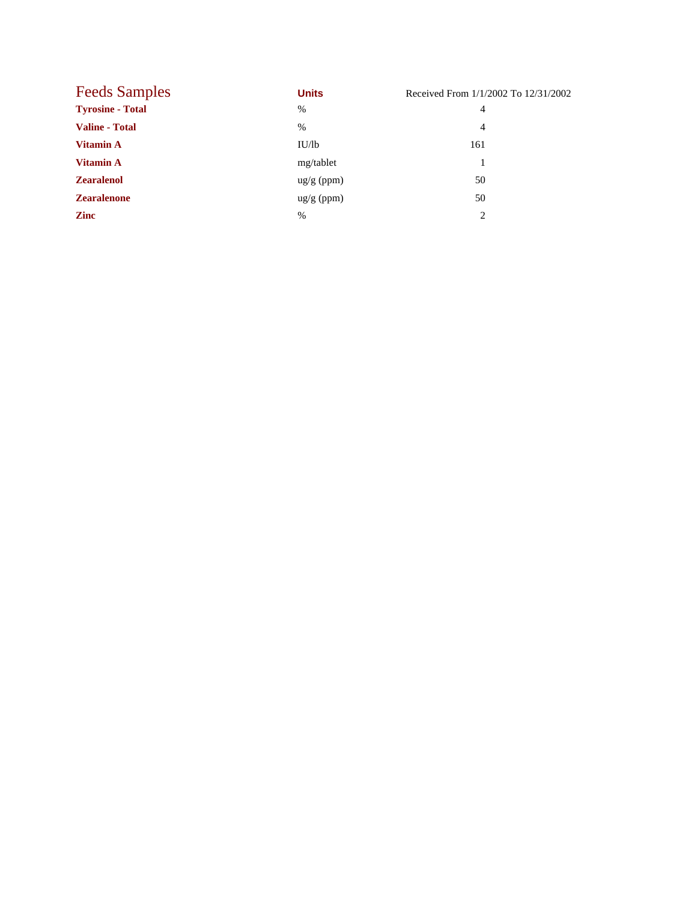| <b>Feeds Samples</b>    | <b>Units</b>         | Received From 1/1/2002 To 12/31/2002 |
|-------------------------|----------------------|--------------------------------------|
| <b>Tyrosine - Total</b> | %                    | 4                                    |
| <b>Valine - Total</b>   | $\%$                 | 4                                    |
| <b>Vitamin A</b>        | IU/lb                | 161                                  |
| <b>Vitamin A</b>        | mg/tablet            |                                      |
| <b>Zearalenol</b>       | $\frac{ug}{g}$ (ppm) | 50                                   |
| <b>Zearalenone</b>      | $\frac{ug}{g}$ (ppm) | 50                                   |
| <b>Zinc</b>             | $\%$                 | $\mathcal{D}_{\mathcal{L}}$          |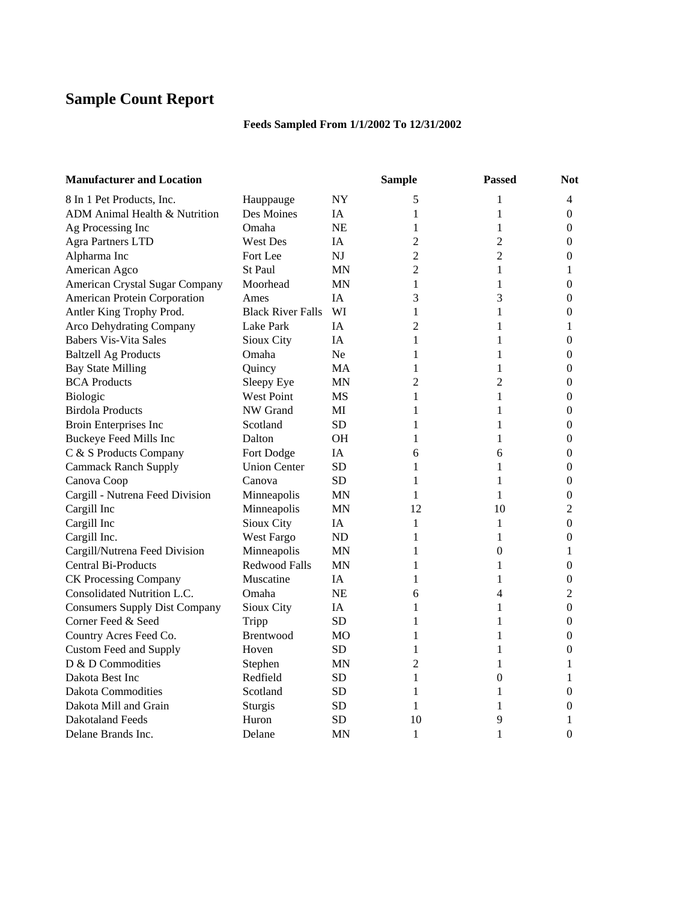# **Sample Count Report**

## **Feeds Sampled From 1/1/2002 To 12/31/2002**

| <b>Manufacturer and Location</b>     |                          |           | <b>Sample</b>  | <b>Passed</b>  | <b>Not</b>       |
|--------------------------------------|--------------------------|-----------|----------------|----------------|------------------|
| 8 In 1 Pet Products, Inc.            | Hauppauge                | NY        | 5              | 1              | 4                |
| ADM Animal Health & Nutrition        | Des Moines               | IA        | 1              | 1              | $\overline{0}$   |
| Ag Processing Inc                    | Omaha                    | <b>NE</b> | 1              | 1              | $\overline{0}$   |
| <b>Agra Partners LTD</b>             | <b>West Des</b>          | <b>IA</b> | $\overline{2}$ | $\overline{2}$ | 0                |
| Alpharma Inc                         | Fort Lee                 | NJ        | $\overline{c}$ | $\overline{c}$ | $\boldsymbol{0}$ |
| American Agco                        | <b>St Paul</b>           | <b>MN</b> | $\overline{2}$ | 1              | 1                |
| American Crystal Sugar Company       | Moorhead                 | MN        | 1              | 1              | $\overline{0}$   |
| American Protein Corporation         | Ames                     | IA        | 3              | 3              | 0                |
| Antler King Trophy Prod.             | <b>Black River Falls</b> | WI        | 1              | 1              | 0                |
| <b>Arco Dehydrating Company</b>      | Lake Park                | IA        | 2              | 1              | 1                |
| <b>Babers Vis-Vita Sales</b>         | Sioux City               | IA        | $\mathbf{1}$   | 1              | $\overline{0}$   |
| <b>Baltzell Ag Products</b>          | Omaha                    | Ne.       | 1              | 1              | $\boldsymbol{0}$ |
| <b>Bay State Milling</b>             | Quincy                   | MA        | 1              | 1              | $\boldsymbol{0}$ |
| <b>BCA Products</b>                  | Sleepy Eye               | <b>MN</b> | $\overline{c}$ | 2              | $\boldsymbol{0}$ |
| Biologic                             | <b>West Point</b>        | <b>MS</b> | 1              | 1              | 0                |
| <b>Birdola Products</b>              | NW Grand                 | MI        | 1              | 1              | 0                |
| Broin Enterprises Inc                | Scotland                 | <b>SD</b> | 1              | 1              | $\boldsymbol{0}$ |
| Buckeye Feed Mills Inc               | Dalton                   | <b>OH</b> | 1              | 1              | $\boldsymbol{0}$ |
| C & S Products Company               | Fort Dodge               | <b>IA</b> | 6              | 6              | 0                |
| <b>Cammack Ranch Supply</b>          | <b>Union Center</b>      | <b>SD</b> | 1              | 1              | $\boldsymbol{0}$ |
| Canova Coop                          | Canova                   | <b>SD</b> | 1              | 1              | $\overline{0}$   |
| Cargill - Nutrena Feed Division      | Minneapolis              | <b>MN</b> | 1              | 1              | $\boldsymbol{0}$ |
| Cargill Inc                          | Minneapolis              | ΜN        | 12             | 10             | 2                |
| Cargill Inc                          | Sioux City               | IA        | 1              | 1              | $\boldsymbol{0}$ |
| Cargill Inc.                         | West Fargo               | ND        | $\mathbf{1}$   | 1              | $\boldsymbol{0}$ |
| Cargill/Nutrena Feed Division        | Minneapolis              | ΜN        | 1              | 0              | 1                |
| <b>Central Bi-Products</b>           | <b>Redwood Falls</b>     | <b>MN</b> | 1              | 1              | $\boldsymbol{0}$ |
| <b>CK Processing Company</b>         | Muscatine                | <b>IA</b> | 1              | 1              | $\boldsymbol{0}$ |
| Consolidated Nutrition L.C.          | Omaha                    | <b>NE</b> | 6              | 4              | 2                |
| <b>Consumers Supply Dist Company</b> | Sioux City               | IA.       | 1              | 1              | 0                |
| Corner Feed & Seed                   | Tripp                    | <b>SD</b> | 1              | 1              | $\boldsymbol{0}$ |
| Country Acres Feed Co.               | Brentwood                | MO        | 1              | 1              | $\boldsymbol{0}$ |
| <b>Custom Feed and Supply</b>        | Hoven                    | SD.       | 1              | 1              | $\overline{0}$   |
| D & D Commodities                    | Stephen                  | ΜN        | $\overline{c}$ | 1              | 1                |
| Dakota Best Inc                      | Redfield                 | <b>SD</b> | 1              | $\overline{0}$ | 1                |
| <b>Dakota Commodities</b>            | Scotland                 | <b>SD</b> | 1              | 1              | $\overline{0}$   |
| Dakota Mill and Grain                | Sturgis                  | <b>SD</b> | 1              | 1              | 0                |
| <b>Dakotaland Feeds</b>              | Huron                    | <b>SD</b> | 10             | 9              | 1                |
| Delane Brands Inc.                   | Delane                   | <b>MN</b> | $\mathbf{1}$   | 1              | $\overline{0}$   |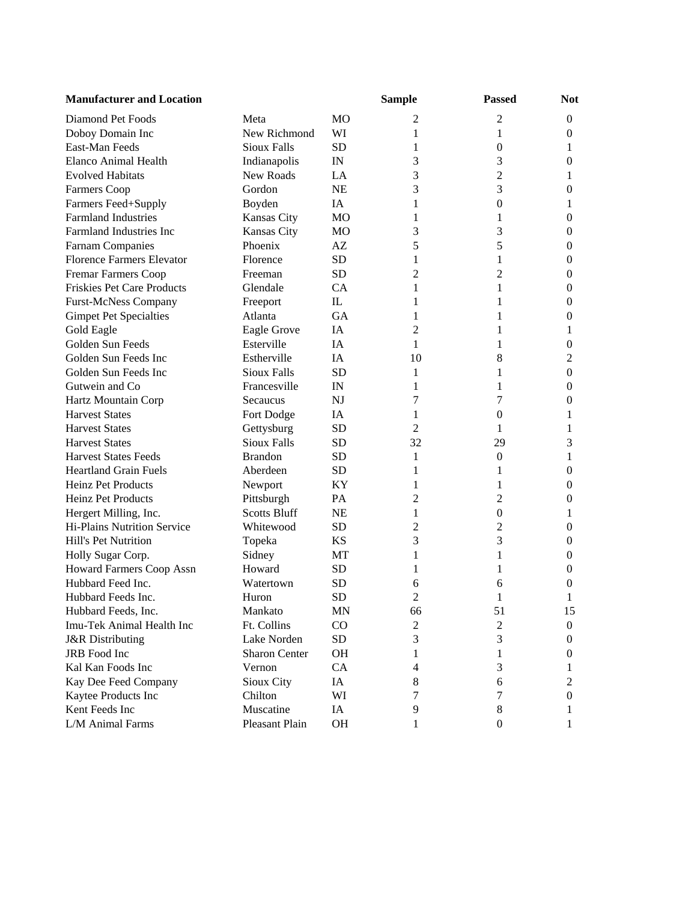| <b>Manufacturer and Location</b>  |                      |                | <b>Sample</b>  | <b>Passed</b>    | <b>Not</b>       |
|-----------------------------------|----------------------|----------------|----------------|------------------|------------------|
| Diamond Pet Foods                 | Meta                 | M <sub>O</sub> | 2              | 2                | $\boldsymbol{0}$ |
| Doboy Domain Inc                  | New Richmond         | WI             | 1              | 1                | $\boldsymbol{0}$ |
| East-Man Feeds                    | <b>Sioux Falls</b>   | <b>SD</b>      | 1              | $\boldsymbol{0}$ | 1                |
| <b>Elanco Animal Health</b>       | Indianapolis         | IN             | 3              | 3                | 0                |
| <b>Evolved Habitats</b>           | New Roads            | LA             | 3              | $\overline{c}$   | 1                |
| Farmers Coop                      | Gordon               | <b>NE</b>      | 3              | 3                | $\mathbf{0}$     |
| Farmers Feed+Supply               | Boyden               | IA             | 1              | $\boldsymbol{0}$ | 1                |
| <b>Farmland Industries</b>        | Kansas City          | MO             | 1              | 1                | 0                |
| <b>Farmland Industries Inc</b>    | Kansas City          | <b>MO</b>      | 3              | 3                | $\boldsymbol{0}$ |
| <b>Farnam Companies</b>           | Phoenix              | AZ             | 5              | 5                | $\boldsymbol{0}$ |
| <b>Florence Farmers Elevator</b>  | Florence             | <b>SD</b>      | 1              | 1                | $\mathbf{0}$     |
| <b>Fremar Farmers Coop</b>        | Freeman              | <b>SD</b>      | 2              | 2                | $\boldsymbol{0}$ |
| <b>Friskies Pet Care Products</b> | Glendale             | CA             | 1              | 1                | $\boldsymbol{0}$ |
| <b>Furst-McNess Company</b>       | Freeport             | IL             | 1              | 1                | $\mathbf{0}$     |
| <b>Gimpet Pet Specialties</b>     | Atlanta              | <b>GA</b>      | 1              | 1                | $\mathbf{0}$     |
| Gold Eagle                        | <b>Eagle Grove</b>   | IA             | 2              | 1                | 1                |
| Golden Sun Feeds                  | Esterville           | IA             | 1              | 1                | $\boldsymbol{0}$ |
| Golden Sun Feeds Inc              | Estherville          | IA             | 10             | 8                | $\overline{2}$   |
| Golden Sun Feeds Inc              | <b>Sioux Falls</b>   | <b>SD</b>      | 1              | 1                | $\boldsymbol{0}$ |
| Gutwein and Co                    | Francesville         | IN             | 1              | 1                | $\mathbf{0}$     |
| Hartz Mountain Corp               | Secaucus             | N <sub>J</sub> | 7              | 7                | $\overline{0}$   |
| <b>Harvest States</b>             | Fort Dodge           | IA             | 1              | $\overline{0}$   | 1                |
| <b>Harvest States</b>             | Gettysburg           | <b>SD</b>      | 2              | 1                | 1                |
| <b>Harvest States</b>             | <b>Sioux Falls</b>   | <b>SD</b>      | 32             | 29               | 3                |
| <b>Harvest States Feeds</b>       | <b>Brandon</b>       | <b>SD</b>      | 1              | $\theta$         | 1                |
| <b>Heartland Grain Fuels</b>      | Aberdeen             | <b>SD</b>      | 1              | 1                | $\boldsymbol{0}$ |
| <b>Heinz Pet Products</b>         | Newport              | KY             | 1              | 1                | 0                |
| Heinz Pet Products                | Pittsburgh           | <b>PA</b>      | 2              | $\overline{2}$   | $\mathbf{0}$     |
| Hergert Milling, Inc.             | <b>Scotts Bluff</b>  | <b>NE</b>      | 1              | $\boldsymbol{0}$ | 1                |
| Hi-Plains Nutrition Service       | Whitewood            | <b>SD</b>      | 2              | 2                | $\boldsymbol{0}$ |
| Hill's Pet Nutrition              | Topeka               | <b>KS</b>      | 3              | 3                | $\mathbf{0}$     |
| Holly Sugar Corp.                 | Sidney               | MT             | 1              | 1                | $\mathbf{0}$     |
| <b>Howard Farmers Coop Assn</b>   | Howard               | <b>SD</b>      | 1              | 1                | $\boldsymbol{0}$ |
| Hubbard Feed Inc.                 | Watertown            | <b>SD</b>      | 6              | 6                | $\boldsymbol{0}$ |
| Hubbard Feeds Inc.                | Huron                | <b>SD</b>      | $\overline{2}$ | 1                | 1                |
| Hubbard Feeds, Inc.               | Mankato              | MN             | 66             | 51               | 15               |
| Imu-Tek Animal Health Inc         | Ft. Collins          | CO             | 2              | 2                | $\boldsymbol{0}$ |
| <b>J&amp;R</b> Distributing       | Lake Norden          | SD             | 3              | 3                | 0                |
| JRB Food Inc                      | <b>Sharon Center</b> | <b>OH</b>      | 1              | 1                | 0                |
| Kal Kan Foods Inc                 | Vernon               | <b>CA</b>      | 4              | 3                | 1                |
| Kay Dee Feed Company              | Sioux City           | IA             | 8              | 6                | 2                |
| Kaytee Products Inc               | Chilton              | WI             | 7              | 7                | 0                |
| Kent Feeds Inc                    | Muscatine            | IA             | 9              | 8                | 1                |
| L/M Animal Farms                  | Pleasant Plain       | OH             | 1              | $\boldsymbol{0}$ | 1                |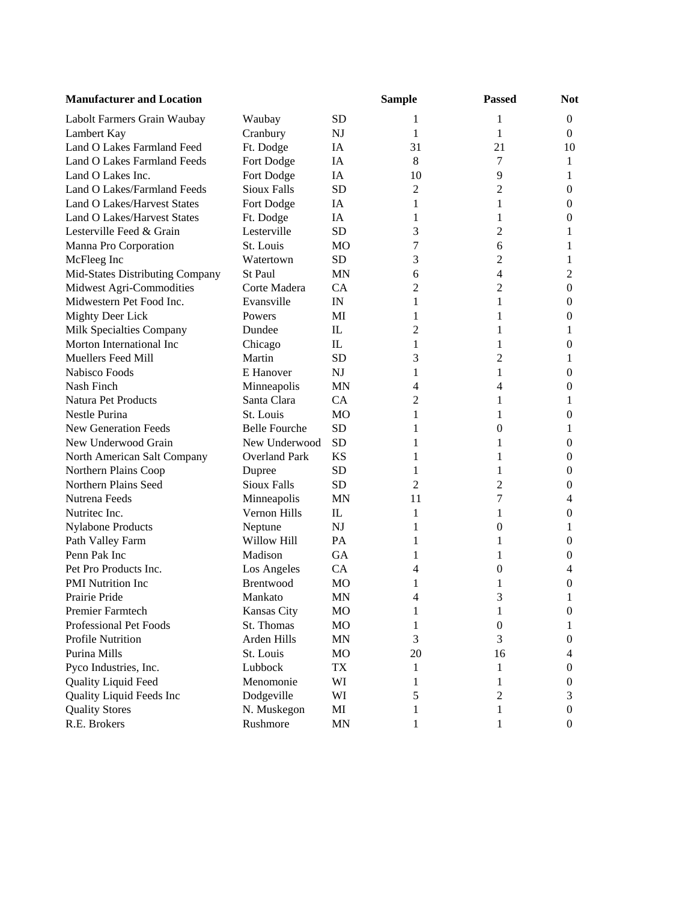| <b>Manufacturer and Location</b>   |                      |                | <b>Sample</b>  | <b>Passed</b>  | <b>Not</b>       |
|------------------------------------|----------------------|----------------|----------------|----------------|------------------|
| Labolt Farmers Grain Waubay        | Waubay               | <b>SD</b>      | 1              | 1              | $\theta$         |
| Lambert Kay                        | Cranbury             | NJ             | 1              | 1              | $\theta$         |
| Land O Lakes Farmland Feed         | Ft. Dodge            | IA             | 31             | 21             | 10               |
| Land O Lakes Farmland Feeds        | Fort Dodge           | IA             | 8              | 7              | 1                |
| Land O Lakes Inc.                  | Fort Dodge           | IA             | 10             | 9              | 1                |
| Land O Lakes/Farmland Feeds        | <b>Sioux Falls</b>   | <b>SD</b>      | $\overline{c}$ | 2              | 0                |
| <b>Land O Lakes/Harvest States</b> | Fort Dodge           | IA             | 1              | 1              | $\boldsymbol{0}$ |
| <b>Land O Lakes/Harvest States</b> | Ft. Dodge            | IA             | 1              | 1              | 0                |
| Lesterville Feed & Grain           | Lesterville          | <b>SD</b>      | 3              | 2              | 1                |
| Manna Pro Corporation              | St. Louis            | M <sub>O</sub> | 7              | 6              | 1                |
| McFleeg Inc                        | Watertown            | <b>SD</b>      | 3              | 2              | 1                |
| Mid-States Distributing Company    | St Paul              | <b>MN</b>      | 6              | 4              | 2                |
| Midwest Agri-Commodities           | Corte Madera         | CA             | 2              | 2              | $\mathbf{0}$     |
| Midwestern Pet Food Inc.           | Evansville           | IN             | 1              | 1              | $\boldsymbol{0}$ |
| <b>Mighty Deer Lick</b>            | Powers               | MI             | 1              | 1              | $\boldsymbol{0}$ |
| Milk Specialties Company           | Dundee               | $\mathbf{L}$   | 2              | 1              | 1                |
| Morton International Inc           | Chicago              | IL             | 1              | 1              | 0                |
| <b>Muellers Feed Mill</b>          | Martin               | <b>SD</b>      | 3              | 2              | 1                |
| Nabisco Foods                      | E Hanover            | <b>NJ</b>      | 1              | 1              | $\mathbf{0}$     |
| Nash Finch                         | Minneapolis          | <b>MN</b>      | $\overline{4}$ | $\overline{4}$ | $\mathbf{0}$     |
| Natura Pet Products                | Santa Clara          | CA             | 2              | 1              | 1                |
| <b>Nestle Purina</b>               | St. Louis            | MO             | 1              | 1              | 0                |
| <b>New Generation Feeds</b>        | <b>Belle Fourche</b> | <b>SD</b>      | 1              | $\theta$       | 1                |
| New Underwood Grain                | New Underwood        | <b>SD</b>      | 1              | 1              | 0                |
| North American Salt Company        | <b>Overland Park</b> | <b>KS</b>      | 1              | 1              | 0                |
| Northern Plains Coop               | Dupree               | <b>SD</b>      | 1              | 1              | 0                |
| Northern Plains Seed               | <b>Sioux Falls</b>   | <b>SD</b>      | 2              | $\overline{c}$ | $\boldsymbol{0}$ |
| Nutrena Feeds                      | Minneapolis          | <b>MN</b>      | 11             | 7              | 4                |
| Nutritec Inc.                      | Vernon Hills         | $_{\rm IL}$    | 1              | 1              | $\mathbf{0}$     |
| <b>Nylabone Products</b>           | Neptune              | NJ             | 1              | $\theta$       | 1                |
| Path Valley Farm                   | Willow Hill          | <b>PA</b>      | 1              | 1              | 0                |
| Penn Pak Inc                       | Madison              | <b>GA</b>      | 1              | 1              | $\boldsymbol{0}$ |
| Pet Pro Products Inc.              | Los Angeles          | CA             | 4              | 0              | 4                |
| <b>PMI</b> Nutrition Inc           | Brentwood            | <b>MO</b>      | 1              | 1              | 0                |
| Prairie Pride                      | Mankato              | <b>MN</b>      | 4              | 3              | 1                |
| <b>Premier Farmtech</b>            | <b>Kansas City</b>   | MO             | 1              | 1              | $\boldsymbol{0}$ |
| Professional Pet Foods             | St. Thomas           | <b>MO</b>      | 1              | 0              | 1                |
| <b>Profile Nutrition</b>           | Arden Hills          | <b>MN</b>      | 3              | 3              | 0                |
| Purina Mills                       | St. Louis            | MO             | 20             | 16             | 4                |
| Pyco Industries, Inc.              | Lubbock              | TX             | 1              | 1              | 0                |
| Quality Liquid Feed                | Menomonie            | WI             | 1              | 1              | 0                |
| Quality Liquid Feeds Inc           | Dodgeville           | WI             | 5              | 2              | 3                |
| <b>Quality Stores</b>              | N. Muskegon          | MI             | 1              | 1              | 0                |
| R.E. Brokers                       | Rushmore             | <b>MN</b>      | 1              | 1              | $\boldsymbol{0}$ |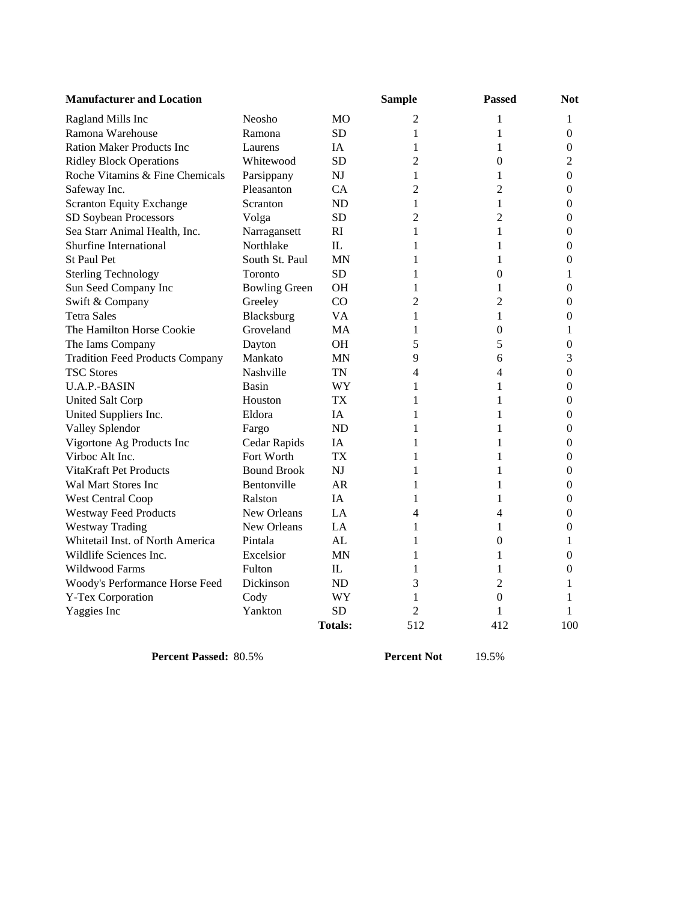| <b>Manufacturer and Location</b>       |                      |                | <b>Sample</b> | <b>Passed</b>    | <b>Not</b>       |
|----------------------------------------|----------------------|----------------|---------------|------------------|------------------|
| Ragland Mills Inc                      | Neosho               | МO             | 2             | 1                | 1                |
| Ramona Warehouse                       | Ramona               | <b>SD</b>      | 1             | 1                | $\Omega$         |
| <b>Ration Maker Products Inc</b>       | Laurens              | ĪΑ             | 1             | 1                | $\theta$         |
| <b>Ridley Block Operations</b>         | Whitewood            | <b>SD</b>      | 2             | $\theta$         | $\overline{2}$   |
| Roche Vitamins & Fine Chemicals        | Parsippany           | <b>NJ</b>      | 1             | 1                | 0                |
| Safeway Inc.                           | Pleasanton           | CA             | 2             | 2                | $\mathbf{0}$     |
| <b>Scranton Equity Exchange</b>        | Scranton             | <b>ND</b>      | 1             | 1                | $\theta$         |
| SD Soybean Processors                  | Volga                | SD             | 2             | 2                | $\theta$         |
| Sea Starr Animal Health, Inc.          | Narragansett         | RI             | 1             | 1                | $\boldsymbol{0}$ |
| Shurfine International                 | Northlake            | $\Pi$ .        | 1             | 1                | $\boldsymbol{0}$ |
| <b>St Paul Pet</b>                     | South St. Paul       | <b>MN</b>      | 1             | 1                | 0                |
| <b>Sterling Technology</b>             | Toronto              | <b>SD</b>      | 1             | $\theta$         | 1                |
| Sun Seed Company Inc                   | <b>Bowling Green</b> | OН             | 1             | 1                | 0                |
| Swift & Company                        | Greeley              | CO             | 2             | 2                | $\boldsymbol{0}$ |
| <b>Tetra Sales</b>                     | Blacksburg           | VA             | 1             | 1                | 0                |
| The Hamilton Horse Cookie              | Groveland            | МA             | 1             | 0                | 1                |
| The Iams Company                       | Dayton               | <b>OH</b>      | 5             | 5                | 0                |
| <b>Tradition Feed Products Company</b> | Mankato              | <b>MN</b>      | 9             | 6                | 3                |
| <b>TSC Stores</b>                      | Nashville            | TN             | 4             | 4                | $\theta$         |
| U.A.P.-BASIN                           | Basin                | <b>WY</b>      | 1             | 1                | $\theta$         |
| <b>United Salt Corp</b>                | Houston              | TX             | 1             | 1                | 0                |
| United Suppliers Inc.                  | Eldora               | IA             | 1             | 1                | 0                |
| Valley Splendor                        | Fargo                | ND             | 1             | 1                | $\theta$         |
| Vigortone Ag Products Inc              | Cedar Rapids         | ĪΑ             | 1             | 1                | $\Omega$         |
| Virboc Alt Inc.                        | Fort Worth           | <b>TX</b>      | 1             | 1                | $\mathbf{0}$     |
| <b>VitaKraft Pet Products</b>          | <b>Bound Brook</b>   | NJ             | 1             | 1                | $\mathbf{0}$     |
| Wal Mart Stores Inc                    | Bentonville          | AR             | 1             | 1                | $\mathbf{0}$     |
| <b>West Central Coop</b>               | Ralston              | ĪΑ             | 1             | 1                | $\theta$         |
| <b>Westway Feed Products</b>           | New Orleans          | LA             | 4             | $\overline{4}$   | $\boldsymbol{0}$ |
| <b>Westway Trading</b>                 | New Orleans          | LA             | 1             | 1                | $\boldsymbol{0}$ |
| Whitetail Inst. of North America       | Pintala              | AL             | 1             | $\boldsymbol{0}$ | 1                |
| Wildlife Sciences Inc.                 | Excelsior            | MN             | 1             | 1                | $\mathbf{0}$     |
| Wildwood Farms                         | Fulton               | IL.            | 1             | 1                | $\mathbf{0}$     |
| Woody's Performance Horse Feed         | Dickinson            | <b>ND</b>      | 3             | 2                | 1                |
| Y-Tex Corporation                      | Cody                 | WY             | 1             | $\boldsymbol{0}$ | 1                |
| Yaggies Inc                            | Yankton              | <b>SD</b>      | 2             | 1                | 1                |
|                                        |                      | <b>Totals:</b> | 512           | 412              | 100              |

**Percent Passed:** 80.5% **Percent Not** 19.5%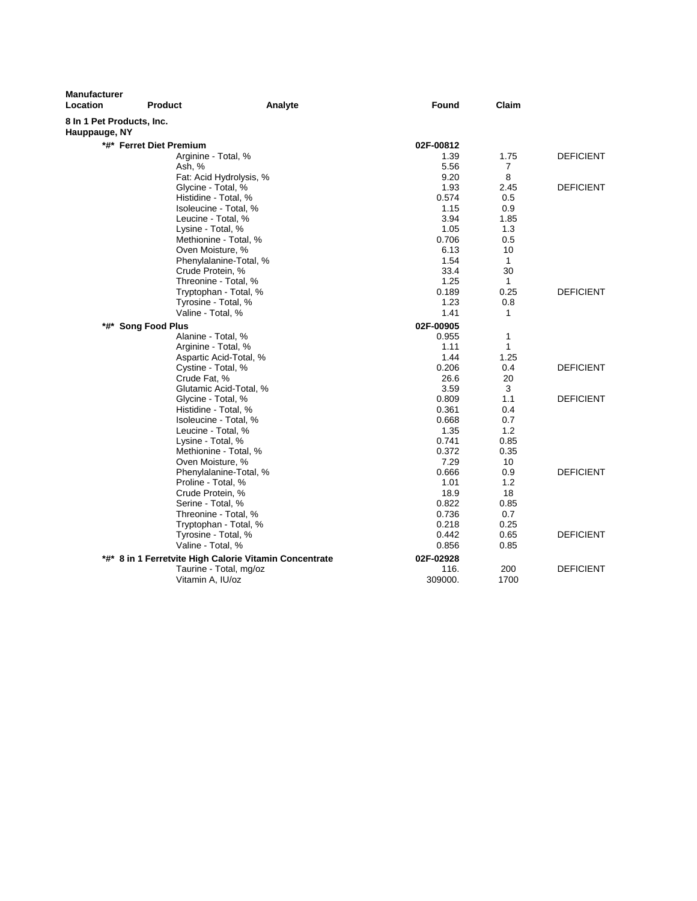| <b>Manufacturer</b><br>Location            | <b>Product</b>          | Analyte                                                | Found     | Claim          |                  |
|--------------------------------------------|-------------------------|--------------------------------------------------------|-----------|----------------|------------------|
| 8 In 1 Pet Products, Inc.<br>Hauppauge, NY |                         |                                                        |           |                |                  |
|                                            | *#* Ferret Diet Premium |                                                        | 02F-00812 |                |                  |
|                                            | Arginine - Total, %     |                                                        | 1.39      | 1.75           | <b>DEFICIENT</b> |
|                                            | Ash, %                  |                                                        | 5.56      | $\overline{7}$ |                  |
|                                            |                         | Fat: Acid Hydrolysis, %                                | 9.20      | 8              |                  |
|                                            | Glycine - Total, %      |                                                        | 1.93      | 2.45           | <b>DEFICIENT</b> |
|                                            | Histidine - Total, %    |                                                        | 0.574     | 0.5            |                  |
|                                            |                         | Isoleucine - Total. %                                  | 1.15      | 0.9            |                  |
|                                            | Leucine - Total, %      |                                                        | 3.94      | 1.85           |                  |
|                                            | Lysine - Total, %       |                                                        | 1.05      | 1.3            |                  |
|                                            |                         | Methionine - Total, %                                  | 0.706     | 0.5            |                  |
|                                            | Oven Moisture, %        |                                                        | 6.13      | 10             |                  |
|                                            |                         | Phenylalanine-Total, %                                 | 1.54      | $\mathbf{1}$   |                  |
|                                            | Crude Protein, %        |                                                        | 33.4      | 30             |                  |
|                                            |                         | Threonine - Total, %                                   | 1.25      | $\mathbf{1}$   |                  |
|                                            |                         | Tryptophan - Total, %                                  | 0.189     | 0.25           | <b>DEFICIENT</b> |
|                                            | Tyrosine - Total, %     |                                                        | 1.23      | 0.8            |                  |
|                                            | Valine - Total, %       |                                                        | 1.41      | 1              |                  |
| *#* Song Food Plus                         |                         |                                                        | 02F-00905 |                |                  |
|                                            | Alanine - Total, %      |                                                        | 0.955     | 1              |                  |
|                                            | Arginine - Total, %     |                                                        | 1.11      | 1              |                  |
|                                            |                         | Aspartic Acid-Total, %                                 | 1.44      | 1.25           |                  |
|                                            | Cystine - Total, %      |                                                        | 0.206     | 0.4            | <b>DEFICIENT</b> |
|                                            | Crude Fat, %            |                                                        | 26.6      | 20             |                  |
|                                            |                         | Glutamic Acid-Total, %                                 | 3.59      | 3              |                  |
|                                            | Glycine - Total, %      |                                                        | 0.809     | 1.1            | <b>DEFICIENT</b> |
|                                            | Histidine - Total, %    |                                                        | 0.361     | 0.4            |                  |
|                                            |                         | Isoleucine - Total, %                                  | 0.668     | 0.7            |                  |
|                                            | Leucine - Total, %      |                                                        | 1.35      | 1.2            |                  |
|                                            | Lysine - Total, %       |                                                        | 0.741     | 0.85           |                  |
|                                            |                         | Methionine - Total, %                                  | 0.372     | 0.35           |                  |
|                                            | Oven Moisture, %        |                                                        | 7.29      | 10             |                  |
|                                            |                         | Phenylalanine-Total, %                                 | 0.666     | 0.9            | <b>DEFICIENT</b> |
|                                            | Proline - Total, %      |                                                        | 1.01      | 1.2            |                  |
|                                            | Crude Protein, %        |                                                        | 18.9      | 18             |                  |
|                                            | Serine - Total, %       |                                                        | 0.822     | 0.85           |                  |
|                                            |                         | Threonine - Total, %                                   | 0.736     | 0.7            |                  |
|                                            |                         | Tryptophan - Total, %                                  | 0.218     | 0.25           | <b>DEFICIENT</b> |
|                                            | Tyrosine - Total, %     |                                                        | 0.442     | 0.65           |                  |
|                                            | Valine - Total, %       |                                                        | 0.856     | 0.85           |                  |
|                                            |                         | *#* 8 in 1 Ferretvite High Calorie Vitamin Concentrate | 02F-02928 |                |                  |
|                                            |                         | Taurine - Total, mg/oz                                 | 116.      | 200            | <b>DEFICIENT</b> |
|                                            | Vitamin A, IU/oz        |                                                        | 309000.   | 1700           |                  |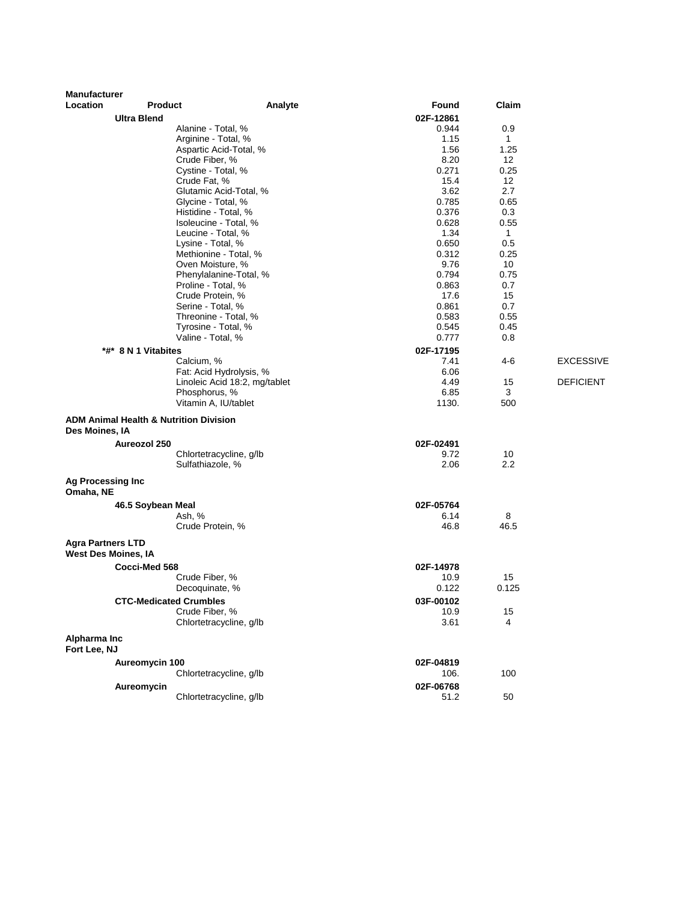| <b>Manufacturer</b>                                    |                               |                                                   |               |              |                  |
|--------------------------------------------------------|-------------------------------|---------------------------------------------------|---------------|--------------|------------------|
| Location                                               | <b>Product</b>                | Analyte                                           | Found         | Claim        |                  |
|                                                        | <b>Ultra Blend</b>            |                                                   | 02F-12861     |              |                  |
|                                                        |                               | Alanine - Total, %                                | 0.944         | 0.9          |                  |
|                                                        |                               | Arginine - Total, %                               | 1.15          | $\mathbf{1}$ |                  |
|                                                        |                               | Aspartic Acid-Total, %                            | 1.56          | 1.25         |                  |
|                                                        |                               | Crude Fiber, %<br>Cystine - Total, %              | 8.20<br>0.271 | 12<br>0.25   |                  |
|                                                        |                               | Crude Fat, %                                      | 15.4          | 12           |                  |
|                                                        |                               | Glutamic Acid-Total, %                            | 3.62          | 2.7          |                  |
|                                                        |                               | Glycine - Total, %                                | 0.785         | 0.65         |                  |
|                                                        |                               | Histidine - Total, %                              | 0.376         | 0.3          |                  |
|                                                        |                               | Isoleucine - Total, %                             | 0.628         | 0.55         |                  |
|                                                        |                               | Leucine - Total, %                                | 1.34          | $\mathbf{1}$ |                  |
|                                                        |                               | Lysine - Total, %                                 | 0.650         | 0.5          |                  |
|                                                        |                               | Methionine - Total, %                             | 0.312         | 0.25         |                  |
|                                                        |                               | Oven Moisture, %                                  | 9.76          | 10           |                  |
|                                                        |                               | Phenylalanine-Total, %                            | 0.794         | 0.75         |                  |
|                                                        |                               | Proline - Total, %                                | 0.863         | 0.7          |                  |
|                                                        |                               | Crude Protein, %                                  | 17.6          | 15           |                  |
|                                                        |                               | Serine - Total, %                                 | 0.861         | 0.7          |                  |
|                                                        |                               | Threonine - Total, %                              | 0.583         | 0.55         |                  |
|                                                        |                               | Tyrosine - Total, %                               | 0.545         | 0.45         |                  |
|                                                        |                               | Valine - Total, %                                 | 0.777         | 0.8          |                  |
|                                                        | *#* 8 N 1 Vitabites           |                                                   | 02F-17195     |              |                  |
|                                                        |                               | Calcium, %                                        | 7.41          | 4-6          | <b>EXCESSIVE</b> |
|                                                        |                               | Fat: Acid Hydrolysis, %                           | 6.06          |              |                  |
|                                                        |                               | Linoleic Acid 18:2, mg/tablet                     | 4.49          | 15           | <b>DEFICIENT</b> |
|                                                        |                               | Phosphorus, %                                     | 6.85          | 3            |                  |
|                                                        |                               | Vitamin A, IU/tablet                              | 1130.         | 500          |                  |
| Des Moines, IA                                         |                               | <b>ADM Animal Health &amp; Nutrition Division</b> |               |              |                  |
|                                                        | Aureozol 250                  |                                                   | 02F-02491     |              |                  |
|                                                        |                               | Chlortetracycline, g/lb                           | 9.72          | 10           |                  |
|                                                        |                               | Sulfathiazole, %                                  | 2.06          | 2.2          |                  |
| <b>Ag Processing Inc</b><br>Omaha, NE                  |                               |                                                   |               |              |                  |
|                                                        |                               |                                                   |               |              |                  |
|                                                        | 46.5 Soybean Meal             |                                                   | 02F-05764     | 8            |                  |
|                                                        |                               | Ash, %<br>Crude Protein, %                        | 6.14<br>46.8  | 46.5         |                  |
|                                                        |                               |                                                   |               |              |                  |
| <b>Agra Partners LTD</b><br><b>West Des Moines, IA</b> |                               |                                                   |               |              |                  |
|                                                        | Cocci-Med 568                 |                                                   | 02F-14978     |              |                  |
|                                                        |                               | Crude Fiber, %                                    | 10.9          | 15           |                  |
|                                                        |                               | Decoquinate, %                                    | 0.122         | 0.125        |                  |
|                                                        | <b>CTC-Medicated Crumbles</b> |                                                   | 03F-00102     |              |                  |
|                                                        |                               | Crude Fiber, %                                    | 10.9          | 15           |                  |
|                                                        |                               | Chlortetracycline, g/lb                           | 3.61          | 4            |                  |
| Alpharma Inc                                           |                               |                                                   |               |              |                  |
| Fort Lee, NJ                                           |                               |                                                   |               |              |                  |
|                                                        | Aureomycin 100                |                                                   | 02F-04819     |              |                  |
|                                                        |                               | Chlortetracycline, q/lb                           | 106.          | 100          |                  |
|                                                        | Aureomycin                    |                                                   | 02F-06768     |              |                  |
|                                                        |                               | Chlortetracycline, g/lb                           | 51.2          | 50           |                  |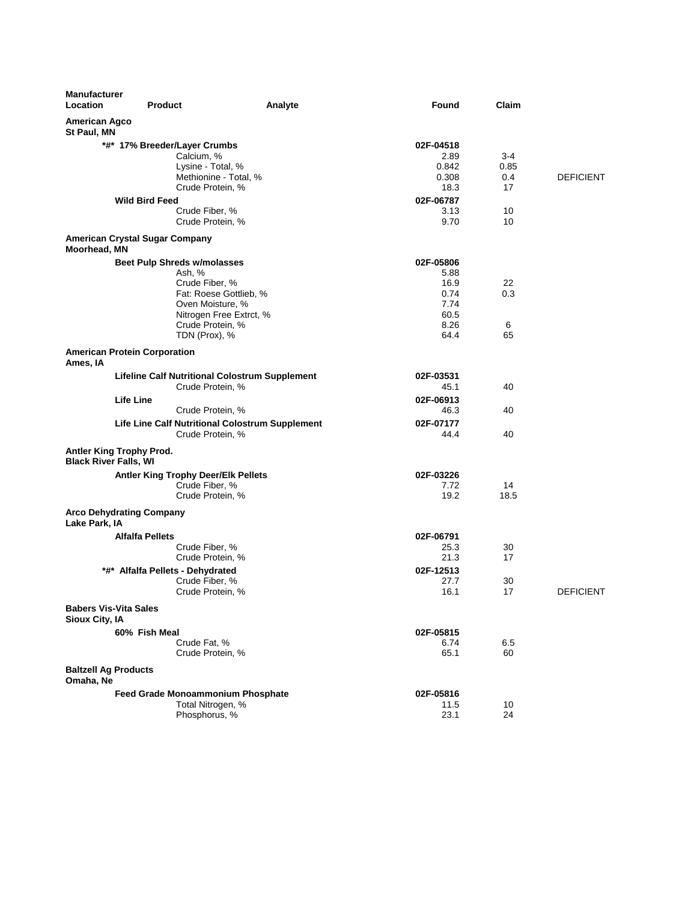| <b>Manufacturer</b><br>Location                | <b>Product</b>                                         | Analyte | Found             | Claim |                  |
|------------------------------------------------|--------------------------------------------------------|---------|-------------------|-------|------------------|
| <b>American Agco</b><br>St Paul, MN            |                                                        |         |                   |       |                  |
|                                                | *#* 17% Breeder/Layer Crumbs                           |         | 02F-04518         |       |                  |
|                                                | Calcium, %                                             |         | 2.89              | 3-4   |                  |
|                                                | Lysine - Total, %                                      |         | 0.842             | 0.85  |                  |
|                                                | Methionine - Total, %                                  |         | 0.308             | 0.4   | <b>DEFICIENT</b> |
|                                                | Crude Protein, %                                       |         | 18.3              | 17    |                  |
|                                                | <b>Wild Bird Feed</b>                                  |         | 02F-06787         |       |                  |
|                                                | Crude Fiber, %                                         |         | 3.13              | 10    |                  |
|                                                | Crude Protein, %                                       |         | 9.70              | 10    |                  |
| Moorhead, MN                                   | American Crystal Sugar Company                         |         |                   |       |                  |
|                                                | <b>Beet Pulp Shreds w/molasses</b>                     |         | 02F-05806         |       |                  |
|                                                | Ash, %                                                 |         | 5.88              |       |                  |
|                                                | Crude Fiber, %                                         |         | 16.9              | 22    |                  |
|                                                | Fat: Roese Gottlieb, %                                 |         | 0.74              | 0.3   |                  |
|                                                | Oven Moisture, %                                       |         | 7.74              |       |                  |
|                                                | Nitrogen Free Extrct, %                                |         | 60.5              |       |                  |
|                                                | Crude Protein, %                                       |         | 8.26              | 6     |                  |
|                                                | TDN (Prox), %                                          |         | 64.4              | 65    |                  |
| Ames, IA                                       | <b>American Protein Corporation</b>                    |         |                   |       |                  |
|                                                | <b>Lifeline Calf Nutritional Colostrum Supplement</b>  |         | 02F-03531         |       |                  |
|                                                | Crude Protein, %                                       |         | 45.1              | 40    |                  |
|                                                | <b>Life Line</b>                                       |         | 02F-06913         |       |                  |
|                                                | Crude Protein, %                                       |         | 46.3              | 40    |                  |
|                                                | Life Line Calf Nutritional Colostrum Supplement        |         | 02F-07177         |       |                  |
|                                                | Crude Protein, %                                       |         | 44.4              | 40    |                  |
| <b>Black River Falls, WI</b>                   | Antler King Trophy Prod.                               |         |                   |       |                  |
|                                                | <b>Antler King Trophy Deer/Elk Pellets</b>             |         | 02F-03226         |       |                  |
|                                                | Crude Fiber, %                                         |         | 7.72              | 14    |                  |
|                                                | Crude Protein, %                                       |         | 19.2              | 18.5  |                  |
| Lake Park, IA                                  | <b>Arco Dehydrating Company</b>                        |         |                   |       |                  |
|                                                | <b>Alfalfa Pellets</b>                                 |         | 02F-06791         |       |                  |
|                                                | Crude Fiber, %                                         |         | 25.3              | 30    |                  |
|                                                | Crude Protein, %                                       |         | 21.3              | 17    |                  |
|                                                | *#* Alfalfa Pellets - Dehydrated                       |         | 02F-12513         |       |                  |
|                                                | Crude Fiber, %                                         |         | 27.7              | 30    |                  |
|                                                | Crude Protein, %                                       |         | 16.1              | 17    | <b>DEFICIENT</b> |
| <b>Babers Vis-Vita Sales</b><br>Sioux City, IA |                                                        |         |                   |       |                  |
|                                                | 60% Fish Meal                                          |         |                   |       |                  |
|                                                | Crude Fat, %                                           |         | 02F-05815<br>6.74 | 6.5   |                  |
|                                                | Crude Protein, %                                       |         | 65.1              | 60    |                  |
| <b>Baltzell Ag Products</b><br>Omaha, Ne       |                                                        |         |                   |       |                  |
|                                                |                                                        |         |                   |       |                  |
|                                                | Feed Grade Monoammonium Phosphate<br>Total Nitrogen, % |         | 02F-05816<br>11.5 | 10    |                  |
|                                                | Phosphorus, %                                          |         | 23.1              | 24    |                  |
|                                                |                                                        |         |                   |       |                  |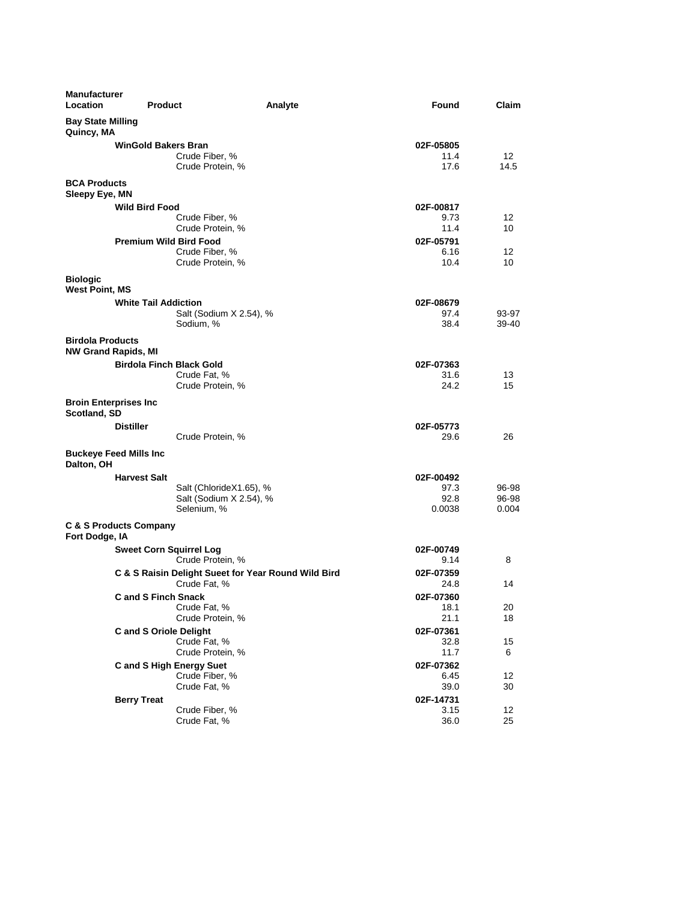| <b>Manufacturer</b><br>Location                       | <b>Product</b>                                                      | Analyte<br>Found                    | Claim                   |
|-------------------------------------------------------|---------------------------------------------------------------------|-------------------------------------|-------------------------|
| <b>Bay State Milling</b><br>Quincy, MA                |                                                                     |                                     |                         |
|                                                       | <b>WinGold Bakers Bran</b><br>Crude Fiber, %<br>Crude Protein, %    | 02F-05805<br>11.4<br>17.6           | 12<br>14.5              |
| <b>BCA Products</b><br>Sleepy Eye, MN                 |                                                                     |                                     |                         |
| <b>Wild Bird Food</b>                                 | Crude Fiber, %<br>Crude Protein, %                                  | 02F-00817<br>9.73<br>11.4           | 12<br>10                |
|                                                       | <b>Premium Wild Bird Food</b><br>Crude Fiber, %<br>Crude Protein, % | 02F-05791<br>6.16<br>10.4           | 12<br>10                |
| <b>Biologic</b><br><b>West Point, MS</b>              |                                                                     |                                     |                         |
| <b>White Tail Addiction</b>                           | Salt (Sodium X 2.54), %<br>Sodium, %                                | 02F-08679<br>97.4<br>38.4           | 93-97<br>39-40          |
| <b>Birdola Products</b><br><b>NW Grand Rapids, MI</b> |                                                                     |                                     |                         |
|                                                       | <b>Birdola Finch Black Gold</b><br>Crude Fat, %<br>Crude Protein, % | 02F-07363<br>31.6<br>24.2           | 13<br>15                |
| <b>Broin Enterprises Inc</b><br>Scotland, SD          |                                                                     |                                     |                         |
| <b>Distiller</b>                                      | Crude Protein, %                                                    | 02F-05773<br>29.6                   | 26                      |
| <b>Buckeye Feed Mills Inc</b><br>Dalton, OH           |                                                                     |                                     |                         |
| <b>Harvest Salt</b>                                   | Salt (ChlorideX1.65), %<br>Salt (Sodium X 2.54), %<br>Selenium, %   | 02F-00492<br>97.3<br>92.8<br>0.0038 | 96-98<br>96-98<br>0.004 |
| C & S Products Company<br>Fort Dodge, IA              |                                                                     |                                     |                         |
|                                                       | <b>Sweet Corn Squirrel Log</b><br>Crude Protein, %                  | 02F-00749<br>9.14                   | 8                       |
|                                                       | C & S Raisin Delight Sueet for Year Round Wild Bird<br>Crude Fat, % | 02F-07359<br>24.8                   | 14                      |
| <b>Cand S Finch Snack</b>                             | Crude Fat, %<br>Crude Protein, %                                    | 02F-07360<br>18.1<br>21.1           | 20<br>18                |
|                                                       | <b>Cand S Oriole Delight</b><br>Crude Fat, %<br>Crude Protein, %    | 02F-07361<br>32.8<br>11.7           | 15<br>6                 |
|                                                       | <b>Cand S High Energy Suet</b><br>Crude Fiber, %<br>Crude Fat, %    | 02F-07362<br>6.45<br>39.0           | 12<br>30                |
| <b>Berry Treat</b>                                    | Crude Fiber, %<br>Crude Fat, %                                      | 02F-14731<br>3.15<br>36.0           | 12<br>25                |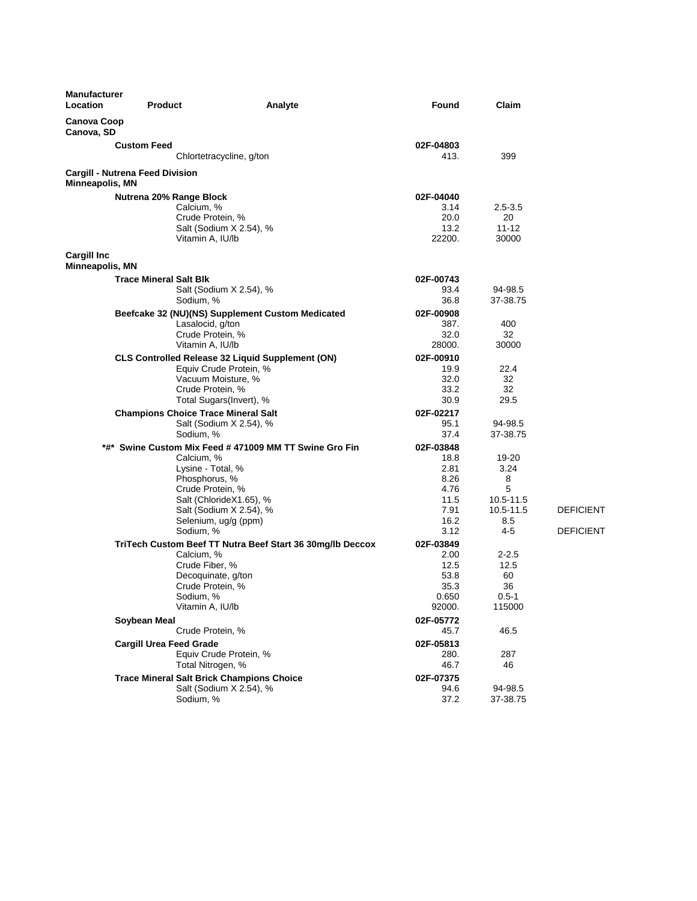| <b>Manufacturer</b><br>Location       | <b>Product</b>                                   | Analyte                                                   | Found          | Claim               |                  |
|---------------------------------------|--------------------------------------------------|-----------------------------------------------------------|----------------|---------------------|------------------|
| <b>Canova Coop</b><br>Canova, SD      |                                                  |                                                           |                |                     |                  |
|                                       | <b>Custom Feed</b>                               |                                                           | 02F-04803      |                     |                  |
|                                       |                                                  | Chlortetracycline, g/ton                                  | 413.           | 399                 |                  |
| Minneapolis, MN                       | Cargill - Nutrena Feed Division                  |                                                           |                |                     |                  |
|                                       | Nutrena 20% Range Block                          |                                                           | 02F-04040      |                     |                  |
|                                       | Calcium, %                                       |                                                           | 3.14           | $2.5 - 3.5$         |                  |
|                                       | Crude Protein, %                                 |                                                           | 20.0           | 20                  |                  |
|                                       | Vitamin A, IU/lb                                 | Salt (Sodium X 2.54), %                                   | 13.2<br>22200. | $11 - 12$<br>30000  |                  |
| <b>Cargill Inc</b><br>Minneapolis, MN |                                                  |                                                           |                |                     |                  |
|                                       | <b>Trace Mineral Salt Blk</b>                    |                                                           | 02F-00743      |                     |                  |
|                                       |                                                  | Salt (Sodium X 2.54), %                                   | 93.4           | 94-98.5             |                  |
|                                       | Sodium, %                                        |                                                           | 36.8           | 37-38.75            |                  |
|                                       |                                                  | Beefcake 32 (NU)(NS) Supplement Custom Medicated          | 02F-00908      |                     |                  |
|                                       | Lasalocid, g/ton                                 |                                                           | 387.           | 400                 |                  |
|                                       | Crude Protein, %<br>Vitamin A, IU/lb             |                                                           | 32.0<br>28000. | 32<br>30000         |                  |
|                                       |                                                  | <b>CLS Controlled Release 32 Liquid Supplement (ON)</b>   | 02F-00910      |                     |                  |
|                                       |                                                  | Equiv Crude Protein, %                                    | 19.9           | 22.4                |                  |
|                                       | Vacuum Moisture, %                               |                                                           | 32.0           | 32                  |                  |
|                                       | Crude Protein, %                                 |                                                           | 33.2           | 32                  |                  |
|                                       |                                                  | Total Sugars(Invert), %                                   | 30.9           | 29.5                |                  |
|                                       | <b>Champions Choice Trace Mineral Salt</b>       |                                                           | 02F-02217      |                     |                  |
|                                       |                                                  | Salt (Sodium X 2.54), %                                   | 95.1           | 94-98.5             |                  |
|                                       | Sodium, %                                        |                                                           | 37.4           | 37-38.75            |                  |
|                                       |                                                  | *#* Swine Custom Mix Feed # 471009 MM TT Swine Gro Fin    | 02F-03848      |                     |                  |
|                                       | Calcium, %<br>Lysine - Total, %                  |                                                           | 18.8<br>2.81   | 19-20<br>3.24       |                  |
|                                       | Phosphorus, %                                    |                                                           | 8.26           | 8                   |                  |
|                                       | Crude Protein, %                                 |                                                           | 4.76           | 5                   |                  |
|                                       |                                                  | Salt (ChlorideX1.65), %                                   | 11.5           | 10.5-11.5           |                  |
|                                       |                                                  | Salt (Sodium X 2.54), %                                   | 7.91           | 10.5-11.5           | <b>DEFICIENT</b> |
|                                       |                                                  | Selenium, ug/g (ppm)                                      | 16.2           | 8.5                 |                  |
|                                       | Sodium, %                                        |                                                           | 3.12           | 4-5                 | <b>DEFICIENT</b> |
|                                       |                                                  | TriTech Custom Beef TT Nutra Beef Start 36 30mg/lb Deccox | 02F-03849      |                     |                  |
|                                       | Calcium, %<br>Crude Fiber, %                     |                                                           | 2.00<br>12.5   | $2 - 2.5$<br>12.5   |                  |
|                                       | Decoquinate, g/ton                               |                                                           | 53.8           | 60                  |                  |
|                                       | Crude Protein, %                                 |                                                           | 35.3           | 36                  |                  |
|                                       | Sodium, %                                        |                                                           | 0.650          | $0.5 - 1$           |                  |
|                                       | Vitamin A, IU/lb                                 |                                                           | 92000.         | 115000              |                  |
|                                       | Soybean Meal                                     |                                                           | 02F-05772      |                     |                  |
|                                       | Crude Protein, %                                 |                                                           | 45.7           | 46.5                |                  |
|                                       | <b>Cargill Urea Feed Grade</b>                   |                                                           | 02F-05813      |                     |                  |
|                                       |                                                  | Equiv Crude Protein, %                                    | 280.           | 287                 |                  |
|                                       | Total Nitrogen, %                                |                                                           | 46.7           | 46                  |                  |
|                                       | <b>Trace Mineral Salt Brick Champions Choice</b> |                                                           | 02F-07375      |                     |                  |
|                                       | Sodium, %                                        | Salt (Sodium X 2.54), %                                   | 94.6<br>37.2   | 94-98.5<br>37-38.75 |                  |
|                                       |                                                  |                                                           |                |                     |                  |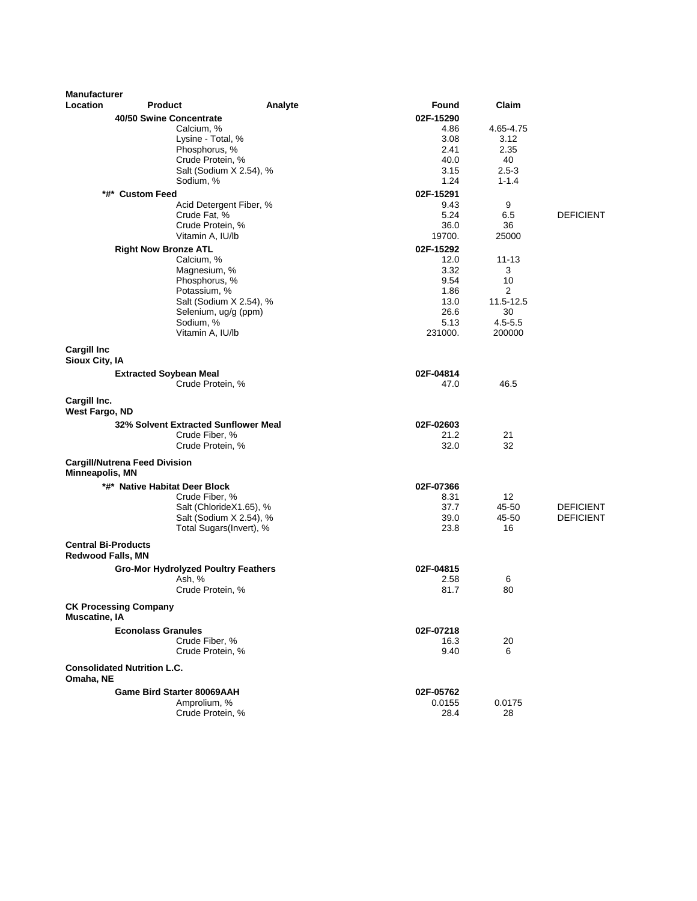| <b>Manufacturer</b>                                    |                                            |                         |                 |                       |                  |
|--------------------------------------------------------|--------------------------------------------|-------------------------|-----------------|-----------------------|------------------|
| Location                                               | <b>Product</b>                             | Analyte                 | Found           | Claim                 |                  |
|                                                        | 40/50 Swine Concentrate                    |                         | 02F-15290       |                       |                  |
|                                                        | Calcium, %                                 |                         | 4.86            | 4.65-4.75             |                  |
|                                                        | Lysine - Total, %                          |                         | 3.08            | 3.12                  |                  |
|                                                        | Phosphorus, %<br>Crude Protein, %          |                         | 2.41            | 2.35                  |                  |
|                                                        |                                            | Salt (Sodium X 2.54), % | 40.0<br>3.15    | 40<br>$2.5 - 3$       |                  |
|                                                        | Sodium, %                                  |                         | 1.24            | $1 - 1.4$             |                  |
|                                                        | *#* Custom Feed                            |                         | 02F-15291       |                       |                  |
|                                                        |                                            | Acid Detergent Fiber, % | 9.43            | 9                     |                  |
|                                                        | Crude Fat, %                               |                         | 5.24            | 6.5                   | <b>DEFICIENT</b> |
|                                                        | Crude Protein, %                           |                         | 36.0            | 36                    |                  |
|                                                        | Vitamin A, IU/lb                           |                         | 19700.          | 25000                 |                  |
|                                                        | <b>Right Now Bronze ATL</b>                |                         | 02F-15292       |                       |                  |
|                                                        | Calcium, %                                 |                         | 12.0            | $11 - 13$             |                  |
|                                                        | Magnesium, %                               |                         | 3.32            | 3                     |                  |
|                                                        | Phosphorus, %                              |                         | 9.54            | 10                    |                  |
|                                                        | Potassium, %                               |                         | 1.86            | 2                     |                  |
|                                                        |                                            | Salt (Sodium X 2.54), % | 13.0            | 11.5-12.5             |                  |
|                                                        |                                            | Selenium, ug/g (ppm)    | 26.6            | 30                    |                  |
|                                                        | Sodium, %<br>Vitamin A, IU/lb              |                         | 5.13<br>231000. | $4.5 - 5.5$<br>200000 |                  |
|                                                        |                                            |                         |                 |                       |                  |
| <b>Cargill Inc</b><br>Sioux City, IA                   |                                            |                         |                 |                       |                  |
|                                                        | <b>Extracted Soybean Meal</b>              |                         | 02F-04814       |                       |                  |
|                                                        | Crude Protein, %                           |                         | 47.0            | 46.5                  |                  |
| Cargill Inc.<br>West Fargo, ND                         |                                            |                         |                 |                       |                  |
|                                                        | 32% Solvent Extracted Sunflower Meal       |                         | 02F-02603       |                       |                  |
|                                                        | Crude Fiber, %                             |                         | 21.2            | 21                    |                  |
|                                                        | Crude Protein, %                           |                         | 32.0            | 32                    |                  |
| Minneapolis, MN                                        | <b>Cargill/Nutrena Feed Division</b>       |                         |                 |                       |                  |
|                                                        | *#* Native Habitat Deer Block              |                         | 02F-07366       |                       |                  |
|                                                        | Crude Fiber, %                             |                         | 8.31            | 12                    |                  |
|                                                        |                                            | Salt (ChlorideX1.65), % | 37.7            | 45-50                 | <b>DEFICIENT</b> |
|                                                        |                                            | Salt (Sodium X 2.54), % | 39.0            | 45-50                 | <b>DEFICIENT</b> |
|                                                        |                                            | Total Sugars(Invert), % | 23.8            | 16                    |                  |
| <b>Central Bi-Products</b><br><b>Redwood Falls, MN</b> |                                            |                         |                 |                       |                  |
|                                                        | <b>Gro-Mor Hydrolyzed Poultry Feathers</b> |                         | 02F-04815       |                       |                  |
|                                                        | Ash, %                                     |                         | 2.58            | 6                     |                  |
|                                                        | Crude Protein, %                           |                         | 81.7            | 80                    |                  |
| <b>Muscatine, IA</b>                                   | <b>CK Processing Company</b>               |                         |                 |                       |                  |
|                                                        | <b>Econolass Granules</b>                  |                         | 02F-07218       |                       |                  |
|                                                        | Crude Fiber, %                             |                         | 16.3            | 20                    |                  |
|                                                        | Crude Protein, %                           |                         | 9.40            | 6                     |                  |
| Omaha, NE                                              | <b>Consolidated Nutrition L.C.</b>         |                         |                 |                       |                  |
|                                                        | Game Bird Starter 80069AAH                 |                         | 02F-05762       |                       |                  |
|                                                        | Amprolium, %                               |                         | 0.0155          | 0.0175                |                  |
|                                                        | Crude Protein, %                           |                         | 28.4            | 28                    |                  |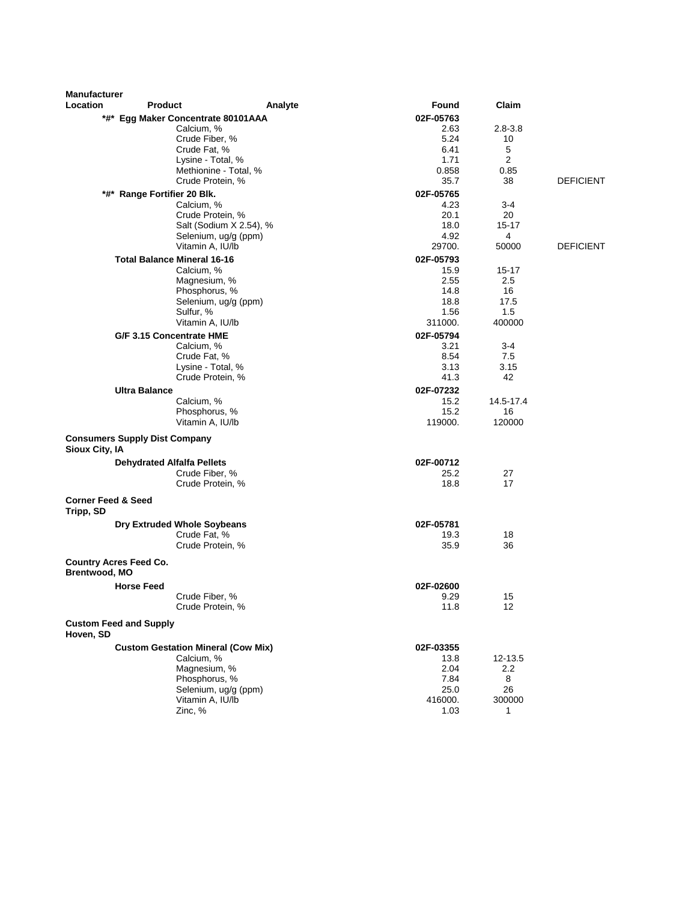| <b>Manufacturer</b><br>Location            |                                      |                                           |         |              | Claim             |                  |
|--------------------------------------------|--------------------------------------|-------------------------------------------|---------|--------------|-------------------|------------------|
|                                            | <b>Product</b>                       |                                           | Analyte | <b>Found</b> |                   |                  |
|                                            |                                      | *#* Egg Maker Concentrate 80101AAA        |         | 02F-05763    |                   |                  |
|                                            |                                      | Calcium, %<br>Crude Fiber, %              |         | 2.63<br>5.24 | $2.8 - 3.8$<br>10 |                  |
|                                            |                                      | Crude Fat, %                              |         | 6.41         | 5                 |                  |
|                                            |                                      | Lysine - Total, %                         |         | 1.71         | 2                 |                  |
|                                            |                                      | Methionine - Total, %                     |         | 0.858        | 0.85              |                  |
|                                            |                                      | Crude Protein, %                          |         | 35.7         | 38                | <b>DEFICIENT</b> |
|                                            | *#* Range Fortifier 20 Blk.          |                                           |         | 02F-05765    |                   |                  |
|                                            |                                      | Calcium, %                                |         | 4.23         | 3-4               |                  |
|                                            |                                      | Crude Protein, %                          |         | 20.1         | 20                |                  |
|                                            |                                      | Salt (Sodium X 2.54), %                   |         | 18.0         | 15-17             |                  |
|                                            |                                      | Selenium, ug/g (ppm)                      |         | 4.92         | 4                 |                  |
|                                            |                                      | Vitamin A, IU/lb                          |         | 29700.       | 50000             | <b>DEFICIENT</b> |
|                                            |                                      | <b>Total Balance Mineral 16-16</b>        |         | 02F-05793    |                   |                  |
|                                            |                                      | Calcium, %                                |         | 15.9         | $15 - 17$         |                  |
|                                            |                                      | Magnesium, %                              |         | 2.55         | 2.5               |                  |
|                                            |                                      | Phosphorus, %                             |         | 14.8         | 16                |                  |
|                                            |                                      | Selenium, ug/g (ppm)                      |         | 18.8<br>1.56 | 17.5<br>1.5       |                  |
|                                            |                                      | Sulfur, %<br>Vitamin A, IU/lb             |         | 311000.      | 400000            |                  |
|                                            |                                      | G/F 3.15 Concentrate HME                  |         | 02F-05794    |                   |                  |
|                                            |                                      | Calcium, %                                |         | 3.21         | 3-4               |                  |
|                                            |                                      | Crude Fat, %                              |         | 8.54         | 7.5               |                  |
|                                            |                                      | Lysine - Total, %                         |         | 3.13         | 3.15              |                  |
|                                            |                                      | Crude Protein, %                          |         | 41.3         | 42                |                  |
|                                            | <b>Ultra Balance</b>                 |                                           |         | 02F-07232    |                   |                  |
|                                            |                                      | Calcium, %                                |         | 15.2         | 14.5-17.4         |                  |
|                                            |                                      | Phosphorus, %                             |         | 15.2         | 16                |                  |
|                                            |                                      | Vitamin A, IU/lb                          |         | 119000.      | 120000            |                  |
| Sioux City, IA                             | <b>Consumers Supply Dist Company</b> |                                           |         |              |                   |                  |
|                                            | <b>Dehydrated Alfalfa Pellets</b>    |                                           |         | 02F-00712    |                   |                  |
|                                            |                                      | Crude Fiber, %                            |         | 25.2         | 27                |                  |
|                                            |                                      | Crude Protein, %                          |         | 18.8         | 17                |                  |
| <b>Corner Feed &amp; Seed</b><br>Tripp, SD |                                      |                                           |         |              |                   |                  |
|                                            |                                      | <b>Dry Extruded Whole Soybeans</b>        |         | 02F-05781    |                   |                  |
|                                            |                                      | Crude Fat, %                              |         | 19.3         | 18                |                  |
|                                            |                                      | Crude Protein, %                          |         | 35.9         | 36                |                  |
| <b>Brentwood, MO</b>                       | <b>Country Acres Feed Co.</b>        |                                           |         |              |                   |                  |
|                                            | <b>Horse Feed</b>                    |                                           |         | 02F-02600    |                   |                  |
|                                            |                                      | Crude Fiber, %                            |         | 9.29         | 15                |                  |
|                                            |                                      | Crude Protein, %                          |         | 11.8         | 12                |                  |
| Hoven, SD                                  | <b>Custom Feed and Supply</b>        |                                           |         |              |                   |                  |
|                                            |                                      | <b>Custom Gestation Mineral (Cow Mix)</b> |         | 02F-03355    |                   |                  |
|                                            |                                      | Calcium, %                                |         | 13.8         | 12-13.5           |                  |
|                                            |                                      | Magnesium, %                              |         | 2.04         | 2.2               |                  |
|                                            |                                      | Phosphorus, %                             |         | 7.84         | 8                 |                  |
|                                            |                                      | Selenium, ug/g (ppm)                      |         | 25.0         | 26                |                  |
|                                            |                                      | Vitamin A, IU/lb                          |         | 416000.      | 300000            |                  |
|                                            |                                      | Zinc, %                                   |         | 1.03         | 1                 |                  |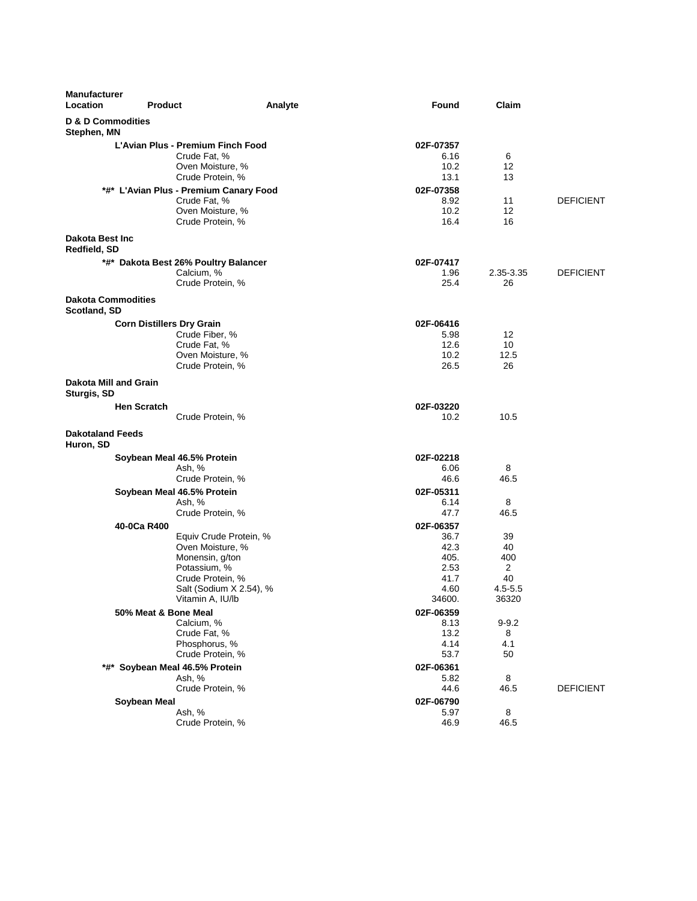| <b>Manufacturer</b><br>Location           | <b>Product</b>                   |                                                                                                                                                  | Analyte | <b>Found</b>                                                        | Claim                                              |                  |
|-------------------------------------------|----------------------------------|--------------------------------------------------------------------------------------------------------------------------------------------------|---------|---------------------------------------------------------------------|----------------------------------------------------|------------------|
| D & D Commodities<br>Stephen, MN          |                                  |                                                                                                                                                  |         |                                                                     |                                                    |                  |
|                                           |                                  | L'Avian Plus - Premium Finch Food<br>Crude Fat, %<br>Oven Moisture, %<br>Crude Protein, %<br>*#* L'Avian Plus - Premium Canary Food              |         | 02F-07357<br>6.16<br>10.2<br>13.1<br>02F-07358                      | 6<br>12<br>13                                      |                  |
|                                           |                                  | Crude Fat, %<br>Oven Moisture, %<br>Crude Protein, %                                                                                             |         | 8.92<br>10.2<br>16.4                                                | 11<br>12<br>16                                     | <b>DEFICIENT</b> |
| <b>Dakota Best Inc.</b><br>Redfield, SD   |                                  |                                                                                                                                                  |         |                                                                     |                                                    |                  |
|                                           |                                  | *#* Dakota Best 26% Poultry Balancer<br>Calcium, %<br>Crude Protein, %                                                                           |         | 02F-07417<br>1.96<br>25.4                                           | 2.35-3.35<br>26                                    | <b>DEFICIENT</b> |
| <b>Dakota Commodities</b><br>Scotland, SD |                                  |                                                                                                                                                  |         |                                                                     |                                                    |                  |
|                                           | <b>Corn Distillers Dry Grain</b> | Crude Fiber, %<br>Crude Fat, %<br>Oven Moisture, %<br>Crude Protein, %                                                                           |         | 02F-06416<br>5.98<br>12.6<br>10.2<br>26.5                           | 12<br>10<br>12.5<br>26                             |                  |
| Dakota Mill and Grain<br>Sturgis, SD      |                                  |                                                                                                                                                  |         |                                                                     |                                                    |                  |
|                                           | <b>Hen Scratch</b>               | Crude Protein, %                                                                                                                                 |         | 02F-03220<br>10.2                                                   | 10.5                                               |                  |
| <b>Dakotaland Feeds</b><br>Huron, SD      |                                  |                                                                                                                                                  |         |                                                                     |                                                    |                  |
|                                           |                                  | Soybean Meal 46.5% Protein<br>Ash, %<br>Crude Protein, %                                                                                         |         | 02F-02218<br>6.06<br>46.6                                           | 8<br>46.5                                          |                  |
|                                           |                                  | Soybean Meal 46.5% Protein<br>Ash, %<br>Crude Protein, %                                                                                         |         | 02F-05311<br>6.14<br>47.7                                           | 8<br>46.5                                          |                  |
|                                           | 40-0Ca R400                      | Equiv Crude Protein, %<br>Oven Moisture, %<br>Monensin, g/ton<br>Potassium, %<br>Crude Protein, %<br>Salt (Sodium X 2.54), %<br>Vitamin A, IU/lb |         | 02F-06357<br>36.7<br>42.3<br>405.<br>2.53<br>41.7<br>4.60<br>34600. | 39<br>40<br>400<br>2<br>40<br>$4.5 - 5.5$<br>36320 |                  |
|                                           | 50% Meat & Bone Meal             | Calcium, %<br>Crude Fat, %<br>Phosphorus, %<br>Crude Protein, %                                                                                  |         | 02F-06359<br>8.13<br>13.2<br>4.14<br>53.7                           | $9 - 9.2$<br>8<br>4.1<br>50                        |                  |
|                                           |                                  | *#* Soybean Meal 46.5% Protein<br>Ash, %<br>Crude Protein, %                                                                                     |         | 02F-06361<br>5.82<br>44.6                                           | 8<br>46.5                                          | <b>DEFICIENT</b> |
|                                           | Soybean Meal                     | Ash, %<br>Crude Protein, %                                                                                                                       |         | 02F-06790<br>5.97<br>46.9                                           | 8<br>46.5                                          |                  |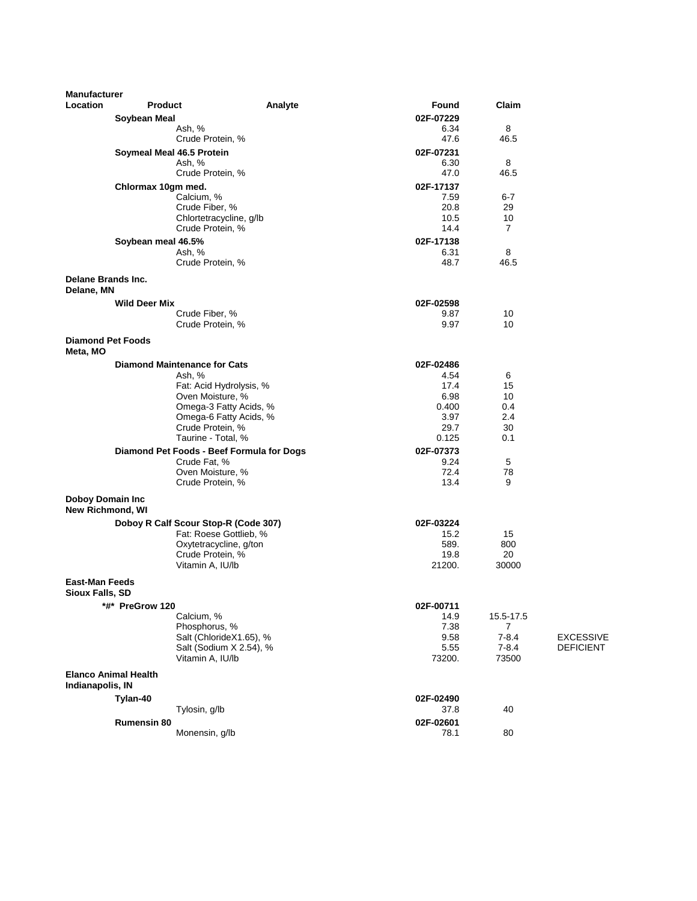| <b>Manufacturer</b>                          |                             |                                                           |         |                   |                |                  |
|----------------------------------------------|-----------------------------|-----------------------------------------------------------|---------|-------------------|----------------|------------------|
| <b>Location</b>                              | <b>Product</b>              |                                                           | Analyte | Found             | Claim          |                  |
|                                              | Soybean Meal                |                                                           |         | 02F-07229         |                |                  |
|                                              |                             | Ash, %<br>Crude Protein, %                                |         | 6.34<br>47.6      | 8<br>46.5      |                  |
|                                              |                             |                                                           |         |                   |                |                  |
|                                              | Soymeal Meal 46.5 Protein   | Ash, %                                                    |         | 02F-07231<br>6.30 | 8              |                  |
|                                              |                             | Crude Protein, %                                          |         | 47.0              | 46.5           |                  |
|                                              | Chlormax 10gm med.          |                                                           |         | 02F-17137         |                |                  |
|                                              |                             | Calcium, %                                                |         | 7.59              | $6 - 7$        |                  |
|                                              |                             | Crude Fiber, %                                            |         | 20.8              | 29             |                  |
|                                              |                             | Chlortetracycline, g/lb                                   |         | 10.5              | 10             |                  |
|                                              |                             | Crude Protein, %                                          |         | 14.4              | 7              |                  |
|                                              | Soybean meal 46.5%          | Ash, %                                                    |         | 02F-17138<br>6.31 | 8              |                  |
|                                              |                             | Crude Protein, %                                          |         | 48.7              | 46.5           |                  |
|                                              |                             |                                                           |         |                   |                |                  |
| Delane Brands Inc.<br>Delane, MN             |                             |                                                           |         |                   |                |                  |
|                                              | <b>Wild Deer Mix</b>        |                                                           |         | 02F-02598         |                |                  |
|                                              |                             | Crude Fiber, %                                            |         | 9.87              | 10             |                  |
|                                              |                             | Crude Protein, %                                          |         | 9.97              | 10             |                  |
| <b>Diamond Pet Foods</b><br>Meta, MO         |                             |                                                           |         |                   |                |                  |
|                                              |                             | <b>Diamond Maintenance for Cats</b>                       |         | 02F-02486         |                |                  |
|                                              |                             | Ash, %                                                    |         | 4.54              | 6              |                  |
|                                              |                             | Fat: Acid Hydrolysis, %                                   |         | 17.4              | 15             |                  |
|                                              |                             | Oven Moisture, %<br>Omega-3 Fatty Acids, %                |         | 6.98<br>0.400     | 10<br>0.4      |                  |
|                                              |                             | Omega-6 Fatty Acids, %                                    |         | 3.97              | 2.4            |                  |
|                                              |                             | Crude Protein, %                                          |         | 29.7              | 30             |                  |
|                                              |                             | Taurine - Total, %                                        |         | 0.125             | 0.1            |                  |
|                                              |                             | Diamond Pet Foods - Beef Formula for Dogs<br>Crude Fat, % |         | 02F-07373<br>9.24 | 5              |                  |
|                                              |                             | Oven Moisture, %                                          |         | 72.4              | 78             |                  |
|                                              |                             | Crude Protein, %                                          |         | 13.4              | 9              |                  |
| <b>Doboy Domain Inc.</b><br>New Richmond, WI |                             |                                                           |         |                   |                |                  |
|                                              |                             | Doboy R Calf Scour Stop-R (Code 307)                      |         | 02F-03224         |                |                  |
|                                              |                             | Fat: Roese Gottlieb, %                                    |         | 15.2              | 15             |                  |
|                                              |                             | Oxytetracycline, g/ton                                    |         | 589.              | 800            |                  |
|                                              |                             | Crude Protein, %<br>Vitamin A, IU/lb                      |         | 19.8<br>21200.    | 20<br>30000    |                  |
| <b>East-Man Feeds</b><br>Sioux Falls, SD     |                             |                                                           |         |                   |                |                  |
|                                              | *#* PreGrow 120             |                                                           |         | 02F-00711         |                |                  |
|                                              |                             | Calcium, %                                                |         | 14.9              | 15.5-17.5      |                  |
|                                              |                             | Phosphorus, %                                             |         | 7.38              | $\overline{7}$ |                  |
|                                              |                             | Salt (ChlorideX1.65), %                                   |         | 9.58              | $7 - 8.4$      | <b>EXCESSIVE</b> |
|                                              |                             | Salt (Sodium X 2.54), %                                   |         | 5.55              | $7 - 8.4$      | <b>DEFICIENT</b> |
|                                              |                             | Vitamin A, IU/lb                                          |         | 73200.            | 73500          |                  |
| Indianapolis, IN                             | <b>Elanco Animal Health</b> |                                                           |         |                   |                |                  |
|                                              | Tylan-40                    |                                                           |         | 02F-02490         |                |                  |
|                                              |                             | Tylosin, g/lb                                             |         | 37.8              | 40             |                  |
|                                              | <b>Rumensin 80</b>          |                                                           |         | 02F-02601         |                |                  |
|                                              |                             | Monensin, g/lb                                            |         | 78.1              | 80             |                  |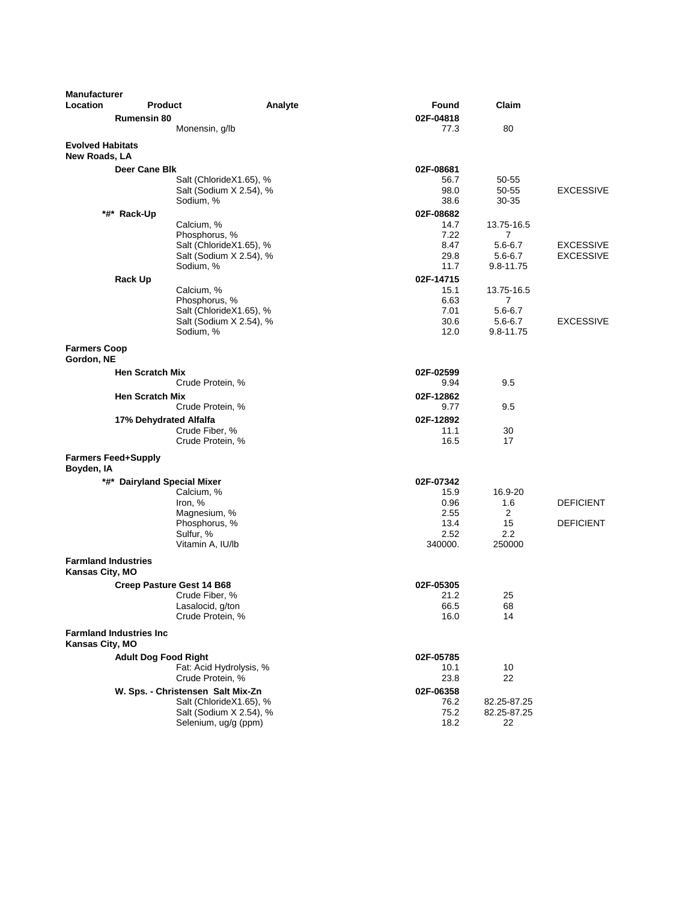| <b>Manufacturer</b>                           |                                 |                                                    |                   |                  |                  |
|-----------------------------------------------|---------------------------------|----------------------------------------------------|-------------------|------------------|------------------|
| Location                                      | <b>Product</b>                  | Analyte                                            | Found             | Claim            |                  |
|                                               | <b>Rumensin 80</b>              |                                                    | 02F-04818         |                  |                  |
|                                               |                                 | Monensin, g/lb                                     | 77.3              | 80               |                  |
| <b>Evolved Habitats</b><br>New Roads, LA      |                                 |                                                    |                   |                  |                  |
|                                               | Deer Cane Blk                   |                                                    | 02F-08681         |                  |                  |
|                                               |                                 | Salt (ChlorideX1.65), %                            | 56.7              | 50-55            |                  |
|                                               |                                 | Salt (Sodium X 2.54), %                            | 98.0              | 50-55            | <b>EXCESSIVE</b> |
|                                               |                                 | Sodium, %                                          | 38.6              | 30-35            |                  |
|                                               | *#* Rack-Up                     |                                                    | 02F-08682<br>14.7 | 13.75-16.5       |                  |
|                                               |                                 | Calcium, %<br>Phosphorus, %                        | 7.22              | 7                |                  |
|                                               |                                 | Salt (ChlorideX1.65), %                            | 8.47              | $5.6 - 6.7$      | <b>EXCESSIVE</b> |
|                                               |                                 | Salt (Sodium X 2.54), %                            | 29.8              | $5.6 - 6.7$      | <b>EXCESSIVE</b> |
|                                               |                                 | Sodium, %                                          | 11.7              | 9.8-11.75        |                  |
|                                               | Rack Up                         |                                                    | 02F-14715         |                  |                  |
|                                               |                                 | Calcium, %                                         | 15.1              | 13.75-16.5       |                  |
|                                               |                                 | Phosphorus, %                                      | 6.63<br>7.01      | 7<br>$5.6 - 6.7$ |                  |
|                                               |                                 | Salt (ChlorideX1.65), %<br>Salt (Sodium X 2.54), % | 30.6              | $5.6 - 6.7$      | <b>EXCESSIVE</b> |
|                                               |                                 | Sodium, %                                          | 12.0              | 9.8-11.75        |                  |
| <b>Farmers Coop</b>                           |                                 |                                                    |                   |                  |                  |
| Gordon, NE                                    |                                 |                                                    |                   |                  |                  |
|                                               | <b>Hen Scratch Mix</b>          |                                                    | 02F-02599         |                  |                  |
|                                               |                                 | Crude Protein, %                                   | 9.94              | 9.5              |                  |
|                                               | <b>Hen Scratch Mix</b>          |                                                    | 02F-12862         |                  |                  |
|                                               |                                 | Crude Protein, %                                   | 9.77              | 9.5              |                  |
|                                               | 17% Dehydrated Alfalfa          | Crude Fiber, %                                     | 02F-12892<br>11.1 | 30               |                  |
|                                               |                                 | Crude Protein, %                                   | 16.5              | 17               |                  |
| Boyden, IA                                    | <b>Farmers Feed+Supply</b>      |                                                    |                   |                  |                  |
| *#*                                           | <b>Dairyland Special Mixer</b>  |                                                    | 02F-07342         |                  |                  |
|                                               |                                 | Calcium, %                                         | 15.9              | 16.9-20          |                  |
|                                               |                                 | Iron, %                                            | 0.96              | 1.6              | <b>DEFICIENT</b> |
|                                               |                                 | Magnesium, %<br>Phosphorus, %                      | 2.55<br>13.4      | 2<br>15          | <b>DEFICIENT</b> |
|                                               |                                 | Sulfur, %                                          | 2.52              | 2.2              |                  |
|                                               |                                 | Vitamin A, IU/lb                                   | 340000.           | 250000           |                  |
| <b>Farmland Industries</b><br>Kansas City, MO |                                 |                                                    |                   |                  |                  |
|                                               |                                 | Creep Pasture Gest 14 B68                          | 02F-05305         |                  |                  |
|                                               |                                 | Crude Fiber, %                                     | 21.2              | 25               |                  |
|                                               |                                 | Lasalocid, g/ton                                   | 66.5              | 68               |                  |
|                                               |                                 | Crude Protein, %                                   | 16.0              | 14               |                  |
| Kansas City, MO                               | <b>Farmland Industries Inc.</b> |                                                    |                   |                  |                  |
|                                               | <b>Adult Dog Food Right</b>     |                                                    | 02F-05785         |                  |                  |
|                                               |                                 | Fat: Acid Hydrolysis, %                            | 10.1              | 10               |                  |
|                                               |                                 | Crude Protein, %                                   | 23.8              | 22               |                  |
|                                               |                                 | W. Sps. - Christensen Salt Mix-Zn                  | 02F-06358         |                  |                  |
|                                               |                                 | Salt (ChlorideX1.65), %                            | 76.2              | 82.25-87.25      |                  |
|                                               |                                 | Salt (Sodium X 2.54), %                            | 75.2              | 82.25-87.25      |                  |
|                                               |                                 | Selenium, ug/g (ppm)                               | 18.2              | 22               |                  |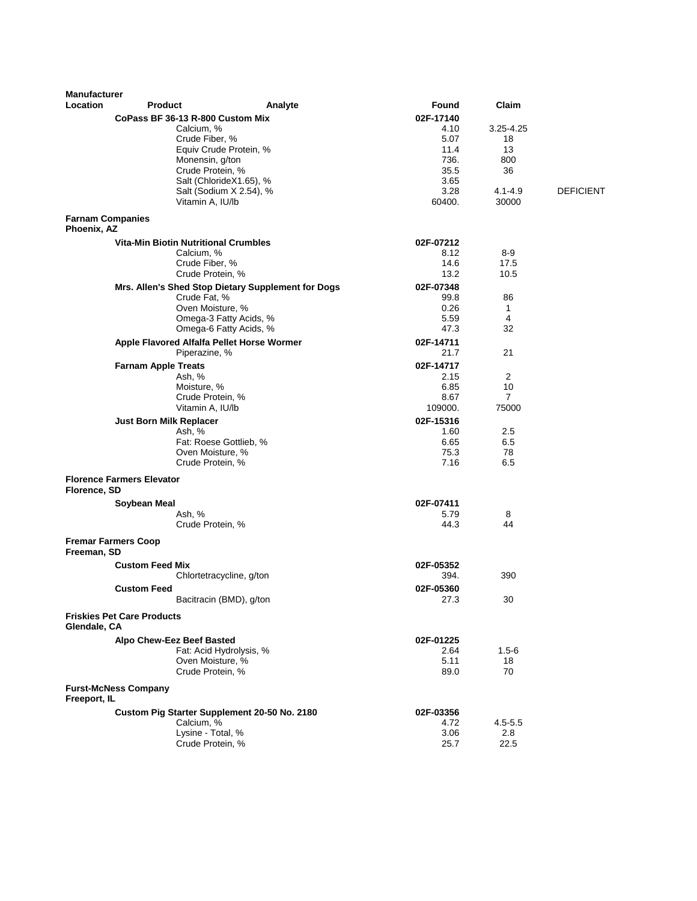| <b>Manufacturer</b><br>Location        | <b>Product</b>                    | Analyte                                            | Found        | Claim          |                  |
|----------------------------------------|-----------------------------------|----------------------------------------------------|--------------|----------------|------------------|
|                                        |                                   | CoPass BF 36-13 R-800 Custom Mix                   | 02F-17140    |                |                  |
|                                        |                                   | Calcium, %                                         | 4.10         | 3.25-4.25      |                  |
|                                        |                                   | Crude Fiber, %                                     | 5.07         | 18             |                  |
|                                        |                                   | Equiv Crude Protein, %                             | 11.4         | 13             |                  |
|                                        |                                   | Monensin, g/ton                                    | 736.         | 800            |                  |
|                                        |                                   | Crude Protein, %                                   | 35.5         | 36             |                  |
|                                        |                                   | Salt (ChlorideX1.65), %                            | 3.65         |                |                  |
|                                        |                                   | Salt (Sodium X 2.54), %                            | 3.28         | $4.1 - 4.9$    | <b>DEFICIENT</b> |
|                                        |                                   | Vitamin A, IU/lb                                   | 60400.       | 30000          |                  |
| <b>Farnam Companies</b><br>Phoenix, AZ |                                   |                                                    |              |                |                  |
|                                        |                                   | <b>Vita-Min Biotin Nutritional Crumbles</b>        | 02F-07212    |                |                  |
|                                        |                                   | Calcium, %                                         | 8.12         | 8-9            |                  |
|                                        |                                   | Crude Fiber, %                                     | 14.6         | 17.5           |                  |
|                                        |                                   | Crude Protein, %                                   | 13.2         | 10.5           |                  |
|                                        |                                   | Mrs. Allen's Shed Stop Dietary Supplement for Dogs | 02F-07348    |                |                  |
|                                        |                                   | Crude Fat, %                                       | 99.8         | 86             |                  |
|                                        |                                   | Oven Moisture, %                                   | 0.26         | $\mathbf{1}$   |                  |
|                                        |                                   | Omega-3 Fatty Acids, %                             | 5.59         | 4              |                  |
|                                        |                                   | Omega-6 Fatty Acids, %                             | 47.3         | 32             |                  |
|                                        |                                   | Apple Flavored Alfalfa Pellet Horse Wormer         | 02F-14711    |                |                  |
|                                        |                                   | Piperazine, %                                      | 21.7         | 21             |                  |
|                                        | <b>Farnam Apple Treats</b>        |                                                    | 02F-14717    |                |                  |
|                                        |                                   | Ash, %                                             | 2.15         | $\overline{2}$ |                  |
|                                        |                                   | Moisture, %                                        | 6.85         | 10             |                  |
|                                        |                                   | Crude Protein, %                                   | 8.67         | $\overline{7}$ |                  |
|                                        |                                   | Vitamin A, IU/lb                                   | 109000.      | 75000          |                  |
|                                        | <b>Just Born Milk Replacer</b>    |                                                    | 02F-15316    |                |                  |
|                                        |                                   | Ash, %<br>Fat: Roese Gottlieb, %                   | 1.60         | 2.5            |                  |
|                                        |                                   | Oven Moisture, %                                   | 6.65<br>75.3 | 6.5<br>78      |                  |
|                                        |                                   | Crude Protein, %                                   | 7.16         | 6.5            |                  |
|                                        | <b>Florence Farmers Elevator</b>  |                                                    |              |                |                  |
| Florence, SD                           |                                   |                                                    |              |                |                  |
|                                        | Soybean Meal                      |                                                    | 02F-07411    |                |                  |
|                                        |                                   | Ash, %                                             | 5.79         | 8              |                  |
|                                        |                                   | Crude Protein, %                                   | 44.3         | 44             |                  |
|                                        | <b>Fremar Farmers Coop</b>        |                                                    |              |                |                  |
| Freeman, SD                            |                                   |                                                    |              |                |                  |
|                                        | <b>Custom Feed Mix</b>            |                                                    | 02F-05352    |                |                  |
|                                        |                                   | Chlortetracycline, g/ton                           | 394.         | 390            |                  |
|                                        | <b>Custom Feed</b>                |                                                    | 02F-05360    |                |                  |
|                                        |                                   | Bacitracin (BMD), g/ton                            | 27.3         | 30             |                  |
| Glendale, CA                           | <b>Friskies Pet Care Products</b> |                                                    |              |                |                  |
|                                        | Alpo Chew-Eez Beef Basted         |                                                    | 02F-01225    |                |                  |
|                                        |                                   | Fat: Acid Hydrolysis, %                            | 2.64         | $1.5 - 6$      |                  |
|                                        |                                   | Oven Moisture, %                                   | 5.11         | 18             |                  |
|                                        |                                   | Crude Protein, %                                   | 89.0         | 70             |                  |
| Freeport, IL                           | <b>Furst-McNess Company</b>       |                                                    |              |                |                  |
|                                        |                                   | Custom Pig Starter Supplement 20-50 No. 2180       | 02F-03356    |                |                  |
|                                        |                                   | Calcium, %                                         | 4.72         | $4.5 - 5.5$    |                  |
|                                        |                                   | Lysine - Total, %                                  | 3.06         | 2.8            |                  |
|                                        |                                   | Crude Protein, %                                   | 25.7         | 22.5           |                  |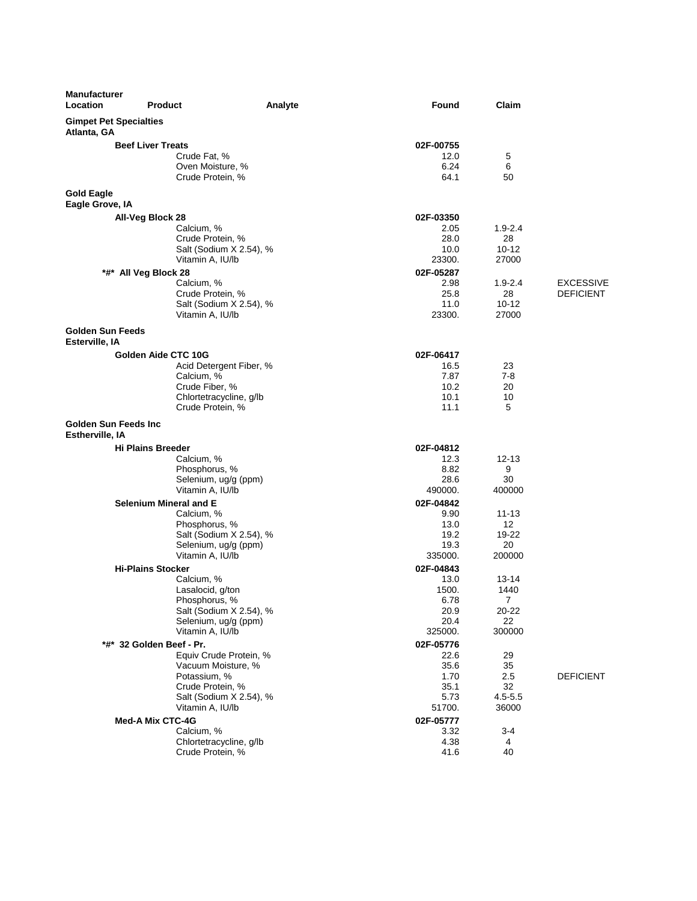| <b>Manufacturer</b><br><b>Location</b>       | <b>Product</b>                                     | Analyte | Found             | Claim           |                  |
|----------------------------------------------|----------------------------------------------------|---------|-------------------|-----------------|------------------|
| <b>Gimpet Pet Specialties</b><br>Atlanta, GA |                                                    |         |                   |                 |                  |
|                                              | <b>Beef Liver Treats</b>                           |         | 02F-00755         |                 |                  |
|                                              | Crude Fat, %                                       |         | 12.0              | 5               |                  |
|                                              | Oven Moisture, %                                   |         | 6.24              | 6               |                  |
|                                              | Crude Protein, %                                   |         | 64.1              | 50              |                  |
| <b>Gold Eagle</b><br>Eagle Grove, IA         |                                                    |         |                   |                 |                  |
|                                              | All-Veg Block 28                                   |         | 02F-03350         |                 |                  |
|                                              | Calcium, %                                         |         | 2.05              | $1.9 - 2.4$     |                  |
|                                              | Crude Protein, %<br>Salt (Sodium X 2.54), %        |         | 28.0<br>10.0      | 28<br>$10 - 12$ |                  |
|                                              | Vitamin A, IU/lb                                   |         | 23300.            | 27000           |                  |
|                                              | *#* All Veg Block 28                               |         | 02F-05287         |                 |                  |
|                                              | Calcium, %                                         |         | 2.98              | $1.9 - 2.4$     | <b>EXCESSIVE</b> |
|                                              | Crude Protein, %                                   |         | 25.8              | 28              | <b>DEFICIENT</b> |
|                                              | Salt (Sodium X 2.54), %                            |         | 11.0              | $10 - 12$       |                  |
|                                              | Vitamin A, IU/lb                                   |         | 23300.            | 27000           |                  |
| <b>Golden Sun Feeds</b><br>Esterville, IA    |                                                    |         |                   |                 |                  |
|                                              | Golden Aide CTC 10G                                |         | 02F-06417         |                 |                  |
|                                              | Acid Detergent Fiber, %                            |         | 16.5              | 23              |                  |
|                                              | Calcium, %                                         |         | 7.87              | 7-8             |                  |
|                                              | Crude Fiber, %<br>Chlortetracycline, g/lb          |         | 10.2<br>10.1      | 20<br>10        |                  |
|                                              | Crude Protein, %                                   |         | 11.1              | 5               |                  |
| Golden Sun Feeds Inc<br>Estherville, IA      |                                                    |         |                   |                 |                  |
|                                              | <b>Hi Plains Breeder</b>                           |         | 02F-04812         |                 |                  |
|                                              | Calcium, %                                         |         | 12.3              | $12 - 13$       |                  |
|                                              | Phosphorus, %                                      |         | 8.82              | 9               |                  |
|                                              | Selenium, ug/g (ppm)<br>Vitamin A, IU/lb           |         | 28.6<br>490000.   | 30<br>400000    |                  |
|                                              | Selenium Mineral and E                             |         | 02F-04842         |                 |                  |
|                                              | Calcium, %                                         |         | 9.90              | $11 - 13$       |                  |
|                                              | Phosphorus, %                                      |         | 13.0              | 12              |                  |
|                                              | Salt (Sodium X 2.54), %                            |         | 19.2              | 19-22           |                  |
|                                              | Selenium, ug/g (ppm)                               |         | 19.3              | 20              |                  |
|                                              | Vitamin A, IU/lb                                   |         | 335000.           | 200000          |                  |
|                                              | <b>Hi-Plains Stocker</b><br>Calcium, %             |         | 02F-04843<br>13.0 | 13-14           |                  |
|                                              | Lasalocid, g/ton                                   |         | 1500.             | 1440            |                  |
|                                              | Phosphorus, %                                      |         | 6.78              | 7               |                  |
|                                              | Salt (Sodium X 2.54), %                            |         | 20.9              | 20-22           |                  |
|                                              | Selenium, ug/g (ppm)                               |         | 20.4              | 22              |                  |
|                                              | Vitamin A, IU/lb                                   |         | 325000.           | 300000          |                  |
|                                              | *#* 32 Golden Beef - Pr.<br>Equiv Crude Protein, % |         | 02F-05776<br>22.6 | 29              |                  |
|                                              | Vacuum Moisture, %                                 |         | 35.6              | 35              |                  |
|                                              | Potassium, %                                       |         | 1.70              | 2.5             | <b>DEFICIENT</b> |
|                                              | Crude Protein, %                                   |         | 35.1              | 32              |                  |
|                                              | Salt (Sodium X 2.54), %                            |         | 5.73              | $4.5 - 5.5$     |                  |
|                                              | Vitamin A, IU/lb                                   |         | 51700.            | 36000           |                  |
|                                              | <b>Med-A Mix CTC-4G</b>                            |         | 02F-05777         |                 |                  |
|                                              | Calcium, %<br>Chlortetracycline, g/lb              |         | 3.32<br>4.38      | 3-4<br>4        |                  |
|                                              | Crude Protein, %                                   |         | 41.6              | 40              |                  |
|                                              |                                                    |         |                   |                 |                  |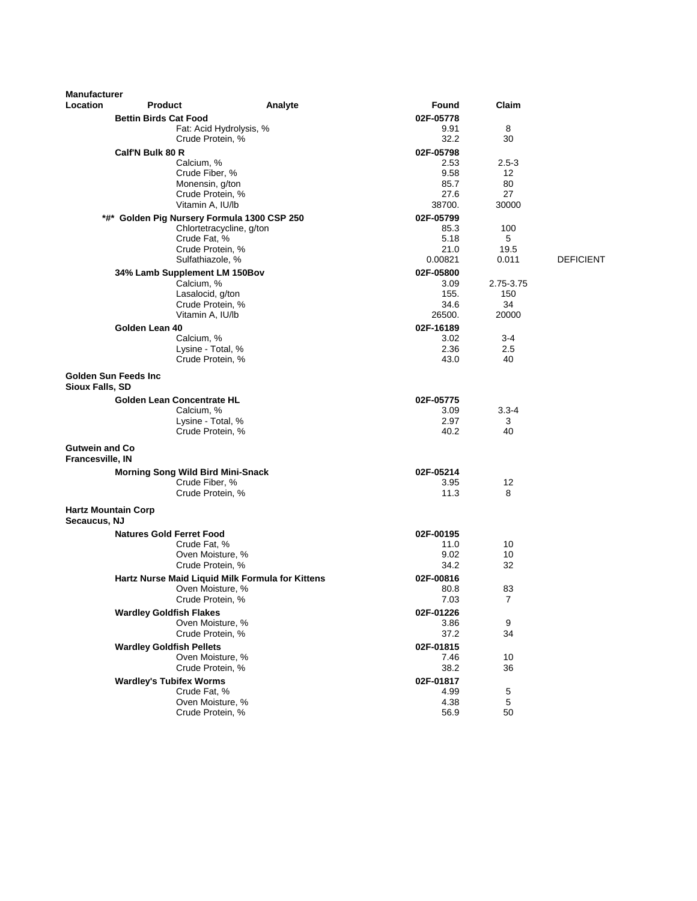| <b>Manufacturer</b>                              |                                          |                                                  |                   |                                |                  |
|--------------------------------------------------|------------------------------------------|--------------------------------------------------|-------------------|--------------------------------|------------------|
| Location                                         | <b>Product</b>                           | Analyte                                          | Found             | Claim                          |                  |
|                                                  | <b>Bettin Birds Cat Food</b>             |                                                  | 02F-05778         |                                |                  |
|                                                  |                                          | Fat: Acid Hydrolysis, %                          | 9.91              | 8                              |                  |
|                                                  |                                          | Crude Protein, %                                 | 32.2              | 30                             |                  |
|                                                  | Calf'N Bulk 80 R                         |                                                  | 02F-05798         |                                |                  |
|                                                  | Calcium, %                               |                                                  | 2.53              | $2.5 - 3$<br>$12 \overline{ }$ |                  |
|                                                  |                                          | Crude Fiber, %<br>Monensin, g/ton                | 9.58<br>85.7      | 80                             |                  |
|                                                  |                                          | Crude Protein, %                                 | 27.6              | 27                             |                  |
|                                                  |                                          | Vitamin A, IU/lb                                 | 38700.            | 30000                          |                  |
|                                                  |                                          | *#* Golden Pig Nursery Formula 1300 CSP 250      | 02F-05799         |                                |                  |
|                                                  |                                          | Chlortetracycline, g/ton                         | 85.3              | 100                            |                  |
|                                                  | Crude Fat, %                             |                                                  | 5.18              | 5                              |                  |
|                                                  |                                          | Crude Protein, %                                 | 21.0              | 19.5                           |                  |
|                                                  |                                          | Sulfathiazole, %                                 | 0.00821           | 0.011                          | <b>DEFICIENT</b> |
|                                                  | 34% Lamb Supplement LM 150Bov            |                                                  | 02F-05800         |                                |                  |
|                                                  | Calcium, %                               |                                                  | 3.09              | 2.75-3.75                      |                  |
|                                                  |                                          | Lasalocid, g/ton<br>Crude Protein, %             | 155.<br>34.6      | 150<br>34                      |                  |
|                                                  |                                          | Vitamin A, IU/lb                                 | 26500.            | 20000                          |                  |
|                                                  | Golden Lean 40                           |                                                  | 02F-16189         |                                |                  |
|                                                  | Calcium, %                               |                                                  | 3.02              | 3-4                            |                  |
|                                                  |                                          | Lysine - Total, %                                | 2.36              | 2.5                            |                  |
|                                                  |                                          | Crude Protein, %                                 | 43.0              | 40                             |                  |
| <b>Sioux Falls, SD</b>                           | Golden Sun Feeds Inc.                    |                                                  |                   |                                |                  |
|                                                  | <b>Golden Lean Concentrate HL</b>        |                                                  | 02F-05775         |                                |                  |
|                                                  | Calcium, %                               |                                                  | 3.09              | $3.3 - 4$                      |                  |
|                                                  |                                          | Lysine - Total, %                                | 2.97              | 3                              |                  |
|                                                  |                                          | Crude Protein, %                                 | 40.2              | 40                             |                  |
| <b>Gutwein and Co</b><br><b>Francesville, IN</b> |                                          |                                                  |                   |                                |                  |
|                                                  | <b>Morning Song Wild Bird Mini-Snack</b> |                                                  | 02F-05214         |                                |                  |
|                                                  |                                          | Crude Fiber, %                                   | 3.95              | 12                             |                  |
|                                                  |                                          | Crude Protein, %                                 | 11.3              | 8                              |                  |
| <b>Hartz Mountain Corp</b><br>Secaucus, NJ       |                                          |                                                  |                   |                                |                  |
|                                                  | <b>Natures Gold Ferret Food</b>          |                                                  | 02F-00195         |                                |                  |
|                                                  | Crude Fat, %                             |                                                  | 11.0              | 10                             |                  |
|                                                  |                                          | Oven Moisture, %                                 | 9.02              | 10                             |                  |
|                                                  |                                          | Crude Protein, %                                 | 34.2              | 32                             |                  |
|                                                  |                                          | Hartz Nurse Maid Liquid Milk Formula for Kittens | 02F-00816         |                                |                  |
|                                                  |                                          | Oven Moisture, %                                 | 80.8<br>7.03      | 83<br>7                        |                  |
|                                                  | <b>Wardley Goldfish Flakes</b>           | Crude Protein, %                                 |                   |                                |                  |
|                                                  |                                          | Oven Moisture, %                                 | 02F-01226<br>3.86 | $\boldsymbol{9}$               |                  |
|                                                  |                                          | Crude Protein, %                                 | 37.2              | 34                             |                  |
|                                                  | <b>Wardley Goldfish Pellets</b>          |                                                  | 02F-01815         |                                |                  |
|                                                  |                                          | Oven Moisture, %                                 | 7.46              | 10                             |                  |
|                                                  |                                          | Crude Protein, %                                 | 38.2              | 36                             |                  |
|                                                  | <b>Wardley's Tubifex Worms</b>           |                                                  | 02F-01817         |                                |                  |
|                                                  | Crude Fat, %                             |                                                  | 4.99              | 5                              |                  |
|                                                  |                                          | Oven Moisture, %                                 | 4.38              | 5                              |                  |
|                                                  |                                          | Crude Protein, %                                 | 56.9              | 50                             |                  |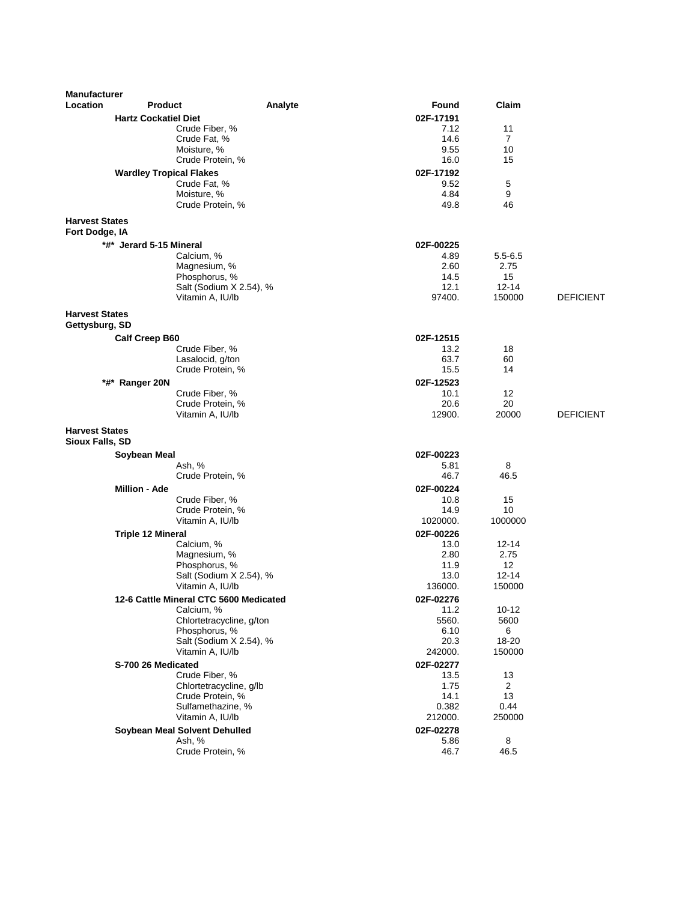| <b>Manufacturer</b>                             |                                                |         |                   |                      |                  |
|-------------------------------------------------|------------------------------------------------|---------|-------------------|----------------------|------------------|
| Location                                        | <b>Product</b>                                 | Analyte | <b>Found</b>      | Claim                |                  |
|                                                 | <b>Hartz Cockatiel Diet</b>                    |         | 02F-17191         |                      |                  |
|                                                 | Crude Fiber, %                                 |         | 7.12              | 11                   |                  |
|                                                 | Crude Fat, %                                   |         | 14.6              | 7                    |                  |
|                                                 | Moisture, %<br>Crude Protein, %                |         | 9.55<br>16.0      | 10<br>15             |                  |
|                                                 |                                                |         |                   |                      |                  |
|                                                 | <b>Wardley Tropical Flakes</b><br>Crude Fat, % |         | 02F-17192<br>9.52 | 5                    |                  |
|                                                 | Moisture, %                                    |         | 4.84              | 9                    |                  |
|                                                 | Crude Protein, %                               |         | 49.8              | 46                   |                  |
| <b>Harvest States</b><br>Fort Dodge, IA         |                                                |         |                   |                      |                  |
|                                                 | *#* Jerard 5-15 Mineral                        |         | 02F-00225         |                      |                  |
|                                                 | Calcium, %                                     |         | 4.89              | $5.5 - 6.5$          |                  |
|                                                 | Magnesium, %                                   |         | 2.60              | 2.75                 |                  |
|                                                 | Phosphorus, %                                  |         | 14.5              | 15                   |                  |
|                                                 | Salt (Sodium X 2.54), %                        |         | 12.1<br>97400.    | 12-14<br>150000      | <b>DEFICIENT</b> |
|                                                 | Vitamin A, IU/lb                               |         |                   |                      |                  |
| <b>Harvest States</b>                           |                                                |         |                   |                      |                  |
| Gettysburg, SD                                  |                                                |         |                   |                      |                  |
|                                                 | <b>Calf Creep B60</b><br>Crude Fiber, %        |         | 02F-12515<br>13.2 | 18                   |                  |
|                                                 | Lasalocid, g/ton                               |         | 63.7              | 60                   |                  |
|                                                 | Crude Protein, %                               |         | 15.5              | 14                   |                  |
|                                                 | *#* Ranger 20N                                 |         | 02F-12523         |                      |                  |
|                                                 | Crude Fiber, %                                 |         | 10.1              | 12                   |                  |
|                                                 | Crude Protein, %                               |         | 20.6              | 20                   |                  |
|                                                 | Vitamin A, IU/lb                               |         | 12900.            | 20000                | <b>DEFICIENT</b> |
| <b>Harvest States</b><br><b>Sioux Falls, SD</b> |                                                |         |                   |                      |                  |
|                                                 | Soybean Meal                                   |         | 02F-00223         |                      |                  |
|                                                 | Ash, %                                         |         | 5.81              | 8<br>46.5            |                  |
|                                                 | Crude Protein, %                               |         | 46.7              |                      |                  |
|                                                 | <b>Million - Ade</b><br>Crude Fiber, %         |         | 02F-00224<br>10.8 | 15                   |                  |
|                                                 | Crude Protein, %                               |         | 14.9              | 10                   |                  |
|                                                 | Vitamin A, IU/lb                               |         | 1020000.          | 1000000              |                  |
|                                                 | <b>Triple 12 Mineral</b>                       |         | 02F-00226         |                      |                  |
|                                                 | Calcium, %                                     |         | 13.0              | 12-14                |                  |
|                                                 | Magnesium, %                                   |         | 2.80              | 2.75                 |                  |
|                                                 | Phosphorus, %                                  |         | 11.9              | 12                   |                  |
|                                                 | Salt (Sodium X 2.54), %<br>Vitamin A, IU/lb    |         | 13.0<br>136000.   | 12-14<br>150000      |                  |
|                                                 | 12-6 Cattle Mineral CTC 5600 Medicated         |         | 02F-02276         |                      |                  |
|                                                 | Calcium, %                                     |         | 11.2              | 10-12                |                  |
|                                                 | Chlortetracycline, g/ton                       |         | 5560.             | 5600                 |                  |
|                                                 | Phosphorus, %                                  |         | 6.10              | 6                    |                  |
|                                                 | Salt (Sodium X 2.54), %                        |         | 20.3              | 18-20                |                  |
|                                                 | Vitamin A, IU/lb                               |         | 242000.           | 150000               |                  |
|                                                 | S-700 26 Medicated                             |         | 02F-02277         |                      |                  |
|                                                 | Crude Fiber, %<br>Chlortetracycline, g/lb      |         | 13.5<br>1.75      | 13<br>$\overline{2}$ |                  |
|                                                 | Crude Protein, %                               |         | 14.1              | 13                   |                  |
|                                                 | Sulfamethazine, %                              |         | 0.382             | 0.44                 |                  |
|                                                 | Vitamin A, IU/lb                               |         | 212000.           | 250000               |                  |
|                                                 | Soybean Meal Solvent Dehulled                  |         | 02F-02278         |                      |                  |
|                                                 | Ash, %                                         |         | 5.86              | 8                    |                  |
|                                                 | Crude Protein, %                               |         | 46.7              | 46.5                 |                  |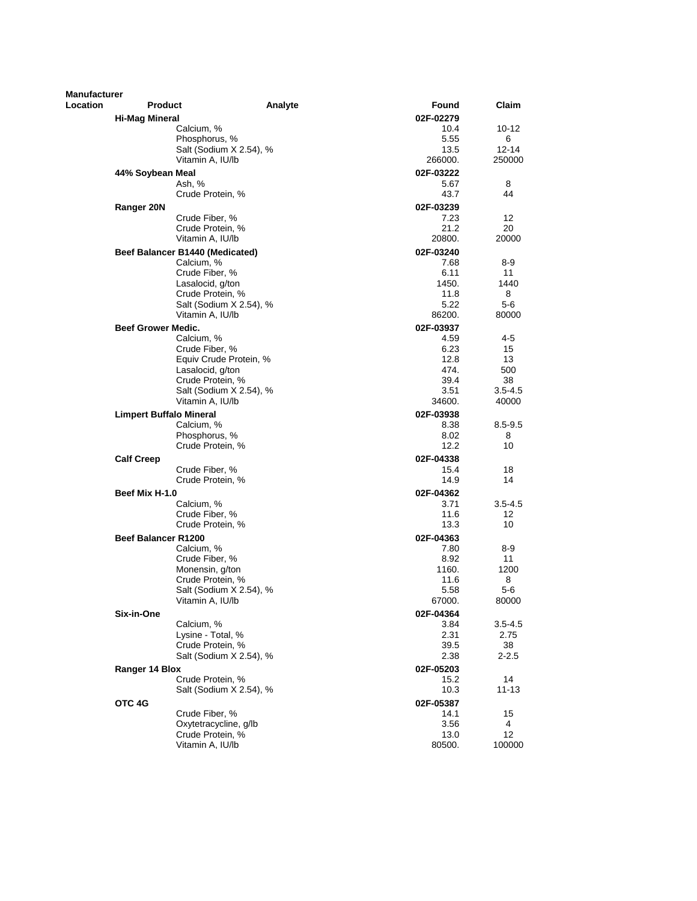| <b>Manufacturer</b> |                                 |                                             |                   |                     |
|---------------------|---------------------------------|---------------------------------------------|-------------------|---------------------|
| <b>Location</b>     | <b>Product</b>                  | Analyte                                     | Found             | Claim               |
|                     | <b>Hi-Mag Mineral</b>           |                                             | 02F-02279         |                     |
|                     | Calcium, %                      |                                             | 10.4              | 10-12               |
|                     | Phosphorus, %                   |                                             | 5.55              | 6                   |
|                     |                                 | Salt (Sodium X 2.54), %<br>Vitamin A, IU/lb | 13.5<br>266000.   | $12 - 14$<br>250000 |
|                     |                                 |                                             |                   |                     |
|                     | 44% Soybean Meal<br>Ash, %      |                                             | 02F-03222<br>5.67 | 8                   |
|                     |                                 | Crude Protein, %                            | 43.7              | 44                  |
|                     | Ranger 20N                      |                                             | 02F-03239         |                     |
|                     | Crude Fiber, %                  |                                             | 7.23              | 12                  |
|                     |                                 | Crude Protein, %                            | 21.2              | 20                  |
|                     |                                 | Vitamin A. IU/lb                            | 20800.            | 20000               |
|                     | Beef Balancer B1440 (Medicated) |                                             | 02F-03240         |                     |
|                     | Calcium, %                      |                                             | 7.68              | 8-9                 |
|                     | Crude Fiber, %                  | Lasalocid, g/ton                            | 6.11<br>1450.     | 11<br>1440          |
|                     |                                 | Crude Protein, %                            | 11.8              | 8                   |
|                     |                                 | Salt (Sodium X 2.54), %                     | 5.22              | 5-6                 |
|                     |                                 | Vitamin A, IU/lb                            | 86200.            | 80000               |
|                     | <b>Beef Grower Medic.</b>       |                                             | 02F-03937         |                     |
|                     | Calcium. %                      |                                             | 4.59              | 4-5                 |
|                     | Crude Fiber, %                  |                                             | 6.23              | 15                  |
|                     |                                 | Equiv Crude Protein, %                      | 12.8<br>474.      | 13                  |
|                     |                                 | Lasalocid, g/ton<br>Crude Protein, %        | 39.4              | 500<br>38           |
|                     |                                 | Salt (Sodium X 2.54), %                     | 3.51              | $3.5 - 4.5$         |
|                     |                                 | Vitamin A, IU/lb                            | 34600.            | 40000               |
|                     | <b>Limpert Buffalo Mineral</b>  |                                             | 02F-03938         |                     |
|                     | Calcium, %                      |                                             | 8.38              | $8.5 - 9.5$         |
|                     | Phosphorus, %                   |                                             | 8.02              | 8                   |
|                     |                                 | Crude Protein, %                            | 12.2              | 10                  |
|                     | <b>Calf Creep</b>               |                                             | 02F-04338         |                     |
|                     | Crude Fiber, %                  | Crude Protein, %                            | 15.4<br>14.9      | 18<br>14            |
|                     | Beef Mix H-1.0                  |                                             | 02F-04362         |                     |
|                     | Calcium, %                      |                                             | 3.71              | $3.5 - 4.5$         |
|                     | Crude Fiber, %                  |                                             | 11.6              | 12                  |
|                     |                                 | Crude Protein, %                            | 13.3              | 10                  |
|                     | <b>Beef Balancer R1200</b>      |                                             | 02F-04363         |                     |
|                     | Calcium, %                      |                                             | 7.80              | 8-9                 |
|                     | Crude Fiber, %                  |                                             | 8.92              | 11                  |
|                     |                                 | Monensin, g/ton<br>Crude Protein, %         | 1160.<br>11.6     | 1200<br>8           |
|                     |                                 | Salt (Sodium X 2.54), %                     | 5.58              | 5-6                 |
|                     |                                 | Vitamin A, IU/lb                            | 67000.            | 80000               |
|                     | Six-in-One                      |                                             | 02F-04364         |                     |
|                     | Calcium, %                      |                                             | 3.84              | $3.5 - 4.5$         |
|                     |                                 | Lysine - Total, %                           | 2.31              | 2.75                |
|                     |                                 | Crude Protein, %                            | 39.5              | 38                  |
|                     |                                 | Salt (Sodium X 2.54), %                     | 2.38              | $2 - 2.5$           |
|                     | Ranger 14 Blox                  | Crude Protein, %                            | 02F-05203<br>15.2 | 14                  |
|                     |                                 | Salt (Sodium X 2.54), %                     | 10.3              | $11 - 13$           |
|                     | OTC 4G                          |                                             | 02F-05387         |                     |
|                     | Crude Fiber, %                  |                                             | 14.1              | 15                  |
|                     |                                 | Oxytetracycline, g/lb                       | 3.56              | 4                   |
|                     |                                 | Crude Protein, %                            | 13.0              | 12                  |
|                     |                                 | Vitamin A, IU/lb                            | 80500.            | 100000              |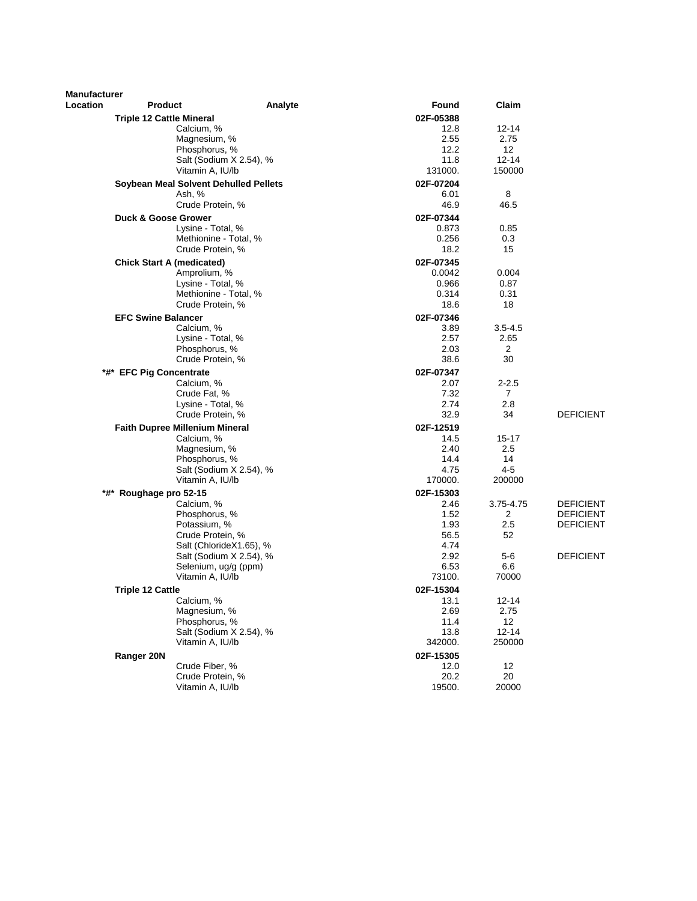| <b>Manufacturer</b> |                                                     |                         |                    |                 |                  |
|---------------------|-----------------------------------------------------|-------------------------|--------------------|-----------------|------------------|
| <b>Location</b>     | <b>Product</b>                                      | Analyte                 | Found              | Claim           |                  |
|                     | <b>Triple 12 Cattle Mineral</b>                     |                         | 02F-05388          |                 |                  |
|                     | Calcium, %                                          |                         | 12.8               | 12-14           |                  |
|                     | Magnesium, %                                        |                         | 2.55               | 2.75            |                  |
|                     | Phosphorus, %                                       |                         | 12.2<br>11.8       | 12<br>$12 - 14$ |                  |
|                     | Salt (Sodium X 2.54), %<br>Vitamin A, IU/lb         |                         | 131000.            | 150000          |                  |
|                     |                                                     |                         |                    |                 |                  |
|                     | Soybean Meal Solvent Dehulled Pellets               |                         | 02F-07204          | 8               |                  |
|                     | Ash, %<br>Crude Protein, %                          |                         | 6.01<br>46.9       | 46.5            |                  |
|                     |                                                     |                         |                    |                 |                  |
|                     | <b>Duck &amp; Goose Grower</b><br>Lysine - Total, % |                         | 02F-07344<br>0.873 | 0.85            |                  |
|                     | Methionine - Total, %                               |                         | 0.256              | 0.3             |                  |
|                     | Crude Protein, %                                    |                         | 18.2               | 15              |                  |
|                     | <b>Chick Start A (medicated)</b>                    |                         | 02F-07345          |                 |                  |
|                     | Amprolium, %                                        |                         | 0.0042             | 0.004           |                  |
|                     | Lysine - Total, %                                   |                         | 0.966              | 0.87            |                  |
|                     | Methionine - Total, %                               |                         | 0.314              | 0.31            |                  |
|                     | Crude Protein, %                                    |                         | 18.6               | 18              |                  |
|                     | <b>EFC Swine Balancer</b>                           |                         | 02F-07346          |                 |                  |
|                     | Calcium, %                                          |                         | 3.89               | $3.5 - 4.5$     |                  |
|                     | Lysine - Total, %                                   |                         | 2.57               | 2.65            |                  |
|                     | Phosphorus, %                                       |                         | 2.03               | 2               |                  |
|                     | Crude Protein, %                                    |                         | 38.6               | 30              |                  |
| *#*                 | <b>EFC Pig Concentrate</b>                          |                         | 02F-07347          |                 |                  |
|                     | Calcium, %                                          |                         | 2.07               | $2 - 2.5$       |                  |
|                     | Crude Fat, %                                        |                         | 7.32               | 7               |                  |
|                     | Lysine - Total, %                                   |                         | 2.74               | 2.8             |                  |
|                     | Crude Protein, %                                    |                         | 32.9               | 34              | <b>DEFICIENT</b> |
|                     | Faith Dupree Millenium Mineral                      |                         | 02F-12519          |                 |                  |
|                     | Calcium, %<br>Magnesium, %                          |                         | 14.5<br>2.40       | 15-17<br>2.5    |                  |
|                     | Phosphorus, %                                       |                         | 14.4               | 14              |                  |
|                     |                                                     | Salt (Sodium X 2.54), % | 4.75               | $4 - 5$         |                  |
|                     | Vitamin A, IU/lb                                    |                         | 170000.            | 200000          |                  |
|                     | *#* Roughage pro 52-15                              |                         | 02F-15303          |                 |                  |
|                     | Calcium, %                                          |                         | 2.46               | 3.75-4.75       | <b>DEFICIENT</b> |
|                     | Phosphorus, %                                       |                         | 1.52               | 2               | <b>DEFICIENT</b> |
|                     | Potassium, %                                        |                         | 1.93               | 2.5             | <b>DEFICIENT</b> |
|                     | Crude Protein, %                                    |                         | 56.5               | 52              |                  |
|                     |                                                     | Salt (ChlorideX1.65), % | 4.74               |                 |                  |
|                     |                                                     | Salt (Sodium X 2.54), % | 2.92               | $5-6$           | <b>DEFICIENT</b> |
|                     | Selenium, ug/g (ppm)<br>Vitamin A, IU/lb            |                         | 6.53<br>73100.     | 6.6<br>70000    |                  |
|                     |                                                     |                         |                    |                 |                  |
|                     | <b>Triple 12 Cattle</b>                             |                         | 02F-15304          |                 |                  |
|                     | Calcium, %<br>Magnesium, %                          |                         | 13.1<br>2.69       | 12-14<br>2.75   |                  |
|                     | Phosphorus, %                                       |                         | 11.4               | 12              |                  |
|                     |                                                     | Salt (Sodium X 2.54), % | 13.8               | $12 - 14$       |                  |
|                     | Vitamin A, IU/lb                                    |                         | 342000.            | 250000          |                  |
|                     | Ranger 20N                                          |                         | 02F-15305          |                 |                  |
|                     | Crude Fiber, %                                      |                         | 12.0               | 12              |                  |
|                     | Crude Protein, %                                    |                         | 20.2               | 20              |                  |
|                     | Vitamin A, IU/lb                                    |                         | 19500.             | 20000           |                  |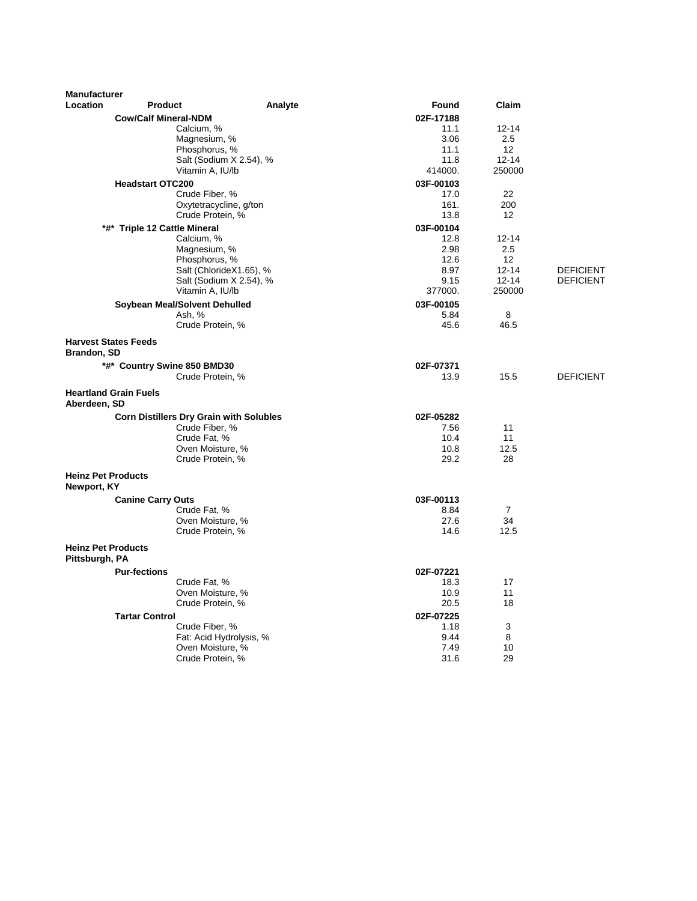| <b>Manufacturer</b>                               |                                                |                         |           |                   |                  |
|---------------------------------------------------|------------------------------------------------|-------------------------|-----------|-------------------|------------------|
| <b>Location</b>                                   | <b>Product</b>                                 | Analyte                 | Found     | Claim             |                  |
|                                                   | <b>Cow/Calf Mineral-NDM</b>                    |                         | 02F-17188 |                   |                  |
|                                                   | Calcium, %                                     |                         | 11.1      | $12 - 14$         |                  |
|                                                   | Magnesium, %                                   |                         | 3.06      | 2.5               |                  |
|                                                   | Phosphorus, %                                  |                         | 11.1      | $12 \overline{ }$ |                  |
|                                                   |                                                | Salt (Sodium X 2.54), % | 11.8      | $12 - 14$         |                  |
|                                                   | Vitamin A, IU/lb                               |                         | 414000.   | 250000            |                  |
|                                                   | <b>Headstart OTC200</b>                        |                         | 03F-00103 |                   |                  |
|                                                   | Crude Fiber, %                                 |                         | 17.0      | 22                |                  |
|                                                   |                                                | Oxytetracycline, g/ton  | 161.      | 200               |                  |
|                                                   | Crude Protein, %                               |                         | 13.8      | 12                |                  |
|                                                   | *#* Triple 12 Cattle Mineral                   |                         | 03F-00104 |                   |                  |
|                                                   | Calcium, %                                     |                         | 12.8      | $12 - 14$         |                  |
|                                                   | Magnesium, %                                   |                         | 2.98      | 2.5               |                  |
|                                                   | Phosphorus, %                                  |                         | 12.6      | $12 \overline{ }$ |                  |
|                                                   |                                                | Salt (ChlorideX1.65), % | 8.97      | $12 - 14$         | <b>DEFICIENT</b> |
|                                                   |                                                | Salt (Sodium X 2.54), % | 9.15      | $12 - 14$         | <b>DEFICIENT</b> |
|                                                   | Vitamin A, IU/lb                               |                         | 377000.   | 250000            |                  |
|                                                   | Soybean Meal/Solvent Dehulled                  |                         | 03F-00105 |                   |                  |
|                                                   | Ash, %                                         |                         | 5.84      | 8                 |                  |
|                                                   | Crude Protein, %                               |                         | 45.6      | 46.5              |                  |
| <b>Harvest States Feeds</b><br><b>Brandon, SD</b> |                                                |                         |           |                   |                  |
|                                                   | *#* Country Swine 850 BMD30                    |                         | 02F-07371 |                   |                  |
|                                                   | Crude Protein, %                               |                         | 13.9      | 15.5              | <b>DEFICIENT</b> |
|                                                   |                                                |                         |           |                   |                  |
| <b>Heartland Grain Fuels</b><br>Aberdeen, SD      |                                                |                         |           |                   |                  |
|                                                   | <b>Corn Distillers Dry Grain with Solubles</b> |                         | 02F-05282 |                   |                  |
|                                                   | Crude Fiber, %                                 |                         | 7.56      | 11                |                  |
|                                                   | Crude Fat, %                                   |                         | 10.4      | 11                |                  |
|                                                   | Oven Moisture, %                               |                         | 10.8      | 12.5              |                  |
|                                                   | Crude Protein, %                               |                         | 29.2      | 28                |                  |
| <b>Heinz Pet Products</b><br>Newport, KY          |                                                |                         |           |                   |                  |
|                                                   | <b>Canine Carry Outs</b>                       |                         | 03F-00113 |                   |                  |
|                                                   | Crude Fat, %                                   |                         | 8.84      | $\overline{7}$    |                  |
|                                                   | Oven Moisture, %                               |                         | 27.6      | 34                |                  |
|                                                   | Crude Protein, %                               |                         | 14.6      | 12.5              |                  |
| <b>Heinz Pet Products</b><br>Pittsburgh, PA       |                                                |                         |           |                   |                  |
|                                                   | <b>Pur-fections</b>                            |                         | 02F-07221 |                   |                  |
|                                                   | Crude Fat, %                                   |                         | 18.3      | 17                |                  |
|                                                   | Oven Moisture, %                               |                         | 10.9      | 11                |                  |
|                                                   | Crude Protein, %                               |                         | 20.5      | 18                |                  |
|                                                   | <b>Tartar Control</b>                          |                         | 02F-07225 |                   |                  |
|                                                   | Crude Fiber, %                                 |                         | 1.18      | 3                 |                  |
|                                                   |                                                | Fat: Acid Hydrolysis, % | 9.44      | 8                 |                  |
|                                                   | Oven Moisture, %                               |                         | 7.49      | 10                |                  |
|                                                   | Crude Protein, %                               |                         | 31.6      | 29                |                  |
|                                                   |                                                |                         |           |                   |                  |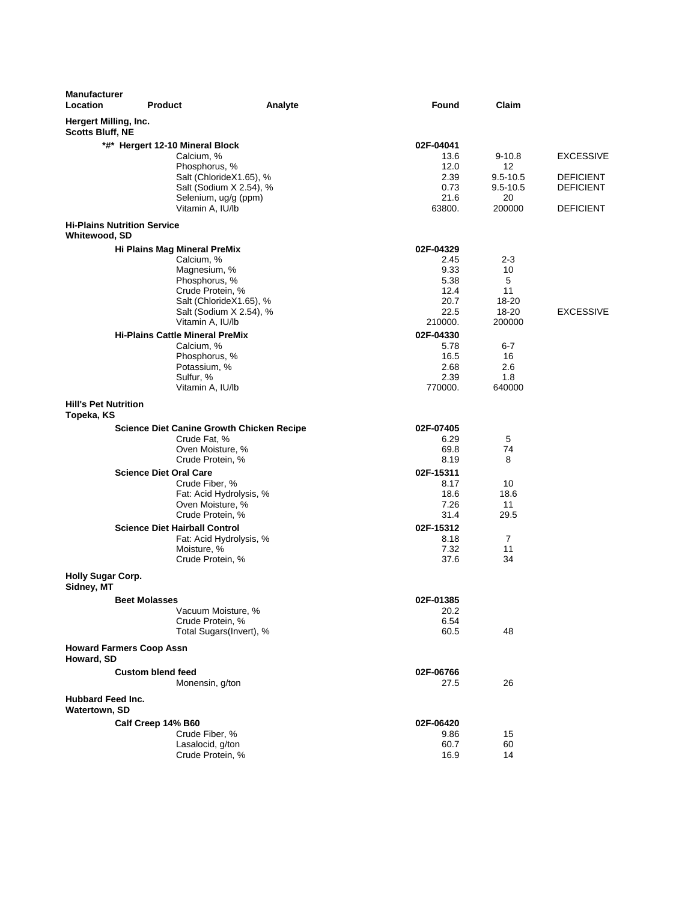| <b>Manufacturer</b><br><b>Location</b>           | <b>Product</b>                                       | Analyte | Found           | Claim                    |                                      |
|--------------------------------------------------|------------------------------------------------------|---------|-----------------|--------------------------|--------------------------------------|
| Hergert Milling, Inc.<br><b>Scotts Bluff, NE</b> |                                                      |         |                 |                          |                                      |
|                                                  | *#* Hergert 12-10 Mineral Block                      |         | 02F-04041       |                          |                                      |
|                                                  | Calcium, %                                           |         | 13.6            | $9-10.8$                 | <b>EXCESSIVE</b>                     |
|                                                  | Phosphorus, %                                        |         | 12.0            | 12                       |                                      |
|                                                  | Salt (ChlorideX1.65), %<br>Salt (Sodium X 2.54), %   |         | 2.39<br>0.73    | 9.5-10.5<br>$9.5 - 10.5$ | <b>DEFICIENT</b><br><b>DEFICIENT</b> |
|                                                  | Selenium, ug/g (ppm)                                 |         | 21.6            | 20                       |                                      |
|                                                  | Vitamin A, IU/lb                                     |         | 63800.          | 200000                   | <b>DEFICIENT</b>                     |
| Whitewood, SD                                    | <b>Hi-Plains Nutrition Service</b>                   |         |                 |                          |                                      |
|                                                  | Hi Plains Mag Mineral PreMix                         |         | 02F-04329       |                          |                                      |
|                                                  | Calcium, %                                           |         | 2.45            | $2 - 3$                  |                                      |
|                                                  | Magnesium, %                                         |         | 9.33            | 10                       |                                      |
|                                                  | Phosphorus, %                                        |         | 5.38            | 5                        |                                      |
|                                                  | Crude Protein, %                                     |         | 12.4            | 11                       |                                      |
|                                                  | Salt (ChlorideX1.65), %                              |         | 20.7            | 18-20                    | <b>EXCESSIVE</b>                     |
|                                                  | Salt (Sodium X 2.54), %<br>Vitamin A, IU/lb          |         | 22.5<br>210000. | 18-20<br>200000          |                                      |
|                                                  |                                                      |         |                 |                          |                                      |
|                                                  | <b>Hi-Plains Cattle Mineral PreMix</b><br>Calcium, % |         | 02F-04330       |                          |                                      |
|                                                  | Phosphorus, %                                        |         | 5.78<br>16.5    | 6-7<br>16                |                                      |
|                                                  | Potassium, %                                         |         | 2.68            | 2.6                      |                                      |
|                                                  | Sulfur, %                                            |         | 2.39            | 1.8                      |                                      |
|                                                  | Vitamin A, IU/lb                                     |         | 770000.         | 640000                   |                                      |
| <b>Hill's Pet Nutrition</b><br>Topeka, KS        |                                                      |         |                 |                          |                                      |
|                                                  | <b>Science Diet Canine Growth Chicken Recipe</b>     |         | 02F-07405       |                          |                                      |
|                                                  | Crude Fat, %                                         |         | 6.29            | 5                        |                                      |
|                                                  | Oven Moisture, %                                     |         | 69.8            | 74                       |                                      |
|                                                  | Crude Protein, %                                     |         | 8.19            | 8                        |                                      |
|                                                  | <b>Science Diet Oral Care</b>                        |         | 02F-15311       |                          |                                      |
|                                                  | Crude Fiber, %                                       |         | 8.17            | 10                       |                                      |
|                                                  | Fat: Acid Hydrolysis, %                              |         | 18.6            | 18.6                     |                                      |
|                                                  | Oven Moisture, %                                     |         | 7.26            | 11                       |                                      |
|                                                  | Crude Protein, %                                     |         | 31.4            | 29.5                     |                                      |
|                                                  | <b>Science Diet Hairball Control</b>                 |         | 02F-15312       |                          |                                      |
|                                                  | Fat: Acid Hydrolysis, %                              |         | 8.18            | 7                        |                                      |
|                                                  | Moisture, %<br>Crude Protein, %                      |         | 7.32<br>37.6    | 11<br>34                 |                                      |
| <b>Holly Sugar Corp.</b>                         |                                                      |         |                 |                          |                                      |
| Sidney, MT                                       |                                                      |         |                 |                          |                                      |
|                                                  | <b>Beet Molasses</b>                                 |         | 02F-01385       |                          |                                      |
|                                                  | Vacuum Moisture, %                                   |         | 20.2            |                          |                                      |
|                                                  | Crude Protein, %                                     |         | 6.54            |                          |                                      |
|                                                  | Total Sugars (Invert), %                             |         | 60.5            | 48                       |                                      |
| Howard, SD                                       | <b>Howard Farmers Coop Assn</b>                      |         |                 |                          |                                      |
|                                                  | <b>Custom blend feed</b>                             |         | 02F-06766       |                          |                                      |
|                                                  | Monensin, g/ton                                      |         | 27.5            | 26                       |                                      |
| <b>Hubbard Feed Inc.</b><br>Watertown, SD        |                                                      |         |                 |                          |                                      |
|                                                  | Calf Creep 14% B60                                   |         | 02F-06420       |                          |                                      |
|                                                  | Crude Fiber, %                                       |         | 9.86            | 15                       |                                      |
|                                                  | Lasalocid, g/ton                                     |         | 60.7            | 60                       |                                      |
|                                                  | Crude Protein, %                                     |         | 16.9            | 14                       |                                      |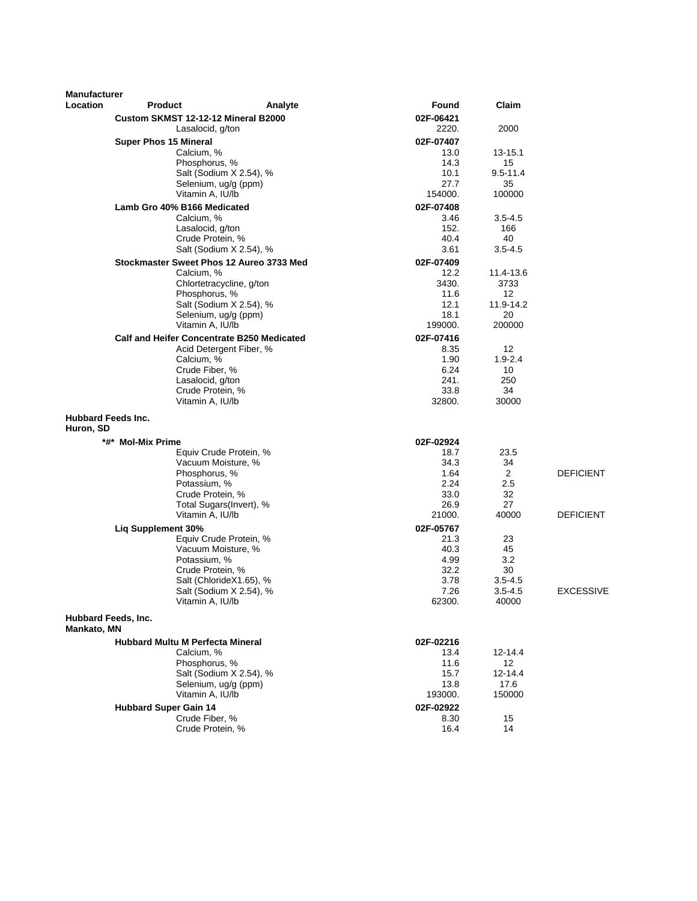| <b>Manufacturer</b>                    |                                                |                          |                   |                   |                  |
|----------------------------------------|------------------------------------------------|--------------------------|-------------------|-------------------|------------------|
| Location                               | <b>Product</b>                                 | Analyte                  | Found             | Claim             |                  |
|                                        | Custom SKMST 12-12-12 Mineral B2000            |                          | 02F-06421         |                   |                  |
|                                        | Lasalocid, g/ton                               |                          | 2220.             | 2000              |                  |
|                                        | <b>Super Phos 15 Mineral</b>                   |                          | 02F-07407         |                   |                  |
|                                        | Calcium, %                                     |                          | 13.0              | 13-15.1           |                  |
|                                        | Phosphorus, %                                  |                          | 14.3              | 15                |                  |
|                                        |                                                | Salt (Sodium X 2.54), %  | 10.1              | $9.5 - 11.4$      |                  |
|                                        | Vitamin A, IU/lb                               | Selenium, ug/g (ppm)     | 27.7<br>154000.   | 35<br>100000      |                  |
|                                        |                                                |                          |                   |                   |                  |
|                                        | Lamb Gro 40% B166 Medicated<br>Calcium, %      |                          | 02F-07408<br>3.46 | $3.5 - 4.5$       |                  |
|                                        | Lasalocid, g/ton                               |                          | 152.              | 166               |                  |
|                                        | Crude Protein, %                               |                          | 40.4              | 40                |                  |
|                                        |                                                | Salt (Sodium X 2.54), %  | 3.61              | $3.5 - 4.5$       |                  |
|                                        | Stockmaster Sweet Phos 12 Aureo 3733 Med       |                          | 02F-07409         |                   |                  |
|                                        | Calcium, %                                     |                          | 12.2              | 11.4-13.6         |                  |
|                                        |                                                | Chlortetracycline, g/ton | 3430.             | 3733              |                  |
|                                        | Phosphorus, %                                  |                          | 11.6              | $12 \overline{ }$ |                  |
|                                        |                                                | Salt (Sodium X 2.54), %  | 12.1              | 11.9-14.2         |                  |
|                                        |                                                | Selenium, ug/g (ppm)     | 18.1              | 20                |                  |
|                                        | Vitamin A, IU/lb                               |                          | 199000.           | 200000            |                  |
|                                        | Calf and Heifer Concentrate B250 Medicated     |                          | 02F-07416         |                   |                  |
|                                        | Calcium, %                                     | Acid Detergent Fiber, %  | 8.35<br>1.90      | 12<br>$1.9 - 2.4$ |                  |
|                                        | Crude Fiber, %                                 |                          | 6.24              | 10                |                  |
|                                        | Lasalocid, g/ton                               |                          | 241.              | 250               |                  |
|                                        | Crude Protein, %                               |                          | 33.8              | 34                |                  |
|                                        | Vitamin A, IU/lb                               |                          | 32800.            | 30000             |                  |
| <b>Hubbard Feeds Inc.</b><br>Huron, SD |                                                |                          |                   |                   |                  |
|                                        | *#* Mol-Mix Prime                              |                          | 02F-02924         |                   |                  |
|                                        |                                                | Equiv Crude Protein, %   | 18.7              | 23.5              |                  |
|                                        |                                                | Vacuum Moisture, %       | 34.3              | 34                |                  |
|                                        | Phosphorus, %                                  |                          | 1.64              | 2                 | <b>DEFICIENT</b> |
|                                        | Potassium, %<br>Crude Protein, %               |                          | 2.24<br>33.0      | 2.5<br>32         |                  |
|                                        |                                                | Total Sugars(Invert), %  | 26.9              | 27                |                  |
|                                        | Vitamin A, IU/lb                               |                          | 21000.            | 40000             | <b>DEFICIENT</b> |
|                                        | <b>Lig Supplement 30%</b>                      |                          | 02F-05767         |                   |                  |
|                                        |                                                | Equiv Crude Protein, %   | 21.3              | 23                |                  |
|                                        |                                                | Vacuum Moisture, %       | 40.3              | 45                |                  |
|                                        | Potassium, %                                   |                          | 4.99              | 3.2               |                  |
|                                        | Crude Protein, %                               |                          | 32.2              | 30                |                  |
|                                        |                                                | Salt (ChlorideX1.65), %  | 3.78              | $3.5 - 4.5$       |                  |
|                                        |                                                | Salt (Sodium X 2.54), %  | 7.26              | $3.5 - 4.5$       | <b>EXCESSIVE</b> |
|                                        | Vitamin A, IU/lb                               |                          | 62300.            | 40000             |                  |
| Hubbard Feeds, Inc.<br>Mankato, MN     |                                                |                          |                   |                   |                  |
|                                        | <b>Hubbard Multu M Perfecta Mineral</b>        |                          | 02F-02216         |                   |                  |
|                                        | Calcium, %                                     |                          | 13.4              | $12 - 14.4$       |                  |
|                                        | Phosphorus. %                                  |                          | 11.6              | 12                |                  |
|                                        |                                                | Salt (Sodium X 2.54), %  | 15.7              | 12-14.4           |                  |
|                                        | Vitamin A, IU/lb                               | Selenium, ug/g (ppm)     | 13.8<br>193000.   | 17.6<br>150000    |                  |
|                                        |                                                |                          |                   |                   |                  |
|                                        | <b>Hubbard Super Gain 14</b><br>Crude Fiber, % |                          | 02F-02922<br>8.30 | 15                |                  |
|                                        | Crude Protein, %                               |                          | 16.4              | 14                |                  |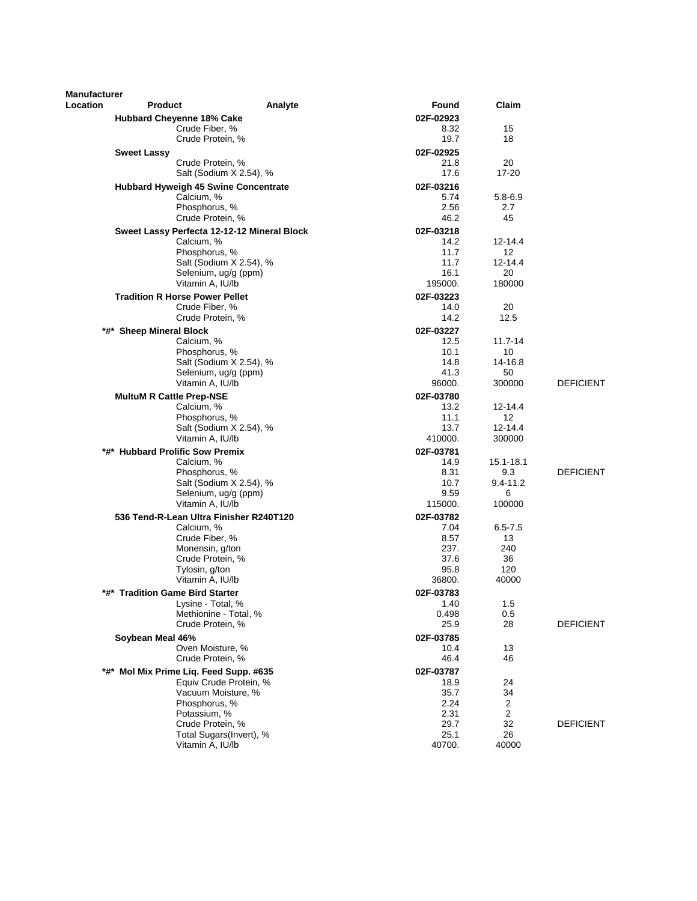| <b>Manufacturer</b> |                                             |                         |                   |                   |                  |
|---------------------|---------------------------------------------|-------------------------|-------------------|-------------------|------------------|
| <b>Location</b>     | <b>Product</b>                              | Analyte                 | Found             | Claim             |                  |
|                     | <b>Hubbard Cheyenne 18% Cake</b>            |                         | 02F-02923         |                   |                  |
|                     | Crude Fiber, %<br>Crude Protein, %          |                         | 8.32<br>19.7      | 15<br>18          |                  |
|                     |                                             |                         |                   |                   |                  |
|                     | <b>Sweet Lassy</b><br>Crude Protein, %      |                         | 02F-02925<br>21.8 | 20                |                  |
|                     |                                             | Salt (Sodium X 2.54), % | 17.6              | $17 - 20$         |                  |
|                     | Hubbard Hyweigh 45 Swine Concentrate        |                         | 02F-03216         |                   |                  |
|                     | Calcium, %                                  |                         | 5.74              | 5.8-6.9           |                  |
|                     | Phosphorus, %                               |                         | 2.56              | 2.7               |                  |
|                     | Crude Protein, %                            |                         | 46.2              | 45                |                  |
|                     | Sweet Lassy Perfecta 12-12-12 Mineral Block |                         | 02F-03218         |                   |                  |
|                     | Calcium, %                                  |                         | 14.2              | 12-14.4           |                  |
|                     | Phosphorus, %                               | Salt (Sodium X 2.54), % | 11.7<br>11.7      | 12<br>$12 - 14.4$ |                  |
|                     | Selenium, ug/g (ppm)                        |                         | 16.1              | 20                |                  |
|                     | Vitamin A, IU/lb                            |                         | 195000.           | 180000            |                  |
|                     | <b>Tradition R Horse Power Pellet</b>       |                         | 02F-03223         |                   |                  |
|                     | Crude Fiber, %                              |                         | 14.0              | 20                |                  |
|                     | Crude Protein, %                            |                         | 14.2              | 12.5              |                  |
|                     | *#* Sheep Mineral Block                     |                         | 02F-03227         |                   |                  |
|                     | Calcium, %                                  |                         | 12.5              | $11.7 - 14$       |                  |
|                     | Phosphorus, %                               |                         | 10.1              | 10                |                  |
|                     | Selenium, ug/g (ppm)                        | Salt (Sodium X 2.54), % | 14.8<br>41.3      | 14-16.8<br>50     |                  |
|                     | Vitamin A, IU/lb                            |                         | 96000.            | 300000            | <b>DEFICIENT</b> |
|                     | <b>MultuM R Cattle Prep-NSE</b>             |                         | 02F-03780         |                   |                  |
|                     | Calcium, %                                  |                         | 13.2              | 12-14.4           |                  |
|                     | Phosphorus, %                               |                         | 11.1              | 12                |                  |
|                     |                                             | Salt (Sodium X 2.54), % | 13.7              | 12-14.4           |                  |
|                     | Vitamin A, IU/lb                            |                         | 410000.           | 300000            |                  |
|                     | *#* Hubbard Prolific Sow Premix             |                         | 02F-03781         |                   |                  |
|                     | Calcium, %<br>Phosphorus, %                 |                         | 14.9<br>8.31      | 15.1-18.1<br>9.3  | <b>DEFICIENT</b> |
|                     |                                             | Salt (Sodium X 2.54), % | 10.7              | $9.4 - 11.2$      |                  |
|                     | Selenium, ug/g (ppm)                        |                         | 9.59              | 6                 |                  |
|                     | Vitamin A, IU/lb                            |                         | 115000.           | 100000            |                  |
|                     | 536 Tend-R-Lean Ultra Finisher R240T120     |                         | 02F-03782         |                   |                  |
|                     | Calcium, %                                  |                         | 7.04              | $6.5 - 7.5$       |                  |
|                     | Crude Fiber, %                              |                         | 8.57              | 13                |                  |
|                     | Monensin, g/ton<br>Crude Protein, %         |                         | 237.<br>37.6      | 240<br>36         |                  |
|                     | Tylosin, g/ton                              |                         | 95.8              | 120               |                  |
|                     | Vitamin A, IU/lb                            |                         | 36800.            | 40000             |                  |
| *#*                 | <b>Tradition Game Bird Starter</b>          |                         | 02F-03783         |                   |                  |
|                     | Lysine - Total, %                           |                         | 1.40              | 1.5               |                  |
|                     | Methionine - Total, %                       |                         | 0.498             | 0.5               |                  |
|                     | Crude Protein, %                            |                         | 25.9              | 28                | <b>DEFICIENT</b> |
|                     | Soybean Meal 46%                            |                         | 02F-03785         |                   |                  |
|                     | Oven Moisture, %<br>Crude Protein, %        |                         | 10.4<br>46.4      | 13<br>46          |                  |
|                     | *#* Mol Mix Prime Liq. Feed Supp. #635      |                         | 02F-03787         |                   |                  |
|                     |                                             | Equiv Crude Protein, %  | 18.9              | 24                |                  |
|                     | Vacuum Moisture, %                          |                         | 35.7              | 34                |                  |
|                     | Phosphorus, %                               |                         | 2.24              | 2                 |                  |
|                     | Potassium, %                                |                         | 2.31              | 2                 |                  |
|                     | Crude Protein, %                            |                         | 29.7              | 32                | <b>DEFICIENT</b> |
|                     | Vitamin A, IU/lb                            | Total Sugars(Invert), % | 25.1<br>40700.    | 26<br>40000       |                  |
|                     |                                             |                         |                   |                   |                  |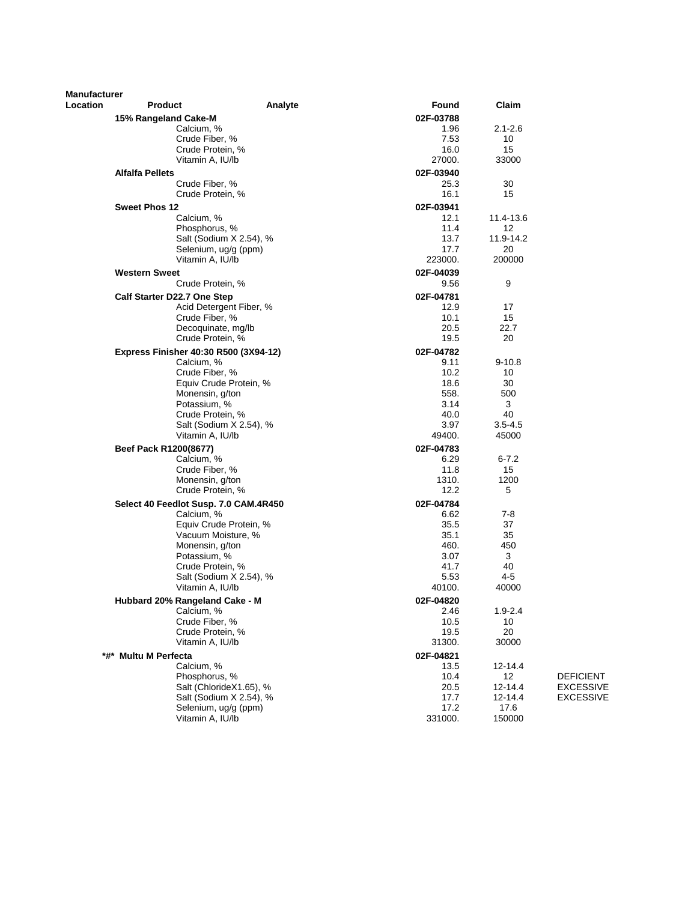| <b>Manufacturer</b> |                                              |                         |                   |                 |                  |
|---------------------|----------------------------------------------|-------------------------|-------------------|-----------------|------------------|
| Location            | <b>Product</b>                               | Analyte                 | Found             | Claim           |                  |
|                     | 15% Rangeland Cake-M                         |                         | 02F-03788<br>1.96 | $2.1 - 2.6$     |                  |
|                     | Calcium, %<br>Crude Fiber, %                 |                         | 7.53              | 10              |                  |
|                     | Crude Protein, %                             |                         | 16.0              | 15              |                  |
|                     | Vitamin A, IU/lb                             |                         | 27000.            | 33000           |                  |
|                     | <b>Alfalfa Pellets</b>                       |                         | 02F-03940         |                 |                  |
|                     | Crude Fiber, %                               |                         | 25.3              | 30              |                  |
|                     | Crude Protein, %                             |                         | 16.1              | 15              |                  |
|                     | <b>Sweet Phos 12</b>                         |                         | 02F-03941         |                 |                  |
|                     | Calcium, %                                   |                         | 12.1              | 11.4-13.6       |                  |
|                     | Phosphorus, %                                |                         | 11.4              | 12              |                  |
|                     |                                              | Salt (Sodium X 2.54), % | 13.7              | 11.9-14.2       |                  |
|                     | Selenium, ug/g (ppm)                         |                         | 17.7              | 20              |                  |
|                     | Vitamin A, IU/lb                             |                         | 223000.           | 200000          |                  |
|                     | <b>Western Sweet</b>                         |                         | 02F-04039         |                 |                  |
|                     | Crude Protein, %                             |                         | 9.56              | 9               |                  |
|                     | Calf Starter D22.7 One Step                  |                         | 02F-04781         |                 |                  |
|                     |                                              | Acid Detergent Fiber, % | 12.9              | 17              |                  |
|                     | Crude Fiber, %<br>Decoquinate, mg/lb         |                         | 10.1<br>20.5      | 15<br>22.7      |                  |
|                     | Crude Protein, %                             |                         | 19.5              | 20              |                  |
|                     | Express Finisher 40:30 R500 (3X94-12)        |                         | 02F-04782         |                 |                  |
|                     | Calcium, %                                   |                         | 9.11              | $9 - 10.8$      |                  |
|                     | Crude Fiber, %                               |                         | 10.2              | 10              |                  |
|                     |                                              | Equiv Crude Protein, %  | 18.6              | 30              |                  |
|                     | Monensin, g/ton                              |                         | 558.              | 500             |                  |
|                     | Potassium, %                                 |                         | 3.14              | 3               |                  |
|                     | Crude Protein, %                             |                         | 40.0              | 40              |                  |
|                     |                                              | Salt (Sodium X 2.54), % | 3.97              | $3.5 - 4.5$     |                  |
|                     | Vitamin A, IU/lb                             |                         | 49400.            | 45000           |                  |
|                     | Beef Pack R1200(8677)                        |                         | 02F-04783         |                 |                  |
|                     | Calcium, %<br>Crude Fiber, %                 |                         | 6.29<br>11.8      | $6 - 7.2$<br>15 |                  |
|                     | Monensin, g/ton                              |                         | 1310.             | 1200            |                  |
|                     | Crude Protein, %                             |                         | 12.2              | 5               |                  |
|                     | Select 40 Feedlot Susp. 7.0 CAM.4R450        |                         | 02F-04784         |                 |                  |
|                     | Calcium, %                                   |                         | 6.62              | 7-8             |                  |
|                     |                                              | Equiv Crude Protein, %  | 35.5              | 37              |                  |
|                     | Vacuum Moisture, %                           |                         | 35.1              | 35              |                  |
|                     | Monensin, g/ton                              |                         | 460.              | 450             |                  |
|                     | Potassium, %                                 |                         | 3.07              | 3               |                  |
|                     | Crude Protein, %                             |                         | 41.7              | 40              |                  |
|                     |                                              | Salt (Sodium X 2.54), % | 5.53<br>40100.    | 4-5<br>40000    |                  |
|                     | Vitamin A, IU/lb                             |                         |                   |                 |                  |
|                     | Hubbard 20% Rangeland Cake - M<br>Calcium, % |                         | 02F-04820         | $1.9 - 2.4$     |                  |
|                     | Crude Fiber, %                               |                         | 2.46<br>10.5      | 10              |                  |
|                     | Crude Protein, %                             |                         | 19.5              | 20              |                  |
|                     | Vitamin A, IU/lb                             |                         | 31300.            | 30000           |                  |
|                     | *#* Multu M Perfecta                         |                         | 02F-04821         |                 |                  |
|                     | Calcium, %                                   |                         | 13.5              | 12-14.4         |                  |
|                     | Phosphorus, %                                |                         | 10.4              | 12              | <b>DEFICIENT</b> |
|                     |                                              | Salt (ChlorideX1.65), % | 20.5              | 12-14.4         | <b>EXCESSIVE</b> |
|                     |                                              | Salt (Sodium X 2.54), % | 17.7              | 12-14.4         | <b>EXCESSIVE</b> |
|                     | Selenium, ug/g (ppm)                         |                         | 17.2              | 17.6            |                  |
|                     | Vitamin A, IU/lb                             |                         | 331000.           | 150000          |                  |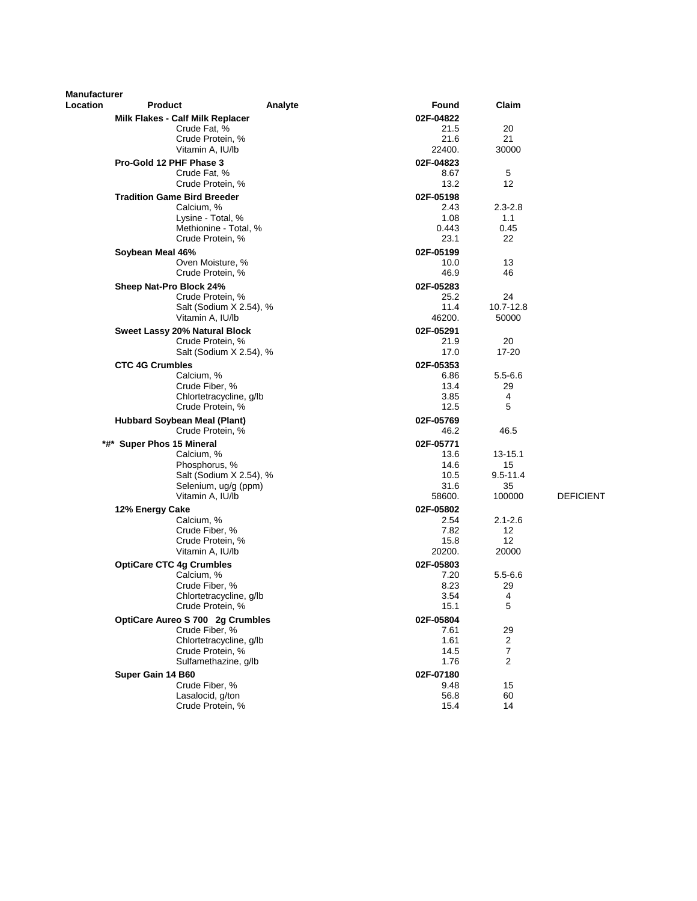| <b>Manufacturer</b> |                                           |                         |                   |                    |                  |
|---------------------|-------------------------------------------|-------------------------|-------------------|--------------------|------------------|
| Location            | <b>Product</b>                            | Analyte                 | Found             | Claim              |                  |
|                     | Milk Flakes - Calf Milk Replacer          |                         | 02F-04822         |                    |                  |
|                     | Crude Fat, %                              |                         | 21.5              | 20<br>21           |                  |
|                     | Crude Protein, %<br>Vitamin A, IU/lb      |                         | 21.6<br>22400.    | 30000              |                  |
|                     |                                           |                         |                   |                    |                  |
|                     | Pro-Gold 12 PHF Phase 3<br>Crude Fat, %   |                         | 02F-04823<br>8.67 | 5                  |                  |
|                     | Crude Protein, %                          |                         | 13.2              | 12                 |                  |
|                     | <b>Tradition Game Bird Breeder</b>        |                         | 02F-05198         |                    |                  |
|                     | Calcium, %                                |                         | 2.43              | $2.3 - 2.8$        |                  |
|                     | Lysine - Total, %                         |                         | 1.08              | 1.1                |                  |
|                     | Methionine - Total, %                     |                         | 0.443             | 0.45               |                  |
|                     | Crude Protein, %                          |                         | 23.1              | 22                 |                  |
|                     | Soybean Meal 46%                          |                         | 02F-05199         |                    |                  |
|                     | Oven Moisture, %                          |                         | 10.0              | 13                 |                  |
|                     | Crude Protein, %                          |                         | 46.9              | 46                 |                  |
|                     | Sheep Nat-Pro Block 24%                   |                         | 02F-05283         |                    |                  |
|                     | Crude Protein, %                          |                         | 25.2              | 24                 |                  |
|                     | Vitamin A, IU/lb                          | Salt (Sodium X 2.54), % | 11.4<br>46200.    | 10.7-12.8<br>50000 |                  |
|                     | Sweet Lassy 20% Natural Block             |                         | 02F-05291         |                    |                  |
|                     | Crude Protein, %                          |                         | 21.9              | 20                 |                  |
|                     |                                           | Salt (Sodium X 2.54), % | 17.0              | 17-20              |                  |
|                     | <b>CTC 4G Crumbles</b>                    |                         | 02F-05353         |                    |                  |
|                     | Calcium, %                                |                         | 6.86              | $5.5 - 6.6$        |                  |
|                     | Crude Fiber, %                            |                         | 13.4              | 29                 |                  |
|                     | Chlortetracycline, g/lb                   |                         | 3.85              | 4                  |                  |
|                     | Crude Protein, %                          |                         | 12.5              | 5                  |                  |
|                     | <b>Hubbard Soybean Meal (Plant)</b>       |                         | 02F-05769         |                    |                  |
|                     | Crude Protein, %                          |                         | 46.2              | 46.5               |                  |
|                     | *#* Super Phos 15 Mineral                 |                         | 02F-05771         |                    |                  |
|                     | Calcium, %                                |                         | 13.6              | 13-15.1            |                  |
|                     | Phosphorus, %                             | Salt (Sodium X 2.54), % | 14.6<br>10.5      | 15<br>$9.5 - 11.4$ |                  |
|                     | Selenium, ug/g (ppm)                      |                         | 31.6              | 35                 |                  |
|                     | Vitamin A, IU/lb                          |                         | 58600.            | 100000             | <b>DEFICIENT</b> |
|                     | 12% Energy Cake                           |                         | 02F-05802         |                    |                  |
|                     | Calcium, %                                |                         | 2.54              | $2.1 - 2.6$        |                  |
|                     | Crude Fiber, %                            |                         | 7.82              | 12                 |                  |
|                     | Crude Protein, %                          |                         | 15.8              | 12                 |                  |
|                     | Vitamin A, IU/lb                          |                         | 20200.            | 20000              |                  |
|                     | <b>OptiCare CTC 4g Crumbles</b>           |                         | 02F-05803         |                    |                  |
|                     | Calcium, %                                |                         | 7.20              | $5.5 - 6.6$        |                  |
|                     | Crude Fiber, %<br>Chlortetracycline, g/lb |                         | 8.23<br>3.54      | 29<br>4            |                  |
|                     | Crude Protein, %                          |                         | 15.1              | 5                  |                  |
|                     | OptiCare Aureo S 700 2g Crumbles          |                         | 02F-05804         |                    |                  |
|                     | Crude Fiber, %                            |                         | 7.61              | 29                 |                  |
|                     | Chlortetracycline, g/lb                   |                         | 1.61              | $\overline{2}$     |                  |
|                     | Crude Protein, %                          |                         | 14.5              | $\boldsymbol{7}$   |                  |
|                     | Sulfamethazine, g/lb                      |                         | 1.76              | 2                  |                  |
|                     | Super Gain 14 B60                         |                         | 02F-07180         |                    |                  |
|                     | Crude Fiber, %                            |                         | 9.48              | 15                 |                  |
|                     | Lasalocid, g/ton                          |                         | 56.8              | 60                 |                  |
|                     | Crude Protein, %                          |                         | 15.4              | 14                 |                  |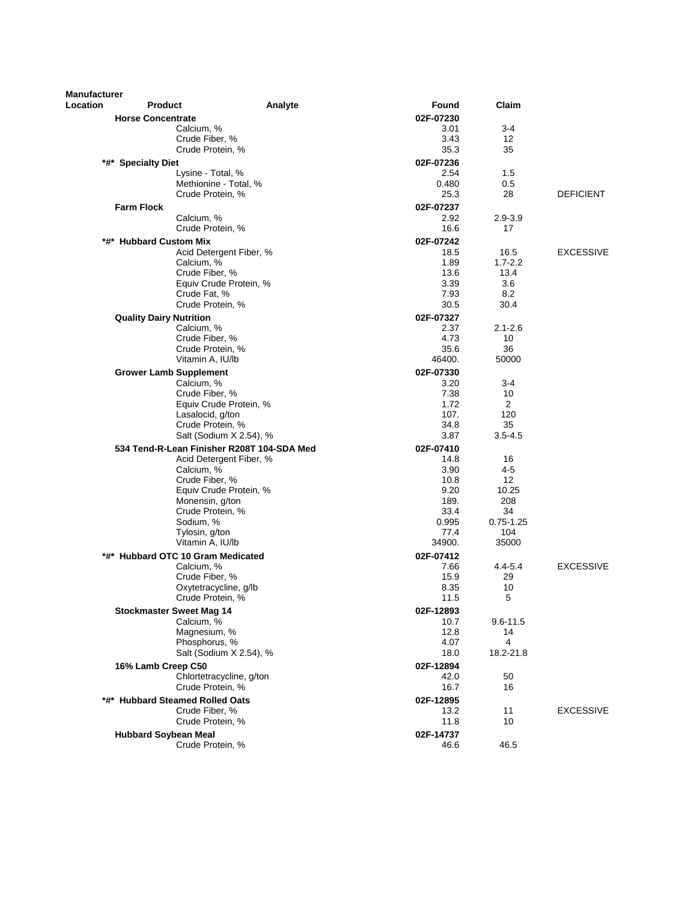| <b>Manufacturer</b><br><b>Location</b> | Product                                      | Analyte                                    | Found             | Claim              |                  |
|----------------------------------------|----------------------------------------------|--------------------------------------------|-------------------|--------------------|------------------|
|                                        | <b>Horse Concentrate</b>                     |                                            | 02F-07230         |                    |                  |
|                                        | Calcium, %                                   |                                            | 3.01              | $3 - 4$            |                  |
|                                        | Crude Fiber, %                               |                                            | 3.43              | 12                 |                  |
|                                        | Crude Protein, %                             |                                            | 35.3              | 35                 |                  |
|                                        | *#* Specialty Diet                           |                                            | 02F-07236         |                    |                  |
|                                        | Lysine - Total, %                            |                                            | 2.54              | 1.5                |                  |
|                                        |                                              | Methionine - Total, %                      | 0.480             | 0.5                |                  |
|                                        | Crude Protein, %                             |                                            | 25.3              | 28                 | <b>DEFICIENT</b> |
|                                        | <b>Farm Flock</b>                            |                                            | 02F-07237         |                    |                  |
|                                        | Calcium, %                                   |                                            | 2.92              | $2.9 - 3.9$        |                  |
|                                        | Crude Protein, %                             |                                            | 16.6              | 17                 |                  |
|                                        | *#* Hubbard Custom Mix                       |                                            | 02F-07242         |                    |                  |
|                                        |                                              | Acid Detergent Fiber, %                    | 18.5              | 16.5               | <b>EXCESSIVE</b> |
|                                        | Calcium, %                                   |                                            | 1.89              | $1.7 - 2.2$        |                  |
|                                        | Crude Fiber, %                               |                                            | 13.6              | 13.4               |                  |
|                                        |                                              | Equiv Crude Protein, %                     | 3.39<br>7.93      | 3.6                |                  |
|                                        | Crude Fat, %<br>Crude Protein, %             |                                            | 30.5              | 8.2<br>30.4        |                  |
|                                        |                                              |                                            |                   |                    |                  |
|                                        | <b>Quality Dairy Nutrition</b><br>Calcium, % |                                            | 02F-07327<br>2.37 | $2.1 - 2.6$        |                  |
|                                        | Crude Fiber, %                               |                                            | 4.73              | 10                 |                  |
|                                        | Crude Protein, %                             |                                            | 35.6              | 36                 |                  |
|                                        | Vitamin A, IU/lb                             |                                            | 46400.            | 50000              |                  |
|                                        | <b>Grower Lamb Supplement</b>                |                                            | 02F-07330         |                    |                  |
|                                        | Calcium, %                                   |                                            | 3.20              | $3 - 4$            |                  |
|                                        | Crude Fiber, %                               |                                            | 7.38              | 10                 |                  |
|                                        |                                              | Equiv Crude Protein, %                     | 1.72              | $\overline{2}$     |                  |
|                                        | Lasalocid, g/ton                             |                                            | 107.              | 120                |                  |
|                                        | Crude Protein, %                             |                                            | 34.8              | 35                 |                  |
|                                        |                                              | Salt (Sodium X 2.54), %                    | 3.87              | $3.5 - 4.5$        |                  |
|                                        |                                              | 534 Tend-R-Lean Finisher R208T 104-SDA Med | 02F-07410         |                    |                  |
|                                        |                                              | Acid Detergent Fiber, %                    | 14.8              | 16                 |                  |
|                                        | Calcium, %<br>Crude Fiber, %                 |                                            | 3.90<br>10.8      | 4-5<br>12          |                  |
|                                        |                                              | Equiv Crude Protein, %                     | 9.20              | 10.25              |                  |
|                                        | Monensin, g/ton                              |                                            | 189.              | 208                |                  |
|                                        | Crude Protein, %                             |                                            | 33.4              | 34                 |                  |
|                                        | Sodium, %                                    |                                            | 0.995             | $0.75 - 1.25$      |                  |
|                                        | Tylosin, g/ton                               |                                            | 77.4              | 104                |                  |
|                                        | Vitamin A, IU/lb                             |                                            | 34900.            | 35000              |                  |
|                                        | *#* Hubbard OTC 10 Gram Medicated            |                                            | 02F-07412         |                    |                  |
|                                        | Calcium, %                                   |                                            | 7.66              | 4.4-5.4            | <b>EXCESSIVE</b> |
|                                        | Crude Fiber, %                               |                                            | 15.9              | 29                 |                  |
|                                        | Oxytetracycline, g/lb                        |                                            | 8.35              | 10                 |                  |
|                                        | Crude Protein, %                             |                                            | 11.5              | 5                  |                  |
|                                        | <b>Stockmaster Sweet Mag 14</b>              |                                            | 02F-12893         |                    |                  |
|                                        | Calcium, %<br>Magnesium, %                   |                                            | 10.7<br>12.8      | $9.6 - 11.5$<br>14 |                  |
|                                        | Phosphorus, %                                |                                            | 4.07              | 4                  |                  |
|                                        |                                              | Salt (Sodium X 2.54), %                    | 18.0              | 18.2-21.8          |                  |
|                                        | 16% Lamb Creep C50                           |                                            | 02F-12894         |                    |                  |
|                                        |                                              | Chlortetracycline, g/ton                   | 42.0              | 50                 |                  |
|                                        | Crude Protein, %                             |                                            | 16.7              | 16                 |                  |
|                                        | *#* Hubbard Steamed Rolled Oats              |                                            | 02F-12895         |                    |                  |
|                                        | Crude Fiber, %                               |                                            | 13.2              | 11                 | <b>EXCESSIVE</b> |
|                                        | Crude Protein, %                             |                                            | 11.8              | 10                 |                  |
|                                        | <b>Hubbard Soybean Meal</b>                  |                                            | 02F-14737         |                    |                  |
|                                        | Crude Protein, %                             |                                            | 46.6              | 46.5               |                  |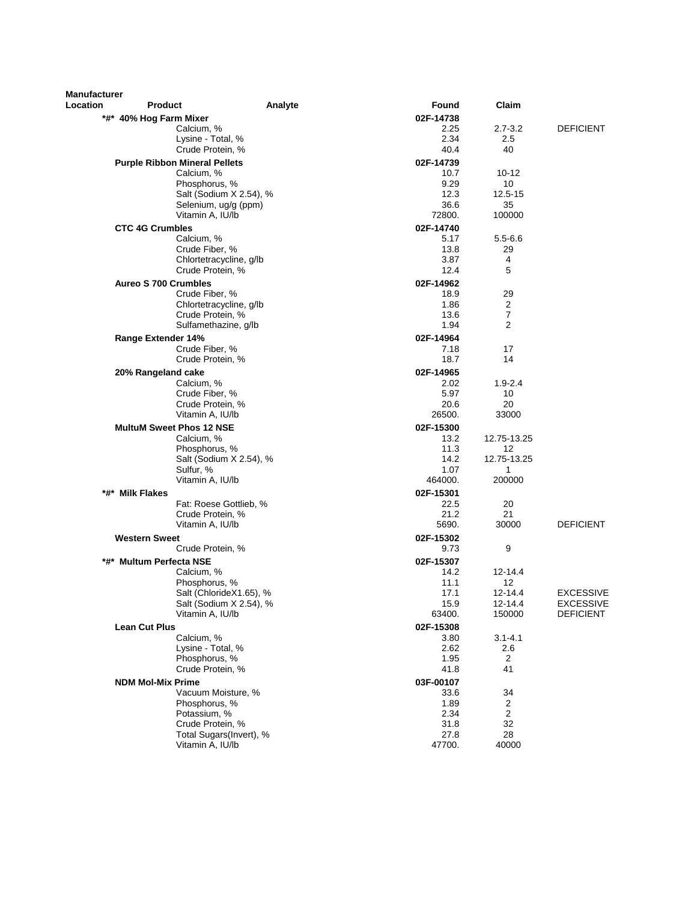| <b>Manufacturer</b><br>Location | <b>Product</b>                                 | Analyte                 | Found             | Claim             |                  |
|---------------------------------|------------------------------------------------|-------------------------|-------------------|-------------------|------------------|
|                                 | *#* 40% Hog Farm Mixer                         |                         | 02F-14738         |                   |                  |
|                                 | Calcium, %                                     |                         | 2.25              | $2.7 - 3.2$       | <b>DEFICIENT</b> |
|                                 | Lysine - Total, %                              |                         | 2.34              | 2.5               |                  |
|                                 | Crude Protein, %                               |                         | 40.4              | 40                |                  |
|                                 | <b>Purple Ribbon Mineral Pellets</b>           |                         | 02F-14739         |                   |                  |
|                                 | Calcium, %                                     |                         | 10.7              | $10 - 12$         |                  |
|                                 | Phosphorus, %                                  |                         | 9.29              | 10                |                  |
|                                 |                                                | Salt (Sodium X 2.54), % | 12.3              | 12.5-15           |                  |
|                                 | Selenium, ug/g (ppm)                           |                         | 36.6              | 35                |                  |
|                                 | Vitamin A, IU/lb                               |                         | 72800.            | 100000            |                  |
|                                 | <b>CTC 4G Crumbles</b>                         |                         | 02F-14740         |                   |                  |
|                                 | Calcium, %                                     |                         | 5.17              | $5.5 - 6.6$       |                  |
|                                 | Crude Fiber, %                                 |                         | 13.8              | 29                |                  |
|                                 | Chlortetracycline, g/lb                        |                         | 3.87              | 4                 |                  |
|                                 | Crude Protein, %                               |                         | 12.4              | 5                 |                  |
|                                 | <b>Aureo S 700 Crumbles</b>                    |                         | 02F-14962         |                   |                  |
|                                 | Crude Fiber, %                                 |                         | 18.9              | 29                |                  |
|                                 | Chlortetracycline, g/lb                        |                         | 1.86              | 2                 |                  |
|                                 | Crude Protein, %<br>Sulfamethazine, g/lb       |                         | 13.6<br>1.94      | 7<br>2            |                  |
|                                 |                                                |                         |                   |                   |                  |
|                                 | Range Extender 14%                             |                         | 02F-14964         |                   |                  |
|                                 | Crude Fiber, %<br>Crude Protein, %             |                         | 7.18<br>18.7      | 17<br>14          |                  |
|                                 |                                                |                         |                   |                   |                  |
|                                 | 20% Rangeland cake                             |                         | 02F-14965         |                   |                  |
|                                 | Calcium, %<br>Crude Fiber, %                   |                         | 2.02<br>5.97      | $1.9 - 2.4$<br>10 |                  |
|                                 | Crude Protein, %                               |                         | 20.6              | 20                |                  |
|                                 | Vitamin A, IU/lb                               |                         | 26500.            | 33000             |                  |
|                                 | <b>MultuM Sweet Phos 12 NSE</b>                |                         | 02F-15300         |                   |                  |
|                                 | Calcium, %                                     |                         | 13.2              | 12.75-13.25       |                  |
|                                 | Phosphorus, %                                  |                         | 11.3              | 12                |                  |
|                                 |                                                | Salt (Sodium X 2.54), % | 14.2              | 12.75-13.25       |                  |
|                                 | Sulfur, %                                      |                         | 1.07              | 1                 |                  |
|                                 | Vitamin A, IU/lb                               |                         | 464000.           | 200000            |                  |
| *#* Milk Flakes                 |                                                |                         | 02F-15301         |                   |                  |
|                                 | Fat: Roese Gottlieb, %                         |                         | 22.5              | 20                |                  |
|                                 | Crude Protein, %                               |                         | 21.2              | 21                |                  |
|                                 | Vitamin A, IU/lb                               |                         | 5690.             | 30000             | <b>DEFICIENT</b> |
| <b>Western Sweet</b>            |                                                |                         | 02F-15302         |                   |                  |
|                                 | Crude Protein, %                               |                         | 9.73              | 9                 |                  |
|                                 | *#*  Multum Perfecta NSE                       |                         | 02F-15307         |                   |                  |
|                                 | Calcium, %                                     |                         | 14.2              | $12 - 14.4$       |                  |
|                                 | Phosphorus, %                                  |                         | 11.1              | 12                |                  |
|                                 |                                                | Salt (ChlorideX1.65), % | 17.1              | 12-14.4           | <b>EXCESSIVE</b> |
|                                 |                                                | Salt (Sodium X 2.54), % | 15.9              | 12-14.4           | <b>EXCESSIVE</b> |
|                                 | Vitamin A, IU/lb                               |                         | 63400.            | 150000            | <b>DEFICIENT</b> |
| <b>Lean Cut Plus</b>            |                                                |                         | 02F-15308         |                   |                  |
|                                 | Calcium, %                                     |                         | 3.80              | $3.1 - 4.1$       |                  |
|                                 | Lysine - Total, %<br>Phosphorus, %             |                         | 2.62<br>1.95      | 2.6<br>2          |                  |
|                                 | Crude Protein, %                               |                         | 41.8              | 41                |                  |
|                                 |                                                |                         |                   |                   |                  |
|                                 | <b>NDM Mol-Mix Prime</b><br>Vacuum Moisture, % |                         | 03F-00107<br>33.6 | 34                |                  |
|                                 | Phosphorus, %                                  |                         | 1.89              | 2                 |                  |
|                                 | Potassium, %                                   |                         | 2.34              | $\overline{2}$    |                  |
|                                 | Crude Protein, %                               |                         | 31.8              | 32                |                  |
|                                 |                                                | Total Sugars(Invert), % | 27.8              | 28                |                  |
|                                 | Vitamin A, IU/lb                               |                         | 47700.            | 40000             |                  |
|                                 |                                                |                         |                   |                   |                  |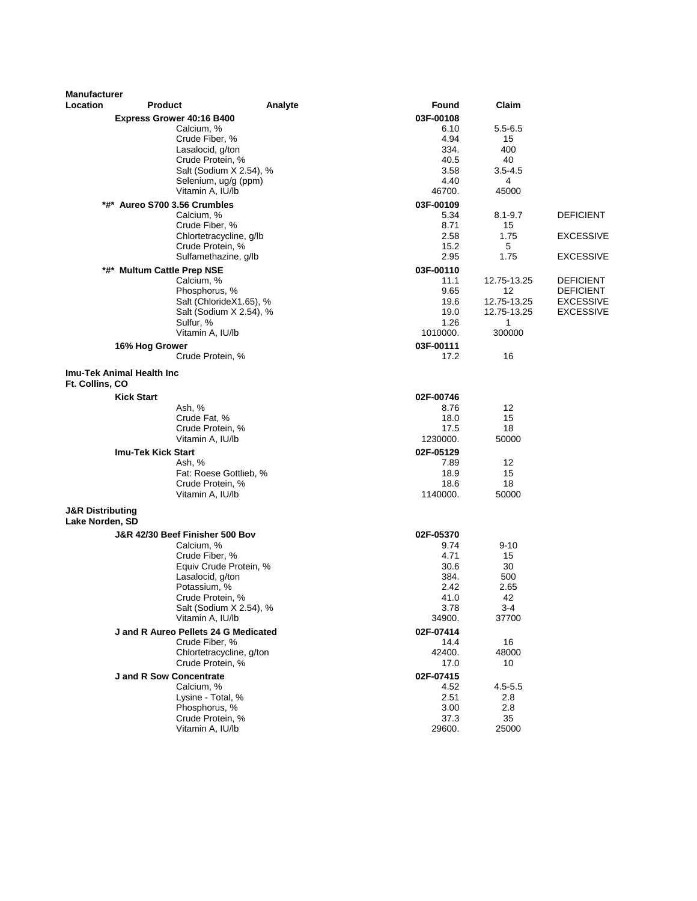| <b>Manufacturer</b><br>Location | <b>Product</b>                 |                                                    | Analyte | Found             | Claim                      |                                      |
|---------------------------------|--------------------------------|----------------------------------------------------|---------|-------------------|----------------------------|--------------------------------------|
|                                 |                                | <b>Express Grower 40:16 B400</b>                   |         | 03F-00108         |                            |                                      |
|                                 |                                | Calcium, %                                         |         | 6.10              | $5.5 - 6.5$                |                                      |
|                                 |                                | Crude Fiber, %                                     |         | 4.94              | 15                         |                                      |
|                                 |                                | Lasalocid, g/ton                                   |         | 334.              | 400                        |                                      |
|                                 |                                | Crude Protein, %                                   |         | 40.5              | 40                         |                                      |
|                                 |                                | Salt (Sodium X 2.54), %                            |         | 3.58              | $3.5 - 4.5$                |                                      |
|                                 |                                | Selenium, ug/g (ppm)<br>Vitamin A, IU/lb           |         | 4.40<br>46700.    | 4<br>45000                 |                                      |
|                                 | *#* Aureo S700 3.56 Crumbles   |                                                    |         |                   |                            |                                      |
|                                 |                                | Calcium, %                                         |         | 03F-00109<br>5.34 | $8.1 - 9.7$                | <b>DEFICIENT</b>                     |
|                                 |                                | Crude Fiber, %                                     |         | 8.71              | 15                         |                                      |
|                                 |                                | Chlortetracycline, g/lb                            |         | 2.58              | 1.75                       | <b>EXCESSIVE</b>                     |
|                                 |                                | Crude Protein, %                                   |         | 15.2              | 5                          |                                      |
|                                 |                                | Sulfamethazine, g/lb                               |         | 2.95              | 1.75                       | <b>EXCESSIVE</b>                     |
| *#*                             | <b>Multum Cattle Prep NSE</b>  |                                                    |         | 03F-00110         |                            |                                      |
|                                 |                                | Calcium, %                                         |         | 11.1              | 12.75-13.25                | <b>DEFICIENT</b>                     |
|                                 |                                | Phosphorus, %                                      |         | 9.65              | 12                         | <b>DEFICIENT</b>                     |
|                                 |                                | Salt (ChlorideX1.65), %<br>Salt (Sodium X 2.54), % |         | 19.6<br>19.0      | 12.75-13.25<br>12.75-13.25 | <b>EXCESSIVE</b><br><b>EXCESSIVE</b> |
|                                 |                                | Sulfur, %                                          |         | 1.26              | 1                          |                                      |
|                                 |                                | Vitamin A. IU/lb                                   |         | 1010000.          | 300000                     |                                      |
|                                 | 16% Hog Grower                 |                                                    |         | 03F-00111         |                            |                                      |
|                                 |                                | Crude Protein, %                                   |         | 17.2              | 16                         |                                      |
| Ft. Collins, CO                 | Imu-Tek Animal Health Inc      |                                                    |         |                   |                            |                                      |
|                                 | <b>Kick Start</b>              |                                                    |         | 02F-00746         |                            |                                      |
|                                 |                                | Ash, %                                             |         | 8.76              | 12                         |                                      |
|                                 |                                | Crude Fat, %                                       |         | 18.0              | 15                         |                                      |
|                                 |                                | Crude Protein, %                                   |         | 17.5              | 18                         |                                      |
|                                 |                                | Vitamin A, IU/lb                                   |         | 1230000.          | 50000                      |                                      |
|                                 | <b>Imu-Tek Kick Start</b>      |                                                    |         | 02F-05129         |                            |                                      |
|                                 |                                | Ash, %                                             |         | 7.89              | 12                         |                                      |
|                                 |                                | Fat: Roese Gottlieb, %<br>Crude Protein, %         |         | 18.9<br>18.6      | 15<br>18                   |                                      |
|                                 |                                | Vitamin A, IU/lb                                   |         | 1140000.          | 50000                      |                                      |
| <b>J&amp;R Distributing</b>     |                                |                                                    |         |                   |                            |                                      |
| Lake Norden, SD                 |                                |                                                    |         |                   |                            |                                      |
|                                 |                                | J&R 42/30 Beef Finisher 500 Bov                    |         | 02F-05370         |                            |                                      |
|                                 |                                | Calcium, %                                         |         | 9.74              | 9-10                       |                                      |
|                                 |                                | Crude Fiber, %                                     |         | 4.71              | 15                         |                                      |
|                                 |                                | Equiv Crude Protein, %<br>Lasalocid, g/ton         |         | 30.6<br>384.      | 30<br>500                  |                                      |
|                                 |                                | Potassium, %                                       |         | 2.42              | 2.65                       |                                      |
|                                 |                                | Crude Protein, %                                   |         | 41.0              | 42                         |                                      |
|                                 |                                | Salt (Sodium X 2.54), %                            |         | 3.78              | 3-4                        |                                      |
|                                 |                                | Vitamin A, IU/lb                                   |         | 34900.            | 37700                      |                                      |
|                                 |                                | J and R Aureo Pellets 24 G Medicated               |         | 02F-07414         |                            |                                      |
|                                 |                                | Crude Fiber, %                                     |         | 14.4              | 16                         |                                      |
|                                 |                                | Chlortetracycline, g/ton<br>Crude Protein, %       |         | 42400.            | 48000<br>10                |                                      |
|                                 |                                |                                                    |         | 17.0              |                            |                                      |
|                                 | <b>J</b> and R Sow Concentrate | Calcium, %                                         |         | 02F-07415<br>4.52 | 4.5-5.5                    |                                      |
|                                 |                                | Lysine - Total, %                                  |         | 2.51              | 2.8                        |                                      |
|                                 |                                | Phosphorus, %                                      |         | 3.00              | 2.8                        |                                      |
|                                 |                                | Crude Protein, %                                   |         | 37.3              | 35                         |                                      |
|                                 |                                | Vitamin A, IU/lb                                   |         | 29600.            | 25000                      |                                      |
|                                 |                                |                                                    |         |                   |                            |                                      |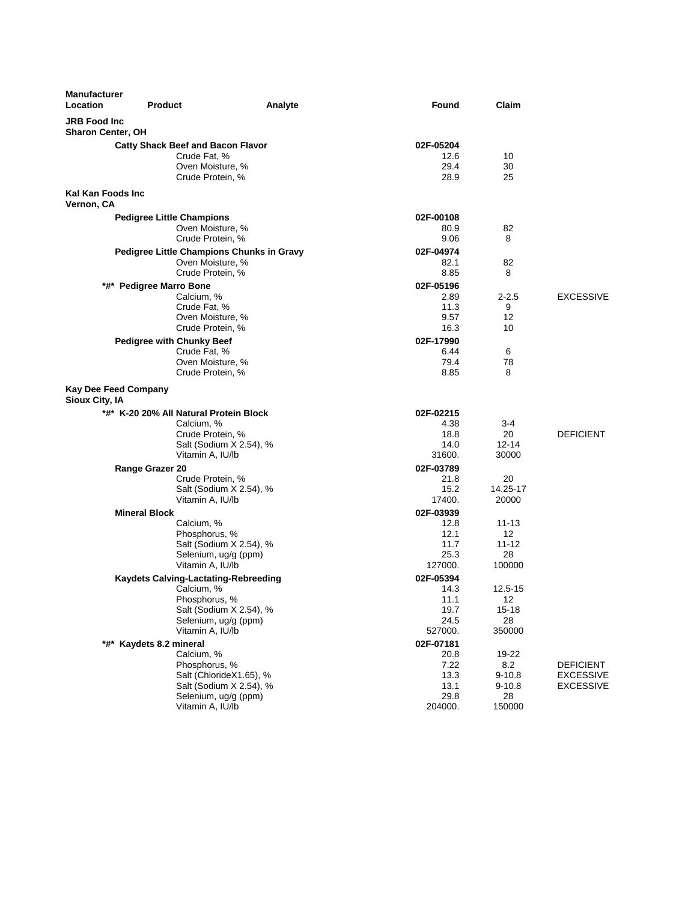| <b>Manufacturer</b><br>Location                 | <b>Product</b>                                       | Analyte                 | Found             | Claim              |                                      |
|-------------------------------------------------|------------------------------------------------------|-------------------------|-------------------|--------------------|--------------------------------------|
| <b>JRB Food Inc</b><br><b>Sharon Center, OH</b> |                                                      |                         |                   |                    |                                      |
|                                                 | <b>Catty Shack Beef and Bacon Flavor</b>             |                         | 02F-05204         |                    |                                      |
|                                                 | Crude Fat, %                                         |                         | 12.6              | 10                 |                                      |
|                                                 | Oven Moisture, %                                     |                         | 29.4              | 30                 |                                      |
|                                                 | Crude Protein, %                                     |                         | 28.9              | 25                 |                                      |
| Kal Kan Foods Inc                               |                                                      |                         |                   |                    |                                      |
| Vernon, CA                                      |                                                      |                         |                   |                    |                                      |
|                                                 | <b>Pedigree Little Champions</b><br>Oven Moisture, % |                         | 02F-00108<br>80.9 | 82                 |                                      |
|                                                 | Crude Protein, %                                     |                         | 9.06              | 8                  |                                      |
|                                                 | Pedigree Little Champions Chunks in Gravy            |                         | 02F-04974         |                    |                                      |
|                                                 | Oven Moisture, %                                     |                         | 82.1              | 82                 |                                      |
|                                                 | Crude Protein, %                                     |                         | 8.85              | 8                  |                                      |
|                                                 | *#* Pedigree Marro Bone                              |                         | 02F-05196         |                    |                                      |
|                                                 | Calcium, %                                           |                         | 2.89              | $2 - 2.5$<br>9     | <b>EXCESSIVE</b>                     |
|                                                 | Crude Fat, %<br>Oven Moisture, %                     |                         | 11.3<br>9.57      | 12                 |                                      |
|                                                 | Crude Protein, %                                     |                         | 16.3              | 10                 |                                      |
|                                                 | <b>Pedigree with Chunky Beef</b>                     |                         | 02F-17990         |                    |                                      |
|                                                 | Crude Fat, %                                         |                         | 6.44              | 6                  |                                      |
|                                                 | Oven Moisture, %                                     |                         | 79.4              | 78                 |                                      |
|                                                 | Crude Protein, %                                     |                         | 8.85              | 8                  |                                      |
| <b>Kay Dee Feed Company</b><br>Sioux City, IA   |                                                      |                         |                   |                    |                                      |
|                                                 | *#* K-20 20% All Natural Protein Block               |                         | 02F-02215         |                    |                                      |
|                                                 | Calcium, %                                           |                         | 4.38              | 3-4                |                                      |
|                                                 | Crude Protein, %                                     |                         | 18.8              | 20                 | <b>DEFICIENT</b>                     |
|                                                 | Vitamin A, IU/lb                                     | Salt (Sodium X 2.54), % | 14.0<br>31600.    | $12 - 14$<br>30000 |                                      |
|                                                 | <b>Range Grazer 20</b>                               |                         | 02F-03789         |                    |                                      |
|                                                 | Crude Protein, %                                     |                         | 21.8              | 20                 |                                      |
|                                                 |                                                      | Salt (Sodium X 2.54), % | 15.2              | 14.25-17           |                                      |
|                                                 | Vitamin A, IU/lb                                     |                         | 17400.            | 20000              |                                      |
|                                                 | <b>Mineral Block</b>                                 |                         | 02F-03939         |                    |                                      |
|                                                 | Calcium, %<br>Phosphorus, %                          |                         | 12.8<br>12.1      | $11 - 13$<br>12    |                                      |
|                                                 |                                                      | Salt (Sodium X 2.54), % | 11.7              | $11 - 12$          |                                      |
|                                                 | Selenium, ug/g (ppm)                                 |                         | 25.3              | 28                 |                                      |
|                                                 | Vitamin A, IU/lb                                     |                         | 127000.           | 100000             |                                      |
|                                                 | <b>Kaydets Calving-Lactating-Rebreeding</b>          |                         | 02F-05394         |                    |                                      |
|                                                 | Calcium, %                                           |                         | 14.3              | 12.5-15            |                                      |
|                                                 | Phosphorus, %                                        | Salt (Sodium X 2.54), % | 11.1<br>19.7      | 12<br>$15 - 18$    |                                      |
|                                                 | Selenium, ug/g (ppm)                                 |                         | 24.5              | 28                 |                                      |
|                                                 | Vitamin A, IU/lb                                     |                         | 527000.           | 350000             |                                      |
|                                                 | *#* Kaydets 8.2 mineral                              |                         | 02F-07181         |                    |                                      |
|                                                 | Calcium, %                                           |                         | 20.8              | 19-22              |                                      |
|                                                 | Phosphorus, %                                        | Salt (ChlorideX1.65), % | 7.22<br>13.3      | 8.2<br>$9 - 10.8$  | <b>DEFICIENT</b><br><b>EXCESSIVE</b> |
|                                                 |                                                      | Salt (Sodium X 2.54), % | 13.1              | $9 - 10.8$         | EXCESSIVE                            |
|                                                 | Selenium, ug/g (ppm)                                 |                         | 29.8              | 28                 |                                      |
|                                                 | Vitamin A, IU/lb                                     |                         | 204000.           | 150000             |                                      |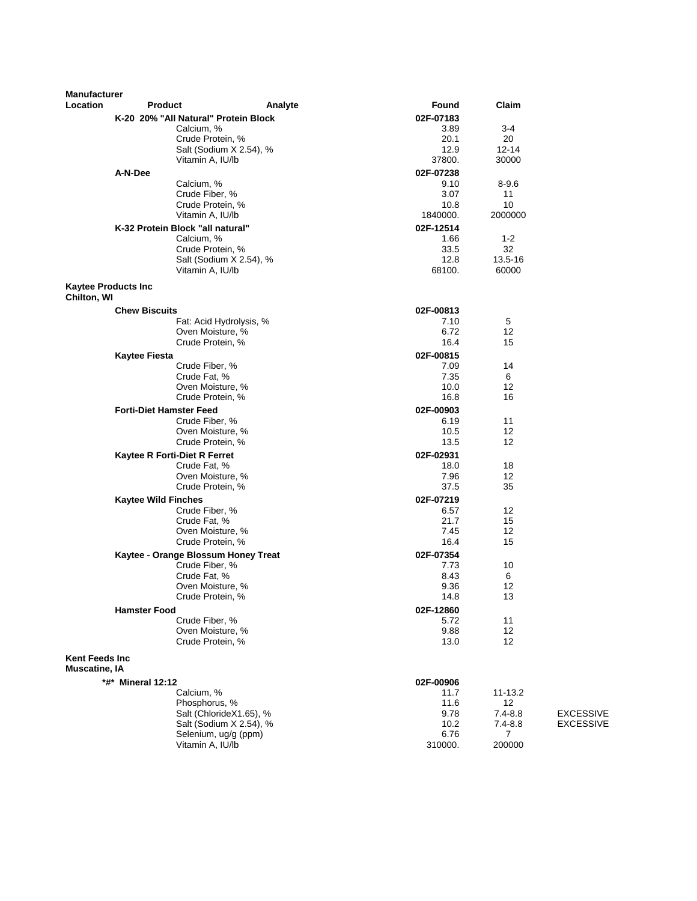| <b>Manufacturer</b>                           |                                  |                                                 |                |                  |                                      |
|-----------------------------------------------|----------------------------------|-------------------------------------------------|----------------|------------------|--------------------------------------|
| Location                                      | <b>Product</b>                   | Analyte                                         | <b>Found</b>   | Claim            |                                      |
|                                               |                                  | K-20 20% "All Natural" Protein Block            | 02F-07183      |                  |                                      |
|                                               |                                  | Calcium, %                                      | 3.89           | 3-4              |                                      |
|                                               |                                  | Crude Protein, %                                | 20.1           | 20               |                                      |
|                                               |                                  | Salt (Sodium X 2.54), %<br>Vitamin A, IU/lb     | 12.9<br>37800. | 12-14<br>30000   |                                      |
|                                               | A-N-Dee                          |                                                 | 02F-07238      |                  |                                      |
|                                               |                                  | Calcium, %                                      | 9.10           | $8 - 9.6$        |                                      |
|                                               |                                  | Crude Fiber, %                                  | 3.07           | 11               |                                      |
|                                               |                                  | Crude Protein, %                                | 10.8           | 10               |                                      |
|                                               |                                  | Vitamin A, IU/lb                                | 1840000.       | 2000000          |                                      |
|                                               | K-32 Protein Block "all natural" |                                                 | 02F-12514      |                  |                                      |
|                                               |                                  | Calcium, %                                      | 1.66           | $1 - 2$          |                                      |
|                                               |                                  | Crude Protein, %                                | 33.5           | 32               |                                      |
|                                               |                                  | Salt (Sodium X 2.54), %<br>Vitamin A, IU/lb     | 12.8<br>68100. | 13.5-16<br>60000 |                                      |
|                                               |                                  |                                                 |                |                  |                                      |
| <b>Kaytee Products Inc</b><br>Chilton, WI     |                                  |                                                 |                |                  |                                      |
|                                               | <b>Chew Biscuits</b>             |                                                 | 02F-00813      |                  |                                      |
|                                               |                                  | Fat: Acid Hydrolysis, %                         | 7.10           | 5                |                                      |
|                                               |                                  | Oven Moisture, %                                | 6.72           | 12               |                                      |
|                                               |                                  | Crude Protein, %                                | 16.4           | 15               |                                      |
|                                               | <b>Kaytee Fiesta</b>             |                                                 | 02F-00815      |                  |                                      |
|                                               |                                  | Crude Fiber, %<br>Crude Fat, %                  | 7.09<br>7.35   | 14<br>6          |                                      |
|                                               |                                  | Oven Moisture, %                                | 10.0           | 12               |                                      |
|                                               |                                  | Crude Protein, %                                | 16.8           | 16               |                                      |
|                                               | <b>Forti-Diet Hamster Feed</b>   |                                                 | 02F-00903      |                  |                                      |
|                                               |                                  | Crude Fiber, %                                  | 6.19           | 11               |                                      |
|                                               |                                  | Oven Moisture, %                                | 10.5           | 12               |                                      |
|                                               |                                  | Crude Protein, %                                | 13.5           | 12               |                                      |
|                                               | Kaytee R Forti-Diet R Ferret     |                                                 | 02F-02931      |                  |                                      |
|                                               |                                  | Crude Fat, %                                    | 18.0           | 18               |                                      |
|                                               |                                  | Oven Moisture, %<br>Crude Protein, %            | 7.96<br>37.5   | 12<br>35         |                                      |
|                                               | <b>Kaytee Wild Finches</b>       |                                                 | 02F-07219      |                  |                                      |
|                                               |                                  | Crude Fiber, %                                  | 6.57           | 12               |                                      |
|                                               |                                  | Crude Fat, %                                    | 21.7           | 15               |                                      |
|                                               |                                  | Oven Moisture, %                                | 7.45           | 12               |                                      |
|                                               |                                  | Crude Protein, %                                | 16.4           | 15               |                                      |
|                                               |                                  | Kaytee - Orange Blossum Honey Treat             | 02F-07354      |                  |                                      |
|                                               |                                  | Crude Fiber, %                                  | 7.73           | 10               |                                      |
|                                               |                                  | Crude Fat, %                                    | 8.43<br>9.36   | 6<br>12          |                                      |
|                                               |                                  | Oven Moisture, %<br>Crude Protein, %            | 14.8           | 13               |                                      |
|                                               | <b>Hamster Food</b>              |                                                 | 02F-12860      |                  |                                      |
|                                               |                                  | Crude Fiber, %                                  | 5.72           | 11               |                                      |
|                                               |                                  | Oven Moisture, %                                | 9.88           | 12               |                                      |
|                                               |                                  | Crude Protein, %                                | 13.0           | 12               |                                      |
| <b>Kent Feeds Inc</b><br><b>Muscatine, IA</b> |                                  |                                                 |                |                  |                                      |
|                                               | *#* Mineral 12:12                |                                                 | 02F-00906      |                  |                                      |
|                                               |                                  | Calcium, %                                      | 11.7           | 11-13.2          |                                      |
|                                               |                                  | Phosphorus, %                                   | 11.6           | 12               |                                      |
|                                               |                                  | Salt (ChlorideX1.65), %                         | 9.78<br>10.2   | $7.4 - 8.8$      | <b>EXCESSIVE</b><br><b>EXCESSIVE</b> |
|                                               |                                  | Salt (Sodium X 2.54), %<br>Selenium, ug/g (ppm) | 6.76           | $7.4 - 8.8$<br>7 |                                      |
|                                               |                                  | Vitamin A, IU/lb                                | 310000.        | 200000           |                                      |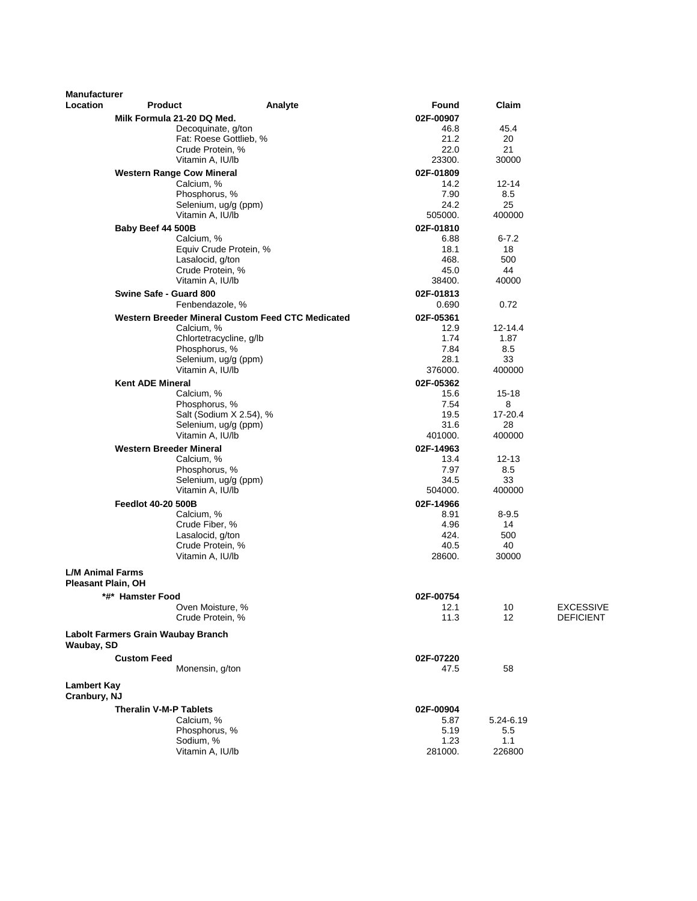| <b>Manufacturer</b>                |                                                |                                                   |                    |               |                  |
|------------------------------------|------------------------------------------------|---------------------------------------------------|--------------------|---------------|------------------|
| Location                           | <b>Product</b>                                 | Analyte                                           | <b>Found</b>       | Claim         |                  |
|                                    | Milk Formula 21-20 DQ Med.                     |                                                   | 02F-00907          |               |                  |
|                                    |                                                | Decoquinate, g/ton                                | 46.8               | 45.4          |                  |
|                                    |                                                | Fat: Roese Gottlieb, %                            | 21.2               | 20            |                  |
|                                    |                                                | Crude Protein, %<br>Vitamin A, IU/lb              | 22.0<br>23300.     | 21<br>30000   |                  |
|                                    |                                                |                                                   |                    |               |                  |
|                                    | <b>Western Range Cow Mineral</b><br>Calcium, % |                                                   | 02F-01809<br>14.2  | 12-14         |                  |
|                                    |                                                | Phosphorus, %                                     | 7.90               | 8.5           |                  |
|                                    |                                                | Selenium, ug/g (ppm)                              | 24.2               | 25            |                  |
|                                    |                                                | Vitamin A, IU/lb                                  | 505000.            | 400000        |                  |
|                                    | Baby Beef 44 500B                              |                                                   | 02F-01810          |               |                  |
|                                    | Calcium, %                                     |                                                   | 6.88               | $6 - 7.2$     |                  |
|                                    |                                                | Equiv Crude Protein, %                            | 18.1               | 18            |                  |
|                                    |                                                | Lasalocid, g/ton                                  | 468.               | 500           |                  |
|                                    |                                                | Crude Protein, %<br>Vitamin A, IU/lb              | 45.0<br>38400.     | 44<br>40000   |                  |
|                                    |                                                |                                                   |                    |               |                  |
|                                    | Swine Safe - Guard 800                         | Fenbendazole, %                                   | 02F-01813<br>0.690 | 0.72          |                  |
|                                    |                                                | Western Breeder Mineral Custom Feed CTC Medicated | 02F-05361          |               |                  |
|                                    | Calcium, %                                     |                                                   | 12.9               | $12 - 14.4$   |                  |
|                                    |                                                | Chlortetracycline, g/lb                           | 1.74               | 1.87          |                  |
|                                    |                                                | Phosphorus, %                                     | 7.84               | 8.5           |                  |
|                                    |                                                | Selenium, ug/g (ppm)                              | 28.1               | 33            |                  |
|                                    |                                                | Vitamin A, IU/lb                                  | 376000.            | 400000        |                  |
|                                    | <b>Kent ADE Mineral</b>                        |                                                   | 02F-05362          |               |                  |
|                                    | Calcium, %                                     |                                                   | 15.6               | 15-18         |                  |
|                                    |                                                | Phosphorus, %                                     | 7.54               | 8             |                  |
|                                    |                                                | Salt (Sodium X 2.54), %<br>Selenium, ug/g (ppm)   | 19.5<br>31.6       | 17-20.4<br>28 |                  |
|                                    |                                                | Vitamin A, IU/lb                                  | 401000.            | 400000        |                  |
|                                    | <b>Western Breeder Mineral</b>                 |                                                   | 02F-14963          |               |                  |
|                                    | Calcium, %                                     |                                                   | 13.4               | $12 - 13$     |                  |
|                                    |                                                | Phosphorus, %                                     | 7.97               | 8.5           |                  |
|                                    |                                                | Selenium, ug/g (ppm)                              | 34.5               | 33            |                  |
|                                    |                                                | Vitamin A, IU/lb                                  | 504000.            | 400000        |                  |
|                                    | <b>Feedlot 40-20 500B</b>                      |                                                   | 02F-14966          |               |                  |
|                                    | Calcium, %                                     |                                                   | 8.91               | $8 - 9.5$     |                  |
|                                    |                                                | Crude Fiber, %                                    | 4.96               | 14            |                  |
|                                    |                                                | Lasalocid, g/ton<br>Crude Protein, %              | 424.<br>40.5       | 500<br>40     |                  |
|                                    |                                                | Vitamin A, IU/lb                                  | 28600.             | 30000         |                  |
| <b>L/M Animal Farms</b>            |                                                |                                                   |                    |               |                  |
| Pleasant Plain, OH                 |                                                |                                                   |                    |               |                  |
|                                    | *#* Hamster Food                               | Oven Moisture, %                                  | 02F-00754<br>12.1  | 10            | <b>EXCESSIVE</b> |
|                                    |                                                | Crude Protein, %                                  | 11.3               | 12            | DEFICIENT        |
| Waubay, SD                         | Labolt Farmers Grain Waubay Branch             |                                                   |                    |               |                  |
|                                    | <b>Custom Feed</b>                             |                                                   | 02F-07220          |               |                  |
|                                    |                                                | Monensin, g/ton                                   | 47.5               | 58            |                  |
| <b>Lambert Kay</b><br>Cranbury, NJ |                                                |                                                   |                    |               |                  |
|                                    | <b>Theralin V-M-P Tablets</b>                  |                                                   | 02F-00904          |               |                  |
|                                    | Calcium, %                                     |                                                   | 5.87               | 5.24-6.19     |                  |
|                                    |                                                | Phosphorus, %                                     | 5.19               | 5.5           |                  |
|                                    | Sodium, %                                      |                                                   | 1.23               | 1.1           |                  |
|                                    |                                                | Vitamin A, IU/lb                                  | 281000.            | 226800        |                  |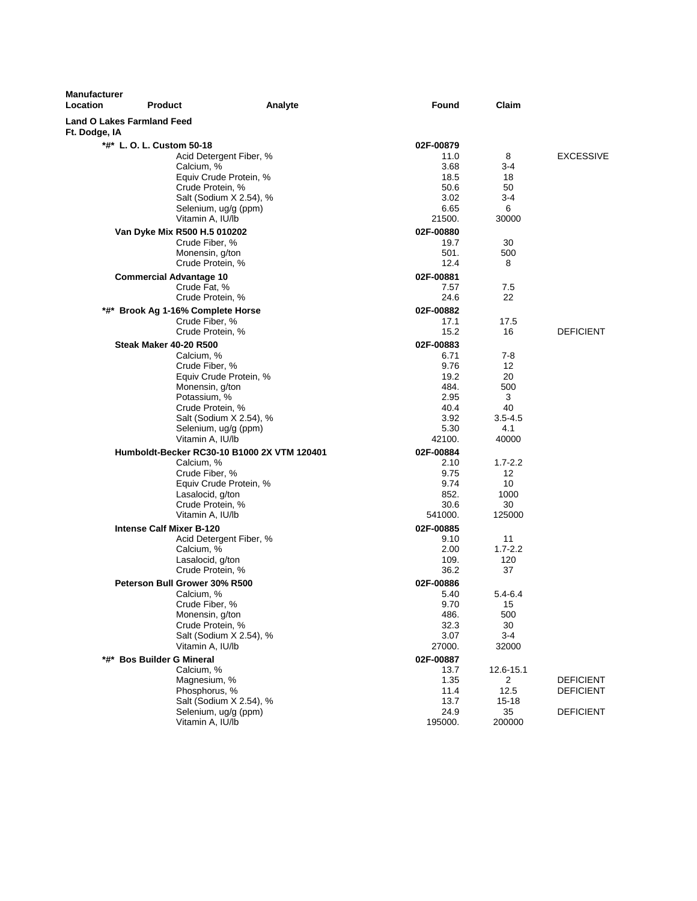| <b>Manufacturer</b><br>Location                    | <b>Product</b>                                                                                 | Analyte                                     | Found                                | Claim                                 |                                      |
|----------------------------------------------------|------------------------------------------------------------------------------------------------|---------------------------------------------|--------------------------------------|---------------------------------------|--------------------------------------|
| <b>Land O Lakes Farmland Feed</b><br>Ft. Dodge, IA |                                                                                                |                                             |                                      |                                       |                                      |
|                                                    | *#* L. O. L. Custom 50-18                                                                      |                                             | 02F-00879                            |                                       |                                      |
|                                                    | Acid Detergent Fiber, %<br>Calcium, %<br>Equiv Crude Protein, %<br>Crude Protein, %            |                                             | 11.0<br>3.68<br>18.5<br>50.6         | 8<br>$3-4$<br>18<br>50                | <b>EXCESSIVE</b>                     |
|                                                    | Salt (Sodium X 2.54), %<br>Selenium, ug/g (ppm)<br>Vitamin A, IU/lb                            |                                             | 3.02<br>6.65<br>21500.               | 3-4<br>6<br>30000                     |                                      |
|                                                    | Van Dyke Mix R500 H.5 010202<br>Crude Fiber, %<br>Monensin, g/ton<br>Crude Protein, %          |                                             | 02F-00880<br>19.7<br>501.<br>12.4    | 30<br>500<br>8                        |                                      |
|                                                    | <b>Commercial Advantage 10</b><br>Crude Fat, %                                                 |                                             | 02F-00881<br>7.57                    | 7.5                                   |                                      |
|                                                    | Crude Protein, %<br>*#* Brook Ag 1-16% Complete Horse<br>Crude Fiber, %                        |                                             | 24.6<br>02F-00882<br>17.1            | 22<br>17.5                            |                                      |
|                                                    | Crude Protein, %<br><b>Steak Maker 40-20 R500</b>                                              |                                             | 15.2<br>02F-00883                    | 16                                    | <b>DEFICIENT</b>                     |
|                                                    | Calcium, %<br>Crude Fiber, %<br>Equiv Crude Protein, %                                         |                                             | 6.71<br>9.76<br>19.2                 | $7-8$<br>12<br>20                     |                                      |
|                                                    | Monensin, g/ton<br>Potassium, %<br>Crude Protein, %                                            | Salt (Sodium X 2.54), %                     | 484.<br>2.95<br>40.4<br>3.92         | 500<br>3<br>40<br>$3.5 - 4.5$         |                                      |
|                                                    | Selenium, ug/g (ppm)<br>Vitamin A, IU/lb                                                       | Humboldt-Becker RC30-10 B1000 2X VTM 120401 | 5.30<br>42100.<br>02F-00884          | 4.1<br>40000                          |                                      |
|                                                    | Calcium, %<br>Crude Fiber, %<br>Equiv Crude Protein, %<br>Lasalocid, g/ton<br>Crude Protein, % |                                             | 2.10<br>9.75<br>9.74<br>852.<br>30.6 | $1.7 - 2.2$<br>12<br>10<br>1000<br>30 |                                      |
|                                                    | Vitamin A, IU/lb<br><b>Intense Calf Mixer B-120</b><br>Acid Detergent Fiber, %                 |                                             | 541000.<br>02F-00885<br>9.10         | 125000<br>11                          |                                      |
|                                                    | Calcium, %<br>Lasalocid, g/ton<br>Crude Protein, %                                             |                                             | 2.00<br>109.<br>36.2                 | $1.7 - 2.2$<br>120<br>37              |                                      |
|                                                    | Peterson Bull Grower 30% R500<br>Calcium, %<br>Crude Fiber, %<br>Monensin, g/ton               |                                             | 02F-00886<br>5.40<br>9.70<br>486.    | 5.4-6.4<br>15<br>500                  |                                      |
|                                                    | Crude Protein, %<br>Salt (Sodium X 2.54), %<br>Vitamin A, IU/lb                                |                                             | 32.3<br>3.07<br>27000.               | 30<br>$3 - 4$<br>32000                |                                      |
|                                                    | *#* Bos Builder G Mineral<br>Calcium, %<br>Magnesium, %<br>Phosphorus, %                       |                                             | 02F-00887<br>13.7<br>1.35<br>11.4    | 12.6-15.1<br>2<br>12.5                | <b>DEFICIENT</b><br><b>DEFICIENT</b> |
|                                                    | Salt (Sodium X 2.54), %<br>Selenium, ug/g (ppm)<br>Vitamin A, IU/lb                            |                                             | 13.7<br>24.9<br>195000.              | 15-18<br>35<br>200000                 | <b>DEFICIENT</b>                     |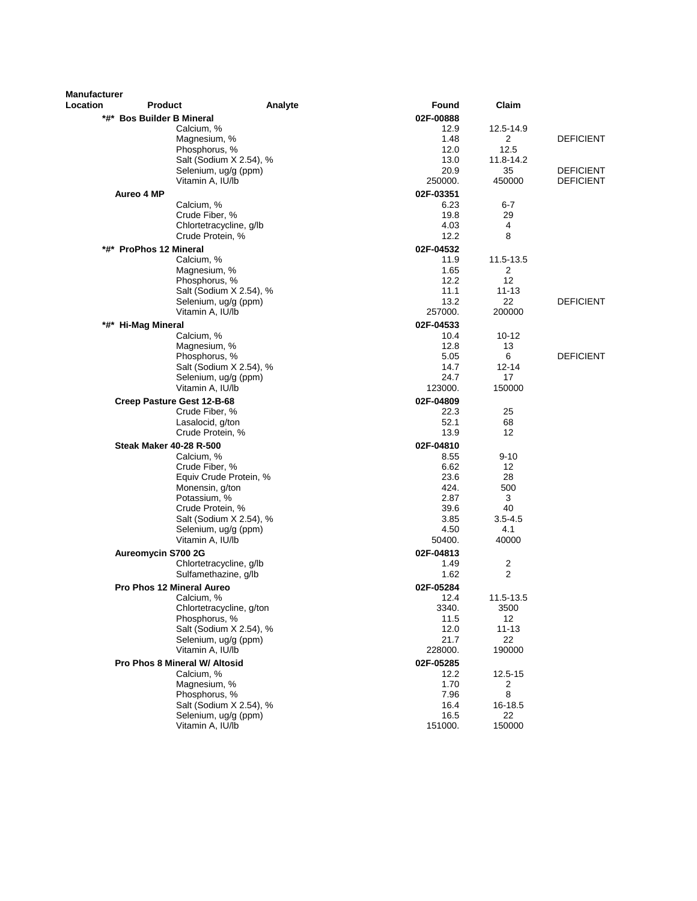| <b>Manufacturer</b> |                                          |         |                   |                   |                  |
|---------------------|------------------------------------------|---------|-------------------|-------------------|------------------|
| Location            | <b>Product</b>                           | Analyte | Found             | Claim             |                  |
|                     | *#* Bos Builder B Mineral                |         | 02F-00888         |                   |                  |
|                     | Calcium, %                               |         | 12.9              | 12.5-14.9         |                  |
|                     | Magnesium, %                             |         | 1.48              | 2                 | <b>DEFICIENT</b> |
|                     | Phosphorus, %                            |         | 12.0              | 12.5              |                  |
|                     | Salt (Sodium X 2.54), %                  |         | 13.0<br>20.9      | 11.8-14.2<br>35   | <b>DEFICIENT</b> |
|                     | Selenium, ug/g (ppm)<br>Vitamin A, IU/lb |         | 250000.           | 450000            | <b>DEFICIENT</b> |
|                     |                                          |         |                   |                   |                  |
|                     | Aureo 4 MP<br>Calcium, %                 |         | 02F-03351<br>6.23 | $6 - 7$           |                  |
|                     | Crude Fiber, %                           |         | 19.8              | 29                |                  |
|                     | Chlortetracycline, g/lb                  |         | 4.03              | 4                 |                  |
|                     | Crude Protein, %                         |         | 12.2              | 8                 |                  |
|                     | *#* ProPhos 12 Mineral                   |         | 02F-04532         |                   |                  |
|                     | Calcium, %                               |         | 11.9              | 11.5-13.5         |                  |
|                     | Magnesium, %                             |         | 1.65              | 2                 |                  |
|                     | Phosphorus, %                            |         | 12.2              | 12                |                  |
|                     | Salt (Sodium X 2.54), %                  |         | 11.1              | $11 - 13$         |                  |
|                     | Selenium, ug/g (ppm)<br>Vitamin A, IU/lb |         | 13.2<br>257000.   | 22<br>200000      | <b>DEFICIENT</b> |
|                     |                                          |         |                   |                   |                  |
|                     | *#* Hi-Mag Mineral<br>Calcium, %         |         | 02F-04533<br>10.4 | 10-12             |                  |
|                     | Magnesium, %                             |         | 12.8              | 13                |                  |
|                     | Phosphorus, %                            |         | 5.05              | 6                 | <b>DEFICIENT</b> |
|                     | Salt (Sodium X 2.54), %                  |         | 14.7              | 12-14             |                  |
|                     | Selenium, ug/g (ppm)                     |         | 24.7              | 17                |                  |
|                     | Vitamin A, IU/lb                         |         | 123000.           | 150000            |                  |
|                     | Creep Pasture Gest 12-B-68               |         | 02F-04809         |                   |                  |
|                     | Crude Fiber, %                           |         | 22.3              | 25                |                  |
|                     | Lasalocid, g/ton                         |         | 52.1              | 68                |                  |
|                     | Crude Protein, %                         |         | 13.9              | 12                |                  |
|                     | <b>Steak Maker 40-28 R-500</b>           |         | 02F-04810         |                   |                  |
|                     | Calcium, %                               |         | 8.55              | $9 - 10$          |                  |
|                     | Crude Fiber, %<br>Equiv Crude Protein, % |         | 6.62<br>23.6      | 12<br>28          |                  |
|                     | Monensin, g/ton                          |         | 424.              | 500               |                  |
|                     | Potassium, %                             |         | 2.87              | 3                 |                  |
|                     | Crude Protein, %                         |         | 39.6              | 40                |                  |
|                     | Salt (Sodium X 2.54), %                  |         | 3.85              | $3.5 - 4.5$       |                  |
|                     | Selenium, ug/g (ppm)                     |         | 4.50              | 4.1               |                  |
|                     | Vitamin A, IU/lb                         |         | 50400.            | 40000             |                  |
|                     | Aureomycin S700 2G                       |         | 02F-04813         |                   |                  |
|                     | Chlortetracycline, g/lb                  |         | 1.49              | $\overline{c}$    |                  |
|                     | Sulfamethazine, g/lb                     |         | 1.62              | $\overline{2}$    |                  |
|                     | <b>Pro Phos 12 Mineral Aureo</b>         |         | 02F-05284         |                   |                  |
|                     | Calcium, %<br>Chlortetracycline, g/ton   |         | 12.4<br>3340.     | 11.5-13.5<br>3500 |                  |
|                     | Phosphorus, %                            |         | 11.5              | 12                |                  |
|                     | Salt (Sodium X 2.54), %                  |         | 12.0              | $11 - 13$         |                  |
|                     | Selenium, ug/g (ppm)                     |         | 21.7              | 22                |                  |
|                     | Vitamin A, IU/lb                         |         | 228000.           | 190000            |                  |
|                     | Pro Phos 8 Mineral W/ Altosid            |         | 02F-05285         |                   |                  |
|                     | Calcium. %                               |         | 12.2              | 12.5-15           |                  |
|                     | Magnesium, %                             |         | 1.70              | 2                 |                  |
|                     | Phosphorus, %                            |         | 7.96              | 8                 |                  |
|                     | Salt (Sodium X 2.54), %                  |         | 16.4              | 16-18.5           |                  |
|                     | Selenium, ug/g (ppm)<br>Vitamin A, IU/lb |         | 16.5<br>151000.   | 22<br>150000      |                  |
|                     |                                          |         |                   |                   |                  |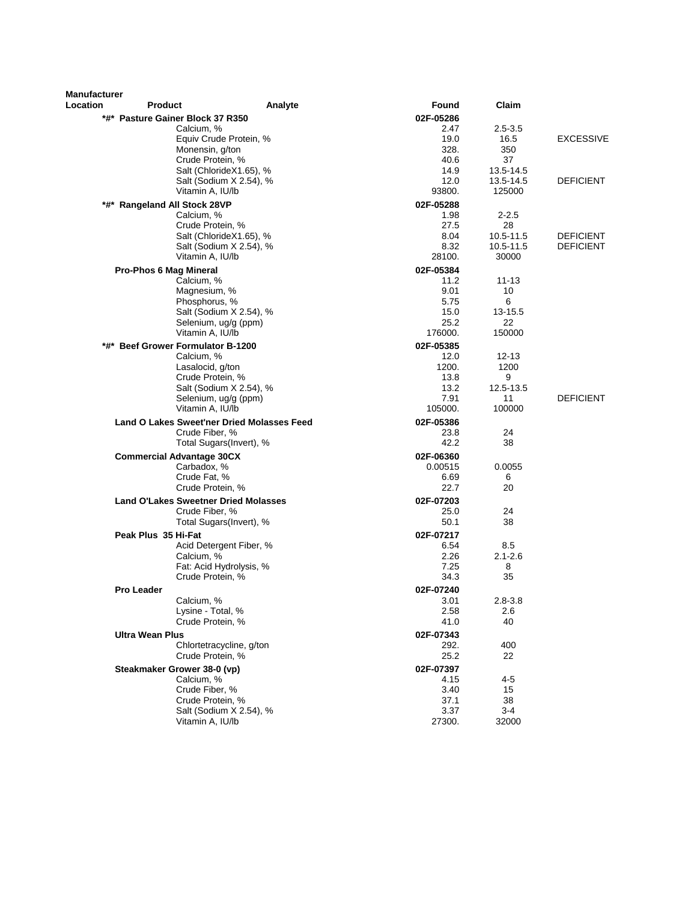| <b>Manufacturer</b> |                                             |                                                   |                   |                 |                  |
|---------------------|---------------------------------------------|---------------------------------------------------|-------------------|-----------------|------------------|
| Location            | <b>Product</b>                              | Analyte                                           | Found             | Claim           |                  |
|                     | *#* Pasture Gainer Block 37 R350            |                                                   | 02F-05286         |                 |                  |
|                     | Calcium, %                                  |                                                   | 2.47              | $2.5 - 3.5$     |                  |
|                     |                                             | Equiv Crude Protein, %                            | 19.0              | 16.5            | <b>EXCESSIVE</b> |
|                     |                                             | Monensin, g/ton                                   | 328.              | 350             |                  |
|                     |                                             | Crude Protein, %<br>Salt (ChlorideX1.65), %       | 40.6<br>14.9      | 37<br>13.5-14.5 |                  |
|                     |                                             | Salt (Sodium X 2.54), %                           | 12.0              | 13.5-14.5       | <b>DEFICIENT</b> |
|                     |                                             | Vitamin A, IU/lb                                  | 93800.            | 125000          |                  |
|                     | *#* Rangeland All Stock 28VP                |                                                   | 02F-05288         |                 |                  |
|                     | Calcium, %                                  |                                                   | 1.98              | $2 - 2.5$       |                  |
|                     |                                             | Crude Protein, %                                  | 27.5              | 28              |                  |
|                     |                                             | Salt (ChlorideX1.65), %                           | 8.04              | 10.5-11.5       | <b>DEFICIENT</b> |
|                     |                                             | Salt (Sodium X 2.54), %                           | 8.32              | 10.5-11.5       | <b>DEFICIENT</b> |
|                     |                                             | Vitamin A, IU/lb                                  | 28100.            | 30000           |                  |
|                     | Pro-Phos 6 Mag Mineral                      |                                                   | 02F-05384         |                 |                  |
|                     | Calcium, %                                  |                                                   | 11.2              | $11 - 13$       |                  |
|                     |                                             | Magnesium, %                                      | 9.01              | 10              |                  |
|                     |                                             | Phosphorus, %<br>Salt (Sodium X 2.54), %          | 5.75<br>15.0      | 6<br>13-15.5    |                  |
|                     |                                             | Selenium, ug/g (ppm)                              | 25.2              | 22              |                  |
|                     |                                             | Vitamin A. IU/lb                                  | 176000.           | 150000          |                  |
| *#*                 | <b>Beef Grower Formulator B-1200</b>        |                                                   | 02F-05385         |                 |                  |
|                     | Calcium, %                                  |                                                   | 12.0              | $12 - 13$       |                  |
|                     |                                             | Lasalocid, g/ton                                  | 1200.             | 1200            |                  |
|                     |                                             | Crude Protein, %                                  | 13.8              | 9               |                  |
|                     |                                             | Salt (Sodium X 2.54), %                           | 13.2              | 12.5-13.5       |                  |
|                     |                                             | Selenium, ug/g (ppm)                              | 7.91              | 11              | <b>DEFICIENT</b> |
|                     |                                             | Vitamin A, IU/lb                                  | 105000.           | 100000          |                  |
|                     |                                             | <b>Land O Lakes Sweet'ner Dried Molasses Feed</b> | 02F-05386         |                 |                  |
|                     |                                             | Crude Fiber, %                                    | 23.8<br>42.2      | 24<br>38        |                  |
|                     |                                             | Total Sugars(Invert), %                           |                   |                 |                  |
|                     | <b>Commercial Advantage 30CX</b>            |                                                   | 02F-06360         |                 |                  |
|                     |                                             | Carbadox, %<br>Crude Fat, %                       | 0.00515<br>6.69   | 0.0055<br>6     |                  |
|                     |                                             | Crude Protein, %                                  | 22.7              | 20              |                  |
|                     | <b>Land O'Lakes Sweetner Dried Molasses</b> |                                                   | 02F-07203         |                 |                  |
|                     |                                             | Crude Fiber, %                                    | 25.0              | 24              |                  |
|                     |                                             | Total Sugars(Invert), %                           | 50.1              | 38              |                  |
|                     | Peak Plus 35 Hi-Fat                         |                                                   | 02F-07217         |                 |                  |
|                     |                                             | Acid Detergent Fiber, %                           | 6.54              | 8.5             |                  |
|                     | Calcium, %                                  |                                                   | 2.26              | $2.1 - 2.6$     |                  |
|                     |                                             | Fat: Acid Hydrolysis, %                           | 7.25              | 8               |                  |
|                     |                                             | Crude Protein, %                                  | 34.3              | 35              |                  |
|                     | <b>Pro Leader</b>                           |                                                   | 02F-07240         |                 |                  |
|                     | Calcium, %                                  |                                                   | 3.01              | $2.8 - 3.8$     |                  |
|                     |                                             | Lysine - Total, %<br>Crude Protein, %             | 2.58<br>41.0      | 2.6<br>40       |                  |
|                     |                                             |                                                   |                   |                 |                  |
|                     | <b>Ultra Wean Plus</b>                      | Chlortetracycline, g/ton                          | 02F-07343         |                 |                  |
|                     |                                             | Crude Protein, %                                  | 292.<br>25.2      | 400<br>22       |                  |
|                     |                                             |                                                   |                   |                 |                  |
|                     | Steakmaker Grower 38-0 (vp)<br>Calcium, %   |                                                   | 02F-07397<br>4.15 | 4-5             |                  |
|                     |                                             | Crude Fiber, %                                    | 3.40              | 15              |                  |
|                     |                                             | Crude Protein, %                                  | 37.1              | 38              |                  |
|                     |                                             | Salt (Sodium X 2.54), %                           | 3.37              | $3 - 4$         |                  |
|                     |                                             | Vitamin A, IU/lb                                  | 27300.            | 32000           |                  |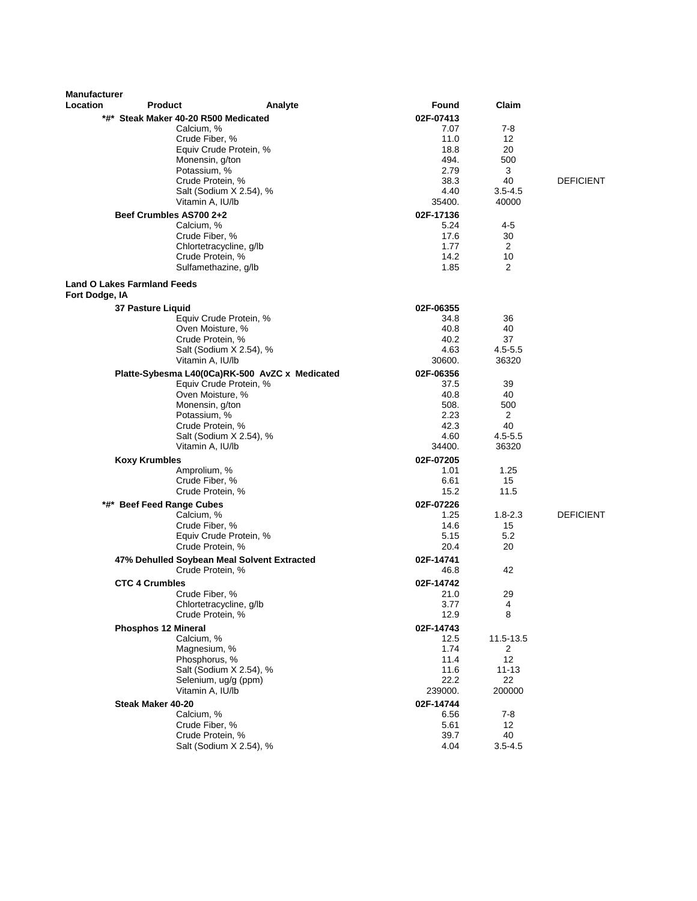| <b>Manufacturer</b> |                                         |                                                |                   |                         |                  |
|---------------------|-----------------------------------------|------------------------------------------------|-------------------|-------------------------|------------------|
| Location            | <b>Product</b>                          | Analyte                                        | Found             | Claim                   |                  |
|                     | *#* Steak Maker 40-20 R500 Medicated    |                                                | 02F-07413         |                         |                  |
|                     | Calcium, %                              |                                                | 7.07              | $7-8$                   |                  |
|                     | Crude Fiber, %                          |                                                | 11.0              | 12                      |                  |
|                     |                                         | Equiv Crude Protein, %                         | 18.8              | 20                      |                  |
|                     | Monensin, g/ton                         |                                                | 494.<br>2.79      | 500<br>3                |                  |
|                     | Potassium, %<br>Crude Protein, %        |                                                | 38.3              | 40                      | <b>DEFICIENT</b> |
|                     |                                         | Salt (Sodium X 2.54), %                        | 4.40              | $3.5 - 4.5$             |                  |
|                     | Vitamin A, IU/lb                        |                                                | 35400.            | 40000                   |                  |
|                     | Beef Crumbles AS700 2+2                 |                                                | 02F-17136         |                         |                  |
|                     | Calcium, %                              |                                                | 5.24              | 4-5                     |                  |
|                     | Crude Fiber, %                          |                                                | 17.6              | 30                      |                  |
|                     |                                         | Chlortetracycline, g/lb                        | 1.77              | 2                       |                  |
|                     | Crude Protein, %                        |                                                | 14.2              | 10                      |                  |
|                     | Sulfamethazine, g/lb                    |                                                | 1.85              | 2                       |                  |
| Fort Dodge, IA      | <b>Land O Lakes Farmland Feeds</b>      |                                                |                   |                         |                  |
|                     |                                         |                                                |                   |                         |                  |
|                     | 37 Pasture Liquid                       | Equiv Crude Protein, %                         | 02F-06355<br>34.8 | 36                      |                  |
|                     | Oven Moisture, %                        |                                                | 40.8              | 40                      |                  |
|                     | Crude Protein, %                        |                                                | 40.2              | 37                      |                  |
|                     |                                         | Salt (Sodium X 2.54), %                        | 4.63              | $4.5 - 5.5$             |                  |
|                     | Vitamin A, IU/lb                        |                                                | 30600.            | 36320                   |                  |
|                     |                                         | Platte-Sybesma L40(0Ca)RK-500 AvZC x Medicated | 02F-06356         |                         |                  |
|                     |                                         | Equiv Crude Protein, %                         | 37.5              | 39                      |                  |
|                     | Oven Moisture, %                        |                                                | 40.8              | 40                      |                  |
|                     | Monensin, g/ton                         |                                                | 508.              | 500                     |                  |
|                     | Potassium, %                            |                                                | 2.23              | 2                       |                  |
|                     | Crude Protein, %                        |                                                | 42.3              | 40                      |                  |
|                     |                                         | Salt (Sodium X 2.54), %                        | 4.60              | $4.5 - 5.5$             |                  |
|                     | Vitamin A, IU/lb                        |                                                | 34400.            | 36320                   |                  |
|                     | <b>Koxy Krumbles</b>                    |                                                | 02F-07205         |                         |                  |
|                     | Amprolium, %                            |                                                | 1.01              | 1.25                    |                  |
|                     | Crude Fiber, %                          |                                                | 6.61              | 15                      |                  |
|                     | Crude Protein, %                        |                                                | 15.2              | 11.5                    |                  |
|                     | *#* Beef Feed Range Cubes               |                                                | 02F-07226         |                         |                  |
|                     | Calcium, %                              |                                                | 1.25              | $1.8 - 2.3$             | <b>DEFICIENT</b> |
|                     | Crude Fiber, %                          |                                                | 14.6              | 15<br>5.2               |                  |
|                     | Crude Protein, %                        | Equiv Crude Protein, %                         | 5.15<br>20.4      | 20                      |                  |
|                     |                                         |                                                |                   |                         |                  |
|                     | Crude Protein, %                        | 47% Dehulled Soybean Meal Solvent Extracted    | 02F-14741<br>46.8 | 42                      |                  |
|                     |                                         |                                                |                   |                         |                  |
|                     | <b>CTC 4 Crumbles</b><br>Crude Fiber, % |                                                | 02F-14742         | 29                      |                  |
|                     |                                         | Chlortetracycline, g/lb                        | 21.0<br>3.77      | $\overline{\mathbf{4}}$ |                  |
|                     | Crude Protein, %                        |                                                | 12.9              | 8                       |                  |
|                     | <b>Phosphos 12 Mineral</b>              |                                                | 02F-14743         |                         |                  |
|                     | Calcium, %                              |                                                | 12.5              | 11.5-13.5               |                  |
|                     | Magnesium, %                            |                                                | 1.74              | 2                       |                  |
|                     | Phosphorus, %                           |                                                | 11.4              | 12                      |                  |
|                     |                                         | Salt (Sodium X 2.54), %                        | 11.6              | $11 - 13$               |                  |
|                     |                                         | Selenium, ug/g (ppm)                           | 22.2              | 22                      |                  |
|                     | Vitamin A, IU/lb                        |                                                | 239000.           | 200000                  |                  |
|                     | Steak Maker 40-20                       |                                                | 02F-14744         |                         |                  |
|                     | Calcium, %                              |                                                | 6.56              | 7-8                     |                  |
|                     | Crude Fiber, %                          |                                                | 5.61              | 12                      |                  |
|                     | Crude Protein, %                        |                                                | 39.7              | 40                      |                  |
|                     |                                         | Salt (Sodium X 2.54), %                        | 4.04              | $3.5 - 4.5$             |                  |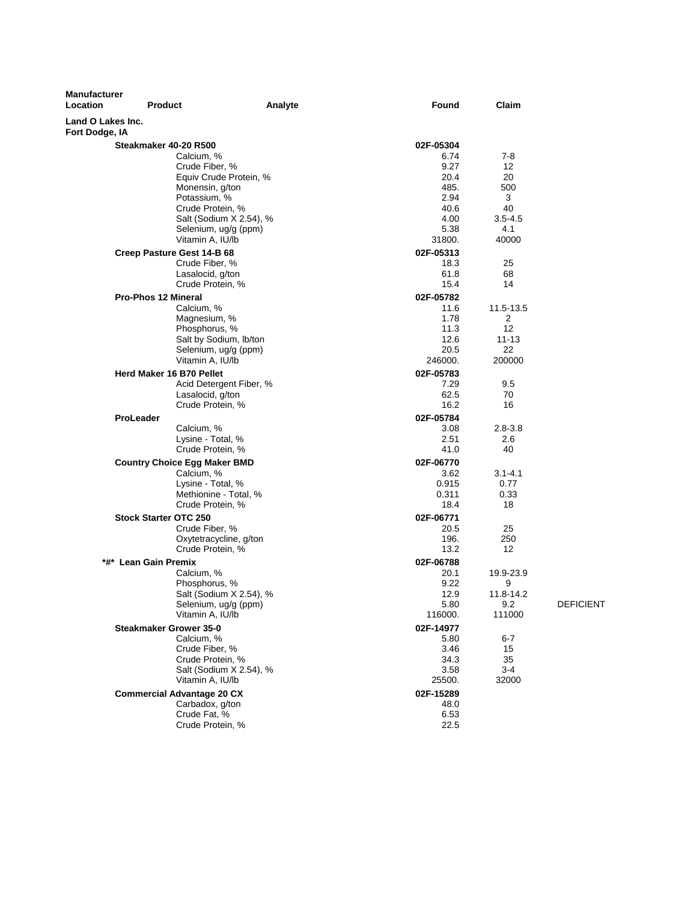| <b>Manufacturer</b><br>Location     | <b>Product</b>                        | Analyte                                         | Found         | Claim               |                  |
|-------------------------------------|---------------------------------------|-------------------------------------------------|---------------|---------------------|------------------|
| Land O Lakes Inc.<br>Fort Dodge, IA |                                       |                                                 |               |                     |                  |
|                                     | Steakmaker 40-20 R500                 |                                                 | 02F-05304     |                     |                  |
|                                     | Calcium, %                            |                                                 | 6.74          | $7-8$               |                  |
|                                     | Crude Fiber, %                        |                                                 | 9.27          | 12                  |                  |
|                                     |                                       | Equiv Crude Protein, %                          | 20.4          | 20                  |                  |
|                                     | Monensin, g/ton                       |                                                 | 485.          | 500                 |                  |
|                                     | Potassium, %                          |                                                 | 2.94          | 3                   |                  |
|                                     | Crude Protein, %                      |                                                 | 40.6          | 40                  |                  |
|                                     |                                       | Salt (Sodium X 2.54), %<br>Selenium, ug/g (ppm) | 4.00<br>5.38  | $3.5 - 4.5$<br>4.1  |                  |
|                                     | Vitamin A, IU/lb                      |                                                 | 31800.        | 40000               |                  |
|                                     | Creep Pasture Gest 14-B 68            |                                                 | 02F-05313     |                     |                  |
|                                     | Crude Fiber, %                        |                                                 | 18.3          | 25                  |                  |
|                                     | Lasalocid, g/ton                      |                                                 | 61.8          | 68                  |                  |
|                                     | Crude Protein, %                      |                                                 | 15.4          | 14                  |                  |
|                                     | <b>Pro-Phos 12 Mineral</b>            |                                                 | 02F-05782     |                     |                  |
|                                     | Calcium, %                            |                                                 | 11.6          | 11.5-13.5           |                  |
|                                     | Magnesium, %                          |                                                 | 1.78          | 2                   |                  |
|                                     | Phosphorus, %                         |                                                 | 11.3          | 12                  |                  |
|                                     |                                       | Salt by Sodium, Ib/ton                          | 12.6          | $11 - 13$           |                  |
|                                     |                                       | Selenium, ug/g (ppm)                            | 20.5          | 22                  |                  |
|                                     | Vitamin A, IU/lb                      |                                                 | 246000.       | 200000              |                  |
|                                     | Herd Maker 16 B70 Pellet              |                                                 | 02F-05783     |                     |                  |
|                                     |                                       | Acid Detergent Fiber, %                         | 7.29          | 9.5                 |                  |
|                                     | Lasalocid, g/ton                      |                                                 | 62.5          | 70                  |                  |
|                                     | Crude Protein, %                      |                                                 | 16.2          | 16                  |                  |
|                                     | <b>ProLeader</b>                      |                                                 | 02F-05784     |                     |                  |
|                                     | Calcium, %                            |                                                 | 3.08          | $2.8 - 3.8$         |                  |
|                                     | Lysine - Total, %<br>Crude Protein, % |                                                 | 2.51<br>41.0  | 2.6<br>40           |                  |
|                                     |                                       |                                                 |               |                     |                  |
|                                     | <b>Country Choice Egg Maker BMD</b>   |                                                 | 02F-06770     |                     |                  |
|                                     | Calcium, %<br>Lysine - Total, %       |                                                 | 3.62<br>0.915 | $3.1 - 4.1$<br>0.77 |                  |
|                                     |                                       | Methionine - Total, %                           | 0.311         | 0.33                |                  |
|                                     | Crude Protein, %                      |                                                 | 18.4          | 18                  |                  |
|                                     | <b>Stock Starter OTC 250</b>          |                                                 | 02F-06771     |                     |                  |
|                                     | Crude Fiber, %                        |                                                 | 20.5          | 25                  |                  |
|                                     |                                       | Oxytetracycline, g/ton                          | 196.          | 250                 |                  |
|                                     | Crude Protein, %                      |                                                 | 13.2          | 12                  |                  |
|                                     | *#* Lean Gain Premix                  |                                                 | 02F-06788     |                     |                  |
|                                     | Calcium, %                            |                                                 | 20.1          | 19.9-23.9           |                  |
|                                     | Phosphorus, %                         |                                                 | 9.22          | 9                   |                  |
|                                     |                                       | Salt (Sodium X 2.54), %                         | 12.9          | 11.8-14.2           |                  |
|                                     |                                       | Selenium, ug/g (ppm)                            | 5.80          | 9.2                 | <b>DEFICIENT</b> |
|                                     | Vitamin A, IU/lb                      |                                                 | 116000.       | 111000              |                  |
|                                     | <b>Steakmaker Grower 35-0</b>         |                                                 | 02F-14977     |                     |                  |
|                                     | Calcium, %                            |                                                 | 5.80          | 6-7                 |                  |
|                                     | Crude Fiber, %<br>Crude Protein, %    |                                                 | 3.46          | 15<br>35            |                  |
|                                     |                                       | Salt (Sodium X 2.54), %                         | 34.3<br>3.58  | $3 - 4$             |                  |
|                                     | Vitamin A, IU/lb                      |                                                 | 25500.        | 32000               |                  |
|                                     | <b>Commercial Advantage 20 CX</b>     |                                                 | 02F-15289     |                     |                  |
|                                     | Carbadox, g/ton                       |                                                 | 48.0          |                     |                  |
|                                     | Crude Fat, %                          |                                                 | 6.53          |                     |                  |
|                                     | Crude Protein, %                      |                                                 | 22.5          |                     |                  |
|                                     |                                       |                                                 |               |                     |                  |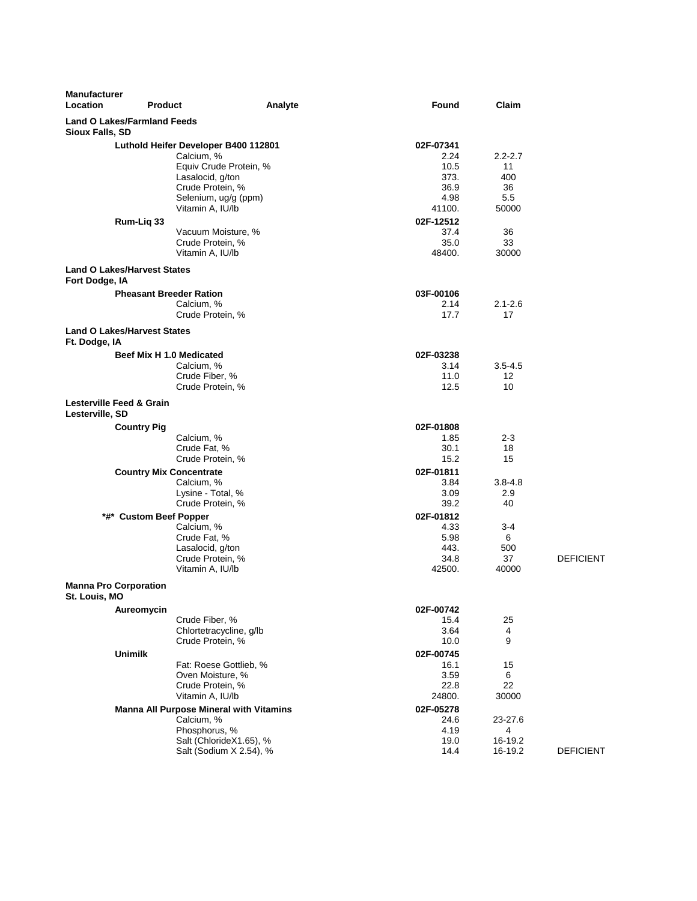| <b>Manufacturer</b><br>Location                       | <b>Product</b>                                                               | Analyte | Found                          | Claim                    |                  |
|-------------------------------------------------------|------------------------------------------------------------------------------|---------|--------------------------------|--------------------------|------------------|
| <b>Land O Lakes/Farmland Feeds</b><br>Sioux Falls, SD |                                                                              |         |                                |                          |                  |
|                                                       | Luthold Heifer Developer B400 112801<br>Calcium, %<br>Equiv Crude Protein, % |         | 02F-07341<br>2.24<br>10.5      | $2.2 - 2.7$<br>11        |                  |
|                                                       | Lasalocid, g/ton<br>Crude Protein, %<br>Selenium, ug/g (ppm)                 |         | 373.<br>36.9<br>4.98           | 400<br>36<br>5.5         |                  |
| Rum-Liq 33                                            | Vitamin A, IU/lb                                                             |         | 41100.<br>02F-12512            | 50000                    |                  |
|                                                       | Vacuum Moisture, %<br>Crude Protein, %<br>Vitamin A, IU/lb                   |         | 37.4<br>35.0<br>48400.         | 36<br>33<br>30000        |                  |
| <b>Land O Lakes/Harvest States</b><br>Fort Dodge, IA  |                                                                              |         |                                |                          |                  |
|                                                       | <b>Pheasant Breeder Ration</b><br>Calcium, %<br>Crude Protein, %             |         | 03F-00106<br>2.14<br>17.7      | $2.1 - 2.6$<br>17        |                  |
| <b>Land O Lakes/Harvest States</b>                    |                                                                              |         |                                |                          |                  |
| Ft. Dodge, IA                                         | Beef Mix H 1.0 Medicated<br>Calcium, %                                       |         | 02F-03238<br>3.14              | $3.5 - 4.5$              |                  |
|                                                       | Crude Fiber, %<br>Crude Protein, %                                           |         | 11.0<br>12.5                   | 12<br>10                 |                  |
| Lesterville Feed & Grain<br>Lesterville, SD           |                                                                              |         |                                |                          |                  |
| <b>Country Pig</b>                                    | Calcium, %                                                                   |         | 02F-01808<br>1.85              | $2 - 3$                  |                  |
|                                                       | Crude Fat, %<br>Crude Protein, %                                             |         | 30.1<br>15.2                   | 18<br>15                 |                  |
|                                                       | <b>Country Mix Concentrate</b>                                               |         | 02F-01811                      |                          |                  |
|                                                       | Calcium, %<br>Lysine - Total, %<br>Crude Protein, %                          |         | 3.84<br>3.09<br>39.2           | $3.8 - 4.8$<br>2.9<br>40 |                  |
|                                                       | *#* Custom Beef Popper<br>Calcium, %                                         |         | 02F-01812<br>4.33              | $3 - 4$                  |                  |
|                                                       | Crude Fat, %<br>Lasalocid, g/ton<br>Crude Protein, %<br>Vitamin A, IU/lb     |         | 5.98<br>443.<br>34.8<br>42500. | 6<br>500<br>37<br>40000  | <b>DEFICIENT</b> |
| <b>Manna Pro Corporation</b><br>St. Louis, MO         |                                                                              |         |                                |                          |                  |
| Aureomycin                                            |                                                                              |         | 02F-00742                      |                          |                  |
|                                                       | Crude Fiber, %<br>Chlortetracycline, g/lb<br>Crude Protein, %                |         | 15.4<br>3.64<br>10.0           | 25<br>4<br>9             |                  |
| <b>Unimilk</b>                                        | Fat: Roese Gottlieb, %                                                       |         | 02F-00745<br>16.1              | 15                       |                  |
|                                                       | Oven Moisture, %<br>Crude Protein, %<br>Vitamin A, IU/lb                     |         | 3.59<br>22.8<br>24800.         | 6<br>22<br>30000         |                  |
|                                                       | <b>Manna All Purpose Mineral with Vitamins</b><br>Calcium, %                 |         | 02F-05278<br>24.6              | 23-27.6                  |                  |
|                                                       | Phosphorus, %<br>Salt (ChlorideX1.65), %<br>Salt (Sodium X 2.54), %          |         | 4.19<br>19.0<br>14.4           | 4<br>16-19.2<br>16-19.2  | <b>DEFICIENT</b> |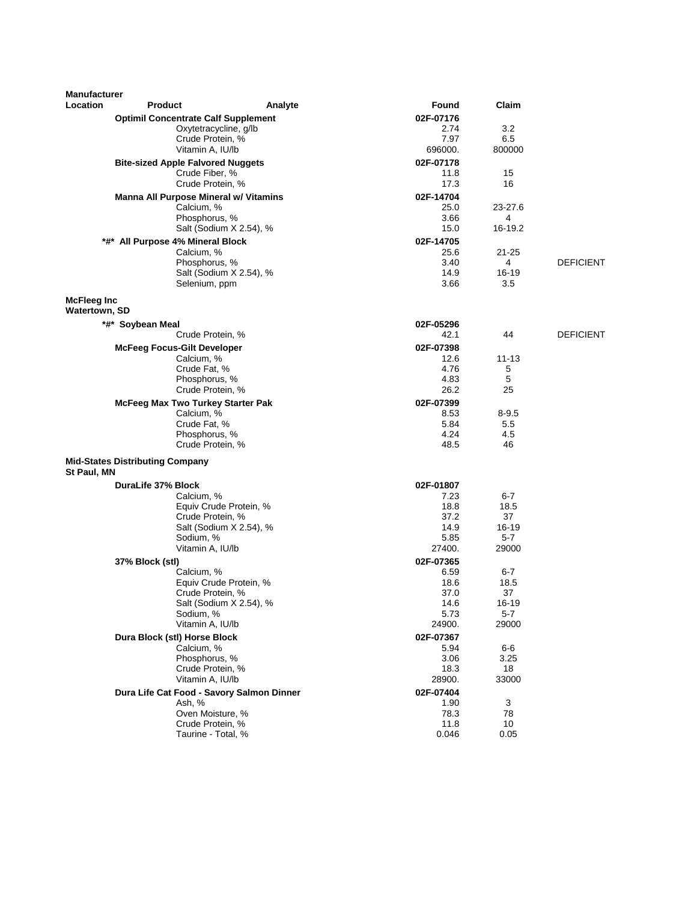| Manufacturer  |                                                  |                                           |                   |                  |                  |
|---------------|--------------------------------------------------|-------------------------------------------|-------------------|------------------|------------------|
| Location      | <b>Product</b>                                   | Analyte                                   | Found             | Claim            |                  |
|               | <b>Optimil Concentrate Calf Supplement</b>       |                                           | 02F-07176         |                  |                  |
|               |                                                  | Oxytetracycline, g/lb                     | 2.74              | 3.2              |                  |
|               |                                                  | Crude Protein, %                          | 7.97              | 6.5              |                  |
|               |                                                  | Vitamin A, IU/lb                          | 696000.           | 800000           |                  |
|               | <b>Bite-sized Apple Falvored Nuggets</b>         | Crude Fiber, %                            | 02F-07178<br>11.8 | 15               |                  |
|               |                                                  | Crude Protein, %                          | 17.3              | 16               |                  |
|               | Manna All Purpose Mineral w/ Vitamins            |                                           | 02F-14704         |                  |                  |
|               | Calcium, %                                       |                                           | 25.0              | 23-27.6          |                  |
|               |                                                  | Phosphorus, %                             | 3.66              | 4                |                  |
|               |                                                  | Salt (Sodium X 2.54), %                   | 15.0              | 16-19.2          |                  |
|               | *#* All Purpose 4% Mineral Block                 |                                           | 02F-14705         |                  |                  |
|               | Calcium, %                                       |                                           | 25.6              | 21-25            |                  |
|               |                                                  | Phosphorus, %                             | 3.40              | 4                | <b>DEFICIENT</b> |
|               |                                                  | Salt (Sodium X 2.54), %<br>Selenium, ppm  | 14.9<br>3.66      | $16 - 19$<br>3.5 |                  |
|               |                                                  |                                           |                   |                  |                  |
| McFleeg Inc   |                                                  |                                           |                   |                  |                  |
| Watertown, SD |                                                  |                                           |                   |                  |                  |
|               | *#* Soybean Meal                                 | Crude Protein, %                          | 02F-05296<br>42.1 | 44               | <b>DEFICIENT</b> |
|               |                                                  |                                           |                   |                  |                  |
|               | <b>McFeeg Focus-Gilt Developer</b><br>Calcium, % |                                           | 02F-07398<br>12.6 | 11-13            |                  |
|               |                                                  | Crude Fat, %                              | 4.76              | 5                |                  |
|               |                                                  | Phosphorus, %                             | 4.83              | 5                |                  |
|               |                                                  | Crude Protein, %                          | 26.2              | 25               |                  |
|               | McFeeg Max Two Turkey Starter Pak                |                                           | 02F-07399         |                  |                  |
|               | Calcium, %                                       |                                           | 8.53              | $8 - 9.5$        |                  |
|               |                                                  | Crude Fat, %                              | 5.84              | 5.5              |                  |
|               |                                                  | Phosphorus, %                             | 4.24              | 4.5              |                  |
|               |                                                  | Crude Protein, %                          | 48.5              | 46               |                  |
|               | <b>Mid-States Distributing Company</b>           |                                           |                   |                  |                  |
| St Paul, MN   |                                                  |                                           |                   |                  |                  |
|               | DuraLife 37% Block                               |                                           | 02F-01807         |                  |                  |
|               | Calcium, %                                       |                                           | 7.23              | 6-7              |                  |
|               |                                                  | Equiv Crude Protein, %                    | 18.8              | 18.5             |                  |
|               |                                                  | Crude Protein, %                          | 37.2              | 37               |                  |
|               | Sodium, %                                        | Salt (Sodium X 2.54), %                   | 14.9<br>5.85      | $16 - 19$<br>5-7 |                  |
|               |                                                  | Vitamin A, IU/lb                          | 27400.            | 29000            |                  |
|               | 37% Block (stl)                                  |                                           | 02F-07365         |                  |                  |
|               | Calcium, %                                       |                                           | 6.59              | $6-7$            |                  |
|               |                                                  | Equiv Crude Protein, %                    | 18.6              | 18.5             |                  |
|               |                                                  | Crude Protein, %                          | 37.0              | 37               |                  |
|               |                                                  | Salt (Sodium X 2.54), %                   | 14.6              | 16-19            |                  |
|               | Sodium, %                                        |                                           | 5.73              | $5 - 7$          |                  |
|               |                                                  | Vitamin A, IU/lb                          | 24900.            | 29000            |                  |
|               | Dura Block (stl) Horse Block                     |                                           | 02F-07367         |                  |                  |
|               | Calcium, %                                       |                                           | 5.94              | 6-6              |                  |
|               |                                                  | Phosphorus, %<br>Crude Protein, %         | 3.06<br>18.3      | 3.25<br>18       |                  |
|               |                                                  | Vitamin A, IU/lb                          | 28900.            | 33000            |                  |
|               |                                                  | Dura Life Cat Food - Savory Salmon Dinner | 02F-07404         |                  |                  |
|               | Ash, %                                           |                                           | 1.90              | 3                |                  |
|               |                                                  | Oven Moisture, %                          | 78.3              | 78               |                  |
|               |                                                  | Crude Protein, %                          | 11.8              | 10               |                  |
|               |                                                  | Taurine - Total, %                        | 0.046             | 0.05             |                  |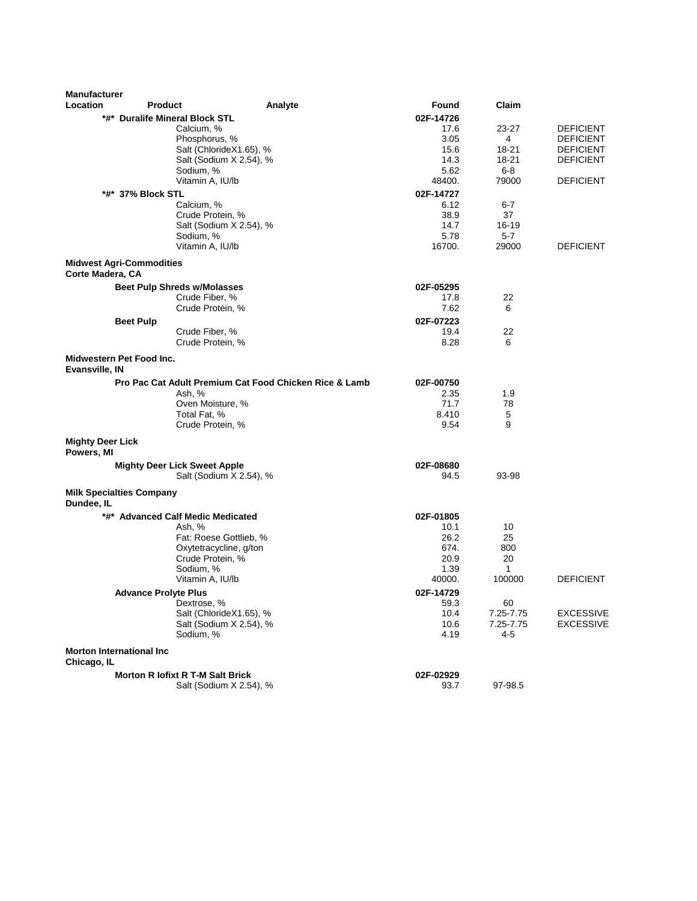| <b>Manufacturer</b>                            |                                         |                                                        |              |                  |                  |
|------------------------------------------------|-----------------------------------------|--------------------------------------------------------|--------------|------------------|------------------|
| Location                                       | <b>Product</b>                          | Analyte                                                | Found        | Claim            |                  |
|                                                | *#* Duralife Mineral Block STL          |                                                        | 02F-14726    |                  |                  |
|                                                | Calcium, %                              |                                                        | 17.6         | 23-27            | <b>DEFICIENT</b> |
|                                                | Phosphorus, %                           |                                                        | 3.05         | 4                | <b>DEFICIENT</b> |
|                                                |                                         | Salt (ChlorideX1.65), %                                | 15.6         | 18-21            | <b>DEFICIENT</b> |
|                                                |                                         | Salt (Sodium X 2.54), %                                | 14.3         | 18-21            | <b>DEFICIENT</b> |
|                                                | Sodium, %                               |                                                        | 5.62         | $6-8$            |                  |
|                                                | Vitamin A, IU/lb                        |                                                        | 48400.       | 79000            | <b>DEFICIENT</b> |
|                                                | *#*  37% Block STL                      |                                                        | 02F-14727    |                  |                  |
|                                                | Calcium, %<br>Crude Protein, %          |                                                        | 6.12<br>38.9 | 6-7<br>37        |                  |
|                                                |                                         | Salt (Sodium X 2.54), %                                | 14.7         | $16 - 19$        |                  |
|                                                | Sodium, %                               |                                                        | 5.78         | $5 - 7$          |                  |
|                                                | Vitamin A, IU/lb                        |                                                        | 16700.       | 29000            | <b>DEFICIENT</b> |
|                                                | <b>Midwest Agri-Commodities</b>         |                                                        |              |                  |                  |
| Corte Madera, CA                               |                                         |                                                        |              |                  |                  |
|                                                | <b>Beet Pulp Shreds w/Molasses</b>      |                                                        | 02F-05295    |                  |                  |
|                                                | Crude Fiber, %                          |                                                        | 17.8         | 22               |                  |
|                                                | Crude Protein, %                        |                                                        | 7.62         | 6                |                  |
|                                                | <b>Beet Pulp</b>                        |                                                        | 02F-07223    |                  |                  |
|                                                | Crude Fiber, %                          |                                                        | 19.4         | 22               |                  |
|                                                | Crude Protein, %                        |                                                        | 8.28         | 6                |                  |
| Evansville, IN                                 | Midwestern Pet Food Inc.                |                                                        |              |                  |                  |
|                                                |                                         | Pro Pac Cat Adult Premium Cat Food Chicken Rice & Lamb | 02F-00750    |                  |                  |
|                                                | Ash, %                                  |                                                        | 2.35         | 1.9              |                  |
|                                                | Oven Moisture, %                        |                                                        | 71.7         | 78               |                  |
|                                                | Total Fat, %                            |                                                        | 8.410        | 5                |                  |
|                                                | Crude Protein, %                        |                                                        | 9.54         | 9                |                  |
| <b>Mighty Deer Lick</b><br>Powers, MI          |                                         |                                                        |              |                  |                  |
|                                                | <b>Mighty Deer Lick Sweet Apple</b>     |                                                        | 02F-08680    |                  |                  |
|                                                |                                         | Salt (Sodium X 2.54), %                                | 94.5         | 93-98            |                  |
| Dundee, IL                                     | <b>Milk Specialties Company</b>         |                                                        |              |                  |                  |
|                                                | *#* Advanced Calf Medic Medicated       |                                                        | 02F-01805    |                  |                  |
|                                                | Ash, %                                  |                                                        | 10.1         | 10               |                  |
|                                                |                                         | Fat: Roese Gottlieb, %                                 | 26.2         | 25               |                  |
|                                                |                                         | Oxytetracycline, g/ton                                 | 674.         | 800              |                  |
|                                                | Crude Protein, %                        |                                                        | 20.9         | 20               |                  |
|                                                | Sodium, %                               |                                                        | 1.39         | $\mathbf{1}$     |                  |
|                                                | Vitamin A, IU/lb                        |                                                        | 40000.       | 100000           | <b>DEFICIENT</b> |
|                                                | <b>Advance Prolyte Plus</b>             |                                                        | 02F-14729    |                  |                  |
|                                                | Dextrose, %                             |                                                        | 59.3         | 60               |                  |
|                                                |                                         | Salt (ChlorideX1.65), %                                | 10.4         | 7.25-7.75        | <b>EXCESSIVE</b> |
|                                                | Sodium, %                               | Salt (Sodium X 2.54), %                                | 10.6<br>4.19 | 7.25-7.75<br>4-5 | <b>EXCESSIVE</b> |
|                                                |                                         |                                                        |              |                  |                  |
| <b>Morton International Inc</b><br>Chicago, IL |                                         |                                                        |              |                  |                  |
|                                                | <b>Morton R lofixt R T-M Salt Brick</b> |                                                        | 02F-02929    |                  |                  |
|                                                |                                         | Salt (Sodium X 2.54), %                                | 93.7         | 97-98.5          |                  |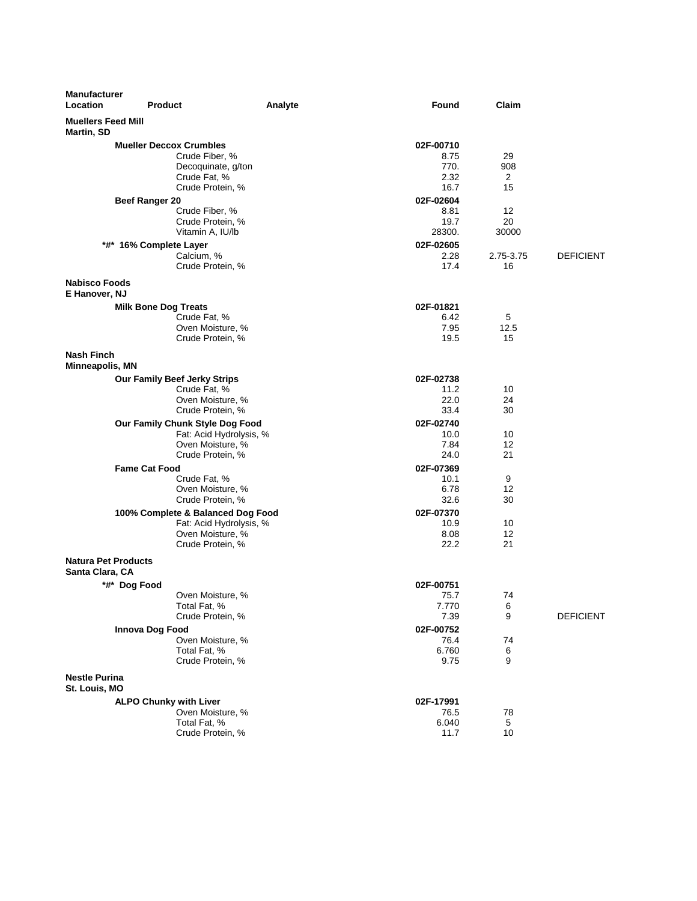| <b>Manufacturer</b><br>Location               | <b>Product</b>                 |                                             | Analyte | <b>Found</b>   | Claim       |                  |
|-----------------------------------------------|--------------------------------|---------------------------------------------|---------|----------------|-------------|------------------|
| <b>Muellers Feed Mill</b><br>Martin, SD       |                                |                                             |         |                |             |                  |
|                                               | <b>Mueller Deccox Crumbles</b> |                                             |         | 02F-00710      |             |                  |
|                                               |                                | Crude Fiber, %                              |         | 8.75           | 29          |                  |
|                                               |                                | Decoquinate, g/ton                          |         | 770.           | 908         |                  |
|                                               |                                | Crude Fat, %                                |         | 2.32           | 2           |                  |
|                                               |                                | Crude Protein, %                            |         | 16.7           | 15          |                  |
|                                               | Beef Ranger 20                 |                                             |         | 02F-02604      |             |                  |
|                                               |                                | Crude Fiber, %                              |         | 8.81           | 12          |                  |
|                                               |                                | Crude Protein, %<br>Vitamin A, IU/lb        |         | 19.7<br>28300. | 20<br>30000 |                  |
|                                               |                                |                                             |         | 02F-02605      |             |                  |
|                                               | *#* 16% Complete Layer         | Calcium, %                                  |         | 2.28           | 2.75-3.75   | <b>DEFICIENT</b> |
|                                               |                                | Crude Protein, %                            |         | 17.4           | 16          |                  |
|                                               |                                |                                             |         |                |             |                  |
| <b>Nabisco Foods</b>                          |                                |                                             |         |                |             |                  |
| E Hanover, NJ                                 |                                |                                             |         |                |             |                  |
|                                               | <b>Milk Bone Dog Treats</b>    |                                             |         | 02F-01821      |             |                  |
|                                               |                                | Crude Fat, %<br>Oven Moisture, %            |         | 6.42<br>7.95   | 5<br>12.5   |                  |
|                                               |                                | Crude Protein, %                            |         | 19.5           | 15          |                  |
|                                               |                                |                                             |         |                |             |                  |
| <b>Nash Finch</b><br><b>Minneapolis, MN</b>   |                                |                                             |         |                |             |                  |
|                                               |                                | <b>Our Family Beef Jerky Strips</b>         |         | 02F-02738      |             |                  |
|                                               |                                | Crude Fat, %                                |         | 11.2           | 10          |                  |
|                                               |                                | Oven Moisture, %                            |         | 22.0           | 24          |                  |
|                                               |                                | Crude Protein, %                            |         | 33.4           | 30          |                  |
|                                               |                                | Our Family Chunk Style Dog Food             |         | 02F-02740      |             |                  |
|                                               |                                | Fat: Acid Hydrolysis, %<br>Oven Moisture, % |         | 10.0<br>7.84   | 10<br>12    |                  |
|                                               |                                | Crude Protein, %                            |         | 24.0           | 21          |                  |
|                                               | <b>Fame Cat Food</b>           |                                             |         | 02F-07369      |             |                  |
|                                               |                                | Crude Fat, %                                |         | 10.1           | 9           |                  |
|                                               |                                | Oven Moisture, %                            |         | 6.78           | 12          |                  |
|                                               |                                | Crude Protein, %                            |         | 32.6           | 30          |                  |
|                                               |                                | 100% Complete & Balanced Dog Food           |         | 02F-07370      |             |                  |
|                                               |                                | Fat: Acid Hydrolysis, %                     |         | 10.9           | 10          |                  |
|                                               |                                | Oven Moisture, %                            |         | 8.08           | 12          |                  |
|                                               |                                | Crude Protein, %                            |         | 22.2           | 21          |                  |
| <b>Natura Pet Products</b><br>Santa Clara, CA |                                |                                             |         |                |             |                  |
|                                               | *#* Dog Food                   |                                             |         | 02F-00751      |             |                  |
|                                               |                                | Oven Moisture, %                            |         | 75.7           | 74          |                  |
|                                               |                                | Total Fat, %                                |         | 7.770          | 6           |                  |
|                                               |                                | Crude Protein, %                            |         | 7.39           | 9           | <b>DEFICIENT</b> |
|                                               | Innova Dog Food                |                                             |         | 02F-00752      |             |                  |
|                                               |                                | Oven Moisture, %                            |         | 76.4           | 74          |                  |
|                                               |                                | Total Fat, %                                |         | 6.760          | 6           |                  |
|                                               |                                | Crude Protein, %                            |         | 9.75           | 9           |                  |
| <b>Nestle Purina</b><br>St. Louis, MO         |                                |                                             |         |                |             |                  |
|                                               | <b>ALPO Chunky with Liver</b>  |                                             |         | 02F-17991      |             |                  |
|                                               |                                | Oven Moisture, %                            |         | 76.5           | 78          |                  |
|                                               |                                | Total Fat, %                                |         | 6.040          | 5           |                  |
|                                               |                                | Crude Protein, %                            |         | 11.7           | 10          |                  |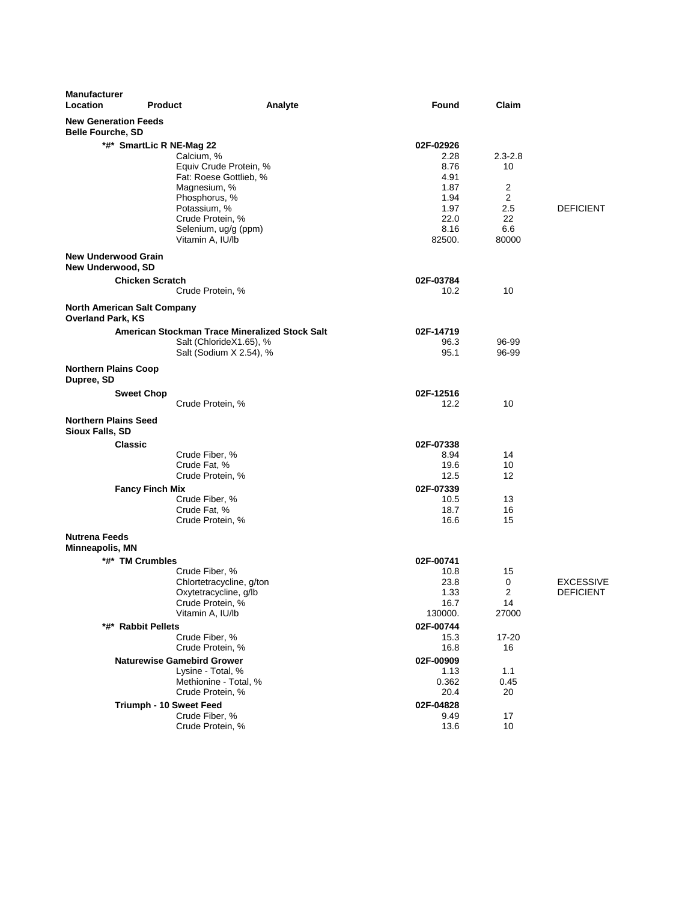| <b>Manufacturer</b><br>Location                         | <b>Product</b>           | Analyte                                        | Found           | Claim       |                  |
|---------------------------------------------------------|--------------------------|------------------------------------------------|-----------------|-------------|------------------|
| <b>New Generation Feeds</b><br><b>Belle Fourche, SD</b> |                          |                                                |                 |             |                  |
|                                                         | *#* SmartLic R NE-Mag 22 |                                                | 02F-02926       |             |                  |
|                                                         |                          | Calcium, %                                     | 2.28            | $2.3 - 2.8$ |                  |
|                                                         |                          | Equiv Crude Protein, %                         | 8.76            | 10          |                  |
|                                                         |                          | Fat: Roese Gottlieb, %                         | 4.91            |             |                  |
|                                                         |                          | Magnesium, %                                   | 1.87            | 2           |                  |
|                                                         |                          | Phosphorus, %<br>Potassium, %                  | 1.94<br>1.97    | 2<br>2.5    | <b>DEFICIENT</b> |
|                                                         |                          | Crude Protein, %                               | 22.0            | 22          |                  |
|                                                         |                          | Selenium, ug/g (ppm)                           | 8.16            | 6.6         |                  |
|                                                         |                          | Vitamin A, IU/lb                               | 82500.          | 80000       |                  |
| <b>New Underwood Grain</b><br>New Underwood, SD         |                          |                                                |                 |             |                  |
|                                                         | <b>Chicken Scratch</b>   |                                                | 02F-03784       |             |                  |
|                                                         |                          | Crude Protein, %                               | 10.2            | 10          |                  |
| North American Salt Company<br><b>Overland Park, KS</b> |                          |                                                |                 |             |                  |
|                                                         |                          | American Stockman Trace Mineralized Stock Salt | 02F-14719       |             |                  |
|                                                         |                          | Salt (ChlorideX1.65), %                        | 96.3            | 96-99       |                  |
|                                                         |                          | Salt (Sodium X 2.54), %                        | 95.1            | 96-99       |                  |
| <b>Northern Plains Coop</b><br>Dupree, SD               |                          |                                                |                 |             |                  |
|                                                         | <b>Sweet Chop</b>        |                                                | 02F-12516       |             |                  |
|                                                         |                          | Crude Protein, %                               | 12.2            | 10          |                  |
| <b>Northern Plains Seed</b><br>Sioux Falls, SD          |                          |                                                |                 |             |                  |
|                                                         | Classic                  |                                                | 02F-07338       |             |                  |
|                                                         |                          | Crude Fiber, %                                 | 8.94            | 14          |                  |
|                                                         |                          | Crude Fat, %                                   | 19.6            | 10          |                  |
|                                                         |                          | Crude Protein, %                               | 12.5            | 12          |                  |
|                                                         | <b>Fancy Finch Mix</b>   |                                                | 02F-07339       |             |                  |
|                                                         |                          | Crude Fiber, %<br>Crude Fat, %                 | 10.5<br>18.7    | 13<br>16    |                  |
|                                                         |                          | Crude Protein, %                               | 16.6            | 15          |                  |
| <b>Nutrena Feeds</b>                                    |                          |                                                |                 |             |                  |
| Minneapolis, MN                                         |                          |                                                |                 |             |                  |
|                                                         | *#* TM Crumbles          |                                                | 02F-00741       |             |                  |
|                                                         |                          | Crude Fiber, %                                 | 10.8            | 15          |                  |
|                                                         |                          | Chlortetracycline, g/ton                       | 23.8            | 0           | <b>EXCESSIVE</b> |
|                                                         |                          | Oxytetracycline, g/lb                          | 1.33            | 2           | <b>DEFICIENT</b> |
|                                                         |                          | Crude Protein, %<br>Vitamin A, IU/lb           | 16.7<br>130000. | 14<br>27000 |                  |
|                                                         | *#* Rabbit Pellets       |                                                | 02F-00744       |             |                  |
|                                                         |                          | Crude Fiber, %                                 | 15.3            | 17-20       |                  |
|                                                         |                          | Crude Protein, %                               | 16.8            | 16          |                  |
|                                                         |                          | <b>Naturewise Gamebird Grower</b>              | 02F-00909       |             |                  |
|                                                         |                          | Lysine - Total, %                              | 1.13            | 1.1         |                  |
|                                                         |                          | Methionine - Total, %                          | 0.362           | 0.45        |                  |
|                                                         |                          | Crude Protein, %                               | 20.4            | 20          |                  |
|                                                         | Triumph - 10 Sweet Feed  |                                                | 02F-04828       |             |                  |
|                                                         |                          | Crude Fiber, %                                 | 9.49            | 17          |                  |
|                                                         |                          | Crude Protein, %                               | 13.6            | 10          |                  |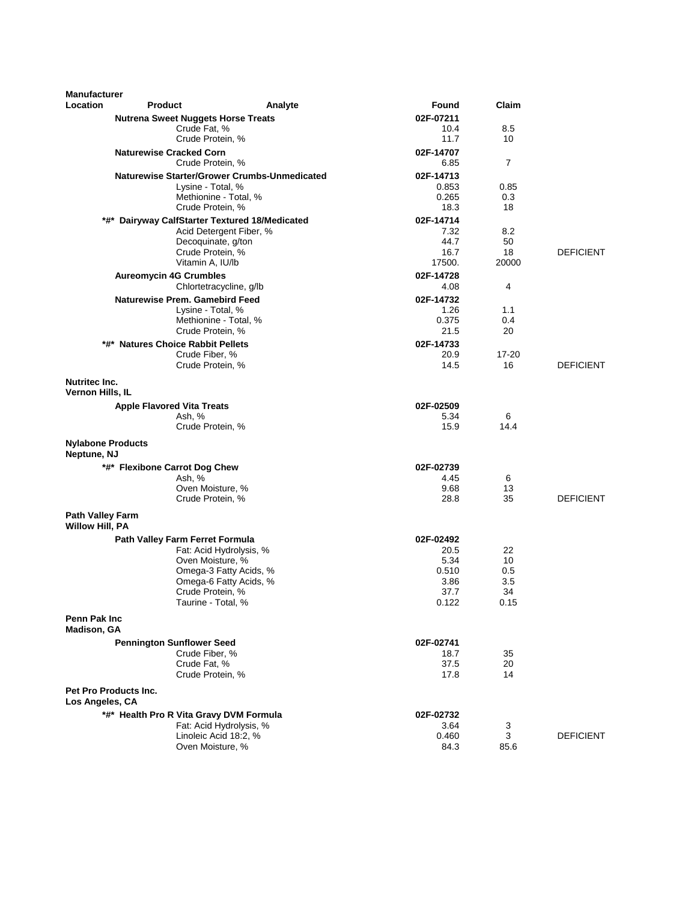| <b>Manufacturer</b>                               |                                            |                                                     |                   |           |                  |
|---------------------------------------------------|--------------------------------------------|-----------------------------------------------------|-------------------|-----------|------------------|
| <b>Location</b>                                   | <b>Product</b>                             | Analyte                                             | Found             | Claim     |                  |
|                                                   | <b>Nutrena Sweet Nuggets Horse Treats</b>  |                                                     | 02F-07211         |           |                  |
|                                                   | Crude Fat, %<br>Crude Protein, %           |                                                     | 10.4<br>11.7      | 8.5<br>10 |                  |
|                                                   | <b>Naturewise Cracked Corn</b>             |                                                     | 02F-14707         |           |                  |
|                                                   | Crude Protein, %                           |                                                     | 6.85              | 7         |                  |
|                                                   |                                            | <b>Naturewise Starter/Grower Crumbs-Unmedicated</b> | 02F-14713         |           |                  |
|                                                   | Lysine - Total, %                          |                                                     | 0.853             | 0.85      |                  |
|                                                   | Crude Protein, %                           | Methionine - Total, %                               | 0.265<br>18.3     | 0.3<br>18 |                  |
| *#*                                               | Dairyway CalfStarter Textured 18/Medicated |                                                     | 02F-14714         |           |                  |
|                                                   |                                            | Acid Detergent Fiber, %                             | 7.32              | 8.2       |                  |
|                                                   |                                            | Decoquinate, g/ton                                  | 44.7              | 50        |                  |
|                                                   | Crude Protein, %                           |                                                     | 16.7              | 18        | <b>DEFICIENT</b> |
|                                                   | Vitamin A, IU/lb                           |                                                     | 17500.            | 20000     |                  |
|                                                   | <b>Aureomycin 4G Crumbles</b>              |                                                     | 02F-14728         |           |                  |
|                                                   |                                            | Chlortetracycline, g/lb                             | 4.08              | 4         |                  |
|                                                   | <b>Naturewise Prem. Gamebird Feed</b>      |                                                     | 02F-14732<br>1.26 | 1.1       |                  |
|                                                   | Lysine - Total, %                          | Methionine - Total, %                               | 0.375             | 0.4       |                  |
|                                                   | Crude Protein, %                           |                                                     | 21.5              | 20        |                  |
|                                                   | *#* Natures Choice Rabbit Pellets          |                                                     | 02F-14733         |           |                  |
|                                                   | Crude Fiber, %                             |                                                     | 20.9              | 17-20     |                  |
|                                                   | Crude Protein, %                           |                                                     | 14.5              | 16        | <b>DEFICIENT</b> |
| <b>Nutritec Inc.</b><br>Vernon Hills, IL          |                                            |                                                     |                   |           |                  |
|                                                   | <b>Apple Flavored Vita Treats</b>          |                                                     | 02F-02509         |           |                  |
|                                                   | Ash, %                                     |                                                     | 5.34              | 6         |                  |
|                                                   | Crude Protein, %                           |                                                     | 15.9              | 14.4      |                  |
| <b>Nylabone Products</b><br>Neptune, NJ           |                                            |                                                     |                   |           |                  |
|                                                   | *#* Flexibone Carrot Dog Chew              |                                                     | 02F-02739         |           |                  |
|                                                   | Ash, %                                     |                                                     | 4.45              | 6         |                  |
|                                                   | Oven Moisture, %                           |                                                     | 9.68              | 13<br>35  | <b>DEFICIENT</b> |
|                                                   | Crude Protein, %                           |                                                     | 28.8              |           |                  |
| <b>Path Valley Farm</b><br><b>Willow Hill, PA</b> |                                            |                                                     |                   |           |                  |
|                                                   | Path Valley Farm Ferret Formula            |                                                     | 02F-02492         |           |                  |
|                                                   | Oven Moisture, %                           | Fat: Acid Hydrolysis, %                             | 20.5<br>5.34      | 22<br>10  |                  |
|                                                   |                                            | Omega-3 Fatty Acids, %                              | 0.510             | 0.5       |                  |
|                                                   |                                            | Omega-6 Fatty Acids, %                              | 3.86              | 3.5       |                  |
|                                                   | Crude Protein, %                           |                                                     | 37.7              | 34        |                  |
|                                                   | Taurine - Total, %                         |                                                     | 0.122             | 0.15      |                  |
| Penn Pak Inc<br><b>Madison, GA</b>                |                                            |                                                     |                   |           |                  |
|                                                   | <b>Pennington Sunflower Seed</b>           |                                                     | 02F-02741         |           |                  |
|                                                   | Crude Fiber, %                             |                                                     | 18.7              | 35        |                  |
|                                                   | Crude Fat, %                               |                                                     | 37.5              | 20        |                  |
|                                                   | Crude Protein, %                           |                                                     | 17.8              | 14        |                  |
| Los Angeles, CA                                   | Pet Pro Products Inc.                      |                                                     |                   |           |                  |
|                                                   | *#* Health Pro R Vita Gravy DVM Formula    |                                                     | 02F-02732         |           |                  |
|                                                   |                                            | Fat: Acid Hydrolysis, %                             | 3.64              | 3         |                  |
|                                                   | Oven Moisture, %                           | Linoleic Acid 18:2, %                               | 0.460<br>84.3     | 3<br>85.6 | <b>DEFICIENT</b> |
|                                                   |                                            |                                                     |                   |           |                  |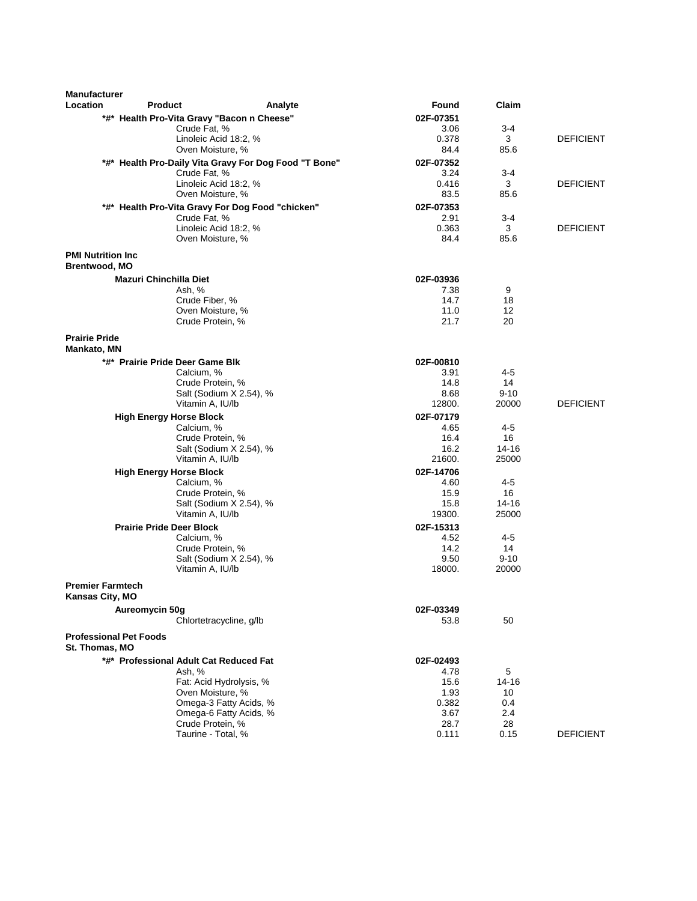| <b>Manufacturer</b>                               |                                         |                                                                  |                   |           |                  |
|---------------------------------------------------|-----------------------------------------|------------------------------------------------------------------|-------------------|-----------|------------------|
| Location                                          | <b>Product</b>                          | Analyte                                                          | Found             | Claim     |                  |
|                                                   |                                         | *#* Health Pro-Vita Gravy "Bacon n Cheese"                       | 02F-07351         |           |                  |
|                                                   |                                         | Crude Fat, %                                                     | 3.06              | $3 - 4$   |                  |
|                                                   |                                         | Linoleic Acid 18:2, %                                            | 0.378             | 3         | <b>DEFICIENT</b> |
|                                                   |                                         | Oven Moisture, %                                                 | 84.4              | 85.6      |                  |
|                                                   |                                         | *#* Health Pro-Daily Vita Gravy For Dog Food "T Bone"            | 02F-07352         |           |                  |
|                                                   |                                         | Crude Fat, %                                                     | 3.24<br>0.416     | 3-4<br>3  | <b>DEFICIENT</b> |
|                                                   |                                         | Linoleic Acid 18:2, %<br>Oven Moisture, %                        | 83.5              | 85.6      |                  |
|                                                   |                                         |                                                                  | 02F-07353         |           |                  |
|                                                   |                                         | *#* Health Pro-Vita Gravy For Dog Food "chicken"<br>Crude Fat, % | 2.91              | 3-4       |                  |
|                                                   |                                         | Linoleic Acid 18:2, %                                            | 0.363             | 3         | <b>DEFICIENT</b> |
|                                                   |                                         | Oven Moisture, %                                                 | 84.4              | 85.6      |                  |
|                                                   |                                         |                                                                  |                   |           |                  |
| <b>PMI Nutrition Inc.</b><br><b>Brentwood, MO</b> |                                         |                                                                  |                   |           |                  |
|                                                   |                                         |                                                                  |                   |           |                  |
|                                                   | <b>Mazuri Chinchilla Diet</b><br>Ash, % |                                                                  | 02F-03936<br>7.38 | 9         |                  |
|                                                   |                                         | Crude Fiber, %                                                   | 14.7              | 18        |                  |
|                                                   |                                         | Oven Moisture, %                                                 | 11.0              | 12        |                  |
|                                                   |                                         | Crude Protein, %                                                 | 21.7              | 20        |                  |
| <b>Prairie Pride</b>                              |                                         |                                                                  |                   |           |                  |
| <b>Mankato, MN</b>                                |                                         |                                                                  |                   |           |                  |
|                                                   | *#* Prairie Pride Deer Game Blk         |                                                                  | 02F-00810         |           |                  |
|                                                   |                                         | Calcium, %                                                       | 3.91              | 4-5       |                  |
|                                                   |                                         | Crude Protein, %                                                 | 14.8              | 14        |                  |
|                                                   |                                         | Salt (Sodium X 2.54), %                                          | 8.68              | $9 - 10$  |                  |
|                                                   |                                         | Vitamin A, IU/lb                                                 | 12800.            | 20000     | <b>DEFICIENT</b> |
|                                                   | <b>High Energy Horse Block</b>          |                                                                  | 02F-07179         |           |                  |
|                                                   |                                         | Calcium, %                                                       | 4.65              | 4-5       |                  |
|                                                   |                                         | Crude Protein, %                                                 | 16.4              | 16        |                  |
|                                                   |                                         | Salt (Sodium X 2.54), %                                          | 16.2              | $14 - 16$ |                  |
|                                                   |                                         | Vitamin A, IU/lb                                                 | 21600.            | 25000     |                  |
|                                                   | <b>High Energy Horse Block</b>          |                                                                  | 02F-14706         |           |                  |
|                                                   |                                         | Calcium, %<br>Crude Protein, %                                   | 4.60<br>15.9      | 4-5<br>16 |                  |
|                                                   |                                         | Salt (Sodium X 2.54), %                                          | 15.8              | $14 - 16$ |                  |
|                                                   |                                         | Vitamin A, IU/lb                                                 | 19300.            | 25000     |                  |
|                                                   | <b>Prairie Pride Deer Block</b>         |                                                                  | 02F-15313         |           |                  |
|                                                   |                                         | Calcium, %                                                       | 4.52              | 4-5       |                  |
|                                                   |                                         | Crude Protein, %                                                 | 14.2              | 14        |                  |
|                                                   |                                         | Salt (Sodium X 2.54), %                                          | 9.50              | $9 - 10$  |                  |
|                                                   |                                         | Vitamin A, IU/lb                                                 | 18000.            | 20000     |                  |
| <b>Premier Farmtech</b>                           |                                         |                                                                  |                   |           |                  |
| Kansas City, MO                                   |                                         |                                                                  |                   |           |                  |
|                                                   | Aureomycin 50g                          |                                                                  | 02F-03349         |           |                  |
|                                                   |                                         | Chlortetracycline, g/lb                                          | 53.8              | 50        |                  |
| <b>Professional Pet Foods</b><br>St. Thomas, MO   |                                         |                                                                  |                   |           |                  |
|                                                   |                                         |                                                                  |                   |           |                  |
|                                                   | Ash, %                                  | *#* Professional Adult Cat Reduced Fat                           | 02F-02493<br>4.78 | 5         |                  |
|                                                   |                                         | Fat: Acid Hydrolysis, %                                          | 15.6              | 14-16     |                  |
|                                                   |                                         | Oven Moisture, %                                                 | 1.93              | 10        |                  |
|                                                   |                                         | Omega-3 Fatty Acids, %                                           | 0.382             | 0.4       |                  |
|                                                   |                                         | Omega-6 Fatty Acids, %                                           | 3.67              | $2.4\,$   |                  |
|                                                   |                                         | Crude Protein, %                                                 | 28.7              | 28        |                  |
|                                                   |                                         | Taurine - Total, %                                               | 0.111             | 0.15      | <b>DEFICIENT</b> |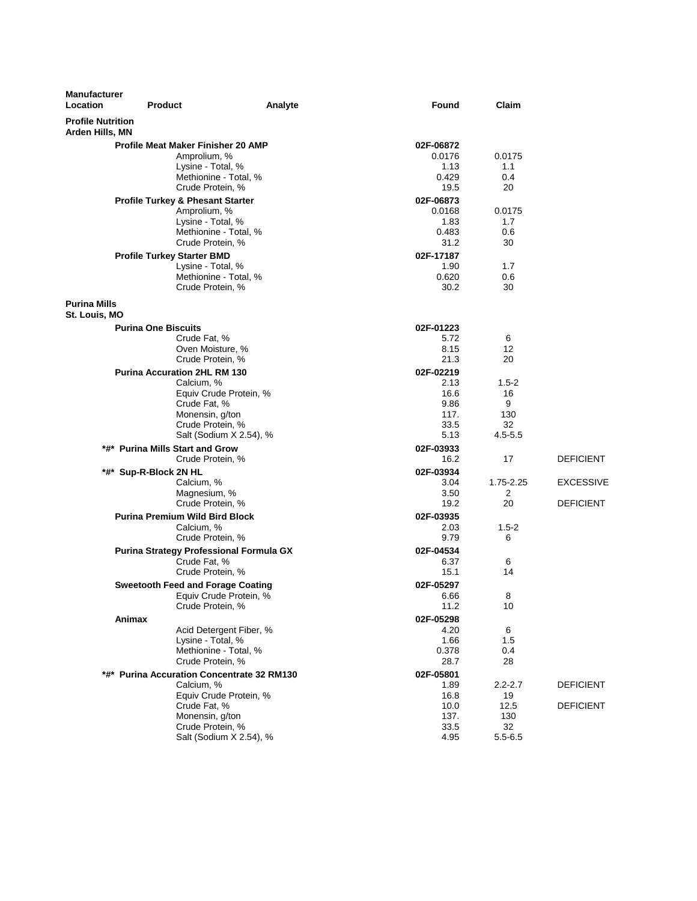| <b>Manufacturer</b><br>Location             | <b>Product</b>                                                                                                                | Analyte                                           | Found                                                     | Claim                                                 |                                      |
|---------------------------------------------|-------------------------------------------------------------------------------------------------------------------------------|---------------------------------------------------|-----------------------------------------------------------|-------------------------------------------------------|--------------------------------------|
| <b>Profile Nutrition</b><br>Arden Hills, MN |                                                                                                                               |                                                   |                                                           |                                                       |                                      |
|                                             | <b>Profile Meat Maker Finisher 20 AMP</b><br>Amprolium, %<br>Lysine - Total, %<br>Methionine - Total, %<br>Crude Protein, %   |                                                   | 02F-06872<br>0.0176<br>1.13<br>0.429<br>19.5              | 0.0175<br>1.1<br>0.4<br>20                            |                                      |
|                                             | <b>Profile Turkey &amp; Phesant Starter</b><br>Amprolium, %<br>Lysine - Total, %<br>Methionine - Total, %<br>Crude Protein, % |                                                   | 02F-06873<br>0.0168<br>1.83<br>0.483<br>31.2              | 0.0175<br>1.7<br>0.6<br>30                            |                                      |
|                                             | <b>Profile Turkey Starter BMD</b><br>Lysine - Total, %<br>Methionine - Total, %<br>Crude Protein, %                           |                                                   | 02F-17187<br>1.90<br>0.620<br>30.2                        | 1.7<br>0.6<br>30                                      |                                      |
| <b>Purina Mills</b><br>St. Louis, MO        |                                                                                                                               |                                                   |                                                           |                                                       |                                      |
|                                             | <b>Purina One Biscuits</b><br>Crude Fat, %<br>Oven Moisture, %<br>Crude Protein, %                                            |                                                   | 02F-01223<br>5.72<br>8.15<br>21.3                         | 6<br>12<br>20                                         |                                      |
|                                             | <b>Purina Accuration 2HL RM 130</b><br>Calcium, %<br>Crude Fat, %<br>Monensin, g/ton<br>Crude Protein, %                      | Equiv Crude Protein, %<br>Salt (Sodium X 2.54), % | 02F-02219<br>2.13<br>16.6<br>9.86<br>117.<br>33.5<br>5.13 | $1.5 - 2$<br>16<br>9<br>130<br>32<br>$4.5 - 5.5$      |                                      |
|                                             | *#* Purina Mills Start and Grow<br>Crude Protein, %                                                                           |                                                   | 02F-03933<br>16.2                                         | 17                                                    | <b>DEFICIENT</b>                     |
| *#*                                         | Sup-R-Block 2N HL<br>Calcium, %<br>Magnesium, %<br>Crude Protein, %                                                           |                                                   | 02F-03934<br>3.04<br>3.50<br>19.2                         | 1.75-2.25<br>2<br>20                                  | <b>EXCESSIVE</b><br><b>DEFICIENT</b> |
|                                             | <b>Purina Premium Wild Bird Block</b><br>Calcium, %<br>Crude Protein, %                                                       |                                                   | 02F-03935<br>2.03<br>9.79                                 | $1.5-2$<br>6                                          |                                      |
|                                             | Purina Strategy Professional Formula GX<br>Crude Fat, %<br>Crude Protein, %                                                   |                                                   | 02F-04534<br>6.37<br>15.1                                 | 6<br>14                                               |                                      |
|                                             | <b>Sweetooth Feed and Forage Coating</b><br>Crude Protein, %                                                                  | Equiv Crude Protein, %                            | 02F-05297<br>6.66<br>11.2                                 | 8<br>10                                               |                                      |
|                                             | Animax<br>Lysine - Total, %<br>Methionine - Total. %<br>Crude Protein. %                                                      | Acid Detergent Fiber, %                           | 02F-05298<br>4.20<br>1.66<br>0.378<br>28.7                | 6<br>1.5<br>0.4<br>28                                 |                                      |
|                                             | *#* Purina Accuration Concentrate 32 RM130<br>Calcium, %<br>Crude Fat, %<br>Monensin, g/ton<br>Crude Protein, %               | Equiv Crude Protein, %<br>Salt (Sodium X 2.54), % | 02F-05801<br>1.89<br>16.8<br>10.0<br>137.<br>33.5<br>4.95 | $2.2 - 2.7$<br>19<br>12.5<br>130<br>32<br>$5.5 - 6.5$ | <b>DEFICIENT</b><br><b>DEFICIENT</b> |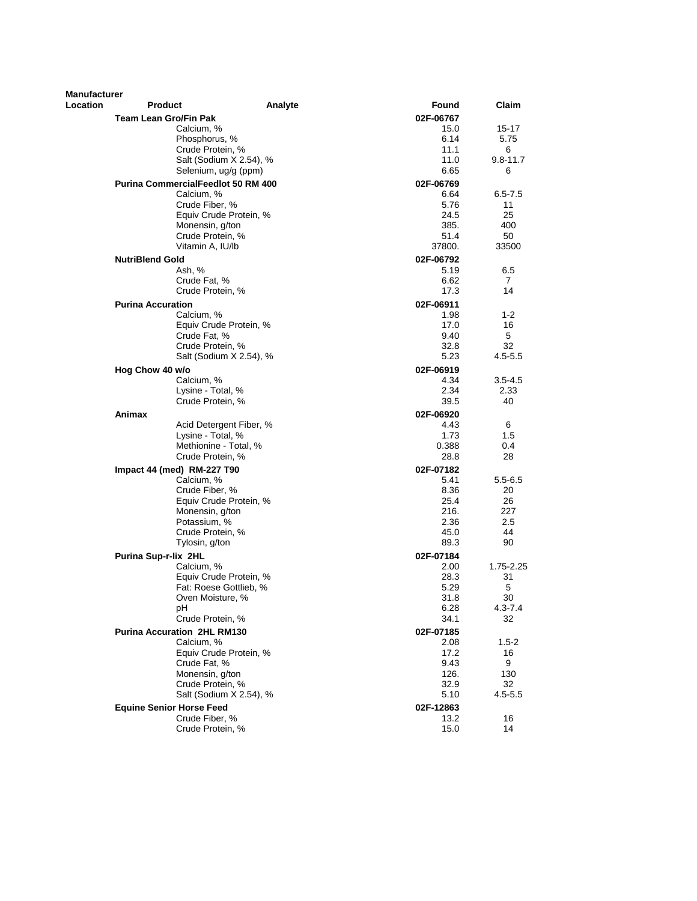| Manufacturer |                                           |         |                   |              |
|--------------|-------------------------------------------|---------|-------------------|--------------|
| Location     | <b>Product</b>                            | Analyte | Found             | Claim        |
|              | Team Lean Gro/Fin Pak                     |         | 02F-06767         |              |
|              | Calcium, %                                |         | 15.0              | 15-17        |
|              | Phosphorus, %                             |         | 6.14              | 5.75         |
|              | Crude Protein, %                          |         | 11.1              | 6            |
|              | Salt (Sodium X 2.54), %                   |         | 11.0              | $9.8 - 11.7$ |
|              | Selenium, ug/g (ppm)                      |         | 6.65              | 6            |
|              | <b>Purina CommercialFeedlot 50 RM 400</b> |         | 02F-06769         |              |
|              | Calcium, %                                |         | 6.64              | $6.5 - 7.5$  |
|              | Crude Fiber, %                            |         | 5.76              | 11           |
|              | Equiv Crude Protein, %                    |         | 24.5              | 25           |
|              | Monensin, g/ton                           |         | 385.              | 400          |
|              | Crude Protein, %                          |         | 51.4              | 50           |
|              | Vitamin A, IU/lb                          |         | 37800.            | 33500        |
|              | <b>NutriBlend Gold</b>                    |         | 02F-06792         |              |
|              | Ash, %                                    |         | 5.19              | 6.5          |
|              | Crude Fat, %                              |         | 6.62              | 7            |
|              | Crude Protein, %                          |         | 17.3              | 14           |
|              | <b>Purina Accuration</b>                  |         |                   |              |
|              | Calcium, %                                |         | 02F-06911<br>1.98 | $1 - 2$      |
|              | Equiv Crude Protein, %                    |         | 17.0              | 16           |
|              | Crude Fat, %                              |         | 9.40              | 5            |
|              | Crude Protein, %                          |         | 32.8              | 32           |
|              | Salt (Sodium X 2.54), %                   |         | 5.23              | $4.5 - 5.5$  |
|              |                                           |         |                   |              |
|              | Hog Chow 40 w/o                           |         | 02F-06919         |              |
|              | Calcium, %                                |         | 4.34              | $3.5 - 4.5$  |
|              | Lysine - Total, %                         |         | 2.34<br>39.5      | 2.33<br>40   |
|              | Crude Protein, %                          |         |                   |              |
|              | Animax                                    |         | 02F-06920         |              |
|              | Acid Detergent Fiber, %                   |         | 4.43              | 6            |
|              | Lysine - Total, %                         |         | 1.73              | 1.5          |
|              | Methionine - Total, %                     |         | 0.388             | 0.4          |
|              | Crude Protein, %                          |         | 28.8              | 28           |
|              | Impact 44 (med) RM-227 T90                |         | 02F-07182         |              |
|              | Calcium, %                                |         | 5.41              | $5.5 - 6.5$  |
|              | Crude Fiber, %                            |         | 8.36              | 20           |
|              | Equiv Crude Protein, %                    |         | 25.4              | 26           |
|              | Monensin, g/ton                           |         | 216.              | 227          |
|              | Potassium, %                              |         | 2.36              | 2.5          |
|              | Crude Protein, %                          |         | 45.0              | 44           |
|              | Tylosin, g/ton                            |         | 89.3              | 90           |
|              | Purina Sup-r-lix 2HL                      |         | 02F-07184         |              |
|              | Calcium, %                                |         | 2.00              | 1.75-2.25    |
|              | Equiv Crude Protein, %                    |         | 28.3              | 31           |
|              | Fat: Roese Gottlieb, %                    |         | 5.29              | 5            |
|              | Oven Moisture, %                          |         | 31.8              | 30           |
|              | pH                                        |         | 6.28              | 4.3-7.4      |
|              | Crude Protein, %                          |         | 34.1              | 32           |
|              | <b>Purina Accuration 2HL RM130</b>        |         | 02F-07185         |              |
|              | Calcium, %                                |         | 2.08              | $1.5 - 2$    |
|              | Equiv Crude Protein, %                    |         | 17.2              | 16           |
|              | Crude Fat, %                              |         | 9.43              | 9            |
|              | Monensin, g/ton                           |         | 126.              | 130          |
|              | Crude Protein, %                          |         | 32.9              | 32           |
|              | Salt (Sodium X 2.54), %                   |         | 5.10              | $4.5 - 5.5$  |
|              | <b>Equine Senior Horse Feed</b>           |         | 02F-12863         |              |
|              | Crude Fiber, %                            |         | 13.2              | 16           |
|              | Crude Protein, %                          |         | 15.0              | 14           |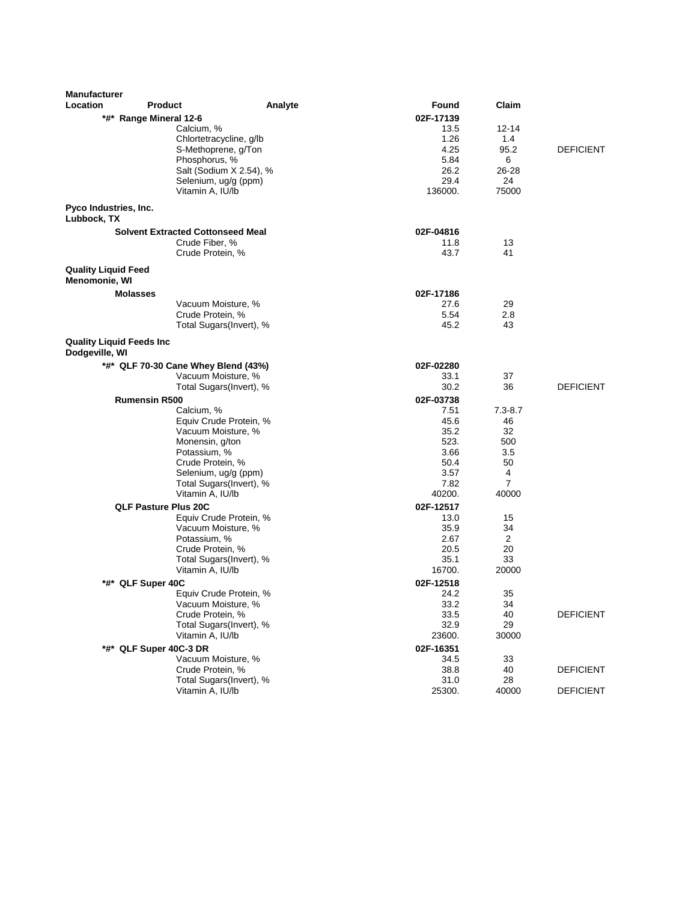| <b>Manufacturer</b>                               |                                                 |         |                |                |                  |
|---------------------------------------------------|-------------------------------------------------|---------|----------------|----------------|------------------|
| Location                                          | <b>Product</b>                                  | Analyte | Found          | Claim          |                  |
|                                                   | *#* Range Mineral 12-6                          |         | 02F-17139      |                |                  |
|                                                   | Calcium, %                                      |         | 13.5           | 12-14          |                  |
|                                                   | Chlortetracycline, g/lb                         |         | 1.26           | 1.4            |                  |
|                                                   | S-Methoprene, g/Ton                             |         | 4.25           | 95.2           | <b>DEFICIENT</b> |
|                                                   | Phosphorus, %                                   |         | 5.84           | 6              |                  |
|                                                   | Salt (Sodium X 2.54), %<br>Selenium, ug/g (ppm) |         | 26.2<br>29.4   | 26-28<br>24    |                  |
|                                                   | Vitamin A, IU/lb                                |         | 136000.        | 75000          |                  |
|                                                   |                                                 |         |                |                |                  |
| Pyco Industries, Inc.<br>Lubbock, TX              |                                                 |         |                |                |                  |
|                                                   | <b>Solvent Extracted Cottonseed Meal</b>        |         | 02F-04816      |                |                  |
|                                                   | Crude Fiber, %                                  |         | 11.8           | 13             |                  |
|                                                   | Crude Protein, %                                |         | 43.7           | 41             |                  |
| <b>Quality Liquid Feed</b><br>Menomonie, WI       |                                                 |         |                |                |                  |
| <b>Molasses</b>                                   |                                                 |         | 02F-17186      |                |                  |
|                                                   | Vacuum Moisture, %                              |         | 27.6           | 29             |                  |
|                                                   | Crude Protein, %                                |         | 5.54           | 2.8            |                  |
|                                                   | Total Sugars(Invert), %                         |         | 45.2           | 43             |                  |
| <b>Quality Liquid Feeds Inc</b><br>Dodgeville, WI |                                                 |         |                |                |                  |
|                                                   | *#* QLF 70-30 Cane Whey Blend (43%)             |         | 02F-02280      |                |                  |
|                                                   | Vacuum Moisture, %                              |         | 33.1           | 37             |                  |
|                                                   | Total Sugars(Invert), %                         |         | 30.2           | 36             | <b>DEFICIENT</b> |
|                                                   | <b>Rumensin R500</b>                            |         | 02F-03738      |                |                  |
|                                                   | Calcium, %                                      |         | 7.51           | $7.3 - 8.7$    |                  |
|                                                   | Equiv Crude Protein, %                          |         | 45.6           | 46             |                  |
|                                                   | Vacuum Moisture, %                              |         | 35.2           | 32             |                  |
|                                                   | Monensin, g/ton                                 |         | 523.<br>3.66   | 500<br>3.5     |                  |
|                                                   | Potassium, %<br>Crude Protein, %                |         | 50.4           | 50             |                  |
|                                                   | Selenium, ug/g (ppm)                            |         | 3.57           | 4              |                  |
|                                                   | Total Sugars(Invert), %                         |         | 7.82           | 7              |                  |
|                                                   | Vitamin A, IU/lb                                |         | 40200.         | 40000          |                  |
|                                                   | <b>QLF Pasture Plus 20C</b>                     |         | 02F-12517      |                |                  |
|                                                   | Equiv Crude Protein, %                          |         | 13.0           | 15             |                  |
|                                                   | Vacuum Moisture, %                              |         | 35.9           | 34             |                  |
|                                                   | Potassium, %                                    |         | 2.67           | $\overline{c}$ |                  |
|                                                   | Crude Protein, %                                |         | 20.5           | 20<br>33       |                  |
|                                                   | Total Sugars(Invert), %<br>Vitamin A, IU/lb     |         | 35.1<br>16700. | 20000          |                  |
|                                                   | *#* QLF Super 40C                               |         | 02F-12518      |                |                  |
|                                                   | Equiv Crude Protein, %                          |         | 24.2           | 35             |                  |
|                                                   | Vacuum Moisture, %                              |         | 33.2           | 34             |                  |
|                                                   | Crude Protein, %                                |         | 33.5           | 40             | <b>DEFICIENT</b> |
|                                                   | Total Sugars(Invert), %                         |         | 32.9           | 29             |                  |
|                                                   | Vitamin A, IU/lb                                |         | 23600.         | 30000          |                  |
|                                                   | *#* QLF Super 40C-3 DR                          |         | 02F-16351      |                |                  |
|                                                   | Vacuum Moisture, %                              |         | 34.5           | 33             |                  |
|                                                   | Crude Protein, %                                |         | 38.8           | 40             | <b>DEFICIENT</b> |
|                                                   | Total Sugars(Invert), %                         |         | 31.0           | 28             |                  |
|                                                   | Vitamin A, IU/lb                                |         | 25300.         | 40000          | <b>DEFICIENT</b> |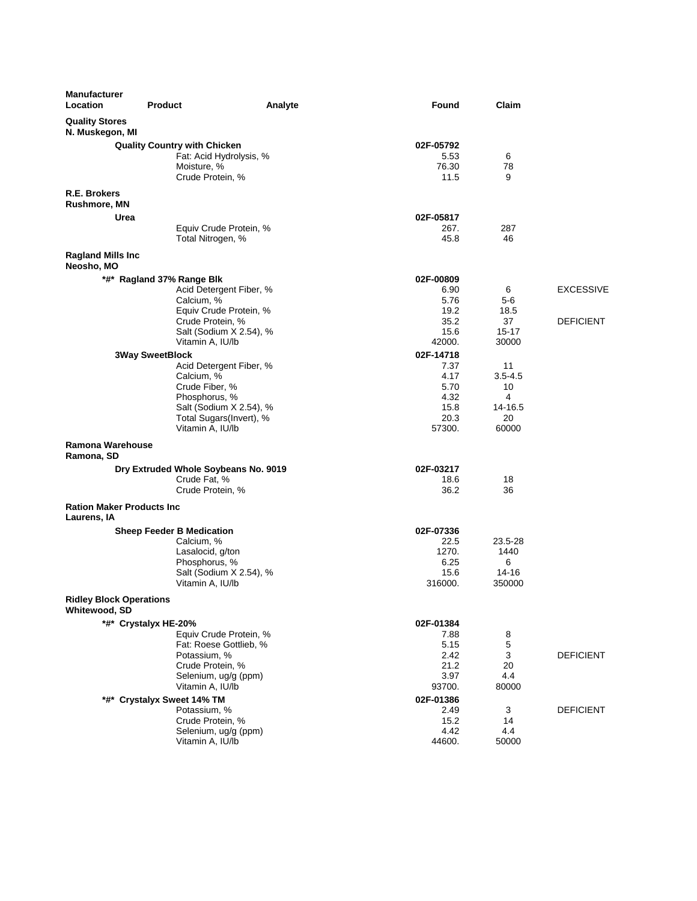| <b>Manufacturer</b><br>Location          | <b>Product</b>                                       | Analyte                 | <b>Found</b> | Claim            |                  |
|------------------------------------------|------------------------------------------------------|-------------------------|--------------|------------------|------------------|
| <b>Quality Stores</b><br>N. Muskegon, MI |                                                      |                         |              |                  |                  |
|                                          | <b>Quality Country with Chicken</b>                  |                         | 02F-05792    |                  |                  |
|                                          | Fat: Acid Hydrolysis, %                              |                         | 5.53         | 6                |                  |
|                                          | Moisture, %                                          |                         | 76.30        | 78               |                  |
|                                          | Crude Protein, %                                     |                         | 11.5         | 9                |                  |
| R.E. Brokers<br><b>Rushmore, MN</b>      |                                                      |                         |              |                  |                  |
| Urea                                     |                                                      |                         | 02F-05817    |                  |                  |
|                                          |                                                      | Equiv Crude Protein, %  | 267.         | 287              |                  |
|                                          | Total Nitrogen, %                                    |                         | 45.8         | 46               |                  |
| <b>Ragland Mills Inc</b><br>Neosho, MO   |                                                      |                         |              |                  |                  |
|                                          | *#* Ragland 37% Range Blk                            |                         | 02F-00809    |                  |                  |
|                                          |                                                      | Acid Detergent Fiber, % | 6.90         | 6                | <b>EXCESSIVE</b> |
|                                          | Calcium, %                                           |                         | 5.76         | 5-6              |                  |
|                                          |                                                      | Equiv Crude Protein, %  | 19.2         | 18.5             |                  |
|                                          | Crude Protein, %                                     |                         | 35.2         | 37               | <b>DEFICIENT</b> |
|                                          |                                                      | Salt (Sodium X 2.54), % | 15.6         | $15 - 17$        |                  |
|                                          | Vitamin A, IU/lb                                     |                         | 42000.       | 30000            |                  |
|                                          | <b>3Way SweetBlock</b>                               |                         | 02F-14718    |                  |                  |
|                                          |                                                      | Acid Detergent Fiber, % | 7.37         | 11               |                  |
|                                          | Calcium, %                                           |                         | 4.17         | $3.5 - 4.5$      |                  |
|                                          | Crude Fiber, %                                       |                         | 5.70         | 10               |                  |
|                                          | Phosphorus, %                                        |                         | 4.32         | 4                |                  |
|                                          | Total Sugars(Invert), %                              | Salt (Sodium X 2.54), % | 15.8<br>20.3 | 14-16.5<br>20    |                  |
|                                          | Vitamin A, IU/lb                                     |                         | 57300.       | 60000            |                  |
| Ramona Warehouse<br>Ramona, SD           |                                                      |                         |              |                  |                  |
|                                          |                                                      |                         | 02F-03217    |                  |                  |
|                                          | Dry Extruded Whole Soybeans No. 9019<br>Crude Fat, % |                         | 18.6         | 18               |                  |
|                                          | Crude Protein, %                                     |                         | 36.2         | 36               |                  |
| <b>Ration Maker Products Inc.</b>        |                                                      |                         |              |                  |                  |
| Laurens, IA                              |                                                      |                         |              |                  |                  |
|                                          | <b>Sheep Feeder B Medication</b>                     |                         | 02F-07336    |                  |                  |
|                                          | Calcium, %                                           |                         | 22.5         | 23.5-28          |                  |
|                                          | Lasalocid, g/ton                                     |                         | 1270.        | 1440             |                  |
|                                          | Phosphorus, %                                        |                         | 6.25         | 6                |                  |
|                                          |                                                      | Salt (Sodium X 2.54), % | 15.6         | 14-16            |                  |
| <b>Ridley Block Operations</b>           | Vitamin A, IU/lb                                     |                         | 316000.      | 350000           |                  |
| Whitewood, SD                            |                                                      |                         |              |                  |                  |
|                                          | *#* Crystalyx HE-20%                                 |                         | 02F-01384    |                  |                  |
|                                          |                                                      | Equiv Crude Protein, %  | 7.88         | 8                |                  |
|                                          | Fat: Roese Gottlieb, %<br>Potassium, %               |                         | 5.15<br>2.42 | $\mathbf 5$<br>3 | <b>DEFICIENT</b> |
|                                          | Crude Protein, %                                     |                         | 21.2         | 20               |                  |
|                                          | Selenium, ug/g (ppm)                                 |                         | 3.97         | 4.4              |                  |
|                                          | Vitamin A, IU/lb                                     |                         | 93700.       | 80000            |                  |
|                                          | *#* Crystalyx Sweet 14% TM                           |                         | 02F-01386    |                  |                  |
|                                          | Potassium, %                                         |                         | 2.49         | 3                | <b>DEFICIENT</b> |
|                                          | Crude Protein, %                                     |                         | 15.2         | 14               |                  |
|                                          | Selenium, ug/g (ppm)                                 |                         | 4.42         | 4.4              |                  |
|                                          | Vitamin A, IU/lb                                     |                         | 44600.       | 50000            |                  |
|                                          |                                                      |                         |              |                  |                  |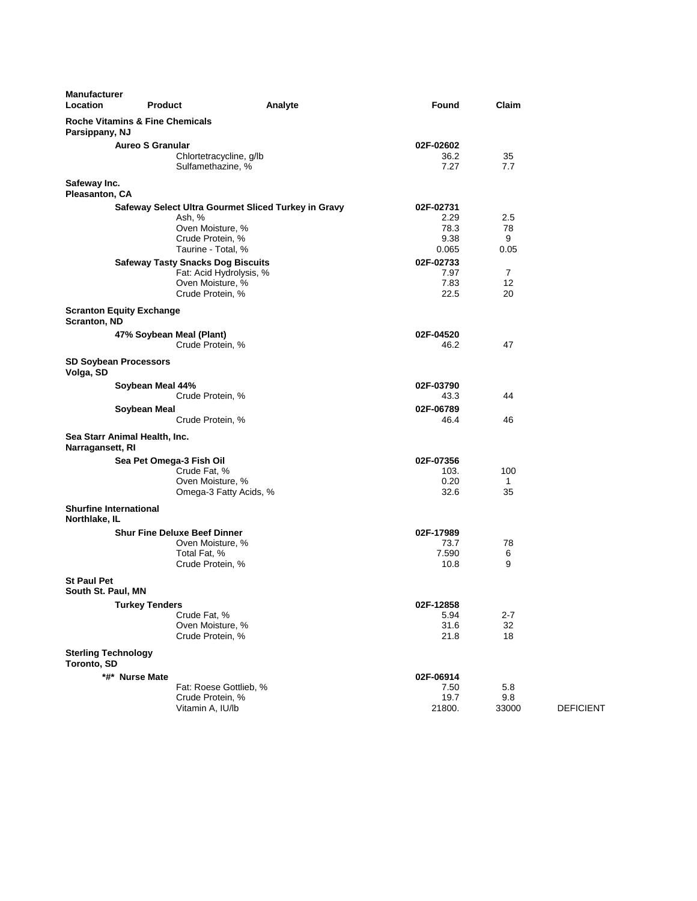| <b>Manufacturer</b><br><b>Location</b>         | <b>Product</b>                                                      | Analyte                                             | Found         | Claim          |                  |
|------------------------------------------------|---------------------------------------------------------------------|-----------------------------------------------------|---------------|----------------|------------------|
| Parsippany, NJ                                 | <b>Roche Vitamins &amp; Fine Chemicals</b>                          |                                                     |               |                |                  |
|                                                | <b>Aureo S Granular</b>                                             |                                                     | 02F-02602     |                |                  |
|                                                | Chlortetracycline, g/lb<br>Sulfamethazine, %                        |                                                     | 36.2<br>7.27  | 35<br>7.7      |                  |
| Safeway Inc.<br>Pleasanton, CA                 |                                                                     |                                                     |               |                |                  |
|                                                |                                                                     | Safeway Select Ultra Gourmet Sliced Turkey in Gravy | 02F-02731     |                |                  |
|                                                | Ash, %                                                              |                                                     | 2.29          | 2.5            |                  |
|                                                | Oven Moisture, %                                                    |                                                     | 78.3          | 78             |                  |
|                                                | Crude Protein, %<br>Taurine - Total, %                              |                                                     | 9.38<br>0.065 | 9<br>0.05      |                  |
|                                                |                                                                     |                                                     | 02F-02733     |                |                  |
|                                                | <b>Safeway Tasty Snacks Dog Biscuits</b><br>Fat: Acid Hydrolysis, % |                                                     | 7.97          | $\overline{7}$ |                  |
|                                                | Oven Moisture, %                                                    |                                                     | 7.83          | 12             |                  |
|                                                | Crude Protein, %                                                    |                                                     | 22.5          | 20             |                  |
| Scranton, ND                                   | <b>Scranton Equity Exchange</b>                                     |                                                     |               |                |                  |
|                                                | 47% Soybean Meal (Plant)                                            |                                                     | 02F-04520     |                |                  |
|                                                | Crude Protein, %                                                    |                                                     | 46.2          | 47             |                  |
| <b>SD Soybean Processors</b><br>Volga, SD      |                                                                     |                                                     |               |                |                  |
|                                                | Soybean Meal 44%                                                    |                                                     | 02F-03790     |                |                  |
|                                                | Crude Protein, %                                                    |                                                     | 43.3          | 44             |                  |
|                                                | Soybean Meal                                                        |                                                     | 02F-06789     |                |                  |
|                                                | Crude Protein, %                                                    |                                                     | 46.4          | 46             |                  |
| Narragansett, RI                               | Sea Starr Animal Health, Inc.                                       |                                                     |               |                |                  |
|                                                | Sea Pet Omega-3 Fish Oil                                            |                                                     | 02F-07356     |                |                  |
|                                                | Crude Fat, %                                                        |                                                     | 103.          | 100            |                  |
|                                                | Oven Moisture, %                                                    |                                                     | 0.20          | 1              |                  |
|                                                | Omega-3 Fatty Acids, %                                              |                                                     | 32.6          | 35             |                  |
| <b>Shurfine International</b><br>Northlake, IL |                                                                     |                                                     |               |                |                  |
|                                                | <b>Shur Fine Deluxe Beef Dinner</b>                                 |                                                     | 02F-17989     |                |                  |
|                                                | Oven Moisture, %                                                    |                                                     | 73.7          | 78             |                  |
|                                                | Total Fat, %                                                        |                                                     | 7.590         | 6<br>9         |                  |
|                                                | Crude Protein, %                                                    |                                                     | 10.8          |                |                  |
| <b>St Paul Pet</b><br>South St. Paul, MN       |                                                                     |                                                     |               |                |                  |
|                                                | <b>Turkey Tenders</b>                                               |                                                     | 02F-12858     |                |                  |
|                                                | Crude Fat, %                                                        |                                                     | 5.94          | $2 - 7$        |                  |
|                                                | Oven Moisture, %<br>Crude Protein, %                                |                                                     | 31.6<br>21.8  | 32<br>18       |                  |
| <b>Sterling Technology</b><br>Toronto, SD      |                                                                     |                                                     |               |                |                  |
|                                                | *#* Nurse Mate                                                      |                                                     | 02F-06914     |                |                  |
|                                                | Fat: Roese Gottlieb, %                                              |                                                     | 7.50          | 5.8            |                  |
|                                                | Crude Protein, %                                                    |                                                     | 19.7          | 9.8            |                  |
|                                                | Vitamin A, IU/lb                                                    |                                                     | 21800.        | 33000          | <b>DEFICIENT</b> |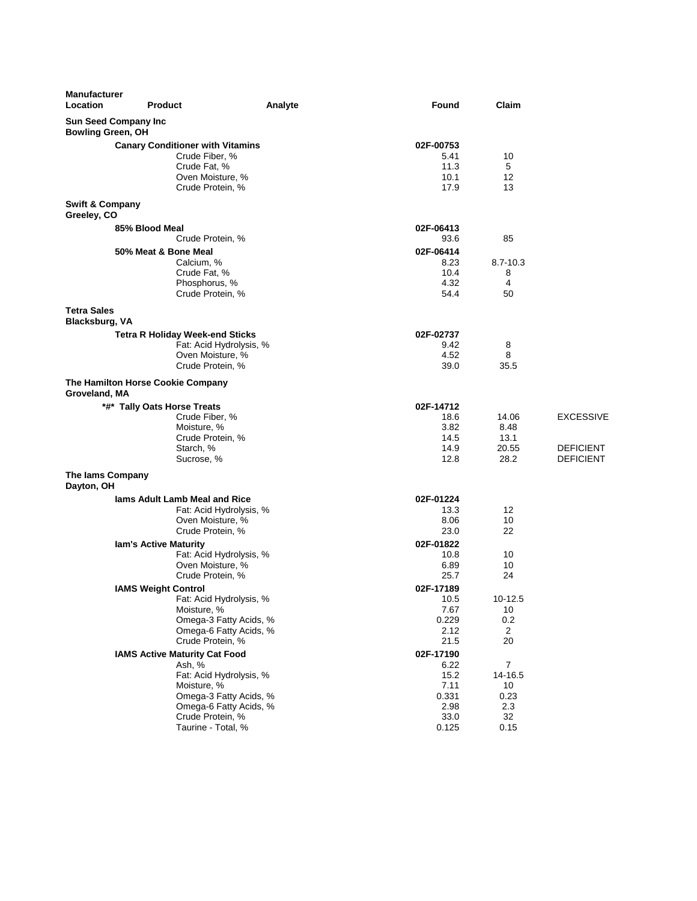| <b>Manufacturer</b><br>Location           | <b>Product</b>                                        | Analyte | <b>Found</b>      | Claim           |                  |
|-------------------------------------------|-------------------------------------------------------|---------|-------------------|-----------------|------------------|
| <b>Bowling Green, OH</b>                  | <b>Sun Seed Company Inc</b>                           |         |                   |                 |                  |
|                                           | <b>Canary Conditioner with Vitamins</b>               |         | 02F-00753         |                 |                  |
|                                           | Crude Fiber, %                                        |         | 5.41              | 10              |                  |
|                                           | Crude Fat, %                                          |         | 11.3              | 5               |                  |
|                                           | Oven Moisture, %                                      |         | 10.1              | 12              |                  |
|                                           | Crude Protein, %                                      |         | 17.9              | 13              |                  |
| <b>Swift &amp; Company</b><br>Greeley, CO |                                                       |         |                   |                 |                  |
|                                           | 85% Blood Meal                                        |         | 02F-06413         |                 |                  |
|                                           | Crude Protein, %                                      |         | 93.6              | 85              |                  |
|                                           | 50% Meat & Bone Meal                                  |         | 02F-06414         |                 |                  |
|                                           | Calcium, %                                            |         | 8.23              | $8.7 - 10.3$    |                  |
|                                           | Crude Fat, %                                          |         | 10.4<br>4.32      | 8<br>4          |                  |
|                                           | Phosphorus, %<br>Crude Protein, %                     |         | 54.4              | 50              |                  |
|                                           |                                                       |         |                   |                 |                  |
| <b>Tetra Sales</b><br>Blacksburg, VA      |                                                       |         |                   |                 |                  |
|                                           | <b>Tetra R Holiday Week-end Sticks</b>                |         | 02F-02737         |                 |                  |
|                                           | Fat: Acid Hydrolysis, %                               |         | 9.42              | 8               |                  |
|                                           | Oven Moisture, %                                      |         | 4.52              | 8               |                  |
|                                           | Crude Protein, %                                      |         | 39.0              | 35.5            |                  |
| Groveland, MA                             | The Hamilton Horse Cookie Company                     |         |                   |                 |                  |
|                                           | *#* Tally Oats Horse Treats                           |         | 02F-14712         |                 |                  |
|                                           | Crude Fiber, %                                        |         | 18.6              | 14.06           | <b>EXCESSIVE</b> |
|                                           | Moisture, %                                           |         | 3.82              | 8.48            |                  |
|                                           | Crude Protein, %                                      |         | 14.5              | 13.1            |                  |
|                                           | Starch, %                                             |         | 14.9              | 20.55           | <b>DEFICIENT</b> |
|                                           | Sucrose, %                                            |         | 12.8              | 28.2            | <b>DEFICIENT</b> |
| The lams Company<br>Dayton, OH            |                                                       |         |                   |                 |                  |
|                                           | lams Adult Lamb Meal and Rice                         |         | 02F-01224         |                 |                  |
|                                           | Fat: Acid Hydrolysis, %                               |         | 13.3              | 12              |                  |
|                                           | Oven Moisture, %                                      |         | 8.06              | 10              |                  |
|                                           | Crude Protein, %                                      |         | 23.0              | 22              |                  |
|                                           | lam's Active Maturity                                 |         | 02F-01822         |                 |                  |
|                                           | Fat: Acid Hydrolysis, %                               |         | 10.8              | 10              |                  |
|                                           | Oven Moisture, %<br>Crude Protein, %                  |         | 6.89<br>25.7      | 10<br>24        |                  |
|                                           |                                                       |         |                   |                 |                  |
|                                           | <b>IAMS Weight Control</b><br>Fat: Acid Hydrolysis, % |         | 02F-17189<br>10.5 | 10-12.5         |                  |
|                                           | Moisture, %                                           |         | 7.67              | 10 <sup>1</sup> |                  |
|                                           | Omega-3 Fatty Acids, %                                |         | 0.229             | 0.2             |                  |
|                                           | Omega-6 Fatty Acids, %                                |         | 2.12              | $\overline{2}$  |                  |
|                                           | Crude Protein, %                                      |         | 21.5              | 20              |                  |
|                                           | <b>IAMS Active Maturity Cat Food</b>                  |         | 02F-17190         |                 |                  |
|                                           | Ash, %                                                |         | 6.22              | $\overline{7}$  |                  |
|                                           | Fat: Acid Hydrolysis, %                               |         | 15.2              | 14-16.5         |                  |
|                                           | Moisture, %                                           |         | 7.11<br>0.331     | 10<br>0.23      |                  |
|                                           | Omega-3 Fatty Acids, %<br>Omega-6 Fatty Acids, %      |         | 2.98              | 2.3             |                  |
|                                           | Crude Protein, %                                      |         | 33.0              | 32              |                  |
|                                           | Taurine - Total, %                                    |         | 0.125             | 0.15            |                  |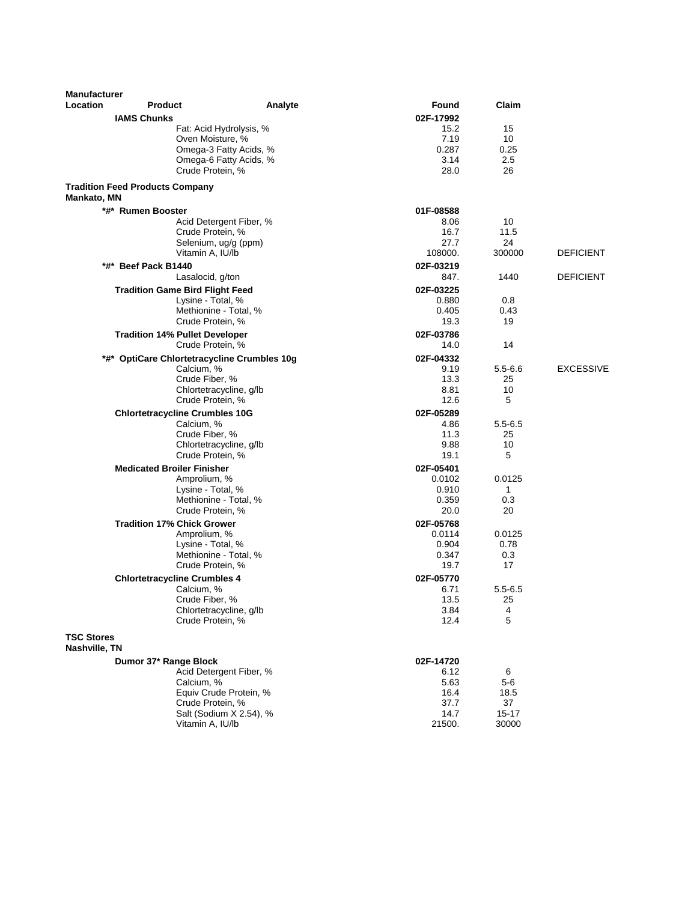| <b>Manufacturer</b>                |                                             |                                                  |                 |              |                  |
|------------------------------------|---------------------------------------------|--------------------------------------------------|-----------------|--------------|------------------|
| Location                           | <b>Product</b>                              | Analyte                                          | Found           | Claim        |                  |
|                                    | <b>IAMS Chunks</b>                          |                                                  | 02F-17992       |              |                  |
|                                    | Fat: Acid Hydrolysis, %                     |                                                  | 15.2            | 15           |                  |
|                                    | Oven Moisture, %                            |                                                  | 7.19            | 10           |                  |
|                                    |                                             | Omega-3 Fatty Acids, %<br>Omega-6 Fatty Acids, % | 0.287<br>3.14   | 0.25<br>2.5  |                  |
|                                    | Crude Protein, %                            |                                                  | 28.0            | 26           |                  |
| <b>Mankato, MN</b>                 | <b>Tradition Feed Products Company</b>      |                                                  |                 |              |                  |
|                                    | *#* Rumen Booster                           |                                                  | 01F-08588       |              |                  |
|                                    |                                             | Acid Detergent Fiber, %                          | 8.06            | 10           |                  |
|                                    | Crude Protein, %                            |                                                  | 16.7            | 11.5         |                  |
|                                    | Selenium, ug/g (ppm)<br>Vitamin A, IU/lb    |                                                  | 27.7<br>108000. | 24<br>300000 | <b>DEFICIENT</b> |
|                                    | *#* Beef Pack B1440                         |                                                  | 02F-03219       |              |                  |
|                                    | Lasalocid, g/ton                            |                                                  | 847.            | 1440         | <b>DEFICIENT</b> |
|                                    | <b>Tradition Game Bird Flight Feed</b>      |                                                  | 02F-03225       |              |                  |
|                                    | Lysine - Total, %                           |                                                  | 0.880           | 0.8          |                  |
|                                    | Methionine - Total. %                       |                                                  | 0.405           | 0.43         |                  |
|                                    | Crude Protein, %                            |                                                  | 19.3            | 19           |                  |
|                                    | <b>Tradition 14% Pullet Developer</b>       |                                                  | 02F-03786       |              |                  |
|                                    | Crude Protein, %                            |                                                  | 14.0            | 14           |                  |
|                                    | *#* OptiCare Chlortetracycline Crumbles 10g |                                                  | 02F-04332       |              |                  |
|                                    | Calcium, %                                  |                                                  | 9.19            | $5.5 - 6.6$  | <b>EXCESSIVE</b> |
|                                    | Crude Fiber, %<br>Chlortetracycline, g/lb   |                                                  | 13.3<br>8.81    | 25<br>10     |                  |
|                                    | Crude Protein, %                            |                                                  | 12.6            | 5            |                  |
|                                    | <b>Chlortetracycline Crumbles 10G</b>       |                                                  | 02F-05289       |              |                  |
|                                    | Calcium, %                                  |                                                  | 4.86            | $5.5 - 6.5$  |                  |
|                                    | Crude Fiber, %                              |                                                  | 11.3            | 25           |                  |
|                                    | Chlortetracycline, g/lb                     |                                                  | 9.88            | 10           |                  |
|                                    | Crude Protein, %                            |                                                  | 19.1            | 5            |                  |
|                                    | <b>Medicated Broiler Finisher</b>           |                                                  | 02F-05401       |              |                  |
|                                    | Amprolium, %                                |                                                  | 0.0102          | 0.0125       |                  |
|                                    | Lysine - Total, %<br>Methionine - Total, %  |                                                  | 0.910<br>0.359  | 1<br>0.3     |                  |
|                                    | Crude Protein, %                            |                                                  | 20.0            | 20           |                  |
|                                    | <b>Tradition 17% Chick Grower</b>           |                                                  | 02F-05768       |              |                  |
|                                    | Amprolium, %                                |                                                  | 0.0114          | 0.0125       |                  |
|                                    | Lysine - Total, %                           |                                                  | 0.904           | 0.78         |                  |
|                                    | Methionine - Total, %                       |                                                  | 0.347           | 0.3          |                  |
|                                    | Crude Protein, %                            |                                                  | 19.7            | 17           |                  |
|                                    | <b>Chlortetracycline Crumbles 4</b>         |                                                  | 02F-05770       |              |                  |
|                                    | Calcium, %                                  |                                                  | 6.71            | $5.5 - 6.5$  |                  |
|                                    | Crude Fiber, %<br>Chlortetracycline, g/lb   |                                                  | 13.5<br>3.84    | 25<br>4      |                  |
|                                    | Crude Protein, %                            |                                                  | 12.4            | 5            |                  |
| <b>TSC Stores</b><br>Nashville, TN |                                             |                                                  |                 |              |                  |
|                                    | Dumor 37* Range Block                       |                                                  | 02F-14720       |              |                  |
|                                    |                                             | Acid Detergent Fiber, %                          | 6.12            | 6            |                  |
|                                    | Calcium, %                                  |                                                  | 5.63            | $5-6$        |                  |
|                                    |                                             | Equiv Crude Protein, %                           | 16.4            | 18.5         |                  |
|                                    | Crude Protein, %                            |                                                  | 37.7            | 37           |                  |
|                                    |                                             | Salt (Sodium X 2.54), %                          | 14.7            | $15 - 17$    |                  |
|                                    | Vitamin A, IU/lb                            |                                                  | 21500.          | 30000        |                  |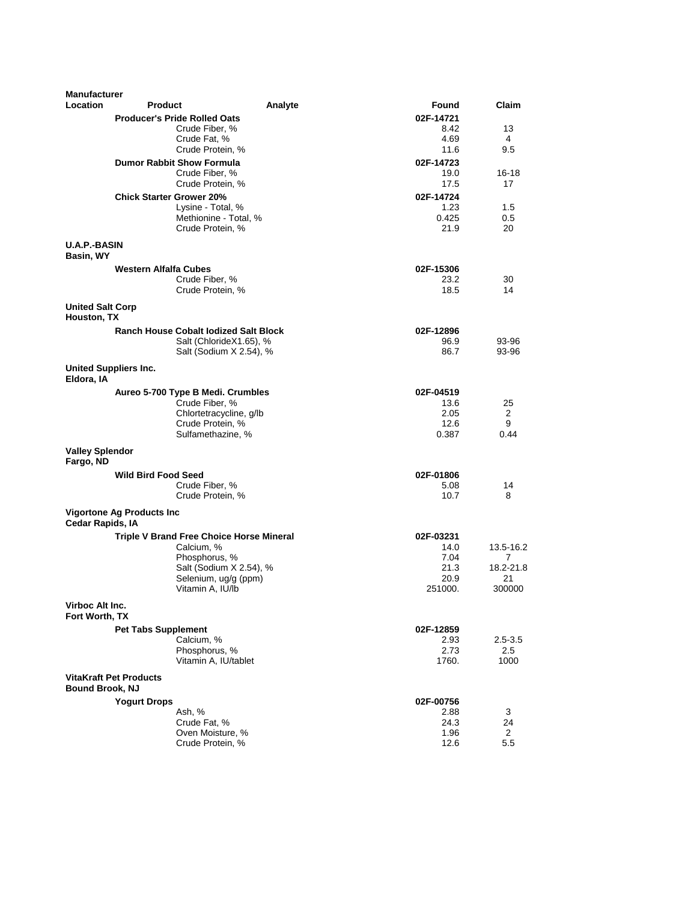| <b>Manufacturer</b>     |                                  |                                                 |         |           |                |
|-------------------------|----------------------------------|-------------------------------------------------|---------|-----------|----------------|
| Location                | <b>Product</b>                   |                                                 | Analyte | Found     | Claim          |
|                         |                                  | <b>Producer's Pride Rolled Oats</b>             |         | 02F-14721 |                |
|                         |                                  | Crude Fiber, %                                  |         | 8.42      | 13             |
|                         |                                  | Crude Fat, %                                    |         | 4.69      | 4              |
|                         |                                  | Crude Protein, %                                |         | 11.6      | 9.5            |
|                         |                                  | <b>Dumor Rabbit Show Formula</b>                |         | 02F-14723 |                |
|                         |                                  | Crude Fiber, %                                  |         | 19.0      | $16 - 18$      |
|                         |                                  | Crude Protein, %                                |         | 17.5      | 17             |
|                         |                                  |                                                 |         |           |                |
|                         | <b>Chick Starter Grower 20%</b>  |                                                 |         | 02F-14724 |                |
|                         |                                  | Lysine - Total, %                               |         | 1.23      | 1.5            |
|                         |                                  | Methionine - Total, %                           |         | 0.425     | 0.5            |
|                         |                                  | Crude Protein, %                                |         | 21.9      | 20             |
| <b>U.A.P.-BASIN</b>     |                                  |                                                 |         |           |                |
| Basin, WY               |                                  |                                                 |         |           |                |
|                         | <b>Western Alfalfa Cubes</b>     |                                                 |         | 02F-15306 |                |
|                         |                                  | Crude Fiber, %                                  |         | 23.2      | 30             |
|                         |                                  | Crude Protein, %                                |         | 18.5      | 14             |
|                         |                                  |                                                 |         |           |                |
| <b>United Salt Corp</b> |                                  |                                                 |         |           |                |
| Houston, TX             |                                  |                                                 |         |           |                |
|                         |                                  | <b>Ranch House Cobalt lodized Salt Block</b>    |         | 02F-12896 |                |
|                         |                                  | Salt (ChlorideX1.65), %                         |         | 96.9      | 93-96          |
|                         |                                  | Salt (Sodium X 2.54), %                         |         | 86.7      | 93-96          |
|                         |                                  |                                                 |         |           |                |
|                         | United Suppliers Inc.            |                                                 |         |           |                |
| Eldora, IA              |                                  |                                                 |         |           |                |
|                         |                                  | Aureo 5-700 Type B Medi. Crumbles               |         | 02F-04519 |                |
|                         |                                  | Crude Fiber, %                                  |         | 13.6      | 25             |
|                         |                                  | Chlortetracycline, g/lb                         |         | 2.05      | 2              |
|                         |                                  | Crude Protein, %                                |         | 12.6      | 9              |
|                         |                                  | Sulfamethazine, %                               |         | 0.387     | 0.44           |
| <b>Valley Splendor</b>  |                                  |                                                 |         |           |                |
| Fargo, ND               |                                  |                                                 |         |           |                |
|                         |                                  |                                                 |         |           |                |
|                         | <b>Wild Bird Food Seed</b>       |                                                 |         | 02F-01806 |                |
|                         |                                  | Crude Fiber, %                                  |         | 5.08      | 14             |
|                         |                                  | Crude Protein, %                                |         | 10.7      | 8              |
|                         | <b>Vigortone Ag Products Inc</b> |                                                 |         |           |                |
| Cedar Rapids, IA        |                                  |                                                 |         |           |                |
|                         |                                  | <b>Triple V Brand Free Choice Horse Mineral</b> |         | 02F-03231 |                |
|                         |                                  | Calcium, %                                      |         | 14.0      | 13.5-16.2      |
|                         |                                  | Phosphorus, %                                   |         | 7.04      | $\overline{7}$ |
|                         |                                  | Salt (Sodium X 2.54), %                         |         | 21.3      | 18.2-21.8      |
|                         |                                  | Selenium, ug/g (ppm)                            |         | 20.9      | 21             |
|                         |                                  | Vitamin A, IU/lb                                |         | 251000.   | 300000         |
|                         |                                  |                                                 |         |           |                |
| Virboc Alt Inc.         |                                  |                                                 |         |           |                |
| Fort Worth, TX          |                                  |                                                 |         |           |                |
|                         | <b>Pet Tabs Supplement</b>       |                                                 |         | 02F-12859 |                |
|                         |                                  | Calcium, %                                      |         | 2.93      | $2.5 - 3.5$    |
|                         |                                  | Phosphorus, %                                   |         | 2.73      | 2.5            |
|                         |                                  | Vitamin A, IU/tablet                            |         | 1760.     | 1000           |
|                         |                                  |                                                 |         |           |                |
|                         | <b>VitaKraft Pet Products</b>    |                                                 |         |           |                |
| <b>Bound Brook, NJ</b>  |                                  |                                                 |         |           |                |
|                         | <b>Yogurt Drops</b>              |                                                 |         | 02F-00756 |                |
|                         |                                  | Ash, %                                          |         | 2.88      | 3              |
|                         |                                  | Crude Fat, %                                    |         | 24.3      | 24             |
|                         |                                  | Oven Moisture, %                                |         | 1.96      | $\overline{2}$ |
|                         |                                  | Crude Protein, %                                |         | 12.6      | 5.5            |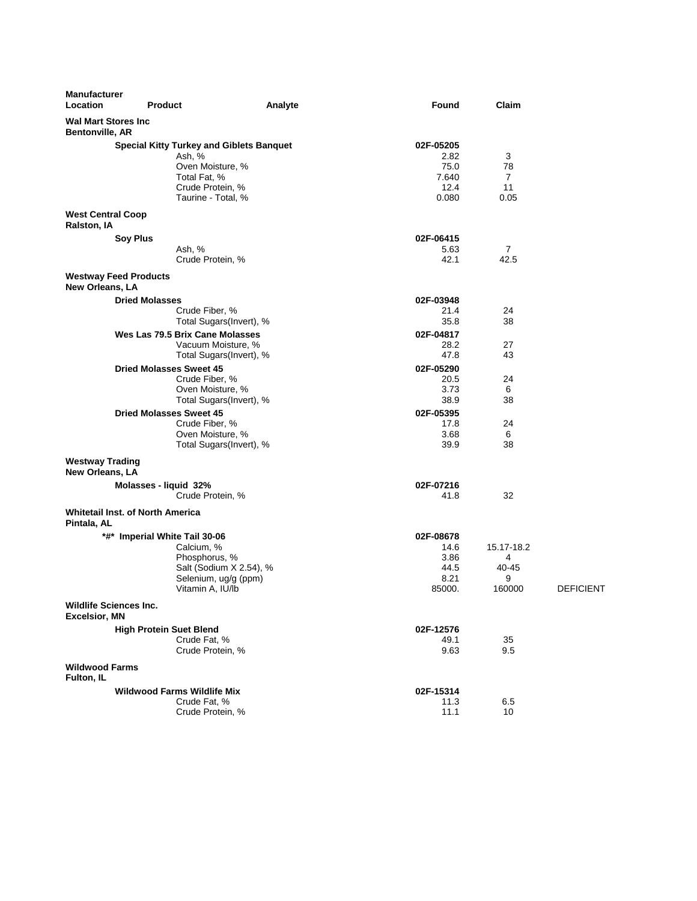| <b>Manufacturer</b>                                    |                                                 |                         |              |            |                  |
|--------------------------------------------------------|-------------------------------------------------|-------------------------|--------------|------------|------------------|
| Location                                               | <b>Product</b>                                  | Analyte                 | Found        | Claim      |                  |
| <b>Wal Mart Stores Inc.</b><br><b>Bentonville, AR</b>  |                                                 |                         |              |            |                  |
|                                                        | <b>Special Kitty Turkey and Giblets Banquet</b> |                         | 02F-05205    |            |                  |
|                                                        | Ash, %                                          |                         | 2.82<br>75.0 | 3          |                  |
|                                                        | Oven Moisture, %<br>Total Fat, %                |                         | 7.640        | 78<br>7    |                  |
|                                                        | Crude Protein, %                                |                         | 12.4         | 11         |                  |
|                                                        | Taurine - Total, %                              |                         | 0.080        | 0.05       |                  |
| <b>West Central Coop</b><br>Ralston, IA                |                                                 |                         |              |            |                  |
|                                                        | Soy Plus                                        |                         | 02F-06415    |            |                  |
|                                                        | Ash, %                                          |                         | 5.63         | 7          |                  |
|                                                        | Crude Protein, %                                |                         | 42.1         | 42.5       |                  |
| <b>Westway Feed Products</b><br>New Orleans, LA        |                                                 |                         |              |            |                  |
|                                                        | <b>Dried Molasses</b>                           |                         | 02F-03948    |            |                  |
|                                                        | Crude Fiber, %                                  |                         | 21.4         | 24         |                  |
|                                                        | Total Sugars(Invert), %                         |                         | 35.8         | 38         |                  |
|                                                        | Wes Las 79.5 Brix Cane Molasses                 |                         | 02F-04817    |            |                  |
|                                                        | Vacuum Moisture, %<br>Total Sugars(Invert), %   |                         | 28.2<br>47.8 | 27<br>43   |                  |
|                                                        | <b>Dried Molasses Sweet 45</b>                  |                         | 02F-05290    |            |                  |
|                                                        | Crude Fiber, %                                  |                         | 20.5         | 24         |                  |
|                                                        | Oven Moisture, %                                |                         | 3.73         | 6          |                  |
|                                                        | Total Sugars(Invert), %                         |                         | 38.9         | 38         |                  |
|                                                        | <b>Dried Molasses Sweet 45</b>                  |                         | 02F-05395    |            |                  |
|                                                        | Crude Fiber, %                                  |                         | 17.8         | 24         |                  |
|                                                        | Oven Moisture, %                                |                         | 3.68         | 6          |                  |
|                                                        | Total Sugars(Invert), %                         |                         | 39.9         | 38         |                  |
| <b>Westway Trading</b><br>New Orleans, LA              |                                                 |                         |              |            |                  |
|                                                        | Molasses - liquid 32%                           |                         | 02F-07216    |            |                  |
|                                                        | Crude Protein, %                                |                         | 41.8         | 32         |                  |
| <b>Whitetail Inst. of North America</b><br>Pintala, AL |                                                 |                         |              |            |                  |
|                                                        | *#* Imperial White Tail 30-06                   |                         | 02F-08678    |            |                  |
|                                                        | Calcium, %                                      |                         | 14.6         | 15.17-18.2 |                  |
|                                                        | Phosphorus, %                                   |                         | 3.86         | 4          |                  |
|                                                        | Selenium, ug/g (ppm)                            | Salt (Sodium X 2.54), % | 44.5<br>8.21 | 40-45<br>9 |                  |
|                                                        | Vitamin A, IU/lb                                |                         | 85000.       | 160000     | <b>DEFICIENT</b> |
| <b>Wildlife Sciences Inc.</b><br><b>Excelsior, MN</b>  |                                                 |                         |              |            |                  |
|                                                        | <b>High Protein Suet Blend</b>                  |                         | 02F-12576    |            |                  |
|                                                        | Crude Fat, %                                    |                         | 49.1         | 35         |                  |
|                                                        | Crude Protein, %                                |                         | 9.63         | 9.5        |                  |
| <b>Wildwood Farms</b><br>Fulton, IL                    |                                                 |                         |              |            |                  |
|                                                        | <b>Wildwood Farms Wildlife Mix</b>              |                         | 02F-15314    |            |                  |
|                                                        | Crude Fat, %                                    |                         | 11.3         | 6.5        |                  |
|                                                        | Crude Protein, %                                |                         | 11.1         | 10         |                  |
|                                                        |                                                 |                         |              |            |                  |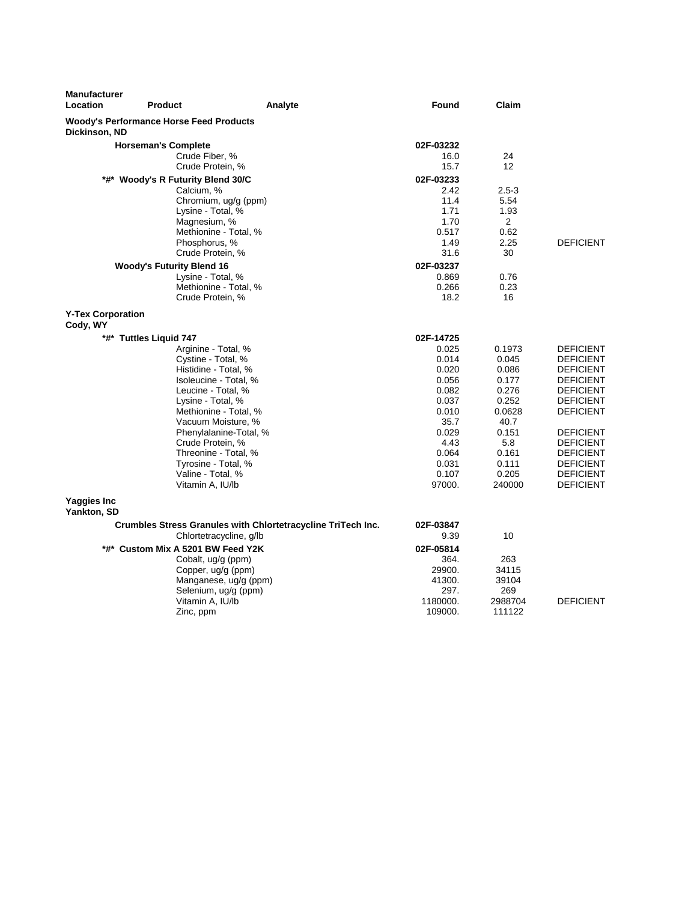| <b>Manufacturer</b><br>Location      | <b>Product</b>                                 | Analyte                                                      | <b>Found</b>   | Claim          |                                      |
|--------------------------------------|------------------------------------------------|--------------------------------------------------------------|----------------|----------------|--------------------------------------|
| Dickinson, ND                        | <b>Woody's Performance Horse Feed Products</b> |                                                              |                |                |                                      |
|                                      | <b>Horseman's Complete</b>                     |                                                              | 02F-03232      |                |                                      |
|                                      | Crude Fiber, %                                 |                                                              | 16.0           | 24             |                                      |
|                                      | Crude Protein, %                               |                                                              | 15.7           | 12             |                                      |
|                                      | *#* Woody's R Futurity Blend 30/C              |                                                              | 02F-03233      |                |                                      |
|                                      | Calcium, %                                     |                                                              | 2.42           | $2.5 - 3$      |                                      |
|                                      | Chromium, ug/g (ppm)                           |                                                              | 11.4           | 5.54           |                                      |
|                                      | Lysine - Total, %                              |                                                              | 1.71           | 1.93           |                                      |
|                                      | Magnesium, %                                   |                                                              | 1.70           | $\overline{2}$ |                                      |
|                                      | Methionine - Total, %                          |                                                              | 0.517          | 0.62           |                                      |
|                                      | Phosphorus, %                                  |                                                              | 1.49           | 2.25           | <b>DEFICIENT</b>                     |
|                                      | Crude Protein, %                               |                                                              | 31.6           | 30             |                                      |
|                                      | <b>Woody's Futurity Blend 16</b>               |                                                              | 02F-03237      |                |                                      |
|                                      | Lysine - Total, %                              |                                                              | 0.869          | 0.76           |                                      |
|                                      | Methionine - Total. %                          |                                                              | 0.266          | 0.23           |                                      |
|                                      | Crude Protein, %                               |                                                              | 18.2           | 16             |                                      |
| <b>Y-Tex Corporation</b><br>Cody, WY |                                                |                                                              |                |                |                                      |
|                                      | *#* Tuttles Liquid 747                         |                                                              | 02F-14725      |                |                                      |
|                                      | Arginine - Total, %                            |                                                              | 0.025          | 0.1973         | <b>DEFICIENT</b>                     |
|                                      | Cystine - Total, %                             |                                                              | 0.014          | 0.045          | <b>DEFICIENT</b>                     |
|                                      | Histidine - Total, %                           |                                                              | 0.020          | 0.086          | <b>DEFICIENT</b>                     |
|                                      | Isoleucine - Total, %                          |                                                              | 0.056          | 0.177          | <b>DEFICIENT</b>                     |
|                                      | Leucine - Total, %                             |                                                              | 0.082          | 0.276          | <b>DEFICIENT</b>                     |
|                                      | Lysine - Total, %                              |                                                              | 0.037          | 0.252          | <b>DEFICIENT</b>                     |
|                                      | Methionine - Total, %                          |                                                              | 0.010          | 0.0628         | <b>DEFICIENT</b>                     |
|                                      | Vacuum Moisture, %                             |                                                              | 35.7           | 40.7           |                                      |
|                                      | Phenylalanine-Total, %                         |                                                              | 0.029          | 0.151          | <b>DEFICIENT</b>                     |
|                                      | Crude Protein, %                               |                                                              | 4.43           | 5.8            | <b>DEFICIENT</b>                     |
|                                      | Threonine - Total, %                           |                                                              | 0.064          | 0.161          | <b>DEFICIENT</b>                     |
|                                      | Tyrosine - Total, %<br>Valine - Total. %       |                                                              | 0.031<br>0.107 | 0.111<br>0.205 | <b>DEFICIENT</b><br><b>DEFICIENT</b> |
|                                      | Vitamin A, IU/lb                               |                                                              | 97000.         | 240000         | <b>DEFICIENT</b>                     |
| Yaggies Inc<br>Yankton, SD           |                                                |                                                              |                |                |                                      |
|                                      |                                                | Crumbles Stress Granules with Chlortetracycline TriTech Inc. | 02F-03847      |                |                                      |
|                                      | Chlortetracycline, g/lb                        |                                                              | 9.39           | 10             |                                      |
|                                      | *#* Custom Mix A 5201 BW Feed Y2K              |                                                              | 02F-05814      |                |                                      |
|                                      | Cobalt, ug/g (ppm)                             |                                                              | 364.           | 263            |                                      |
|                                      | Copper, ug/g (ppm)                             |                                                              | 29900.         | 34115          |                                      |
|                                      | Manganese, ug/g (ppm)                          |                                                              | 41300.         | 39104          |                                      |
|                                      | Selenium, ug/g (ppm)                           |                                                              | 297.           | 269            |                                      |
|                                      | Vitamin A, IU/lb                               |                                                              | 1180000.       | 2988704        | <b>DEFICIENT</b>                     |
|                                      | Zinc, ppm                                      |                                                              | 109000.        | 111122         |                                      |
|                                      |                                                |                                                              |                |                |                                      |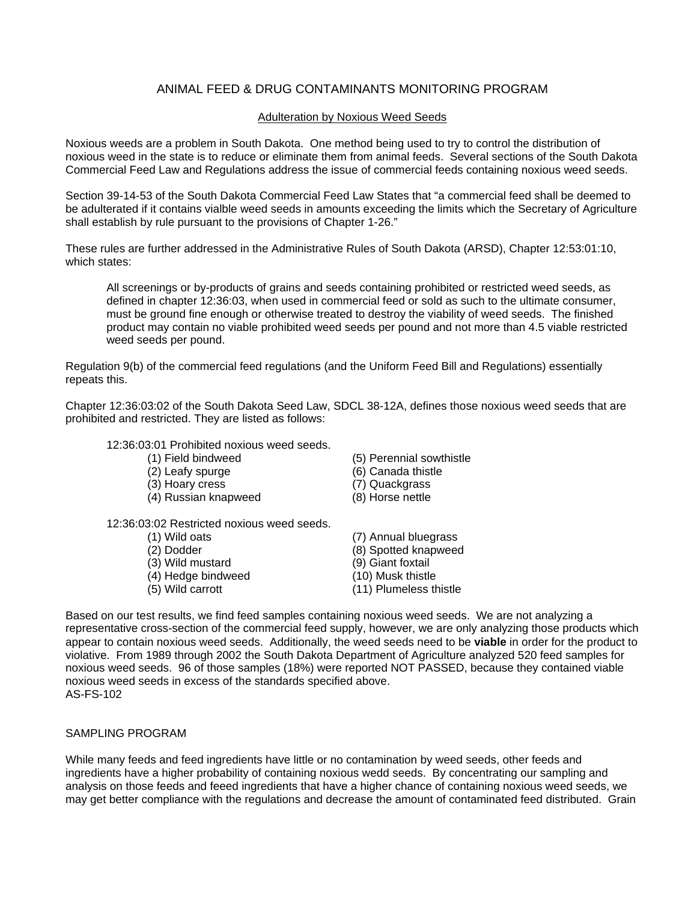## ANIMAL FEED & DRUG CONTAMINANTS MONITORING PROGRAM

### Adulteration by Noxious Weed Seeds

Noxious weeds are a problem in South Dakota. One method being used to try to control the distribution of noxious weed in the state is to reduce or eliminate them from animal feeds. Several sections of the South Dakota Commercial Feed Law and Regulations address the issue of commercial feeds containing noxious weed seeds.

Section 39-14-53 of the South Dakota Commercial Feed Law States that "a commercial feed shall be deemed to be adulterated if it contains vialble weed seeds in amounts exceeding the limits which the Secretary of Agriculture shall establish by rule pursuant to the provisions of Chapter 1-26."

These rules are further addressed in the Administrative Rules of South Dakota (ARSD), Chapter 12:53:01:10, which states:

All screenings or by-products of grains and seeds containing prohibited or restricted weed seeds, as defined in chapter 12:36:03, when used in commercial feed or sold as such to the ultimate consumer, must be ground fine enough or otherwise treated to destroy the viability of weed seeds. The finished product may contain no viable prohibited weed seeds per pound and not more than 4.5 viable restricted weed seeds per pound.

Regulation 9(b) of the commercial feed regulations (and the Uniform Feed Bill and Regulations) essentially repeats this.

Chapter 12:36:03:02 of the South Dakota Seed Law, SDCL 38-12A, defines those noxious weed seeds that are prohibited and restricted. They are listed as follows:

### 12:36:03:01 Prohibited noxious weed seeds.

- 
- 
- (3) Hoary cress (7) Quackgrass
- (4) Russian knapweed (8) Horse nettle

12:36:03:02 Restricted noxious weed seeds.

- 
- 
- 
- $(4)$  Hedge bindweed
- 
- (1) Field bindweed (5) Perennial sowthistle
- (2) Leafy spurge (6) Canada thistle
	-
	-
- (1) Wild oats (7) Annual bluegrass (2) Dodder (8) Spotted knapweed<br>
(3) Wild mustard (9) Giant foxtail (3) Wild mustard (9) Giant foxtail<br>
(4) Hedge bindweed (10) Musk thistle (5) Wild carrott (11) Plumeless thistle

Based on our test results, we find feed samples containing noxious weed seeds. We are not analyzing a representative cross-section of the commercial feed supply, however, we are only analyzing those products which appear to contain noxious weed seeds. Additionally, the weed seeds need to be **viable** in order for the product to violative. From 1989 through 2002 the South Dakota Department of Agriculture analyzed 520 feed samples for noxious weed seeds. 96 of those samples (18%) were reported NOT PASSED, because they contained viable noxious weed seeds in excess of the standards specified above. AS-FS-102

## SAMPLING PROGRAM

While many feeds and feed ingredients have little or no contamination by weed seeds, other feeds and ingredients have a higher probability of containing noxious wedd seeds. By concentrating our sampling and analysis on those feeds and feeed ingredients that have a higher chance of containing noxious weed seeds, we may get better compliance with the regulations and decrease the amount of contaminated feed distributed. Grain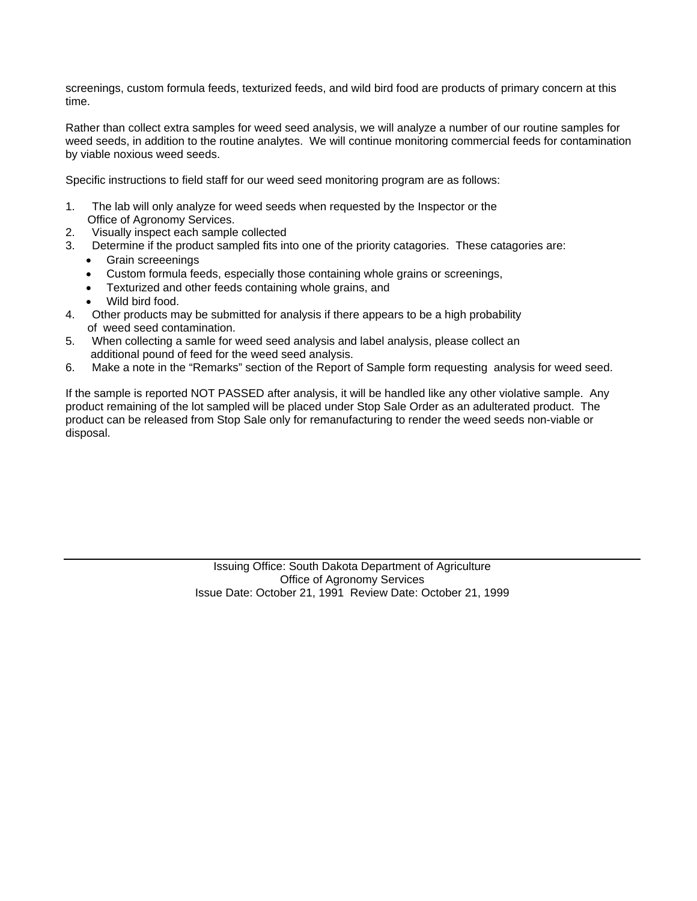screenings, custom formula feeds, texturized feeds, and wild bird food are products of primary concern at this time.

Rather than collect extra samples for weed seed analysis, we will analyze a number of our routine samples for weed seeds, in addition to the routine analytes. We will continue monitoring commercial feeds for contamination by viable noxious weed seeds.

Specific instructions to field staff for our weed seed monitoring program are as follows:

- 1. The lab will only analyze for weed seeds when requested by the Inspector or the Office of Agronomy Services.
- 2. Visually inspect each sample collected
- 3. Determine if the product sampled fits into one of the priority catagories. These catagories are:
	- Grain screeenings
	- Custom formula feeds, especially those containing whole grains or screenings,
	- Texturized and other feeds containing whole grains, and
	- Wild bird food.
- 4. Other products may be submitted for analysis if there appears to be a high probability of weed seed contamination.
- 5. When collecting a samle for weed seed analysis and label analysis, please collect an additional pound of feed for the weed seed analysis.
- 6. Make a note in the "Remarks" section of the Report of Sample form requesting analysis for weed seed.

If the sample is reported NOT PASSED after analysis, it will be handled like any other violative sample. Any product remaining of the lot sampled will be placed under Stop Sale Order as an adulterated product. The product can be released from Stop Sale only for remanufacturing to render the weed seeds non-viable or disposal.

> Issuing Office: South Dakota Department of Agriculture Office of Agronomy Services Issue Date: October 21, 1991 Review Date: October 21, 1999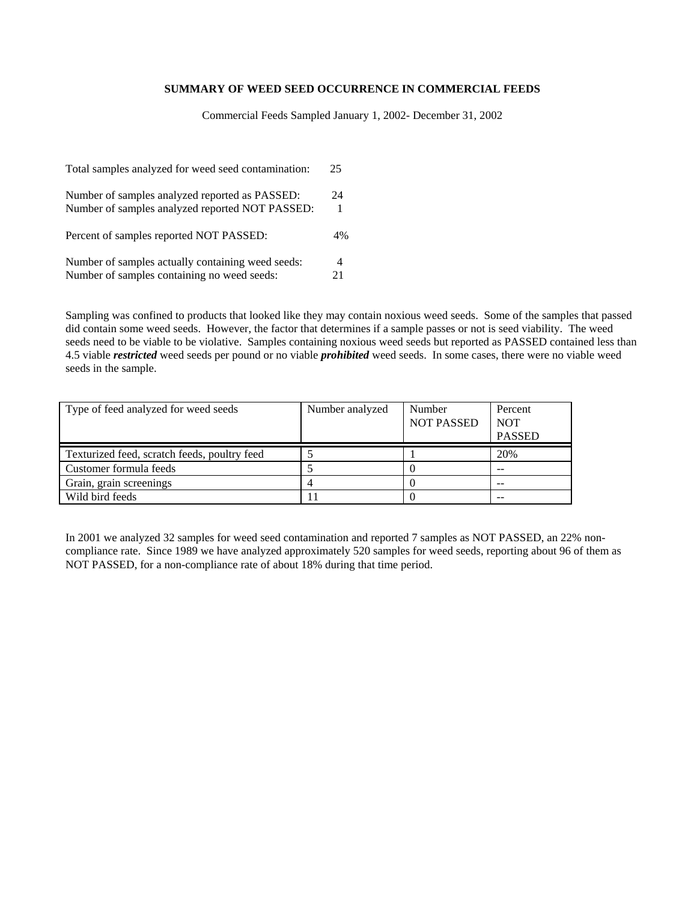#### **SUMMARY OF WEED SEED OCCURRENCE IN COMMERCIAL FEEDS**

Commercial Feeds Sampled January 1, 2002- December 31, 2002

| Total samples analyzed for weed seed contamination: | 25 |
|-----------------------------------------------------|----|
| Number of samples analyzed reported as PASSED:      | 24 |
| Number of samples analyzed reported NOT PASSED:     | 1  |
| Percent of samples reported NOT PASSED:             | 4% |
| Number of samples actually containing weed seeds:   | 4  |
| Number of samples containing no weed seeds:         | 21 |

Sampling was confined to products that looked like they may contain noxious weed seeds. Some of the samples that passed did contain some weed seeds. However, the factor that determines if a sample passes or not is seed viability. The weed seeds need to be viable to be violative. Samples containing noxious weed seeds but reported as PASSED contained less than 4.5 viable *restricted* weed seeds per pound or no viable *prohibited* weed seeds. In some cases, there were no viable weed seeds in the sample.

| Type of feed analyzed for weed seeds         | Number analyzed | Number<br><b>NOT PASSED</b> | Percent<br><b>NOT</b><br><b>PASSED</b> |
|----------------------------------------------|-----------------|-----------------------------|----------------------------------------|
| Texturized feed, scratch feeds, poultry feed |                 |                             | 20%                                    |
| Customer formula feeds                       |                 |                             | --                                     |
| Grain, grain screenings                      |                 |                             | $-$                                    |
| Wild bird feeds                              |                 |                             |                                        |

In 2001 we analyzed 32 samples for weed seed contamination and reported 7 samples as NOT PASSED, an 22% noncompliance rate. Since 1989 we have analyzed approximately 520 samples for weed seeds, reporting about 96 of them as NOT PASSED, for a non-compliance rate of about 18% during that time period.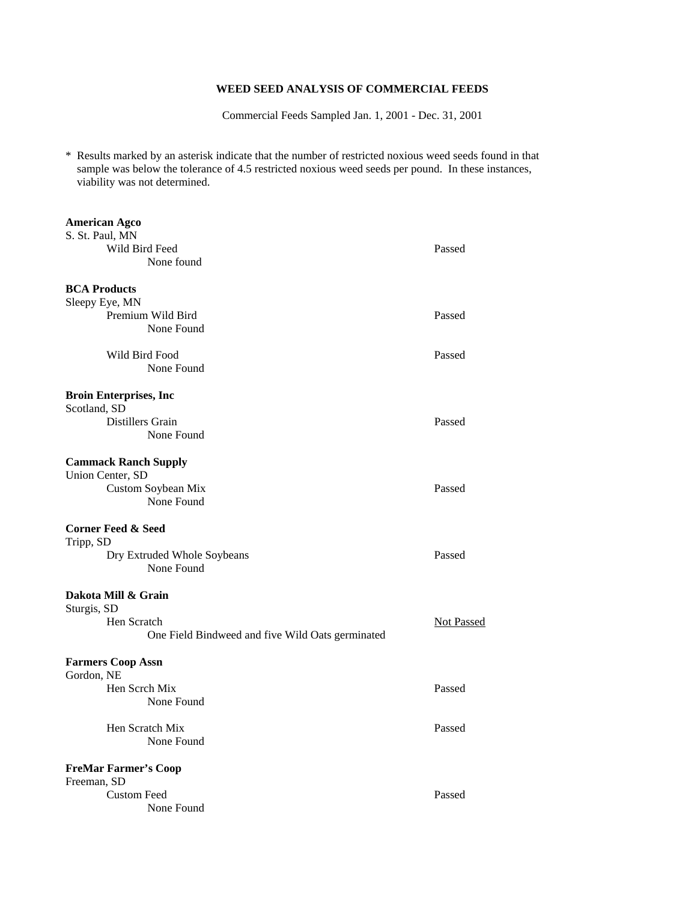## **WEED SEED ANALYSIS OF COMMERCIAL FEEDS**

Commercial Feeds Sampled Jan. 1, 2001 - Dec. 31, 2001

\* Results marked by an asterisk indicate that the number of restricted noxious weed seeds found in that sample was below the tolerance of 4.5 restricted noxious weed seeds per pound. In these instances, viability was not determined.

| <b>American Agco</b>                             |            |
|--------------------------------------------------|------------|
| S. St. Paul, MN                                  |            |
| Wild Bird Feed                                   | Passed     |
| None found                                       |            |
| <b>BCA Products</b>                              |            |
| Sleepy Eye, MN                                   |            |
| Premium Wild Bird                                | Passed     |
| None Found                                       |            |
| Wild Bird Food                                   | Passed     |
| None Found                                       |            |
| <b>Broin Enterprises, Inc.</b>                   |            |
| Scotland, SD                                     |            |
| Distillers Grain                                 | Passed     |
| None Found                                       |            |
| <b>Cammack Ranch Supply</b>                      |            |
| Union Center, SD                                 |            |
| Custom Soybean Mix                               | Passed     |
| None Found                                       |            |
| <b>Corner Feed &amp; Seed</b>                    |            |
| Tripp, SD                                        |            |
| Dry Extruded Whole Soybeans<br>None Found        | Passed     |
| Dakota Mill & Grain                              |            |
| Sturgis, SD                                      |            |
| Hen Scratch                                      | Not Passed |
| One Field Bindweed and five Wild Oats germinated |            |
| <b>Farmers Coop Assn</b>                         |            |
| Gordon, NE                                       |            |
| Hen Scrch Mix                                    | Passed     |
| None Found                                       |            |
| Hen Scratch Mix                                  | Passed     |
| None Found                                       |            |
| <b>FreMar Farmer's Coop</b>                      |            |
| Freeman, SD                                      |            |
| <b>Custom Feed</b>                               | Passed     |
| None Found                                       |            |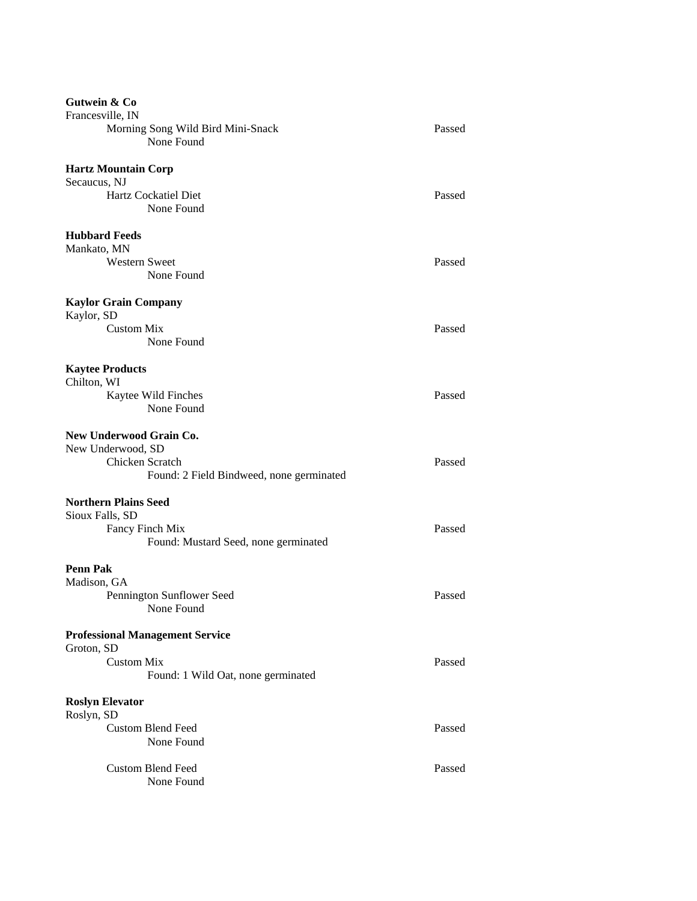| Gutwein & Co                             |        |
|------------------------------------------|--------|
| Francesville, IN                         |        |
| Morning Song Wild Bird Mini-Snack        | Passed |
| None Found                               |        |
| <b>Hartz Mountain Corp</b>               |        |
| Secaucus, NJ                             |        |
| Hartz Cockatiel Diet                     | Passed |
| None Found                               |        |
|                                          |        |
| <b>Hubbard Feeds</b>                     |        |
| Mankato, MN                              |        |
| <b>Western Sweet</b>                     | Passed |
| None Found                               |        |
| <b>Kaylor Grain Company</b>              |        |
| Kaylor, SD                               |        |
| <b>Custom Mix</b>                        | Passed |
| None Found                               |        |
| <b>Kaytee Products</b>                   |        |
| Chilton, WI                              |        |
| Kaytee Wild Finches                      | Passed |
| None Found                               |        |
|                                          |        |
| New Underwood Grain Co.                  |        |
| New Underwood, SD                        |        |
| Chicken Scratch                          | Passed |
| Found: 2 Field Bindweed, none germinated |        |
|                                          |        |
| <b>Northern Plains Seed</b>              |        |
| Sioux Falls, SD                          |        |
| Fancy Finch Mix                          | Passed |
| Found: Mustard Seed, none germinated     |        |
| <b>Penn Pak</b>                          |        |
| Madison, GA                              |        |
| Pennington Sunflower Seed                | Passed |
| None Found                               |        |
|                                          |        |
| <b>Professional Management Service</b>   |        |
| Groton, SD                               |        |
| <b>Custom Mix</b>                        | Passed |
| Found: 1 Wild Oat, none germinated       |        |
|                                          |        |
| <b>Roslyn Elevator</b><br>Roslyn, SD     |        |
| <b>Custom Blend Feed</b>                 | Passed |
| None Found                               |        |
|                                          |        |
| <b>Custom Blend Feed</b>                 | Passed |
| None Found                               |        |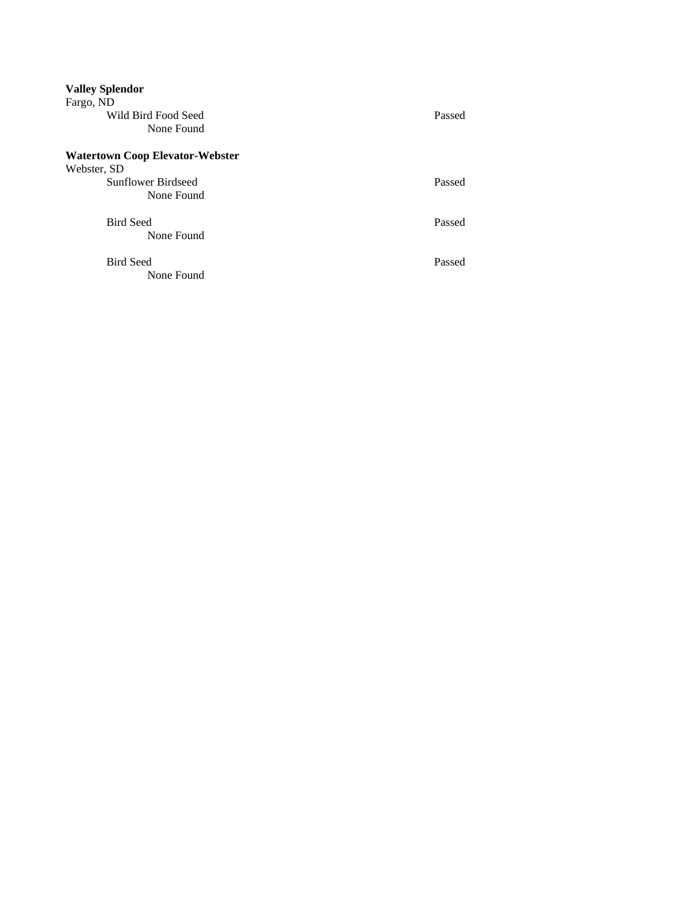| <b>Valley Splendor</b><br>Fargo, ND    |        |
|----------------------------------------|--------|
| Wild Bird Food Seed                    | Passed |
| None Found                             |        |
| <b>Watertown Coop Elevator-Webster</b> |        |
| Webster, SD                            |        |
| Sunflower Birdseed                     | Passed |
| None Found                             |        |
| <b>Bird Seed</b>                       | Passed |
| None Found                             |        |
| <b>Bird Seed</b>                       | Passed |
| None Found                             |        |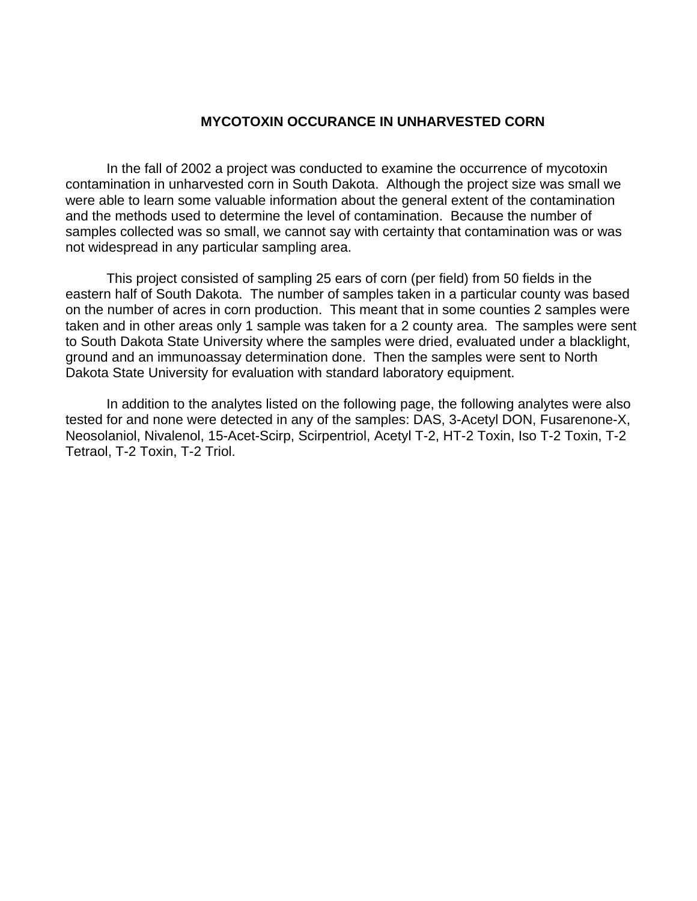# **MYCOTOXIN OCCURANCE IN UNHARVESTED CORN**

In the fall of 2002 a project was conducted to examine the occurrence of mycotoxin contamination in unharvested corn in South Dakota. Although the project size was small we were able to learn some valuable information about the general extent of the contamination and the methods used to determine the level of contamination. Because the number of samples collected was so small, we cannot say with certainty that contamination was or was not widespread in any particular sampling area.

This project consisted of sampling 25 ears of corn (per field) from 50 fields in the eastern half of South Dakota. The number of samples taken in a particular county was based on the number of acres in corn production. This meant that in some counties 2 samples were taken and in other areas only 1 sample was taken for a 2 county area. The samples were sent to South Dakota State University where the samples were dried, evaluated under a blacklight, ground and an immunoassay determination done. Then the samples were sent to North Dakota State University for evaluation with standard laboratory equipment.

 In addition to the analytes listed on the following page, the following analytes were also tested for and none were detected in any of the samples: DAS, 3-Acetyl DON, Fusarenone-X, Neosolaniol, Nivalenol, 15-Acet-Scirp, Scirpentriol, Acetyl T-2, HT-2 Toxin, Iso T-2 Toxin, T-2 Tetraol, T-2 Toxin, T-2 Triol.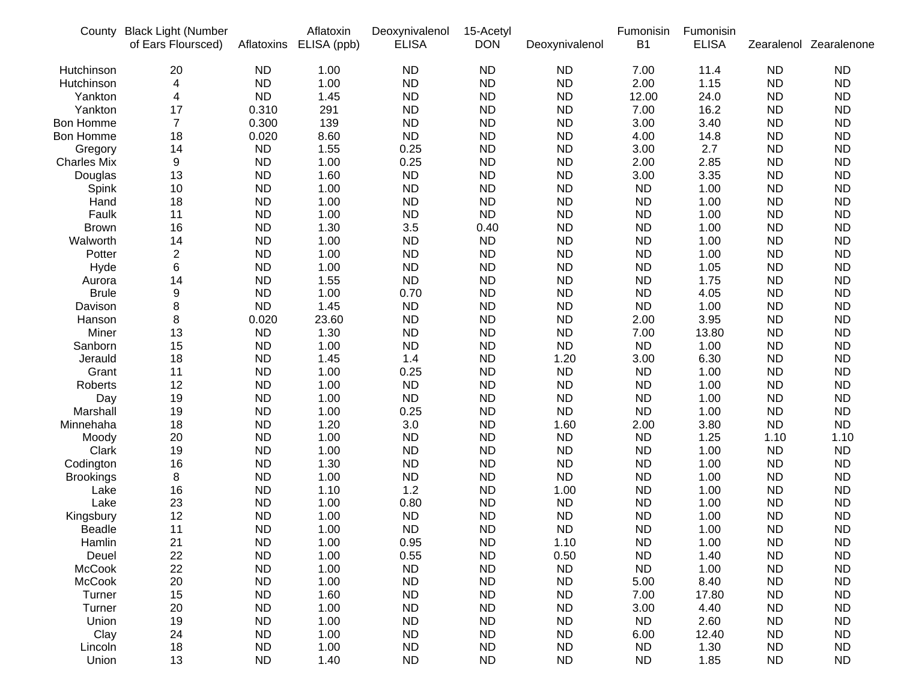| <b>ND</b><br>1.00<br><b>ND</b><br><b>ND</b><br><b>ND</b><br>7.00<br>11.4<br><b>ND</b><br><b>ND</b><br>Hutchinson<br>20<br><b>ND</b><br>2.00<br><b>ND</b><br>4<br><b>ND</b><br>1.00<br><b>ND</b><br><b>ND</b><br>1.15<br><b>ND</b><br>Hutchinson<br><b>ND</b><br><b>ND</b><br>Yankton<br>4<br><b>ND</b><br>1.45<br><b>ND</b><br><b>ND</b><br>12.00<br>24.0<br><b>ND</b><br>291<br><b>ND</b><br>16.2<br><b>ND</b><br>17<br>0.310<br><b>ND</b><br><b>ND</b><br>7.00<br><b>ND</b><br>Yankton<br>$\overline{7}$<br><b>ND</b><br>0.300<br>139<br><b>ND</b><br><b>ND</b><br><b>ND</b><br>3.00<br>3.40<br><b>ND</b><br>Bon Homme<br><b>ND</b><br>0.020<br>8.60<br><b>ND</b><br><b>ND</b><br><b>ND</b><br>4.00<br>14.8<br><b>ND</b><br>Bon Homme<br>18<br>2.7<br><b>ND</b><br><b>ND</b><br>1.55<br>0.25<br><b>ND</b><br><b>ND</b><br>3.00<br><b>ND</b><br>14<br>Gregory<br><b>ND</b><br><b>Charles Mix</b><br>9<br><b>ND</b><br>1.00<br>0.25<br><b>ND</b><br><b>ND</b><br>2.00<br>2.85<br><b>ND</b><br><b>ND</b><br>13<br><b>ND</b><br>1.60<br><b>ND</b><br><b>ND</b><br><b>ND</b><br>3.00<br>3.35<br><b>ND</b><br>Douglas<br>1.00<br><b>ND</b><br><b>ND</b><br><b>ND</b><br><b>ND</b><br><b>ND</b><br><b>ND</b><br>1.00<br><b>ND</b><br>10<br>Spink<br>1.00<br><b>ND</b><br>18<br><b>ND</b><br><b>ND</b><br><b>ND</b><br><b>ND</b><br><b>ND</b><br>1.00<br><b>ND</b><br>Hand<br><b>ND</b><br>Faulk<br>11<br><b>ND</b><br>1.00<br><b>ND</b><br><b>ND</b><br><b>ND</b><br><b>ND</b><br>1.00<br><b>ND</b><br><b>ND</b><br>16<br><b>ND</b><br>1.30<br>3.5<br>0.40<br><b>ND</b><br><b>ND</b><br>1.00<br><b>ND</b><br><b>Brown</b><br><b>ND</b><br>14<br>1.00<br><b>ND</b><br><b>ND</b><br><b>ND</b><br><b>ND</b><br><b>ND</b><br>Walworth<br><b>ND</b><br>1.00<br>$\overline{\mathbf{c}}$<br><b>ND</b><br><b>ND</b><br><b>ND</b><br>Potter<br><b>ND</b><br>1.00<br><b>ND</b><br><b>ND</b><br>1.00<br><b>ND</b><br><b>ND</b><br>6<br><b>ND</b><br>1.00<br><b>ND</b><br><b>ND</b><br><b>ND</b><br><b>ND</b><br>1.05<br><b>ND</b><br>Hyde<br><b>ND</b><br><b>ND</b><br>1.55<br><b>ND</b><br><b>ND</b><br><b>ND</b><br>1.75<br><b>ND</b><br>14<br><b>ND</b><br>Aurora<br><b>ND</b><br><b>Brule</b><br>9<br><b>ND</b><br>1.00<br>0.70<br><b>ND</b><br><b>ND</b><br><b>ND</b><br>4.05<br><b>ND</b><br><b>ND</b><br>8<br><b>ND</b><br>1.45<br><b>ND</b><br><b>ND</b><br><b>ND</b><br><b>ND</b><br>1.00<br><b>ND</b><br>Davison<br><b>ND</b><br>8<br>23.60<br><b>ND</b><br>3.95<br><b>ND</b><br>Hanson<br>0.020<br><b>ND</b><br><b>ND</b><br>2.00<br><b>ND</b><br>Miner<br>13<br><b>ND</b><br>1.30<br><b>ND</b><br><b>ND</b><br><b>ND</b><br>7.00<br>13.80<br><b>ND</b><br><b>ND</b><br>15<br><b>ND</b><br>1.00<br><b>ND</b><br><b>ND</b><br><b>ND</b><br><b>ND</b><br>1.00<br><b>ND</b><br>Sanborn<br>1.45<br><b>ND</b><br>18<br>1.4<br><b>ND</b><br>3.00<br>6.30<br><b>ND</b><br>Jerauld<br><b>ND</b><br>1.20<br><b>ND</b><br>Grant<br>11<br><b>ND</b><br>1.00<br>0.25<br><b>ND</b><br><b>ND</b><br><b>ND</b><br>1.00<br><b>ND</b><br><b>ND</b><br><b>ND</b><br>12<br><b>ND</b><br>1.00<br><b>ND</b><br><b>ND</b><br><b>ND</b><br>1.00<br><b>ND</b><br>Roberts<br><b>ND</b><br><b>ND</b><br>19<br><b>ND</b><br>1.00<br><b>ND</b><br><b>ND</b><br><b>ND</b><br>1.00<br><b>ND</b><br>Day<br><b>ND</b><br><b>ND</b><br><b>ND</b><br><b>ND</b><br>Marshall<br>19<br><b>ND</b><br>1.00<br>0.25<br><b>ND</b><br>1.00<br><b>ND</b><br><b>ND</b><br><b>ND</b><br>18<br><b>ND</b><br>1.20<br>3.0<br>2.00<br>3.80<br>Minnehaha<br>1.60<br><b>ND</b><br>20<br><b>ND</b><br>1.00<br><b>ND</b><br><b>ND</b><br><b>ND</b><br>1.25<br>1.10<br>1.10<br>Moody<br><b>ND</b><br><b>ND</b><br>1.00<br><b>ND</b><br><b>ND</b><br><b>ND</b><br><b>ND</b><br>1.00<br><b>ND</b><br>Clark<br>19<br>1.30<br><b>ND</b><br>16<br><b>ND</b><br><b>ND</b><br><b>ND</b><br><b>ND</b><br><b>ND</b><br>1.00<br><b>ND</b><br>Codington<br><b>ND</b><br>8<br><b>ND</b><br>1.00<br><b>ND</b><br><b>ND</b><br><b>ND</b><br><b>ND</b><br>1.00<br><b>ND</b><br><b>Brookings</b><br><b>ND</b><br>16<br><b>ND</b><br>1.10<br><b>ND</b><br><b>ND</b><br><b>ND</b><br>1.2<br>1.00<br>1.00<br>Lake<br><b>ND</b><br>23<br><b>ND</b><br>1.00<br>0.80<br><b>ND</b><br><b>ND</b><br>1.00<br><b>ND</b><br>ND<br>Lake<br>12<br>1.00<br><b>ND</b><br><b>ND</b><br><b>ND</b><br><b>ND</b><br><b>ND</b><br><b>ND</b><br>1.00<br><b>ND</b><br>Kingsbury<br><b>ND</b><br>11<br><b>ND</b><br>1.00<br><b>ND</b><br><b>ND</b><br><b>ND</b><br><b>ND</b><br><b>ND</b><br><b>Beadle</b><br>1.00<br>21<br>1.10<br><b>ND</b><br>Hamlin<br><b>ND</b><br>1.00<br>0.95<br><b>ND</b><br><b>ND</b><br>1.00<br><b>ND</b><br>22<br>0.55<br><b>ND</b><br>Deuel<br><b>ND</b><br>1.00<br><b>ND</b><br>0.50<br><b>ND</b><br>1.40<br><b>ND</b> | County        | <b>Black Light (Number</b><br>of Ears Floursced) | Aflatoxins | Aflatoxin<br>ELISA (ppb) | Deoxynivalenol<br><b>ELISA</b> | 15-Acetyl<br><b>DON</b> | Deoxynivalenol | Fumonisin<br>B <sub>1</sub> | Fumonisin<br><b>ELISA</b> |           | Zearalenol Zearalenone |
|---------------------------------------------------------------------------------------------------------------------------------------------------------------------------------------------------------------------------------------------------------------------------------------------------------------------------------------------------------------------------------------------------------------------------------------------------------------------------------------------------------------------------------------------------------------------------------------------------------------------------------------------------------------------------------------------------------------------------------------------------------------------------------------------------------------------------------------------------------------------------------------------------------------------------------------------------------------------------------------------------------------------------------------------------------------------------------------------------------------------------------------------------------------------------------------------------------------------------------------------------------------------------------------------------------------------------------------------------------------------------------------------------------------------------------------------------------------------------------------------------------------------------------------------------------------------------------------------------------------------------------------------------------------------------------------------------------------------------------------------------------------------------------------------------------------------------------------------------------------------------------------------------------------------------------------------------------------------------------------------------------------------------------------------------------------------------------------------------------------------------------------------------------------------------------------------------------------------------------------------------------------------------------------------------------------------------------------------------------------------------------------------------------------------------------------------------------------------------------------------------------------------------------------------------------------------------------------------------------------------------------------------------------------------------------------------------------------------------------------------------------------------------------------------------------------------------------------------------------------------------------------------------------------------------------------------------------------------------------------------------------------------------------------------------------------------------------------------------------------------------------------------------------------------------------------------------------------------------------------------------------------------------------------------------------------------------------------------------------------------------------------------------------------------------------------------------------------------------------------------------------------------------------------------------------------------------------------------------------------------------------------------------------------------------------------------------------------------------------------------------------------------------------------------------------------------------------------------------------------------------------------------------------------------------------------------------------------------------------------------------------------------------------------------------------------------------------------------------------------------------------------------------------------------------------------------------------------------------------------------------------------------------------------------------------------------------------------------------------------------------------------------------------------------------------------------------------------------------------------------------------------------------------------------------------------------------------------------------------------------------------------------------------------------------------------------------------------------------------------------------|---------------|--------------------------------------------------|------------|--------------------------|--------------------------------|-------------------------|----------------|-----------------------------|---------------------------|-----------|------------------------|
|                                                                                                                                                                                                                                                                                                                                                                                                                                                                                                                                                                                                                                                                                                                                                                                                                                                                                                                                                                                                                                                                                                                                                                                                                                                                                                                                                                                                                                                                                                                                                                                                                                                                                                                                                                                                                                                                                                                                                                                                                                                                                                                                                                                                                                                                                                                                                                                                                                                                                                                                                                                                                                                                                                                                                                                                                                                                                                                                                                                                                                                                                                                                                                                                                                                                                                                                                                                                                                                                                                                                                                                                                                                                                                                                                                                                                                                                                                                                                                                                                                                                                                                                                                                                                                                                                                                                                                                                                                                                                                                                                                                                                                                                                                                                                   |               |                                                  |            |                          |                                |                         |                |                             |                           |           |                        |
|                                                                                                                                                                                                                                                                                                                                                                                                                                                                                                                                                                                                                                                                                                                                                                                                                                                                                                                                                                                                                                                                                                                                                                                                                                                                                                                                                                                                                                                                                                                                                                                                                                                                                                                                                                                                                                                                                                                                                                                                                                                                                                                                                                                                                                                                                                                                                                                                                                                                                                                                                                                                                                                                                                                                                                                                                                                                                                                                                                                                                                                                                                                                                                                                                                                                                                                                                                                                                                                                                                                                                                                                                                                                                                                                                                                                                                                                                                                                                                                                                                                                                                                                                                                                                                                                                                                                                                                                                                                                                                                                                                                                                                                                                                                                                   |               |                                                  |            |                          |                                |                         |                |                             |                           |           |                        |
|                                                                                                                                                                                                                                                                                                                                                                                                                                                                                                                                                                                                                                                                                                                                                                                                                                                                                                                                                                                                                                                                                                                                                                                                                                                                                                                                                                                                                                                                                                                                                                                                                                                                                                                                                                                                                                                                                                                                                                                                                                                                                                                                                                                                                                                                                                                                                                                                                                                                                                                                                                                                                                                                                                                                                                                                                                                                                                                                                                                                                                                                                                                                                                                                                                                                                                                                                                                                                                                                                                                                                                                                                                                                                                                                                                                                                                                                                                                                                                                                                                                                                                                                                                                                                                                                                                                                                                                                                                                                                                                                                                                                                                                                                                                                                   |               |                                                  |            |                          |                                |                         |                |                             |                           |           |                        |
|                                                                                                                                                                                                                                                                                                                                                                                                                                                                                                                                                                                                                                                                                                                                                                                                                                                                                                                                                                                                                                                                                                                                                                                                                                                                                                                                                                                                                                                                                                                                                                                                                                                                                                                                                                                                                                                                                                                                                                                                                                                                                                                                                                                                                                                                                                                                                                                                                                                                                                                                                                                                                                                                                                                                                                                                                                                                                                                                                                                                                                                                                                                                                                                                                                                                                                                                                                                                                                                                                                                                                                                                                                                                                                                                                                                                                                                                                                                                                                                                                                                                                                                                                                                                                                                                                                                                                                                                                                                                                                                                                                                                                                                                                                                                                   |               |                                                  |            |                          |                                |                         |                |                             |                           |           |                        |
|                                                                                                                                                                                                                                                                                                                                                                                                                                                                                                                                                                                                                                                                                                                                                                                                                                                                                                                                                                                                                                                                                                                                                                                                                                                                                                                                                                                                                                                                                                                                                                                                                                                                                                                                                                                                                                                                                                                                                                                                                                                                                                                                                                                                                                                                                                                                                                                                                                                                                                                                                                                                                                                                                                                                                                                                                                                                                                                                                                                                                                                                                                                                                                                                                                                                                                                                                                                                                                                                                                                                                                                                                                                                                                                                                                                                                                                                                                                                                                                                                                                                                                                                                                                                                                                                                                                                                                                                                                                                                                                                                                                                                                                                                                                                                   |               |                                                  |            |                          |                                |                         |                |                             |                           |           |                        |
|                                                                                                                                                                                                                                                                                                                                                                                                                                                                                                                                                                                                                                                                                                                                                                                                                                                                                                                                                                                                                                                                                                                                                                                                                                                                                                                                                                                                                                                                                                                                                                                                                                                                                                                                                                                                                                                                                                                                                                                                                                                                                                                                                                                                                                                                                                                                                                                                                                                                                                                                                                                                                                                                                                                                                                                                                                                                                                                                                                                                                                                                                                                                                                                                                                                                                                                                                                                                                                                                                                                                                                                                                                                                                                                                                                                                                                                                                                                                                                                                                                                                                                                                                                                                                                                                                                                                                                                                                                                                                                                                                                                                                                                                                                                                                   |               |                                                  |            |                          |                                |                         |                |                             |                           |           |                        |
|                                                                                                                                                                                                                                                                                                                                                                                                                                                                                                                                                                                                                                                                                                                                                                                                                                                                                                                                                                                                                                                                                                                                                                                                                                                                                                                                                                                                                                                                                                                                                                                                                                                                                                                                                                                                                                                                                                                                                                                                                                                                                                                                                                                                                                                                                                                                                                                                                                                                                                                                                                                                                                                                                                                                                                                                                                                                                                                                                                                                                                                                                                                                                                                                                                                                                                                                                                                                                                                                                                                                                                                                                                                                                                                                                                                                                                                                                                                                                                                                                                                                                                                                                                                                                                                                                                                                                                                                                                                                                                                                                                                                                                                                                                                                                   |               |                                                  |            |                          |                                |                         |                |                             |                           |           |                        |
|                                                                                                                                                                                                                                                                                                                                                                                                                                                                                                                                                                                                                                                                                                                                                                                                                                                                                                                                                                                                                                                                                                                                                                                                                                                                                                                                                                                                                                                                                                                                                                                                                                                                                                                                                                                                                                                                                                                                                                                                                                                                                                                                                                                                                                                                                                                                                                                                                                                                                                                                                                                                                                                                                                                                                                                                                                                                                                                                                                                                                                                                                                                                                                                                                                                                                                                                                                                                                                                                                                                                                                                                                                                                                                                                                                                                                                                                                                                                                                                                                                                                                                                                                                                                                                                                                                                                                                                                                                                                                                                                                                                                                                                                                                                                                   |               |                                                  |            |                          |                                |                         |                |                             |                           |           |                        |
|                                                                                                                                                                                                                                                                                                                                                                                                                                                                                                                                                                                                                                                                                                                                                                                                                                                                                                                                                                                                                                                                                                                                                                                                                                                                                                                                                                                                                                                                                                                                                                                                                                                                                                                                                                                                                                                                                                                                                                                                                                                                                                                                                                                                                                                                                                                                                                                                                                                                                                                                                                                                                                                                                                                                                                                                                                                                                                                                                                                                                                                                                                                                                                                                                                                                                                                                                                                                                                                                                                                                                                                                                                                                                                                                                                                                                                                                                                                                                                                                                                                                                                                                                                                                                                                                                                                                                                                                                                                                                                                                                                                                                                                                                                                                                   |               |                                                  |            |                          |                                |                         |                |                             |                           |           |                        |
|                                                                                                                                                                                                                                                                                                                                                                                                                                                                                                                                                                                                                                                                                                                                                                                                                                                                                                                                                                                                                                                                                                                                                                                                                                                                                                                                                                                                                                                                                                                                                                                                                                                                                                                                                                                                                                                                                                                                                                                                                                                                                                                                                                                                                                                                                                                                                                                                                                                                                                                                                                                                                                                                                                                                                                                                                                                                                                                                                                                                                                                                                                                                                                                                                                                                                                                                                                                                                                                                                                                                                                                                                                                                                                                                                                                                                                                                                                                                                                                                                                                                                                                                                                                                                                                                                                                                                                                                                                                                                                                                                                                                                                                                                                                                                   |               |                                                  |            |                          |                                |                         |                |                             |                           |           |                        |
|                                                                                                                                                                                                                                                                                                                                                                                                                                                                                                                                                                                                                                                                                                                                                                                                                                                                                                                                                                                                                                                                                                                                                                                                                                                                                                                                                                                                                                                                                                                                                                                                                                                                                                                                                                                                                                                                                                                                                                                                                                                                                                                                                                                                                                                                                                                                                                                                                                                                                                                                                                                                                                                                                                                                                                                                                                                                                                                                                                                                                                                                                                                                                                                                                                                                                                                                                                                                                                                                                                                                                                                                                                                                                                                                                                                                                                                                                                                                                                                                                                                                                                                                                                                                                                                                                                                                                                                                                                                                                                                                                                                                                                                                                                                                                   |               |                                                  |            |                          |                                |                         |                |                             |                           |           |                        |
|                                                                                                                                                                                                                                                                                                                                                                                                                                                                                                                                                                                                                                                                                                                                                                                                                                                                                                                                                                                                                                                                                                                                                                                                                                                                                                                                                                                                                                                                                                                                                                                                                                                                                                                                                                                                                                                                                                                                                                                                                                                                                                                                                                                                                                                                                                                                                                                                                                                                                                                                                                                                                                                                                                                                                                                                                                                                                                                                                                                                                                                                                                                                                                                                                                                                                                                                                                                                                                                                                                                                                                                                                                                                                                                                                                                                                                                                                                                                                                                                                                                                                                                                                                                                                                                                                                                                                                                                                                                                                                                                                                                                                                                                                                                                                   |               |                                                  |            |                          |                                |                         |                |                             |                           |           |                        |
|                                                                                                                                                                                                                                                                                                                                                                                                                                                                                                                                                                                                                                                                                                                                                                                                                                                                                                                                                                                                                                                                                                                                                                                                                                                                                                                                                                                                                                                                                                                                                                                                                                                                                                                                                                                                                                                                                                                                                                                                                                                                                                                                                                                                                                                                                                                                                                                                                                                                                                                                                                                                                                                                                                                                                                                                                                                                                                                                                                                                                                                                                                                                                                                                                                                                                                                                                                                                                                                                                                                                                                                                                                                                                                                                                                                                                                                                                                                                                                                                                                                                                                                                                                                                                                                                                                                                                                                                                                                                                                                                                                                                                                                                                                                                                   |               |                                                  |            |                          |                                |                         |                |                             |                           |           |                        |
|                                                                                                                                                                                                                                                                                                                                                                                                                                                                                                                                                                                                                                                                                                                                                                                                                                                                                                                                                                                                                                                                                                                                                                                                                                                                                                                                                                                                                                                                                                                                                                                                                                                                                                                                                                                                                                                                                                                                                                                                                                                                                                                                                                                                                                                                                                                                                                                                                                                                                                                                                                                                                                                                                                                                                                                                                                                                                                                                                                                                                                                                                                                                                                                                                                                                                                                                                                                                                                                                                                                                                                                                                                                                                                                                                                                                                                                                                                                                                                                                                                                                                                                                                                                                                                                                                                                                                                                                                                                                                                                                                                                                                                                                                                                                                   |               |                                                  |            |                          |                                |                         |                |                             |                           |           |                        |
|                                                                                                                                                                                                                                                                                                                                                                                                                                                                                                                                                                                                                                                                                                                                                                                                                                                                                                                                                                                                                                                                                                                                                                                                                                                                                                                                                                                                                                                                                                                                                                                                                                                                                                                                                                                                                                                                                                                                                                                                                                                                                                                                                                                                                                                                                                                                                                                                                                                                                                                                                                                                                                                                                                                                                                                                                                                                                                                                                                                                                                                                                                                                                                                                                                                                                                                                                                                                                                                                                                                                                                                                                                                                                                                                                                                                                                                                                                                                                                                                                                                                                                                                                                                                                                                                                                                                                                                                                                                                                                                                                                                                                                                                                                                                                   |               |                                                  |            |                          |                                |                         |                |                             |                           |           |                        |
|                                                                                                                                                                                                                                                                                                                                                                                                                                                                                                                                                                                                                                                                                                                                                                                                                                                                                                                                                                                                                                                                                                                                                                                                                                                                                                                                                                                                                                                                                                                                                                                                                                                                                                                                                                                                                                                                                                                                                                                                                                                                                                                                                                                                                                                                                                                                                                                                                                                                                                                                                                                                                                                                                                                                                                                                                                                                                                                                                                                                                                                                                                                                                                                                                                                                                                                                                                                                                                                                                                                                                                                                                                                                                                                                                                                                                                                                                                                                                                                                                                                                                                                                                                                                                                                                                                                                                                                                                                                                                                                                                                                                                                                                                                                                                   |               |                                                  |            |                          |                                |                         |                |                             |                           |           |                        |
|                                                                                                                                                                                                                                                                                                                                                                                                                                                                                                                                                                                                                                                                                                                                                                                                                                                                                                                                                                                                                                                                                                                                                                                                                                                                                                                                                                                                                                                                                                                                                                                                                                                                                                                                                                                                                                                                                                                                                                                                                                                                                                                                                                                                                                                                                                                                                                                                                                                                                                                                                                                                                                                                                                                                                                                                                                                                                                                                                                                                                                                                                                                                                                                                                                                                                                                                                                                                                                                                                                                                                                                                                                                                                                                                                                                                                                                                                                                                                                                                                                                                                                                                                                                                                                                                                                                                                                                                                                                                                                                                                                                                                                                                                                                                                   |               |                                                  |            |                          |                                |                         |                |                             |                           |           |                        |
|                                                                                                                                                                                                                                                                                                                                                                                                                                                                                                                                                                                                                                                                                                                                                                                                                                                                                                                                                                                                                                                                                                                                                                                                                                                                                                                                                                                                                                                                                                                                                                                                                                                                                                                                                                                                                                                                                                                                                                                                                                                                                                                                                                                                                                                                                                                                                                                                                                                                                                                                                                                                                                                                                                                                                                                                                                                                                                                                                                                                                                                                                                                                                                                                                                                                                                                                                                                                                                                                                                                                                                                                                                                                                                                                                                                                                                                                                                                                                                                                                                                                                                                                                                                                                                                                                                                                                                                                                                                                                                                                                                                                                                                                                                                                                   |               |                                                  |            |                          |                                |                         |                |                             |                           |           |                        |
|                                                                                                                                                                                                                                                                                                                                                                                                                                                                                                                                                                                                                                                                                                                                                                                                                                                                                                                                                                                                                                                                                                                                                                                                                                                                                                                                                                                                                                                                                                                                                                                                                                                                                                                                                                                                                                                                                                                                                                                                                                                                                                                                                                                                                                                                                                                                                                                                                                                                                                                                                                                                                                                                                                                                                                                                                                                                                                                                                                                                                                                                                                                                                                                                                                                                                                                                                                                                                                                                                                                                                                                                                                                                                                                                                                                                                                                                                                                                                                                                                                                                                                                                                                                                                                                                                                                                                                                                                                                                                                                                                                                                                                                                                                                                                   |               |                                                  |            |                          |                                |                         |                |                             |                           |           |                        |
|                                                                                                                                                                                                                                                                                                                                                                                                                                                                                                                                                                                                                                                                                                                                                                                                                                                                                                                                                                                                                                                                                                                                                                                                                                                                                                                                                                                                                                                                                                                                                                                                                                                                                                                                                                                                                                                                                                                                                                                                                                                                                                                                                                                                                                                                                                                                                                                                                                                                                                                                                                                                                                                                                                                                                                                                                                                                                                                                                                                                                                                                                                                                                                                                                                                                                                                                                                                                                                                                                                                                                                                                                                                                                                                                                                                                                                                                                                                                                                                                                                                                                                                                                                                                                                                                                                                                                                                                                                                                                                                                                                                                                                                                                                                                                   |               |                                                  |            |                          |                                |                         |                |                             |                           |           |                        |
|                                                                                                                                                                                                                                                                                                                                                                                                                                                                                                                                                                                                                                                                                                                                                                                                                                                                                                                                                                                                                                                                                                                                                                                                                                                                                                                                                                                                                                                                                                                                                                                                                                                                                                                                                                                                                                                                                                                                                                                                                                                                                                                                                                                                                                                                                                                                                                                                                                                                                                                                                                                                                                                                                                                                                                                                                                                                                                                                                                                                                                                                                                                                                                                                                                                                                                                                                                                                                                                                                                                                                                                                                                                                                                                                                                                                                                                                                                                                                                                                                                                                                                                                                                                                                                                                                                                                                                                                                                                                                                                                                                                                                                                                                                                                                   |               |                                                  |            |                          |                                |                         |                |                             |                           |           |                        |
|                                                                                                                                                                                                                                                                                                                                                                                                                                                                                                                                                                                                                                                                                                                                                                                                                                                                                                                                                                                                                                                                                                                                                                                                                                                                                                                                                                                                                                                                                                                                                                                                                                                                                                                                                                                                                                                                                                                                                                                                                                                                                                                                                                                                                                                                                                                                                                                                                                                                                                                                                                                                                                                                                                                                                                                                                                                                                                                                                                                                                                                                                                                                                                                                                                                                                                                                                                                                                                                                                                                                                                                                                                                                                                                                                                                                                                                                                                                                                                                                                                                                                                                                                                                                                                                                                                                                                                                                                                                                                                                                                                                                                                                                                                                                                   |               |                                                  |            |                          |                                |                         |                |                             |                           |           |                        |
|                                                                                                                                                                                                                                                                                                                                                                                                                                                                                                                                                                                                                                                                                                                                                                                                                                                                                                                                                                                                                                                                                                                                                                                                                                                                                                                                                                                                                                                                                                                                                                                                                                                                                                                                                                                                                                                                                                                                                                                                                                                                                                                                                                                                                                                                                                                                                                                                                                                                                                                                                                                                                                                                                                                                                                                                                                                                                                                                                                                                                                                                                                                                                                                                                                                                                                                                                                                                                                                                                                                                                                                                                                                                                                                                                                                                                                                                                                                                                                                                                                                                                                                                                                                                                                                                                                                                                                                                                                                                                                                                                                                                                                                                                                                                                   |               |                                                  |            |                          |                                |                         |                |                             |                           |           |                        |
|                                                                                                                                                                                                                                                                                                                                                                                                                                                                                                                                                                                                                                                                                                                                                                                                                                                                                                                                                                                                                                                                                                                                                                                                                                                                                                                                                                                                                                                                                                                                                                                                                                                                                                                                                                                                                                                                                                                                                                                                                                                                                                                                                                                                                                                                                                                                                                                                                                                                                                                                                                                                                                                                                                                                                                                                                                                                                                                                                                                                                                                                                                                                                                                                                                                                                                                                                                                                                                                                                                                                                                                                                                                                                                                                                                                                                                                                                                                                                                                                                                                                                                                                                                                                                                                                                                                                                                                                                                                                                                                                                                                                                                                                                                                                                   |               |                                                  |            |                          |                                |                         |                |                             |                           |           |                        |
|                                                                                                                                                                                                                                                                                                                                                                                                                                                                                                                                                                                                                                                                                                                                                                                                                                                                                                                                                                                                                                                                                                                                                                                                                                                                                                                                                                                                                                                                                                                                                                                                                                                                                                                                                                                                                                                                                                                                                                                                                                                                                                                                                                                                                                                                                                                                                                                                                                                                                                                                                                                                                                                                                                                                                                                                                                                                                                                                                                                                                                                                                                                                                                                                                                                                                                                                                                                                                                                                                                                                                                                                                                                                                                                                                                                                                                                                                                                                                                                                                                                                                                                                                                                                                                                                                                                                                                                                                                                                                                                                                                                                                                                                                                                                                   |               |                                                  |            |                          |                                |                         |                |                             |                           |           |                        |
|                                                                                                                                                                                                                                                                                                                                                                                                                                                                                                                                                                                                                                                                                                                                                                                                                                                                                                                                                                                                                                                                                                                                                                                                                                                                                                                                                                                                                                                                                                                                                                                                                                                                                                                                                                                                                                                                                                                                                                                                                                                                                                                                                                                                                                                                                                                                                                                                                                                                                                                                                                                                                                                                                                                                                                                                                                                                                                                                                                                                                                                                                                                                                                                                                                                                                                                                                                                                                                                                                                                                                                                                                                                                                                                                                                                                                                                                                                                                                                                                                                                                                                                                                                                                                                                                                                                                                                                                                                                                                                                                                                                                                                                                                                                                                   |               |                                                  |            |                          |                                |                         |                |                             |                           |           |                        |
|                                                                                                                                                                                                                                                                                                                                                                                                                                                                                                                                                                                                                                                                                                                                                                                                                                                                                                                                                                                                                                                                                                                                                                                                                                                                                                                                                                                                                                                                                                                                                                                                                                                                                                                                                                                                                                                                                                                                                                                                                                                                                                                                                                                                                                                                                                                                                                                                                                                                                                                                                                                                                                                                                                                                                                                                                                                                                                                                                                                                                                                                                                                                                                                                                                                                                                                                                                                                                                                                                                                                                                                                                                                                                                                                                                                                                                                                                                                                                                                                                                                                                                                                                                                                                                                                                                                                                                                                                                                                                                                                                                                                                                                                                                                                                   |               |                                                  |            |                          |                                |                         |                |                             |                           |           |                        |
|                                                                                                                                                                                                                                                                                                                                                                                                                                                                                                                                                                                                                                                                                                                                                                                                                                                                                                                                                                                                                                                                                                                                                                                                                                                                                                                                                                                                                                                                                                                                                                                                                                                                                                                                                                                                                                                                                                                                                                                                                                                                                                                                                                                                                                                                                                                                                                                                                                                                                                                                                                                                                                                                                                                                                                                                                                                                                                                                                                                                                                                                                                                                                                                                                                                                                                                                                                                                                                                                                                                                                                                                                                                                                                                                                                                                                                                                                                                                                                                                                                                                                                                                                                                                                                                                                                                                                                                                                                                                                                                                                                                                                                                                                                                                                   |               |                                                  |            |                          |                                |                         |                |                             |                           |           |                        |
|                                                                                                                                                                                                                                                                                                                                                                                                                                                                                                                                                                                                                                                                                                                                                                                                                                                                                                                                                                                                                                                                                                                                                                                                                                                                                                                                                                                                                                                                                                                                                                                                                                                                                                                                                                                                                                                                                                                                                                                                                                                                                                                                                                                                                                                                                                                                                                                                                                                                                                                                                                                                                                                                                                                                                                                                                                                                                                                                                                                                                                                                                                                                                                                                                                                                                                                                                                                                                                                                                                                                                                                                                                                                                                                                                                                                                                                                                                                                                                                                                                                                                                                                                                                                                                                                                                                                                                                                                                                                                                                                                                                                                                                                                                                                                   |               |                                                  |            |                          |                                |                         |                |                             |                           |           |                        |
|                                                                                                                                                                                                                                                                                                                                                                                                                                                                                                                                                                                                                                                                                                                                                                                                                                                                                                                                                                                                                                                                                                                                                                                                                                                                                                                                                                                                                                                                                                                                                                                                                                                                                                                                                                                                                                                                                                                                                                                                                                                                                                                                                                                                                                                                                                                                                                                                                                                                                                                                                                                                                                                                                                                                                                                                                                                                                                                                                                                                                                                                                                                                                                                                                                                                                                                                                                                                                                                                                                                                                                                                                                                                                                                                                                                                                                                                                                                                                                                                                                                                                                                                                                                                                                                                                                                                                                                                                                                                                                                                                                                                                                                                                                                                                   |               |                                                  |            |                          |                                |                         |                |                             |                           |           |                        |
|                                                                                                                                                                                                                                                                                                                                                                                                                                                                                                                                                                                                                                                                                                                                                                                                                                                                                                                                                                                                                                                                                                                                                                                                                                                                                                                                                                                                                                                                                                                                                                                                                                                                                                                                                                                                                                                                                                                                                                                                                                                                                                                                                                                                                                                                                                                                                                                                                                                                                                                                                                                                                                                                                                                                                                                                                                                                                                                                                                                                                                                                                                                                                                                                                                                                                                                                                                                                                                                                                                                                                                                                                                                                                                                                                                                                                                                                                                                                                                                                                                                                                                                                                                                                                                                                                                                                                                                                                                                                                                                                                                                                                                                                                                                                                   |               |                                                  |            |                          |                                |                         |                |                             |                           |           |                        |
|                                                                                                                                                                                                                                                                                                                                                                                                                                                                                                                                                                                                                                                                                                                                                                                                                                                                                                                                                                                                                                                                                                                                                                                                                                                                                                                                                                                                                                                                                                                                                                                                                                                                                                                                                                                                                                                                                                                                                                                                                                                                                                                                                                                                                                                                                                                                                                                                                                                                                                                                                                                                                                                                                                                                                                                                                                                                                                                                                                                                                                                                                                                                                                                                                                                                                                                                                                                                                                                                                                                                                                                                                                                                                                                                                                                                                                                                                                                                                                                                                                                                                                                                                                                                                                                                                                                                                                                                                                                                                                                                                                                                                                                                                                                                                   |               |                                                  |            |                          |                                |                         |                |                             |                           |           |                        |
|                                                                                                                                                                                                                                                                                                                                                                                                                                                                                                                                                                                                                                                                                                                                                                                                                                                                                                                                                                                                                                                                                                                                                                                                                                                                                                                                                                                                                                                                                                                                                                                                                                                                                                                                                                                                                                                                                                                                                                                                                                                                                                                                                                                                                                                                                                                                                                                                                                                                                                                                                                                                                                                                                                                                                                                                                                                                                                                                                                                                                                                                                                                                                                                                                                                                                                                                                                                                                                                                                                                                                                                                                                                                                                                                                                                                                                                                                                                                                                                                                                                                                                                                                                                                                                                                                                                                                                                                                                                                                                                                                                                                                                                                                                                                                   |               |                                                  |            |                          |                                |                         |                |                             |                           |           |                        |
|                                                                                                                                                                                                                                                                                                                                                                                                                                                                                                                                                                                                                                                                                                                                                                                                                                                                                                                                                                                                                                                                                                                                                                                                                                                                                                                                                                                                                                                                                                                                                                                                                                                                                                                                                                                                                                                                                                                                                                                                                                                                                                                                                                                                                                                                                                                                                                                                                                                                                                                                                                                                                                                                                                                                                                                                                                                                                                                                                                                                                                                                                                                                                                                                                                                                                                                                                                                                                                                                                                                                                                                                                                                                                                                                                                                                                                                                                                                                                                                                                                                                                                                                                                                                                                                                                                                                                                                                                                                                                                                                                                                                                                                                                                                                                   |               |                                                  |            |                          |                                |                         |                |                             |                           |           |                        |
|                                                                                                                                                                                                                                                                                                                                                                                                                                                                                                                                                                                                                                                                                                                                                                                                                                                                                                                                                                                                                                                                                                                                                                                                                                                                                                                                                                                                                                                                                                                                                                                                                                                                                                                                                                                                                                                                                                                                                                                                                                                                                                                                                                                                                                                                                                                                                                                                                                                                                                                                                                                                                                                                                                                                                                                                                                                                                                                                                                                                                                                                                                                                                                                                                                                                                                                                                                                                                                                                                                                                                                                                                                                                                                                                                                                                                                                                                                                                                                                                                                                                                                                                                                                                                                                                                                                                                                                                                                                                                                                                                                                                                                                                                                                                                   |               |                                                  |            |                          |                                |                         |                |                             |                           |           |                        |
|                                                                                                                                                                                                                                                                                                                                                                                                                                                                                                                                                                                                                                                                                                                                                                                                                                                                                                                                                                                                                                                                                                                                                                                                                                                                                                                                                                                                                                                                                                                                                                                                                                                                                                                                                                                                                                                                                                                                                                                                                                                                                                                                                                                                                                                                                                                                                                                                                                                                                                                                                                                                                                                                                                                                                                                                                                                                                                                                                                                                                                                                                                                                                                                                                                                                                                                                                                                                                                                                                                                                                                                                                                                                                                                                                                                                                                                                                                                                                                                                                                                                                                                                                                                                                                                                                                                                                                                                                                                                                                                                                                                                                                                                                                                                                   |               |                                                  |            |                          |                                |                         |                |                             |                           |           |                        |
|                                                                                                                                                                                                                                                                                                                                                                                                                                                                                                                                                                                                                                                                                                                                                                                                                                                                                                                                                                                                                                                                                                                                                                                                                                                                                                                                                                                                                                                                                                                                                                                                                                                                                                                                                                                                                                                                                                                                                                                                                                                                                                                                                                                                                                                                                                                                                                                                                                                                                                                                                                                                                                                                                                                                                                                                                                                                                                                                                                                                                                                                                                                                                                                                                                                                                                                                                                                                                                                                                                                                                                                                                                                                                                                                                                                                                                                                                                                                                                                                                                                                                                                                                                                                                                                                                                                                                                                                                                                                                                                                                                                                                                                                                                                                                   |               |                                                  |            |                          |                                |                         |                |                             |                           |           |                        |
|                                                                                                                                                                                                                                                                                                                                                                                                                                                                                                                                                                                                                                                                                                                                                                                                                                                                                                                                                                                                                                                                                                                                                                                                                                                                                                                                                                                                                                                                                                                                                                                                                                                                                                                                                                                                                                                                                                                                                                                                                                                                                                                                                                                                                                                                                                                                                                                                                                                                                                                                                                                                                                                                                                                                                                                                                                                                                                                                                                                                                                                                                                                                                                                                                                                                                                                                                                                                                                                                                                                                                                                                                                                                                                                                                                                                                                                                                                                                                                                                                                                                                                                                                                                                                                                                                                                                                                                                                                                                                                                                                                                                                                                                                                                                                   |               |                                                  |            |                          |                                |                         |                |                             |                           |           |                        |
|                                                                                                                                                                                                                                                                                                                                                                                                                                                                                                                                                                                                                                                                                                                                                                                                                                                                                                                                                                                                                                                                                                                                                                                                                                                                                                                                                                                                                                                                                                                                                                                                                                                                                                                                                                                                                                                                                                                                                                                                                                                                                                                                                                                                                                                                                                                                                                                                                                                                                                                                                                                                                                                                                                                                                                                                                                                                                                                                                                                                                                                                                                                                                                                                                                                                                                                                                                                                                                                                                                                                                                                                                                                                                                                                                                                                                                                                                                                                                                                                                                                                                                                                                                                                                                                                                                                                                                                                                                                                                                                                                                                                                                                                                                                                                   |               |                                                  |            |                          |                                |                         |                |                             |                           |           |                        |
|                                                                                                                                                                                                                                                                                                                                                                                                                                                                                                                                                                                                                                                                                                                                                                                                                                                                                                                                                                                                                                                                                                                                                                                                                                                                                                                                                                                                                                                                                                                                                                                                                                                                                                                                                                                                                                                                                                                                                                                                                                                                                                                                                                                                                                                                                                                                                                                                                                                                                                                                                                                                                                                                                                                                                                                                                                                                                                                                                                                                                                                                                                                                                                                                                                                                                                                                                                                                                                                                                                                                                                                                                                                                                                                                                                                                                                                                                                                                                                                                                                                                                                                                                                                                                                                                                                                                                                                                                                                                                                                                                                                                                                                                                                                                                   | <b>McCook</b> | 22                                               | <b>ND</b>  | 1.00                     | <b>ND</b>                      | <b>ND</b>               | <b>ND</b>      | <b>ND</b>                   | 1.00                      | <b>ND</b> | <b>ND</b>              |
| <b>ND</b><br><b>McCook</b><br>20<br><b>ND</b><br>1.00<br><b>ND</b><br><b>ND</b><br><b>ND</b><br>5.00<br>8.40<br><b>ND</b>                                                                                                                                                                                                                                                                                                                                                                                                                                                                                                                                                                                                                                                                                                                                                                                                                                                                                                                                                                                                                                                                                                                                                                                                                                                                                                                                                                                                                                                                                                                                                                                                                                                                                                                                                                                                                                                                                                                                                                                                                                                                                                                                                                                                                                                                                                                                                                                                                                                                                                                                                                                                                                                                                                                                                                                                                                                                                                                                                                                                                                                                                                                                                                                                                                                                                                                                                                                                                                                                                                                                                                                                                                                                                                                                                                                                                                                                                                                                                                                                                                                                                                                                                                                                                                                                                                                                                                                                                                                                                                                                                                                                                         |               |                                                  |            |                          |                                |                         |                |                             |                           |           |                        |
| <b>ND</b><br>1.60<br><b>ND</b><br><b>ND</b><br><b>ND</b><br>7.00<br>17.80<br><b>ND</b><br><b>ND</b><br>Turner<br>15                                                                                                                                                                                                                                                                                                                                                                                                                                                                                                                                                                                                                                                                                                                                                                                                                                                                                                                                                                                                                                                                                                                                                                                                                                                                                                                                                                                                                                                                                                                                                                                                                                                                                                                                                                                                                                                                                                                                                                                                                                                                                                                                                                                                                                                                                                                                                                                                                                                                                                                                                                                                                                                                                                                                                                                                                                                                                                                                                                                                                                                                                                                                                                                                                                                                                                                                                                                                                                                                                                                                                                                                                                                                                                                                                                                                                                                                                                                                                                                                                                                                                                                                                                                                                                                                                                                                                                                                                                                                                                                                                                                                                               |               |                                                  |            |                          |                                |                         |                |                             |                           |           |                        |
| 1.00<br><b>ND</b><br>3.00<br>4.40<br><b>ND</b><br>Turner<br>20<br><b>ND</b><br><b>ND</b><br><b>ND</b><br><b>ND</b>                                                                                                                                                                                                                                                                                                                                                                                                                                                                                                                                                                                                                                                                                                                                                                                                                                                                                                                                                                                                                                                                                                                                                                                                                                                                                                                                                                                                                                                                                                                                                                                                                                                                                                                                                                                                                                                                                                                                                                                                                                                                                                                                                                                                                                                                                                                                                                                                                                                                                                                                                                                                                                                                                                                                                                                                                                                                                                                                                                                                                                                                                                                                                                                                                                                                                                                                                                                                                                                                                                                                                                                                                                                                                                                                                                                                                                                                                                                                                                                                                                                                                                                                                                                                                                                                                                                                                                                                                                                                                                                                                                                                                                |               |                                                  |            |                          |                                |                         |                |                             |                           |           |                        |
| Union<br><b>ND</b><br>1.00<br><b>ND</b><br><b>ND</b><br><b>ND</b><br><b>ND</b><br>2.60<br><b>ND</b><br><b>ND</b><br>19                                                                                                                                                                                                                                                                                                                                                                                                                                                                                                                                                                                                                                                                                                                                                                                                                                                                                                                                                                                                                                                                                                                                                                                                                                                                                                                                                                                                                                                                                                                                                                                                                                                                                                                                                                                                                                                                                                                                                                                                                                                                                                                                                                                                                                                                                                                                                                                                                                                                                                                                                                                                                                                                                                                                                                                                                                                                                                                                                                                                                                                                                                                                                                                                                                                                                                                                                                                                                                                                                                                                                                                                                                                                                                                                                                                                                                                                                                                                                                                                                                                                                                                                                                                                                                                                                                                                                                                                                                                                                                                                                                                                                            |               |                                                  |            |                          |                                |                         |                |                             |                           |           |                        |
| Clay<br>24<br><b>ND</b><br>1.00<br><b>ND</b><br><b>ND</b><br><b>ND</b><br>12.40<br><b>ND</b><br><b>ND</b><br>6.00                                                                                                                                                                                                                                                                                                                                                                                                                                                                                                                                                                                                                                                                                                                                                                                                                                                                                                                                                                                                                                                                                                                                                                                                                                                                                                                                                                                                                                                                                                                                                                                                                                                                                                                                                                                                                                                                                                                                                                                                                                                                                                                                                                                                                                                                                                                                                                                                                                                                                                                                                                                                                                                                                                                                                                                                                                                                                                                                                                                                                                                                                                                                                                                                                                                                                                                                                                                                                                                                                                                                                                                                                                                                                                                                                                                                                                                                                                                                                                                                                                                                                                                                                                                                                                                                                                                                                                                                                                                                                                                                                                                                                                 |               |                                                  |            |                          |                                |                         |                |                             |                           |           |                        |
| <b>ND</b><br><b>ND</b><br><b>ND</b><br>Lincoln<br>18<br>1.00<br><b>ND</b><br><b>ND</b><br><b>ND</b><br>1.30<br><b>ND</b>                                                                                                                                                                                                                                                                                                                                                                                                                                                                                                                                                                                                                                                                                                                                                                                                                                                                                                                                                                                                                                                                                                                                                                                                                                                                                                                                                                                                                                                                                                                                                                                                                                                                                                                                                                                                                                                                                                                                                                                                                                                                                                                                                                                                                                                                                                                                                                                                                                                                                                                                                                                                                                                                                                                                                                                                                                                                                                                                                                                                                                                                                                                                                                                                                                                                                                                                                                                                                                                                                                                                                                                                                                                                                                                                                                                                                                                                                                                                                                                                                                                                                                                                                                                                                                                                                                                                                                                                                                                                                                                                                                                                                          |               |                                                  |            |                          |                                |                         |                |                             |                           |           |                        |
| 13<br><b>ND</b><br><b>ND</b><br><b>ND</b><br><b>ND</b><br><b>ND</b><br>1.85<br><b>ND</b><br><b>ND</b><br>Union<br>1.40                                                                                                                                                                                                                                                                                                                                                                                                                                                                                                                                                                                                                                                                                                                                                                                                                                                                                                                                                                                                                                                                                                                                                                                                                                                                                                                                                                                                                                                                                                                                                                                                                                                                                                                                                                                                                                                                                                                                                                                                                                                                                                                                                                                                                                                                                                                                                                                                                                                                                                                                                                                                                                                                                                                                                                                                                                                                                                                                                                                                                                                                                                                                                                                                                                                                                                                                                                                                                                                                                                                                                                                                                                                                                                                                                                                                                                                                                                                                                                                                                                                                                                                                                                                                                                                                                                                                                                                                                                                                                                                                                                                                                            |               |                                                  |            |                          |                                |                         |                |                             |                           |           |                        |